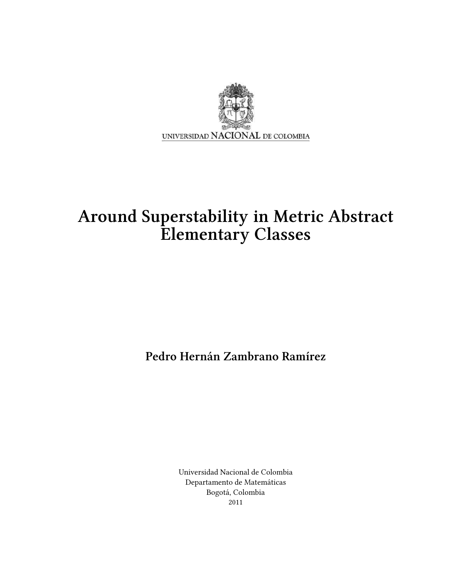

# Around Superstability in Metric Abstract Elementary Classes

Pedro Hernán Zambrano Ramírez

Universidad Nacional de Colombia Departamento de Matemáticas Bogotá, Colombia 2011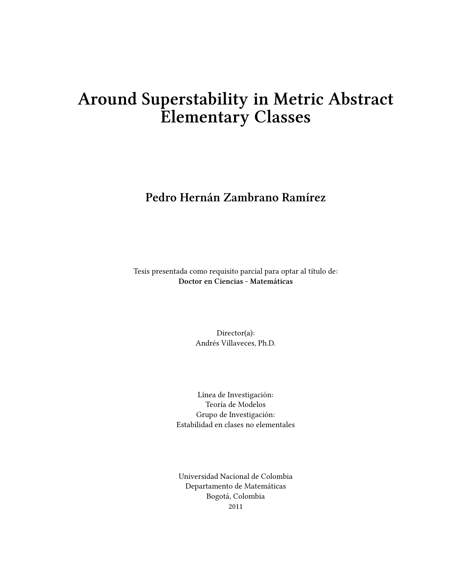# Around Superstability in Metric Abstract Elementary Classes

### Pedro Hernán Zambrano Ramírez

Tesis presentada como requisito parcial para optar al título de: Doctor en Ciencias - Matemáticas

> Director(a): Andrés Villaveces, Ph.D.

Línea de Investigación: Teoría de Modelos Grupo de Investigación: Estabilidad en clases no elementales

Universidad Nacional de Colombia Departamento de Matemáticas Bogotá, Colombia 2011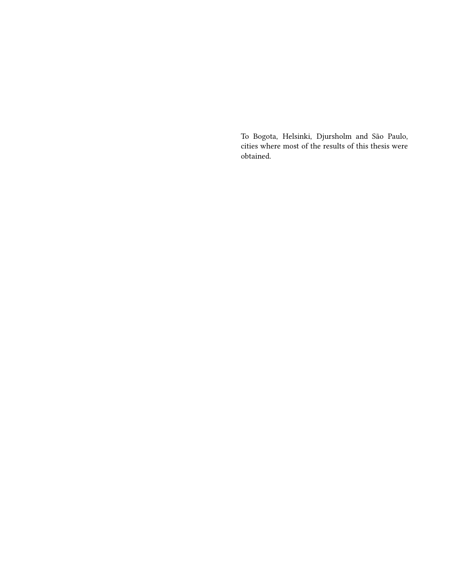To Bogota, Helsinki, Djursholm and São Paulo, cities where most of the results of this thesis were obtained.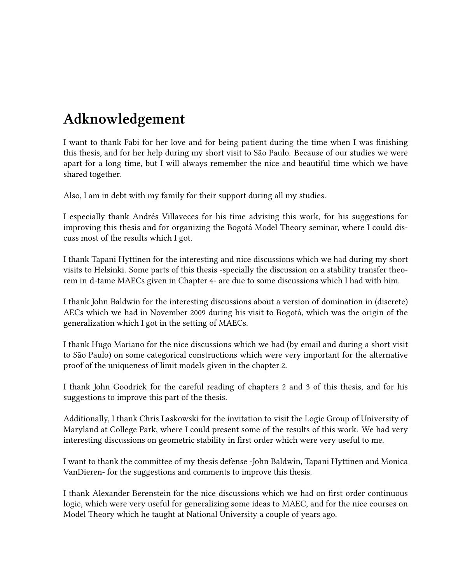# Adknowledgement

I want to thank Fabi for her love and for being patient during the time when I was finishing this thesis, and for her help during my short visit to São Paulo. Because of our studies we were apart for a long time, but I will always remember the nice and beautiful time which we have shared together.

Also, I am in debt with my family for their support during all my studies.

I especially thank Andrés Villaveces for his time advising this work, for his suggestions for improving this thesis and for organizing the Bogotá Model Theory seminar, where I could discuss most of the results which I got.

I thank Tapani Hyttinen for the interesting and nice discussions which we had during my short visits to Helsinki. Some parts of this thesis -specially the discussion on a stability transfer theorem in d-tame MAECs given in Chapter 4- are due to some discussions which I had with him.

I thank John Baldwin for the interesting discussions about a version of domination in (discrete) AECs which we had in November 2009 during his visit to Bogotá, which was the origin of the generalization which I got in the setting of MAECs.

I thank Hugo Mariano for the nice discussions which we had (by email and during a short visit to São Paulo) on some categorical constructions which were very important for the alternative proof of the uniqueness of limit models given in the chapter 2.

I thank John Goodrick for the careful reading of chapters 2 and 3 of this thesis, and for his suggestions to improve this part of the thesis.

Additionally, I thank Chris Laskowski for the invitation to visit the Logic Group of University of Maryland at College Park, where I could present some of the results of this work. We had very interesting discussions on geometric stability in first order which were very useful to me.

I want to thank the committee of my thesis defense -John Baldwin, Tapani Hyttinen and Monica VanDieren- for the suggestions and comments to improve this thesis.

I thank Alexander Berenstein for the nice discussions which we had on first order continuous logic, which were very useful for generalizing some ideas to MAEC, and for the nice courses on Model Theory which he taught at National University a couple of years ago.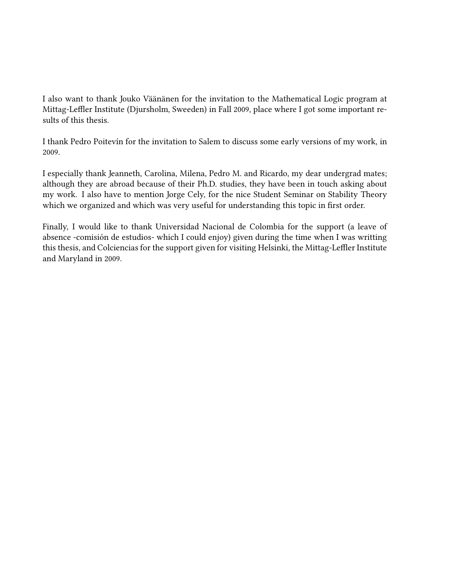I also want to thank Jouko Väänänen for the invitation to the Mathematical Logic program at Mittag-Leffler Institute (Djursholm, Sweeden) in Fall 2009, place where I got some important results of this thesis.

I thank Pedro Poitevín for the invitation to Salem to discuss some early versions of my work, in 2009.

I especially thank Jeanneth, Carolina, Milena, Pedro M. and Ricardo, my dear undergrad mates; although they are abroad because of their Ph.D. studies, they have been in touch asking about my work. I also have to mention Jorge Cely, for the nice Student Seminar on Stability Theory which we organized and which was very useful for understanding this topic in first order.

Finally, I would like to thank Universidad Nacional de Colombia for the support (a leave of absence -comisión de estudios- which I could enjoy) given during the time when I was writting this thesis, and Colciencias for the support given for visiting Helsinki, the Mittag-Leffler Institute and Maryland in 2009.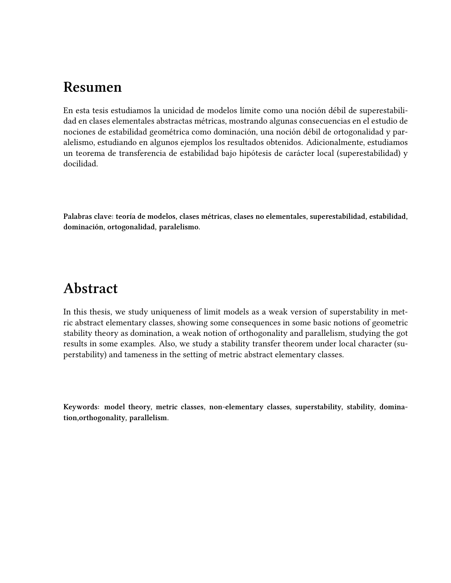## Resumen

En esta tesis estudiamos la unicidad de modelos límite como una noción débil de superestabilidad en clases elementales abstractas métricas, mostrando algunas consecuencias en el estudio de nociones de estabilidad geométrica como dominación, una noción débil de ortogonalidad y paralelismo, estudiando en algunos ejemplos los resultados obtenidos. Adicionalmente, estudiamos un teorema de transferencia de estabilidad bajo hipótesis de carácter local (superestabilidad) y docilidad.

Palabras clave: teoría de modelos, clases métricas, clases no elementales, superestabilidad, estabilidad, dominación, ortogonalidad, paralelismo.

## Abstract

In this thesis, we study uniqueness of limit models as a weak version of superstability in metric abstract elementary classes, showing some consequences in some basic notions of geometric stability theory as domination, a weak notion of orthogonality and parallelism, studying the got results in some examples. Also, we study a stability transfer theorem under local character (superstability) and tameness in the setting of metric abstract elementary classes.

Keywords: model theory, metric classes, non-elementary classes, superstability, stability, domination,orthogonality, parallelism.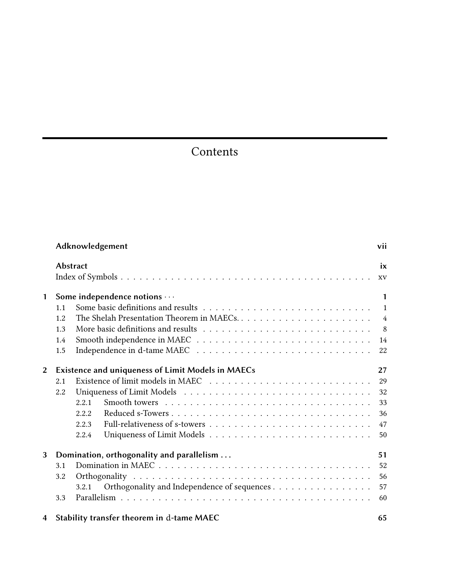# Contents

| Adknowledgement |                                                                |                                                                                                                                                                                                                                                                                                                                            |                |  |  |  |  |  |
|-----------------|----------------------------------------------------------------|--------------------------------------------------------------------------------------------------------------------------------------------------------------------------------------------------------------------------------------------------------------------------------------------------------------------------------------------|----------------|--|--|--|--|--|
|                 |                                                                | <b>Abstract</b>                                                                                                                                                                                                                                                                                                                            | $i\mathbf{x}$  |  |  |  |  |  |
|                 |                                                                |                                                                                                                                                                                                                                                                                                                                            | XV             |  |  |  |  |  |
| $\mathbf{1}$    | Some independence notions                                      |                                                                                                                                                                                                                                                                                                                                            |                |  |  |  |  |  |
|                 | 1.1                                                            |                                                                                                                                                                                                                                                                                                                                            | $\overline{1}$ |  |  |  |  |  |
|                 | 1.2                                                            |                                                                                                                                                                                                                                                                                                                                            | $\overline{4}$ |  |  |  |  |  |
|                 | 1.3                                                            |                                                                                                                                                                                                                                                                                                                                            | 8 <sup>8</sup> |  |  |  |  |  |
|                 | 1.4                                                            |                                                                                                                                                                                                                                                                                                                                            | 14             |  |  |  |  |  |
|                 | 1.5                                                            |                                                                                                                                                                                                                                                                                                                                            | 22             |  |  |  |  |  |
| 2               | <b>Existence and uniqueness of Limit Models in MAECs</b><br>27 |                                                                                                                                                                                                                                                                                                                                            |                |  |  |  |  |  |
|                 | 2.1                                                            |                                                                                                                                                                                                                                                                                                                                            | 29             |  |  |  |  |  |
|                 | 2.2                                                            |                                                                                                                                                                                                                                                                                                                                            | 32             |  |  |  |  |  |
|                 |                                                                | 2.2.1                                                                                                                                                                                                                                                                                                                                      | 33             |  |  |  |  |  |
|                 |                                                                | 2.2.2                                                                                                                                                                                                                                                                                                                                      | 36             |  |  |  |  |  |
|                 |                                                                | 2.2.3                                                                                                                                                                                                                                                                                                                                      | 47             |  |  |  |  |  |
|                 |                                                                | 2.2.4                                                                                                                                                                                                                                                                                                                                      | 50             |  |  |  |  |  |
| 3               | Domination, orthogonality and parallelism<br>51                |                                                                                                                                                                                                                                                                                                                                            |                |  |  |  |  |  |
|                 | 3.1                                                            |                                                                                                                                                                                                                                                                                                                                            | 52             |  |  |  |  |  |
|                 | 3.2                                                            |                                                                                                                                                                                                                                                                                                                                            | 56             |  |  |  |  |  |
|                 |                                                                | Orthogonality and Independence of sequences<br>3.2.1                                                                                                                                                                                                                                                                                       | 57             |  |  |  |  |  |
|                 | 3.3                                                            |                                                                                                                                                                                                                                                                                                                                            | 60             |  |  |  |  |  |
|                 |                                                                | $\overline{A}$ $\overline{C}$ and $\overline{C}$ and $\overline{C}$ and $\overline{C}$ and $\overline{C}$ and $\overline{C}$ and $\overline{C}$ and $\overline{C}$ and $\overline{C}$ and $\overline{C}$ and $\overline{C}$ and $\overline{C}$ and $\overline{C}$ and $\overline{C}$ and $\overline{C}$ and $\overline{C}$ and $\overline$ | $\sim$ $\sim$  |  |  |  |  |  |

|  | 4 Stability transfer theorem in d-tame MAEC |  |
|--|---------------------------------------------|--|
|--|---------------------------------------------|--|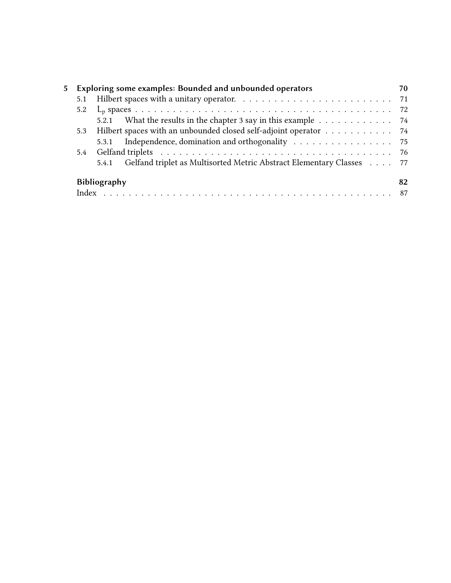| 5 | Exploring some examples: Bounded and unbounded operators                      | 70 |
|---|-------------------------------------------------------------------------------|----|
|   |                                                                               |    |
|   |                                                                               |    |
|   | 5.2.1 What the results in the chapter 3 say in this example 74                |    |
|   | 5.3 Hilbert spaces with an unbounded closed self-adjoint operator 74          |    |
|   | Independence, domination and orthogonality 75<br>5.3.1                        |    |
|   |                                                                               |    |
|   | Gelfand triplet as Multisorted Metric Abstract Elementary Classes 77<br>5.4.1 |    |
|   | <b>Bibliography</b>                                                           | 82 |
|   |                                                                               |    |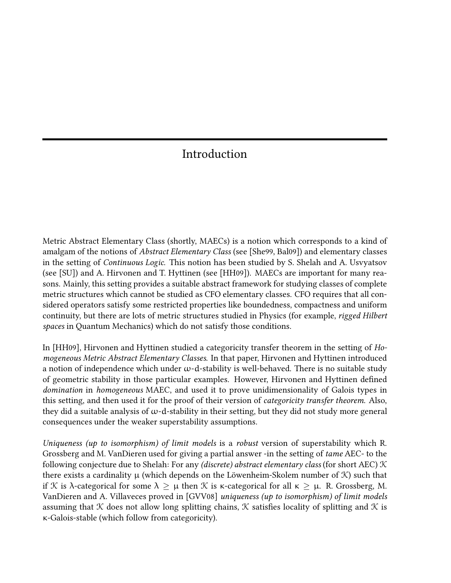### Introduction

Metric Abstract Elementary Class (shortly, MAECs) is a notion which corresponds to a kind of amalgam of the notions of Abstract Elementary Class (see [She99, Bal09]) and elementary classes in the setting of Continuous Logic. This notion has been studied by S. Shelah and A. Usvyatsov (see [SU]) and A. Hirvonen and T. Hyttinen (see [HH09]). MAECs are important for many reasons. Mainly, this setting provides a suitable abstract framework for studying classes of complete metric structures which cannot be studied as CFO elementary classes. CFO requires that all considered operators satisfy some restricted properties like boundedness, compactness and uniform continuity, but there are lots of metric structures studied in Physics (for example, rigged Hilbert spaces in Quantum Mechanics) which do not satisfy those conditions.

In [HH09], Hirvonen and Hyttinen studied a categoricity transfer theorem in the setting of Homogeneous Metric Abstract Elementary Classes. In that paper, Hirvonen and Hyttinen introduced a notion of independence which under  $\omega$ -d-stability is well-behaved. There is no suitable study of geometric stability in those particular examples. However, Hirvonen and Hyttinen defined domination in homogeneous MAEC, and used it to prove unidimensionality of Galois types in this setting, and then used it for the proof of their version of categoricity transfer theorem. Also, they did a suitable analysis of  $\omega$ -d-stability in their setting, but they did not study more general consequences under the weaker superstability assumptions.

Uniqueness (up to isomorphism) of limit models is a robust version of superstability which R. Grossberg and M. VanDieren used for giving a partial answer -in the setting of tame AEC- to the following conjecture due to Shelah: For any (discrete) abstract elementary class (for short AEC)  $K$ there exists a cardinality  $\mu$  (which depends on the Löwenheim-Skolem number of  $\mathcal K$ ) such that if K is λ-categorical for some  $\lambda \geq \mu$  then K is κ-categorical for all  $\kappa \geq \mu$ . R. Grossberg, M. VanDieren and A. Villaveces proved in [GVV08] uniqueness (up to isomorphism) of limit models assuming that  $K$  does not allow long splitting chains,  $K$  satisfies locality of splitting and  $K$  is κ-Galois-stable (which follow from categoricity).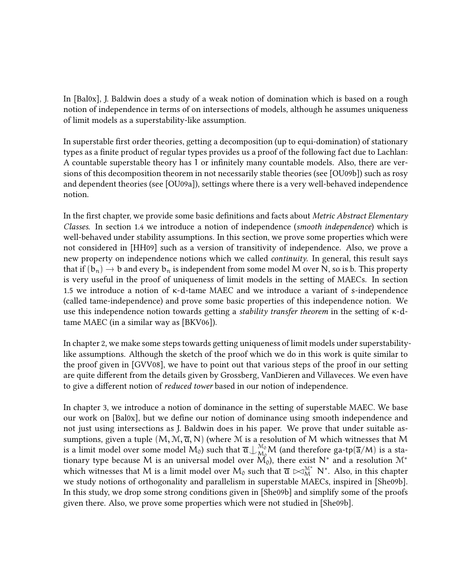In [Bal0x], J. Baldwin does a study of a weak notion of domination which is based on a rough notion of independence in terms of on intersections of models, although he assumes uniqueness of limit models as a superstability-like assumption.

In superstable first order theories, getting a decomposition (up to equi-domination) of stationary types as a finite product of regular types provides us a proof of the following fact due to Lachlan: A countable superstable theory has 1 or infinitely many countable models. Also, there are versions of this decomposition theorem in not necessarily stable theories (see [OU09b]) such as rosy and dependent theories (see [OU09a]), settings where there is a very well-behaved independence notion.

In the first chapter, we provide some basic definitions and facts about Metric Abstract Elementary Classes. In section 1.4 we introduce a notion of independence (smooth independence) which is well-behaved under stability assumptions. In this section, we prove some properties which were not considered in [HH09] such as a version of transitivity of independence. Also, we prove a new property on independence notions which we called continuity. In general, this result says that if  $(b_n) \to b$  and every  $b_n$  is independent from some model M over N, so is b. This property is very useful in the proof of uniqueness of limit models in the setting of MAECs. In section 1.5 we introduce a notion of κ-d-tame MAEC and we introduce a variant of s-independence (called tame-independence) and prove some basic properties of this independence notion. We use this independence notion towards getting a stability transfer theorem in the setting of κ-dtame MAEC (in a similar way as [BKV06]).

In chapter 2, we make some steps towards getting uniqueness of limit models under superstabilitylike assumptions. Although the sketch of the proof which we do in this work is quite similar to the proof given in [GVV08], we have to point out that various steps of the proof in our setting are quite different from the details given by Grossberg, VanDieren and Villaveces. We even have to give a different notion of *reduced tower* based in our notion of independence.

In chapter 3, we introduce a notion of dominance in the setting of superstable MAEC. We base our work on [Bal0x], but we define our notion of dominance using smooth independence and not just using intersections as J. Baldwin does in his paper. We prove that under suitable assumptions, given a tuple  $(M, M, \overline{a}, N)$  (where M is a resolution of M which witnesses that M is a limit model over some model  $M_0$ ) such that  $\overline{\mathfrak{a}}\perp_{M_0}^{M_0}M$  (and therefore ga-tp( $\overline{\mathfrak{a}}/M$ ) is a stationary type because M is an universal model over  $\check{\mathsf{M}_0}$ ), there exist  $\mathsf{N}^*$  and a resolution  $\mathfrak{M}^*$ which witnesses that M is a limit model over M<sub>0</sub> such that  $\overline{\mathfrak{a}} \bowtie_M^{\mathcal{M}^*} N^*$ . Also, in this chapter we study notions of orthogonality and parallelism in superstable MAECs, inspired in [She09b]. In this study, we drop some strong conditions given in [She09b] and simplify some of the proofs given there. Also, we prove some properties which were not studied in [She09b].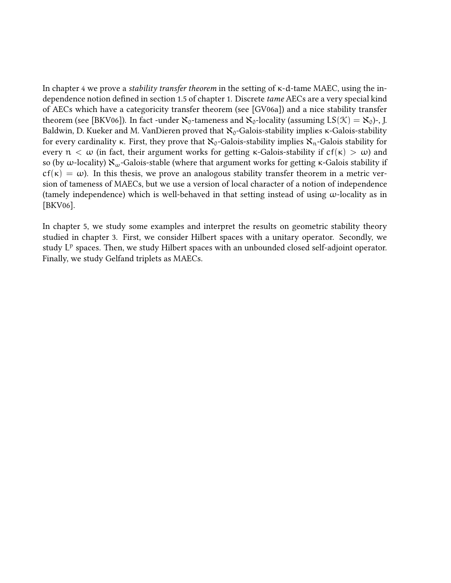In chapter 4 we prove a stability transfer theorem in the setting of κ-d-tame MAEC, using the independence notion defined in section 1.5 of chapter 1. Discrete tame AECs are a very special kind of AECs which have a categoricity transfer theorem (see [GV06a]) and a nice stability transfer theorem (see [BKV06]). In fact -under  $\aleph_0$ -tameness and  $\aleph_0$ -locality (assuming  $LS(\mathcal{K}) = \aleph_0$ )-, J. Baldwin, D. Kueker and M. VanDieren proved that  $\aleph_0$ -Galois-stability implies κ-Galois-stability for every cardinality κ. First, they prove that  $\aleph_0$ -Galois-stability implies  $\aleph_n$ -Galois stability for every  $n < \omega$  (in fact, their argument works for getting  $\kappa$ -Galois-stability if  $cf(\kappa) > \omega$ ) and so (by ω-locality)  $\aleph_{\omega}$ -Galois-stable (where that argument works for getting κ-Galois stability if  $cf(\kappa) = \omega$ ). In this thesis, we prove an analogous stability transfer theorem in a metric version of tameness of MAECs, but we use a version of local character of a notion of independence (tamely independence) which is well-behaved in that setting instead of using  $\omega$ -locality as in [BKV06].

In chapter 5, we study some examples and interpret the results on geometric stability theory studied in chapter 3. First, we consider Hilbert spaces with a unitary operator. Secondly, we study  $L^p$  spaces. Then, we study Hilbert spaces with an unbounded closed self-adjoint operator. Finally, we study Gelfand triplets as MAECs.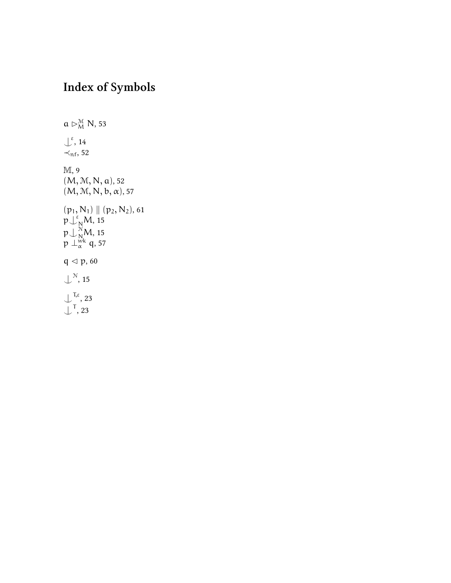# Index of Symbols

 $a \rhd_M^{\mathcal{M}} N$ , 53  $\int_{0}^{\epsilon}$ , 14  $\prec$ <sub>nf</sub>, 52 M, 9  $(M, M, N, a)$ , 52  $(M, M, N, b, \alpha)$ , 57  $(p_1, N_1) \parallel (p_2, N_2)$ , 61  $p\bigcup_N^{\epsilon}M,$  15  $\mathfrak{p}\!\downarrow_{\mathsf{N}\!_{\boldsymbol{\cdot}}}^{\mathbb{N}}\!\!\mathsf{M},$  15  $p\perp_{\alpha}^{\dot\text{wk}}$  q, 57  $q \lhd p$ , 60  $\bigcup^{\mathcal{N}}, 15$  $\mathcal{L}^{\mathsf{T},\varepsilon}$ , 23  $\downarrow^{\mathsf{T}}$ , 23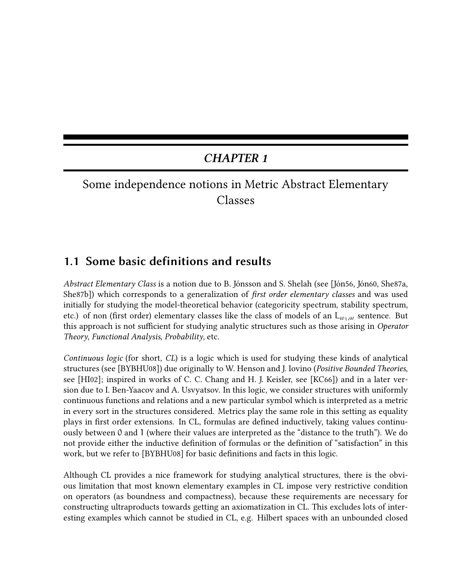### CHAPTER 1

## Some independence notions in Metric Abstract Elementary Classes

#### 1.1 Some basic definitions and results

Abstract Elementary Class is a notion due to B. Jónsson and S. Shelah (see [Jón56, Jón60, She87a, She87b]) which corresponds to a generalization of *first order elementary classes* and was used initially for studying the model-theoretical behavior (categoricity spectrum, stability spectrum, etc.) of non (first order) elementary classes like the class of models of an  $L_{\omega_1,\omega}$  sentence. But this approach is not sufficient for studying analytic structures such as those arising in Operator Theory, Functional Analysis, Probability, etc.

Continuous logic (for short, CL) is a logic which is used for studying these kinds of analytical structures (see [BYBHU08]) due originally to W. Henson and J. Iovino (Positive Bounded Theories, see [HI02]; inspired in works of C. C. Chang and H. J. Keisler, see [KC66]) and in a later version due to I. Ben-Yaacov and A. Usvyatsov. In this logic, we consider structures with uniformly continuous functions and relations and a new particular symbol which is interpreted as a metric in every sort in the structures considered. Metrics play the same role in this setting as equality plays in first order extensions. In CL, formulas are defined inductively, taking values continuously between 0 and 1 (where their values are interpreted as the "distance to the truth"). We do not provide either the inductive definition of formulas or the definition of "satisfaction" in this work, but we refer to [BYBHU08] for basic definitions and facts in this logic.

Although CL provides a nice framework for studying analytical structures, there is the obvious limitation that most known elementary examples in CL impose very restrictive condition on operators (as boundness and compactness), because these requirements are necessary for constructing ultraproducts towards getting an axiomatization in CL. This excludes lots of interesting examples which cannot be studied in CL, e.g. Hilbert spaces with an unbounded closed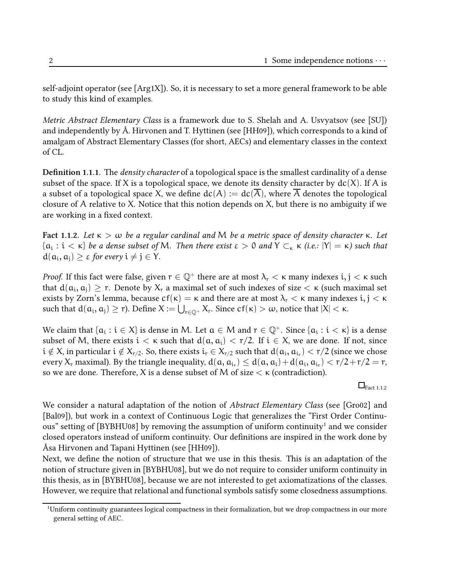self-adjoint operator (see [Arg1X]). So, it is necessary to set a more general framework to be able to study this kind of examples.

Metric Abstract Elementary Class is a framework due to S. Shelah and A. Usvyatsov (see [SU]) and independently by Å. Hirvonen and T. Hyttinen (see [HH09]), which corresponds to a kind of amalgam of Abstract Elementary Classes (for short, AECs) and elementary classes in the context of CL.

**Definition 1.1.1.** The *density character* of a topological space is the smallest cardinality of a dense subset of the space. If X is a topological space, we denote its density character by  $dc(X)$ . If A is a subset of a topological space X, we define  $dc(A) := dc(A)$ , where A denotes the topological closure of A relative to X. Notice that this notion depends on X, but there is no ambiguity if we are working in a fixed context.

Fact 1.1.2. Let  $\kappa > \omega$  be a regular cardinal and M be a metric space of density character  $\kappa$ . Let  $\{a_i:i<\kappa\}$  be a dense subset of M. Then there exist  $\varepsilon>0$  and  $Y\subset_\kappa\kappa$  (i.e.:  $|Y|=\kappa$ ) such that  $d(a_i, a_j) \geq \varepsilon$  for every  $i \neq j \in Y$ .

*Proof.* If this fact were false, given  $r \in \mathbb{Q}^+$  there are at most  $\lambda_r < \kappa$  many indexes  $i, j < \kappa$  such that  $d(a_i, a_j) \geq r$ . Denote by  $X_r$  a maximal set of such indexes of size  $<\kappa$  (such maximal set exists by Zorn's lemma, because  $cf(\kappa) = \kappa$  and there are at most  $\lambda_r < \kappa$  many indexes  $i, j < \kappa$ such that  $d(a_i, a_j) \ge r$ ). Define  $X := \bigcup_{r \in \mathbb{Q}^+} X_r$ . Since  $cf(\kappa) > \omega$ , notice that  $|X| < \kappa$ .

We claim that  $\{a_i : i \in X\}$  is dense in M. Let  $a \in M$  and  $r \in \mathbb{Q}^+$ . Since  $\{a_i : i < \kappa\}$  is a dense subset of M, there exists  $i < \kappa$  such that  $d(a, a_i) < r/2$ . If  $i \in X$ , we are done. If not, since  $i \notin X$ , in particular  $i \notin X_{r/2}$ . So, there exists  $i_r \in X_{r/2}$  such that  $d(a_i, a_{i_r}) < r/2$  (since we chose every  $X_r$  maximal). By the triangle inequality,  $d(a, a_{i_r}) \leq d(a, a_i) + d(a_i, a_{i_r}) < r/2 + r/2 = r$ , so we are done. Therefore, X is a dense subset of M of size  $\lt$   $\lt$   $\lt$  (contradiction).

 $\Box$ Fact 1.1.2

We consider a natural adaptation of the notion of *Abstract Elementary Class* (see [Gro02] and [Bal09]), but work in a context of Continuous Logic that generalizes the "First Order Continuous" setting of [BYBHU08] by removing the assumption of uniform continuity<sup>1</sup> and we consider closed operators instead of uniform continuity. Our definitions are inspired in the work done by Åsa Hirvonen and Tapani Hyttinen (see [HH09]).

Next, we define the notion of structure that we use in this thesis. This is an adaptation of the notion of structure given in [BYBHU08], but we do not require to consider uniform continuity in this thesis, as in [BYBHU08], because we are not interested to get axiomatizations of the classes. However, we require that relational and functional symbols satisfy some closedness assumptions.

<sup>1</sup>Uniform continuity guarantees logical compactness in their formalization, but we drop compactness in our more general setting of AEC.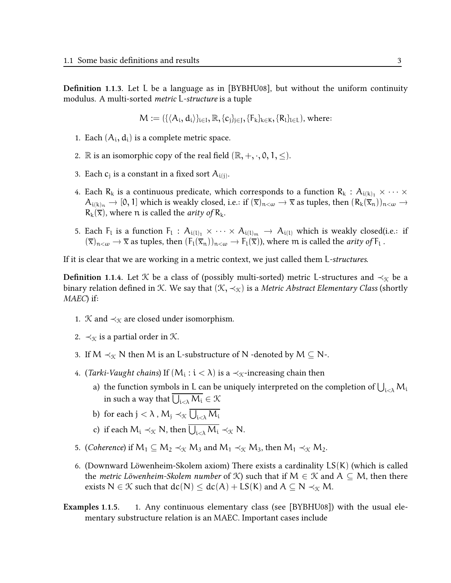**Definition 1.1.3.** Let L be a language as in [BYBHU08], but without the uniform continuity modulus. A multi-sorted metric L-structure is a tuple

$$
M := (\{\langle A_i, d_i \rangle\}_{i \in I}, \mathbb{R}, \{c_j\}_{j \in J}, \{F_k\}_{k \in K}, \{R_l\}_{l \in L}), \text{ where: }
$$

- 1. Each  $(A_i, d_i)$  is a complete metric space.
- 2.  $\mathbb R$  is an isomorphic copy of the real field  $(\mathbb R, +, \cdot, 0, 1, \leq)$ .
- 3. Each  $c_j$  is a constant in a fixed sort  $A_{i(j)}$ .
- 4. Each R<sub>k</sub> is a continuous predicate, which corresponds to a function R<sub>k</sub> :  $A_{i(k)_1} \times \cdots \times$  $A_{i(k)_n} \to [0, 1]$  which is weakly closed, i.e.: if  $(\overline{x})_{n < \omega} \to \overline{x}$  as tuples, then  $(R_k(\overline{x}_n))_{n < \omega} \to$  $R_k(\overline{x})$ , where n is called the *arity of*  $R_k$ .
- 5. Each  $F_l$  is a function  $F_l$  :  $A_{i(l)_1} \times \cdots \times A_{i(l)_m} \to A_{i(l)}$  which is weakly closed(i.e.: if  $(\overline{x})_{n<\omega} \to \overline{x}$  as tuples, then  $(F_l(\overline{x}_n))_{n<\omega} \to F_l(\overline{x})$ , where m is called the *arity of*  $F_l$ .

If it is clear that we are working in a metric context, we just called them L-structures.

**Definition 1.1.4.** Let K be a class of (possibly multi-sorted) metric L-structures and  $\prec_{\mathcal{K}}$  be a binary relation defined in K. We say that  $(\mathcal{K}, \prec_{\mathcal{K}})$  is a *Metric Abstract Elementary Class* (shortly MAEC) if:

- 1. K and  $\prec_{\mathcal{K}}$  are closed under isomorphism.
- 2.  $\prec_{\mathcal{K}}$  is a partial order in  $\mathcal{K}$ .
- 3. If  $M \prec_{\mathcal{K}} N$  then M is an L-substructure of N -denoted by  $M \subseteq N$ -.
- 4. (*Tarki-Vau*g*ht chains*) If  $(\mathsf{M}_{\mathsf{i}}:\mathsf{i}<\lambda)$  is a  $\prec_{\mathfrak{K}}$ -increasing chain then
	- a) the function symbols in L can be uniquely interpreted on the completion of  $\bigcup_{i<\lambda} M_i$ in such a way that  $\bigcup_{\mathfrak{i}<\lambda} \mathcal{M}_\mathfrak{i} \in \mathcal{K}$
	- b) for each  ${\rm j}<\lambda$  ,  ${\rm M}_{\rm j}\prec_{\mathfrak X} \bigcup_{\mathfrak i<\lambda}{\rm M}_{\mathfrak i}$
	- c) if each  $M_i \prec_{\mathfrak{K}} N$ , then  $\bigcup_{i<\lambda} M_i \prec_{\mathfrak{K}} N$ .
- 5. (Coherence) if  $M_1 \subseteq M_2 \prec_{\mathfrak{K}} M_3$  and  $M_1 \prec_{\mathfrak{K}} M_3$ , then  $M_1 \prec_{\mathfrak{K}} M_2$ .
- 6. (Downward Löwenheim-Skolem axiom) There exists a cardinality LS(K) (which is called the *metric Löwenheim-Skolem number* of X) such that if  $M \in \mathcal{K}$  and  $A \subseteq M$ , then there exists  $N \in \mathcal{K}$  such that  $dc(N) \leq dc(A) + LS(K)$  and  $A \subseteq N \prec_{\mathcal{K}} M$ .
- Examples 1.1.5. 1. Any continuous elementary class (see [BYBHU08]) with the usual elementary substructure relation is an MAEC. Important cases include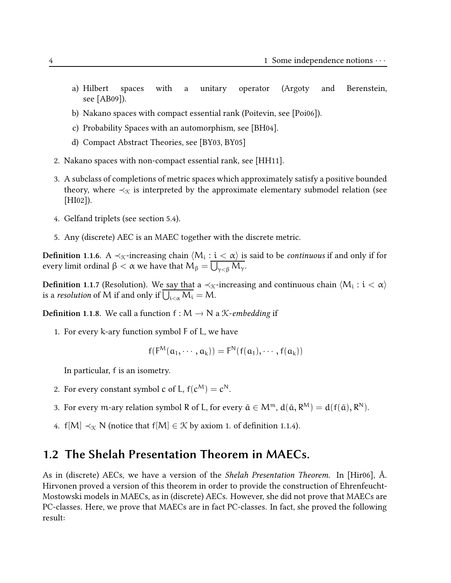- a) Hilbert spaces with a unitary operator (Argoty and Berenstein, see [AB09]).
- b) Nakano spaces with compact essential rank (Poitevin, see [Poi06]).
- c) Probability Spaces with an automorphism, see [BH04].
- d) Compact Abstract Theories, see [BY03, BY05]
- 2. Nakano spaces with non-compact essential rank, see [HH11].
- 3. A subclass of completions of metric spaces which approximately satisfy a positive bounded theory, where  $\prec_{\mathfrak{K}}$  is interpreted by the approximate elementary submodel relation (see [HI02]).
- 4. Gelfand triplets (see section 5.4).
- 5. Any (discrete) AEC is an MAEC together with the discrete metric.

**Definition 1.1.6.** A ≺<sub>K</sub>-increasing chain  $\langle M_i : i < \alpha \rangle$  is said to be *continuous* if and only if for every limit ordinal β  $<$  α we have that  $\bm{\mathsf{M}}_{\bm{\beta}} = \bigcup_{\gamma<\beta} \bm{\mathsf{M}}_\gamma.$ 

**Definition 1.1.7** (Resolution). We say that a ≺<sub>K</sub>-increasing and continuous chain  $\langle M_i:i<\alpha\rangle$ is a *resolution* of M if and only if  $\bigcup_{i<\alpha} M_i = M$ .

**Definition 1.1.8.** We call a function  $f : M \to N$  a *K*-embedding if

1. For every k-ary function symbol F of L, we have

$$
f(F^M(\mathfrak{a}_1,\cdots,\mathfrak{a}_k))=F^N(f(\mathfrak{a}_1),\cdots,f(\mathfrak{a}_k))
$$

In particular, f is an isometry.

- 2. For every constant symbol c of L,  $f(c^M) = c^N$ .
- 3. For every m-ary relation symbol R of L, for every  $\bar{\mathfrak{a}} \in \mathcal{M}^m$ ,  $d(\bar{\mathfrak{a}}, R^M) = d(f(\bar{\mathfrak{a}}), R^N)$ .
- 4. f[M]  $\prec_{\mathcal{K}} N$  (notice that f[M]  $\in \mathcal{K}$  by axiom 1. of definition 1.1.4).

#### 1.2 The Shelah Presentation Theorem in MAECs.

As in (discrete) AECs, we have a version of the Shelah Presentation Theorem. In [Hir06], Å. Hirvonen proved a version of this theorem in order to provide the construction of Ehrenfeucht-Mostowski models in MAECs, as in (discrete) AECs. However, she did not prove that MAECs are PC-classes. Here, we prove that MAECs are in fact PC-classes. In fact, she proved the following result: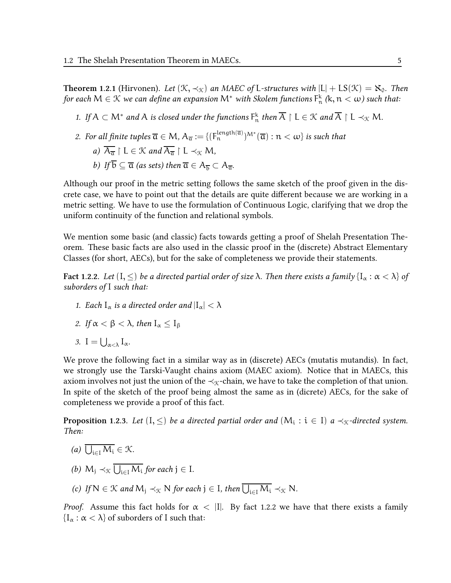**Theorem 1.2.1** (Hirvonen). Let  $(\mathcal{K}, \prec_{\mathcal{K}})$  an MAEC of L-structures with  $|L| + \text{LS}(\mathcal{K}) = \aleph_0$ . Then for each  $\mathsf{M}\in\mathfrak{K}$  we can define an expansion  $\mathsf{M}^{*}$  with Skolem functions  $\mathsf{F}_{\mathfrak{n}}^{\rm k}$  (k,  $\mathfrak{n}<\omega$ ) such that:

- 1. If  $A \subset M^*$  and A is closed under the functions  $F_n^k$  then  $\overline{A} \restriction L \in \mathcal{K}$  and  $\overline{A} \restriction L \prec_{\mathcal{K}} M$ .
- 2. For all finite tuples  $\overline{\alpha}\in M$ ,  $A_{\overline{\alpha}}:=\{(\mathsf{F}_\mathfrak{n}^{\mathrm{length}(\overline{\alpha})})^{\mathsf{M}^*}(\overline{\alpha}): \mathfrak{n}<\omega\}$  is such that

a) 
$$
\overline{A_{\overline{\alpha}}}
$$
 |  $L \in \mathcal{K}$  and  $\overline{A_{\overline{\alpha}}}$  |  $L \prec_{\mathcal{K}} M$ ,

*b)* If 
$$
b \subseteq \overline{a}
$$
 (as sets) then  $\overline{a} \in A_{\overline{b}} \subset A_{\overline{a}}$ .

Although our proof in the metric setting follows the same sketch of the proof given in the discrete case, we have to point out that the details are quite different because we are working in a metric setting. We have to use the formulation of Continuous Logic, clarifying that we drop the uniform continuity of the function and relational symbols.

We mention some basic (and classic) facts towards getting a proof of Shelah Presentation Theorem. These basic facts are also used in the classic proof in the (discrete) Abstract Elementary Classes (for short, AECs), but for the sake of completeness we provide their statements.

**Fact 1.2.2.** Let  $(I, \leq)$  be a directed partial order of size  $\lambda$ . Then there exists a family  $\{I_\alpha : \alpha < \lambda\}$  of suborders of I such that:

1. Each  $I_{\alpha}$  is a directed order and  $|I_{\alpha}| < \lambda$ 

2. If 
$$
\alpha < \beta < \lambda
$$
, then  $I_{\alpha} \leq I_{\beta}$ 

3.  $I = \bigcup_{\alpha < \lambda} I_{\alpha}$ .

We prove the following fact in a similar way as in (discrete) AECs (mutatis mutandis). In fact, we strongly use the Tarski-Vaught chains axiom (MAEC axiom). Notice that in MAECs, this axiom involves not just the union of the  $\prec_{\mathcal{K}}$ -chain, we have to take the completion of that union. In spite of the sketch of the proof being almost the same as in (dicrete) AECs, for the sake of completeness we provide a proof of this fact.

**Proposition 1.2.3.** Let  $(I, \leq)$  be a directed partial order and  $(\mathsf{M}_\mathfrak{i}: \mathfrak{i} \in I)$  a  $\prec_{\mathfrak{K}}$ -directed system. Then:

- (a)  $\bigcup_{i\in I} M_i \in \mathcal{K}$ .
- (b)  $M_j \prec_{\mathcal{K}} \bigcup_{i \in I} M_i$  for each  $j \in I$ .
- (c) If  $N \in \mathcal{K}$  and  $M_j \prec_{\mathcal{K}} N$  for each  $j \in I$ , then  $\bigcup_{i \in I} M_i \prec_{\mathcal{K}} N$ .

Proof. Assume this fact holds for  $\alpha$  < |I|. By fact 1.2.2 we have that there exists a family  $\{I_{\alpha} : \alpha < \lambda\}$  of suborders of I such that: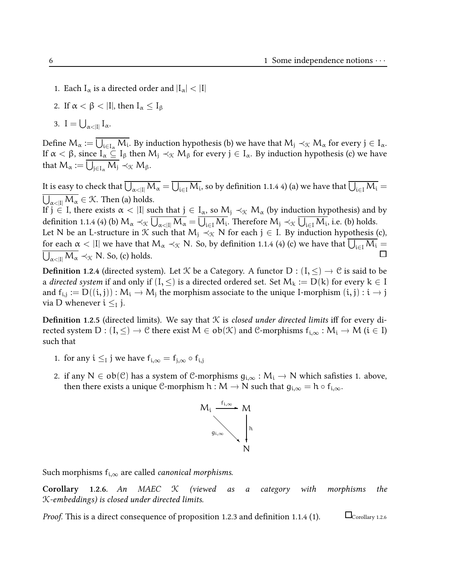- 1. Each  $I_{\alpha}$  is a directed order and  $|I_{\alpha}| < |I|$
- 2. If  $\alpha < \beta < |I|$ , then  $I_{\alpha} < I_{\beta}$
- 3.  $I = \bigcup_{\alpha < |I|} I_{\alpha}.$

Define  $M_{\alpha} := \overline{\bigcup_{i \in I_{\alpha}} M_i}$ . By induction hypothesis (b) we have that  $M_j \prec_{\mathcal{K}} M_{\alpha}$  for every  $j \in I_{\alpha}$ . If  $\alpha < \beta$ , since  $I_{\alpha} \subseteq I_{\beta}$  then  $M_j \prec_{\mathcal{K}} M_{\beta}$  for every  $j \in I_{\alpha}$ . By induction hypothesis (c) we have that  $M_{\alpha} := \bigcup_{j \in I_{\alpha}} M_j \prec_{\mathfrak{K}} M_{\beta}$ .

It is easy to check that  $\overline{\bigcup_{\alpha<|I|}M_\alpha}=\overline{\bigcup_{i\in I}M_i}$ , so by definition 1.1.4 4) (a) we have that  $\overline{\bigcup_{i\in I}M_i}=0$  $\bigcup_{\alpha<|I|} \mathcal{M}_\alpha\in\mathcal{K}.$  Then (a) holds.

If  $j \in I$ , there exists  $\alpha < |I|$  such that  $j \in I_{\alpha}$ , so  $M_j \prec_{\mathcal{K}} M_{\alpha}$  (by induction hypothesis) and by definition 1.1.4 (4) (b)  $M_{\alpha} \prec_{\mathcal{K}} \overline{U_{\alpha \prec |I|} M_{\alpha}} = \overline{U_{i \in I} M_i}$ . Therefore  $M_j \prec_{\mathcal{K}} \overline{U_{i \in I} M_i}$ , i.e. (b) holds.

Let N be an L-structure in K such that  $M_i \prec_{\mathcal{K}} N$  for each  $j \in I$ . By induction hypothesis (c), for each  $\alpha$  < |I| we have that  $M_{\alpha} \prec_{\mathcal{K}} N$ . So, by definition 1.1.4 (4) (c) we have that  $\overline{\bigcup_{i\in I} M_i} = \overline{\bigcup_{\alpha \leq |I|} M_{\alpha}} \prec_{\mathcal{K}} N$ . So, (c) holds.  $\overline{\bigcup_{\alpha<\vert I\vert} M_{\alpha}} \prec_{\mathcal{K}} N$ . So, (c) holds.

**Definition 1.2.4** (directed system). Let *K* be a Category. A functor D :  $(I, \leq) \rightarrow C$  is said to be a directed system if and only if  $(I, \leq)$  is a directed ordered set. Set  $M_k := D(k)$  for every  $k \in I$ and  $f_{i,j} := D((i,j)) : M_i \to M_j$  the morphism associate to the unique I-morphism  $(i,j) : i \to j$ via D whenever  $i \leq I$  j.

**Definition 1.2.5** (directed limits). We say that  $K$  is closed under directed limits iff for every directed system  $D : (I, \leq) \to \mathcal{C}$  there exist  $M \in ob(\mathcal{K})$  and  $\mathcal{C}$ -morphisms  $f_{i,\infty} : M_i \to M$  ( $i \in I$ ) such that

- 1. for any  $i \leq i$  j we have  $f_{i,\infty} = f_{i,\infty} \circ f_{i,i}$
- 2. if any N  $\in$  ob(C) has a system of C-morphisms  $g_{i,\infty}: M_i \to N$  which safisties 1. above, then there exists a unique C-morphism  $h:M\to N$  such that  $g_{i,\infty}=h\circ f_{i,\infty}.$



Such morphisms  $f_{i,\infty}$  are called *canonical morphisms*.

**Corollary** 1.2.6. An MAEC  $\mathcal{K}$  (viewed as a category with morphisms the K-embeddings) is closed under directed limits.

*Proof.* This is a direct consequence of proposition 1.2.3 and definition 1.1.4 (1).  $\Box$  Corollary 1.2.6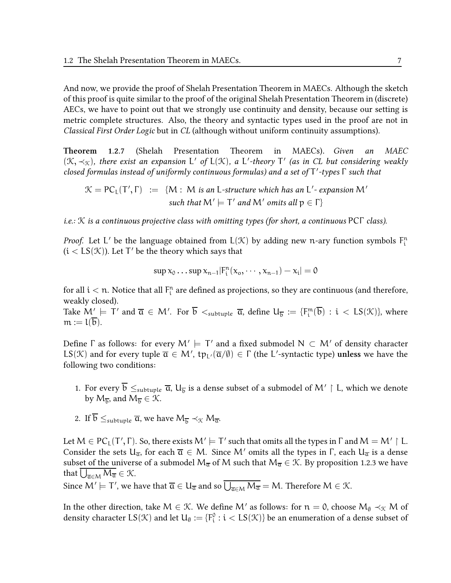And now, we provide the proof of Shelah Presentation Theorem in MAECs. Although the sketch of this proof is quite similar to the proof of the original Shelah Presentation Theorem in (discrete) AECs, we have to point out that we strongly use continuity and density, because our setting is metric complete structures. Also, the theory and syntactic types used in the proof are not in Classical First Order Logic but in CL (although without uniform continuity assumptions).

Theorem 1.2.7 (Shelah Presentation Theorem in MAECs). Given an MAEC  $(\mathfrak{K},\prec_{\mathfrak{K}})$ , there exist an expansion L' of L( $\mathfrak{K}$ ), a L'-theory T' (as in CL but considering weakly closed formulas instead of uniformly continuous formulas) and a set of  $\mathsf{T}'$ -types  $\mathsf \Gamma$  such that

$$
\mathcal{K} = PC_L(T', \Gamma) := \{M : M \text{ is an L-structure which has an L'-expansion M' \text{ such that } M' \models T' \text{ and } M' \text{ omits all } p \in \Gamma \}
$$

i.e.: K is a continuous projective class with omitting types (for short, a continuous PCΓ class).

*Proof.* Let L' be the language obtained from  $L(\mathcal{K})$  by adding new n-ary function symbols  $F_i^n$  $(i < \text{LS}(\mathcal{K}))$ . Let  $\mathsf{T}'$  be the theory which says that

$$
\sup x_0 \dots \sup x_{n-1} |F_i^n(x_0, \dots, x_{n-1}) - x_i| = 0
$$

for all  $i < n$ . Notice that all  $\mathsf{F}^\mathsf{n}_\mathsf{i}$  are defined as projections, so they are continuous (and therefore, weakly closed).

Take  $M' \models \top'$  and  $\overline{\alpha} \in M'$ . For  $\overline{b} <_{sub>subtuple \overline{\alpha}$ , define  $U_{\overline{b}} := \{F_i^m(\overline{b}) : i < LS(\mathcal{K})\}$ , where  $m := l(b)$ .

Define  $\Gamma$  as follows: for every  $\mathsf{M}' \models \mathsf{T}'$  and a fixed submodel  $\mathsf{N} \subset \mathsf{M}'$  of density character LS(X) and for every tuple  $\overline{\alpha} \in M'$ ,  $tp_{L'}(\overline{\alpha}/\emptyset) \in \Gamma$  (the L'-syntactic type) unless we have the following two conditions:

- 1. For every  $b \leq_{subtuple} \overline{a}$ ,  $U_{\overline{b}}$  is a dense subset of a submodel of  $M' \restriction L$ , which we denote by  $M_{\overline{b}}$ , and  $M_{\overline{b}} \in \mathcal{K}$ .
- 2. If  $\overline{b} \leq_{subtuple} \overline{a}$ , we have  $M_{\overline{b}} \prec_{\mathcal{K}} M_{\overline{a}}$ .

Let  $M \in {\sf PC}_L(T', \Gamma)$ . So, there exists  $M' \models T'$  such that omits all the types in  $\Gamma$  and  $M = M' \restriction L$ . Consider the sets  $U_{\overline{\alpha}}$ , for each  $\overline{\alpha} \in M$ . Since M' omits all the types in  $\Gamma$ , each  $U_{\overline{\alpha}}$  is a dense subset of the universe of a submodel  $M_{\overline{\alpha}}$  of M such that  $M_{\overline{\alpha}} \in \mathcal{K}$ . By proposition 1.2.3 we have that  $\bigcup_{\overline{\mathfrak{a}} \in \mathcal{M}} M_{\overline{\mathfrak{a}}} \in \mathcal{K}$ .

Since  $M' \models \textsf{T}'$ , we have that  $\overline{\mathfrak{a}} \in \mathsf{U}_{\overline{\mathfrak{a}}}$  and so  $\overline{\bigcup_{\overline{\mathfrak{a}} \in M} M_{\overline{\mathfrak{a}}}} = M$ . Therefore  $M \in \mathcal{K}$ .

In the other direction, take  $M \in \mathcal{K}$ . We define M' as follows: for  $n = 0$ , choose  $M_{\emptyset} \prec_{\mathcal{K}} M$  of density character  $LS(\mathcal{K})$  and let  $U_\emptyset:=\{F_i^\emptyset:i be an enumeration of a dense subset of$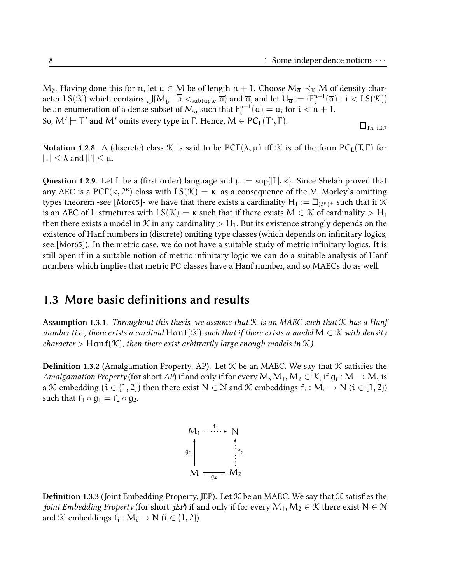$M_{\emptyset}$ . Having done this for n, let  $\overline{a} \in M$  be of length  $n + 1$ . Choose  $M_{\overline{a}} \prec_{\mathfrak{K}} M$  of density character LS(K) which contains  $\bigcup \{M_{\overline{b}} : \overline{b} <_{\text{subtuple}} \overline{\mathfrak{a}}\}$  and  $\overline{\mathfrak{a}},$  and let  $U_{\overline{\mathfrak{a}}} := \{F_i^{n+1}$  $_{i}^{n+1}(\overline{a}):i$ be an enumeration of a dense subset of  $\mathsf{M}_{\overline{\mathsf{a}}}$  such that  $\mathsf{F}_{\mathsf{i}}^{\mathsf{n}+1}$  $\int_{i}^{n+1}(\overline{a}) = a_i$  for  $i < n + 1$ . So,  $M' \models T'$  and  $M'$  omits every type in  $\Gamma$ . Hence,  $M \in PC_L(T', \Gamma)$ .  $\Box$ Th. 1.2.7

Notation 1.2.8. A (discrete) class K is said to be  $PCT(\lambda, \mu)$  iff K is of the form  $PC_L(T, \Gamma)$  for  $|T| \leq \lambda$  and  $|\Gamma| \leq \mu$ .

Question 1.2.9. Let L be a (first order) language and  $\mu := \sup\{|L|, \kappa\}$ . Since Shelah proved that any AEC is a PC $\Gamma(\kappa, 2^{\kappa})$  class with  $LS(\mathcal{K}) = \kappa$ , as a consequence of the M. Morley's omitting types theorem -see [Mor65]- we have that there exists a cardinality  ${\sf H}_1:=\beth_{(2^\mu)^+}$  such that if  ${\mathfrak K}$ is an AEC of L-structures with  $LS(\mathcal{K}) = \kappa$  such that if there exists  $M \in \mathcal{K}$  of cardinality  $> H_1$ then there exists a model in  $\mathcal K$  in any cardinality  $>$  H<sub>1</sub>. But its existence strongly depends on the existence of Hanf numbers in (discrete) omiting type classes (which depends on infinitary logics, see  $[Mor(65)]$ . In the metric case, we do not have a suitable study of metric infinitary logics. It is still open if in a suitable notion of metric infinitary logic we can do a suitable analysis of Hanf numbers which implies that metric PC classes have a Hanf number, and so MAECs do as well.

#### 1.3 More basic definitions and results

**Assumption 1.3.1.** Throughout this thesis, we assume that  $\mathcal K$  is an MAEC such that  $\mathcal K$  has a Hanf number (i.e., there exists a cardinal  $\text{Hamf}(\mathcal{K})$  such that if there exists a model  $M \in \mathcal{K}$  with density character  $>$  Hanf( $\mathcal{K}$ ), then there exist arbitrarily large enough models in  $\mathcal{K}$ ).

Definition 1.3.2 (Amalgamation Property, AP). Let  $K$  be an MAEC. We say that  $K$  satisfies the Amalgamation Property (for short AP) if and only if for every M,  $M_1, M_2 \in \mathcal{K}$ , if  $g_i : M \to M_i$  is a K-embedding  $(i \in \{1, 2\})$  then there exist  $N \in \mathbb{N}$  and K-embeddings  $f_i : M_i \to N$   $(i \in \{1, 2\})$ such that  $f_1 \circ g_1 = f_2 \circ g_2$ .

M<sup>1</sup> N M M<sup>2</sup> <sup>f</sup><sup>1</sup> ✲ ✻ g1 ✲g<sup>2</sup> ✻ f2

**Definition 1.3.3** (Joint Embedding Property, JEP). Let  $K$  be an MAEC. We say that  $K$  satisfies the Joint Embedding Property (for short JEP) if and only if for every  $M_1, M_2 \in \mathcal{K}$  there exist  $N \in \mathcal{N}$ and  $\mathcal{K}\text{-embeddings } f_i : \mathcal{M}_i \to \mathcal{N}$   $(i \in \{1, 2\}).$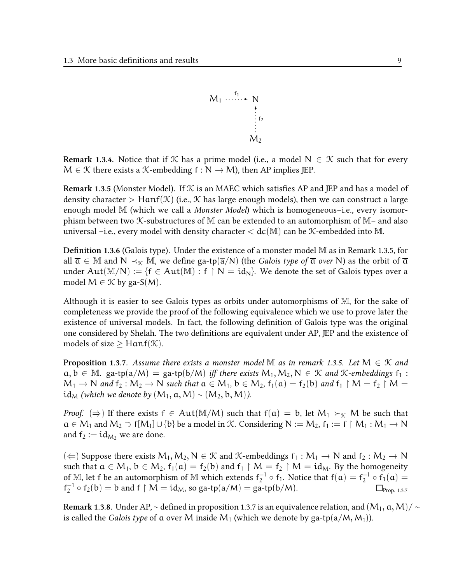$$
M_1 \cdots \cdots \cdots \cdots \cdots N
$$
  
\n
$$
\vdots
$$
  
\n
$$
\vdots
$$
  
\n
$$
M_2
$$

**Remark 1.3.4.** Notice that if X has a prime model (i.e., a model  $N \in \mathcal{K}$  such that for every  $M \in \mathcal{K}$  there exists a  $\mathcal{K}$ -embedding  $f : N \to M$ ), then AP implies JEP.

**Remark 1.3.5 (Monster Model). If**  $K$  **is an MAEC which satisfies AP and JEP and has a model of** density character  $\geq$  Hanf(K) (i.e., K has large enough models), then we can construct a large enough model M (which we call a *Monster Model*) which is homogeneous-i.e., every isomorphism between two  $K$ -substructures of M can be extended to an automorphism of M– and also universal –i.e., every model with density character  $<$  dc(M) can be  $K$ -embedded into M.

**Definition 1.3.6** (Galois type). Under the existence of a monster model  $M$  as in Remark 1.3.5, for all  $\overline{a} \in \mathbb{M}$  and  $N \prec_{\mathcal{K}} \mathbb{M}$ , we define ga-tp( $\overline{a}/N$ ) (the *Galois type of*  $\overline{a}$  *over* N) as the orbit of  $\overline{a}$ under Aut(M/N) := { $f \in Aut(M) : f \upharpoonright N = id_N$ }. We denote the set of Galois types over a model  $M \in \mathcal{K}$  by ga-S(M).

Although it is easier to see Galois types as orbits under automorphisms of M, for the sake of completeness we provide the proof of the following equivalence which we use to prove later the existence of universal models. In fact, the following definition of Galois type was the original one considered by Shelah. The two definitions are equivalent under AP, JEP and the existence of models of size  $\geq$  Hanf( $\mathcal{K}$ ).

**Proposition 1.3.7.** Assume there exists a monster model M as in remark 1.3.5. Let  $M \in \mathcal{K}$  and  $a, b \in M$ . ga-tp(a/M) = ga-tp(b/M) iff there exists  $M_1, M_2, N \in K$  and K-embeddings  $f_1$ :  $M_1 \to N$  and  $f_2 : M_2 \to N$  such that  $a \in M_1$ ,  $b \in M_2$ ,  $f_1(a) = f_2(b)$  and  $f_1 \upharpoonright M = f_2 \upharpoonright M =$  $id_M$  (which we denote by  $(M_1, a, M) \sim (M_2, b, M)$ ).

*Proof.* ( $\Rightarrow$ ) If there exists  $f \in Aut(M/M)$  such that  $f(a) = b$ , let  $M_1 \succ_{\mathcal{K}} M$  be such that  $a \in M_1$  and  $M_2 \supset f[M_1] \cup \{b\}$  be a model in K. Considering  $N := M_2$ ,  $f_1 := f \upharpoonright M_1 : M_1 \to N$ and  $f_2 := id_{M_2}$  we are done.

(  $\Leftarrow$  ) Suppose there exists  $M_1, M_2, N \in \mathcal{K}$  and  $\mathcal{K}$ -embeddings  $f_1 : M_1 \to N$  and  $f_2 : M_2 \to N$ such that  $a \in M_1$ ,  $b \in M_2$ ,  $f_1(a) = f_2(b)$  and  $f_1 \upharpoonright M = f_2 \upharpoonright M = id_M$ . By the homogeneity of  $\mathbb M$ , let  $f$  be an automorphism of  $\mathbb M$  which extends  $f_2^{-1}$  $_2^{-1}$   $\circ$  f<sub>1</sub>. Notice that f( $\alpha$ ) = f<sub>2</sub><sup>-1</sup>  $_2^{-1} \circ f_1(a) =$  $f_2^{-1}$  $2^{-1} \circ f_2(b) = b$  and  $f \upharpoonright M = id_M$ , so ga-tp $(a/M) =$  ga-tp $(b/M)$ .  $\Box_{\text{Prop. 1.3.7}}$ 

Remark 1.3.8. Under AP,  $\sim$  defined in proposition 1.3.7 is an equivalence relation, and  $(M_1, \alpha, M)/\sim$ is called the *Galois type* of a over M inside  $M_1$  (which we denote by ga-tp(a/M, M<sub>1</sub>)).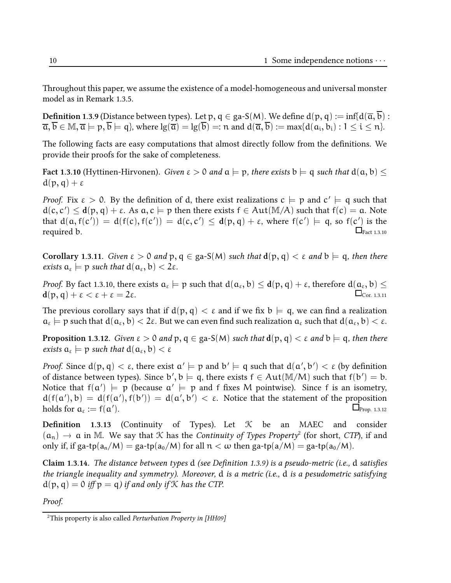Throughout this paper, we assume the existence of a model-homogeneous and universal monster model as in Remark 1.3.5.

**Definition 1.3.9** (Distance between types). Let p,  $q \in ga-S(M)$ . We define  $d(p, q) := inf\{d(\overline{a}, \overline{b}) :$  $\overline{\mathfrak{a}}, \overline{\mathfrak{b}} \in \mathbb{M}, \overline{\mathfrak{a}} \models \mathfrak{p}, \overline{\mathfrak{b}} \models \mathfrak{q} \},$  where  $\lg(\overline{\mathfrak{a}}) = \lg(\overline{\mathfrak{b}}) =: \mathfrak{n}$  and  $\mathfrak{d}(\overline{\mathfrak{a}}, \overline{\mathfrak{b}}) := \max\{\mathfrak{d}(a_i, b_i) : 1 \leq i \leq n\}.$ 

The following facts are easy computations that almost directly follow from the definitions. We provide their proofs for the sake of completeness.

Fact 1.3.10 (Hyttinen-Hirvonen). Given  $\varepsilon > 0$  and  $a \models p$ , there exists  $b \models q$  such that  $d(a, b) <$  $d(p, q) + \varepsilon$ 

*Proof.* Fix  $\varepsilon > 0$ . By the definition of d, there exist realizations  $c \models p$  and  $c' \models q$  such that  $d(c, c') \leq d(p, q) + \varepsilon$ . As  $a, c \models p$  then there exists  $f \in Aut(M/A)$  such that  $f(c) = a$ . Note that  $d(a, f(c')) = d(f(c), f(c')) = d(c, c') \leq d(p, q) + \varepsilon$ , where  $f(c') \models q$ , so  $f(c')$  is the required b.  $\Box$  $_{\text{Fact 1.3.10}}$ 

Corollary 1.3.11. Given  $\varepsilon > 0$  and  $p, q \in ga-S(M)$  such that  $d(p, q) < \varepsilon$  and  $b \models q$ , then there exists  $a_{\varepsilon} \models p$  such that  $d(a_{\varepsilon}, b) < 2\varepsilon$ .

*Proof.* By fact 1.3.10, there exists  $a_{\varepsilon} \models p$  such that  $d(a_{\varepsilon}, b) \leq d(p, q) + \varepsilon$ , therefore  $d(a_{\varepsilon}, b) \leq d(p, q)$  $d(p, q) + \varepsilon < \varepsilon + \varepsilon = 2\varepsilon.$   $\Box$ 

The previous corollary says that if  $d(p, q) < \varepsilon$  and if we fix  $b \models q$ , we can find a realization  $a_{\varepsilon} \models p$  such that  $d(a_{\varepsilon}, b) < 2\varepsilon$ . But we can even find such realization  $a_{\varepsilon}$  such that  $d(a_{\varepsilon}, b) < \varepsilon$ .

**Proposition 1.3.12.** Given  $\epsilon > 0$  and  $p, q \in ga-S(M)$  such that  $d(p, q) < \epsilon$  and  $b \models q$ , then there exists  $a_{\varepsilon} \models p$  such that  $d(a_{\varepsilon}, b) < \varepsilon$ 

*Proof.* Since  $d(p, q) < \varepsilon$ , there exist  $\alpha' \models p$  and  $b' \models q$  such that  $d(a', b') < \varepsilon$  (by definition of distance between types). Since  $b', b \models q$ , there exists  $f \in Aut(M/M)$  such that  $f(b') = b$ . Notice that  $f(\alpha') \models p$  (because  $\alpha' \models p$  and f fixes M pointwise). Since f is an isometry,  $d(f(a'), b) = d(f(a'), f(b')) = d(a', b') < \varepsilon$ . Notice that the statement of the proposition holds for  $a_{\varepsilon} := f(a)$  $\Box$ Prop. 1.3.12

**Definition** 1.3.13 (Continuity of Types). Let  $K$  be an MAEC and consider  $(a_n) \rightarrow a$  in M. We say that  $K$  has the Continuity of Types Property<sup>2</sup> (for short, CTP), if and only if, if ga-tp( $a_n/M$ ) = ga-tp( $a_0/M$ ) for all  $n < \omega$  then ga-tp( $a/M$ ) = ga-tp( $a_0/M$ ).

Claim 1.3.14. The distance between types  $d$  (see Definition 1.3.9) is a pseudo-metric (i.e.,  $d$  satisfies the triangle inequality and symmetry). Moreover, d is a metric (i.e., d is a pesudometric satisfying  $d(p, q) = 0$  iff  $p = q$ ) if and only if K has the CTP.

Proof.

<sup>&</sup>lt;sup>2</sup>This property is also called Perturbation Property in [HH09]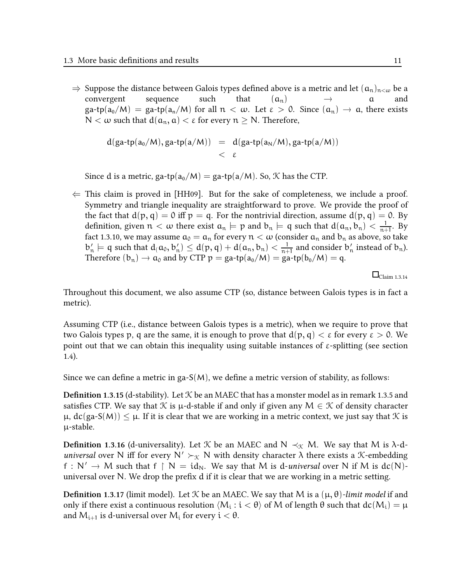⇒ Suppose the distance between Galois types defined above is a metric and let  $(a_n)_{n < \omega}$  be a convergent sequence such that  $(a_n)$  → a and convergent sequence such that  $(a_n) \rightarrow a$  and  $(a_n)$  $\text{g}a\text{-tp}(a_0/M) = \text{g}a\text{-tp}(a_n/M)$  for all  $n < \omega$ . Let  $\varepsilon > 0$ . Since  $(a_n) \to a$ , there exists N < ω such that  $d(a_n, a) < ε$  for every  $n \ge N$ . Therefore,

$$
d(ga\text{-}tp(a_0/M), ga\text{-}tp(a/M)) = d(ga\text{-}tp(a_N/M), ga\text{-}tp(a/M))
$$
  
<  $\varepsilon$ 

Since d is a metric, ga-tp( $a_0/M$ ) = ga-tp( $a/M$ ). So,  $K$  has the CTP.

 $\Leftarrow$  This claim is proved in [HH09]. But for the sake of completeness, we include a proof. Symmetry and triangle inequality are straightforward to prove. We provide the proof of the fact that  $d(p, q) = 0$  iff  $p = q$ . For the nontrivial direction, assume  $d(p, q) = 0$ . By definition, given  $n < \omega$  there exist  $a_n \models p$  and  $b_n \models q$  such that  $d(a_n, b_n) < \frac{1}{n+1}$  $\frac{1}{n+1}$ . By fact 1.3.10, we may assume  $a_0 = a_n$  for every  $n < \omega$  (consider  $a_n$  and  $b_n$  as above, so take  $b'_n \models q$  such that  $d(a_0, b'_n) \leq d(p, q) + d(a_n, b_n) < \frac{1}{n+1}$  $\frac{1}{n+1}$  and consider  $b'_n$  instead of  $b_n$ ). Therefore  $(b_n) \to a_0$  and by CTP  $p = ga\text{-}tp(a_0/M) = ga\text{-}tp(b_0/M) = q$ .

 $\Box$ Claim 1.3.14

Throughout this document, we also assume CTP (so, distance between Galois types is in fact a metric).

Assuming CTP (i.e., distance between Galois types is a metric), when we require to prove that two Galois types p, q are the same, it is enough to prove that  $d(p, q) < \varepsilon$  for every  $\varepsilon > 0$ . We point out that we can obtain this inequality using suitable instances of  $\varepsilon$ -splitting (see section 1.4).

Since we can define a metric in ga- $S(M)$ , we define a metric version of stability, as follows:

**Definition 1.3.15 (d-stability).** Let  $K$  be an MAEC that has a monster model as in remark 1.3.5 and satisfies CTP. We say that K is  $\mu$ -d-stable if and only if given any  $M \in \mathcal{K}$  of density character  $\mu$ ,  $dc(ga-S(M)) \leq \mu$ . If it is clear that we are working in a metric context, we just say that  $\mathcal K$  is µ-stable.

**Definition 1.3.16** (d-universality). Let K be an MAEC and N  $\prec_{\mathcal{K}} M$ . We say that M is  $\lambda$ -duniversal over N iff for every  $N' \succ_{\mathcal{K}} N$  with density character  $\lambda$  there exists a *K*-embedding f : N'  $\rightarrow$  M such that f  $\upharpoonright$  N = id<sub>N</sub>. We say that M is d-universal over N if M is dc(N)universal over N. We drop the prefix d if it is clear that we are working in a metric setting.

**Definition 1.3.17** (limit model). Let K be an MAEC. We say that M is a  $(\mu, \theta)$ -limit model if and only if there exist a continuous resolution  $\langle M_i:i<\theta\rangle$  of  $M$  of length θ such that  $dc(M_i)=\mu$ and  $M_{i+1}$  is d-universal over  $M_i$  for every  $i < \theta$ .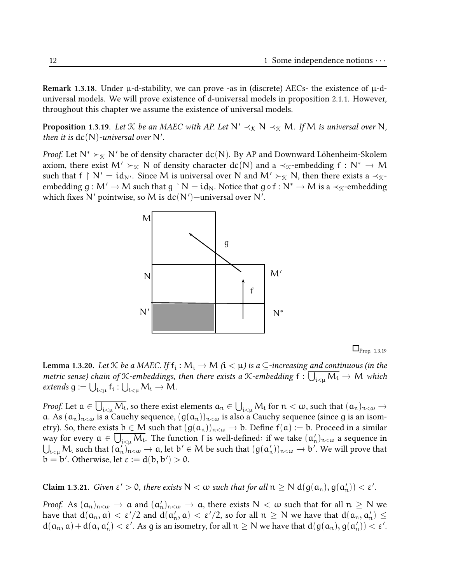Remark 1.3.18. Under  $\mu$ -d-stability, we can prove -as in (discrete) AECs- the existence of  $\mu$ -duniversal models. We will prove existence of d-universal models in proposition 2.1.1. However, throughout this chapter we assume the existence of universal models.

**Proposition 1.3.19.** Let K be an MAEC with AP. Let  $N' \prec_{\mathfrak{K}} N \prec_{\mathfrak{K}} M$ . If M is universal over N, then it is  $dc(N)$ -universal over N'.

*Proof.* Let  $\mathsf{N}^* \succ_\mathfrak{X} \mathsf{N}'$  be of density character  $\textnormal{dc}(\mathsf{N})$ . By AP and Downward Löhenheim-Skolem axiom, there exist M'  $\succ_{\mathcal{K}} N$  of density character  $dc(N)$  and a  $\prec_{\mathcal{K}}$ -embedding  $f : N^* \to M$ such that f  $\restriction N' = id_{N'}$ . Since M is universal over N and M'  $\succ_{\mathcal{K}} N$ , then there exists a  $\prec_{\mathcal{K}}$ embedding  $g : M' \to M$  such that  $g \upharpoonright N = id_N$ . Notice that  $g \circ f : N^* \to M$  is a  $\prec_{\mathcal{K}}$ -embedding which fixes N' pointwise, so M is  $dc(N')$  –universal over N'.



 $\Box$ Prop. 1.3.19

**Lemma 1.3.20.** Let  $K$  be a MAEC. If  $f_i : M_i \to M$  ( $i < \mu$ ) is a  $\subseteq$ -increasing and continuous (in the metric sense) chain of *X*-embeddings, then there exists a *X*-embedding  $f: \bigcup_{i<\mu} M_i \to M$  which extends  $g := \bigcup_{i<\mu} f_i : \bigcup_{i<\mu} M_i \to M$ .

Proof. Let  $a \in \bigcup_{i \leq \mu} M_i$ , so there exist elements  $a_n \in \bigcup_{i \leq \mu} M_i$  for  $n < \omega$ , such that  $(a_n)_{n < \omega} \to$ a. As  $(a_n)_{n\lt\omega}$  is a Cauchy sequence,  $(g(a_n))_{n\lt\omega}$  is also a Cauchy sequence (since g is an isometry). So, there exists  $b \in M$  such that  $(g(a_n))_{n \leq \omega} \to b$ . Define  $f(a) := b$ . Proceed in a similar way for every  $a \in \overline{\bigcup_{i \leq \mu} M_i}$ . The function  $f$  is well-defined: if we take  $(a'_n)_{n < \omega}$  a sequence in  $\bigcup_{i<\mu} M_i$  such that  $(a'_n)_{n<\omega} \to a$ , let  $b' \in M$  be such that  $(g(a'_n))_{n<\omega} \to b'$ . We will prove that b = b'. Otherwise, let  $\varepsilon := \mathrm{d}(\mathrm{b},\mathrm{b}') > 0.$ 

Claim 1.3.21. Given  $\varepsilon' > 0$ , there exists  $N < \omega$  such that for all  $n \ge N d(g(a_n), g(a'_n)) < \varepsilon'$ .

Proof. As  $(a_n)_{n < \omega} \to a$  and  $(a'_n)_{n < \omega} \to a$ , there exists  $N < \omega$  such that for all  $n \ge N$  we have that  $d(a_n, a) < \varepsilon'/2$  and  $d(a'_n, a) < \varepsilon'/2$ , so for all  $n \ge N$  we have that  $d(a_n, a'_n) \le$  $d(a_n, a) + d(a, a'_n) < \varepsilon'$ . As g is an isometry, for all  $n \ge N$  we have that  $d(g(a_n), g(a'_n)) < \varepsilon'$ .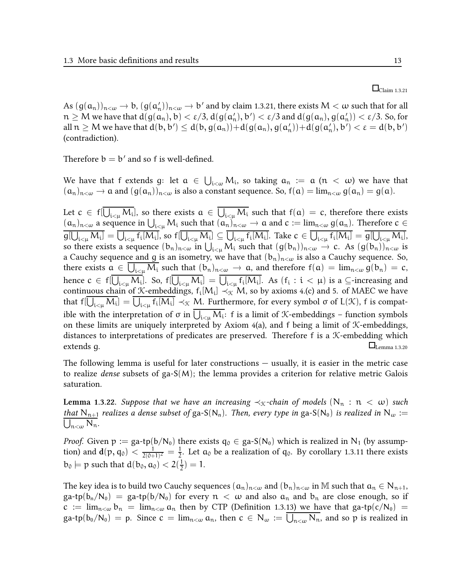As  $(g(a_n))_{n<\omega} \to b$ ,  $(g(a'_n))_{n<\omega} \to b'$  and by claim 1.3.21, there exists  $M < \omega$  such that for all  $n\geq M$  we have that  $d(g(a_n),b)<\varepsilon/3$ ,  $d(g(a'_n),b')<\varepsilon/3$  and  $d(g(a_n),g(a'_n))<\varepsilon/3$ . So, for all  $n \geq M$  we have that  $d(b, b') \leq d(b, g(a_n)) + d(g(a_n), g(a'_n)) + d(g(a'_n), b') < \varepsilon = d(b, b')$ (contradiction).

Therefore  $b = b'$  and so f is well-defined.

We have that f extends g: let  $a \in \bigcup_{i<\omega} M_i$ , so taking  $a_n := a$   $(n < \omega)$  we have that  $(a_n)_{n<\omega} \to a$  and  $(g(a_n))_{n<\omega}$  is also a constant sequence. So,  $f(a) = \lim_{n<\omega} g(a_n) = g(a)$ .

Let  $c \in \mathsf{f}[\bigcup_{\mathfrak{i} < \mu} \mathsf{M}_\mathfrak{i}]$ , so there exists  $a \in \bigcup_{\mathfrak{i} < \mu} \mathsf{M}_\mathfrak{i}$  such that  $\mathsf{f}(a) = c$ , therefore there exists  $(a_n)_{n < \omega}$  a sequence in  $\bigcup_{i < \mu} M_i$  such that  $(a_n)_{n < \omega} \to a$  and  $c := \lim_{n < \omega} g(a_n)$ . Therefore  $c \in$  $g[\bigcup_{i\leq \mu} M_i] = \bigcup_{i\leq \mu} f_i[M_i]$ , so  $f[\bigcup_{i\leq \mu} M_i] \subseteq \bigcup_{i\leq \mu} f_i[M_i]$ . Take  $c \in \bigcup_{i\leq \mu} f_i[M_i] = g[\bigcup_{i\leq \mu} M_i]$ , so there exists a sequence  $(b_n)_{n<\omega}$  in  $\bigcup_{i<\mu} M_i$  such that  $(g(b_n))_{n<\omega} \to c$ . As  $(g(b_n))_{n<\omega}$  is a Cauchy sequence and g is an isometry, we have that  $(b_n)_{n<\omega}$  is also a Cauchy sequence. So, there exists  $a \in \bigcup_{i \leq \mu} M_i$  such that  $(b_n)_{n \leq \omega} \to a$ , and therefore  $f(a) = \lim_{n \leq \omega} g(b_n) = c$ , hence  $c \in f[\bigcup_{i<\mu}M_i]$ . So,  $f[\bigcup_{i<\mu}M_i] = \bigcup_{i<\mu}f_i[M_i]$ . As  $(f_i:i<\mu)$  is a  $\subseteq$ -increasing and continuous chain of X-embeddings,  $f_i[M_i] \prec_{\mathcal{K}} M$ , so by axioms 4.(c) and 5. of MAEC we have that f $[\bigcup_{i<\mu}M_i]=\bigcup_{i<\mu}f_i[M_i]\prec_{{\mathfrak K}} M.$  Furthermore, for every symbol σ of L(K), f is compatible with the interpretation of σ in  $\bigcup_{i<\mu}M_i$ : f is a limit of X-embeddings – function symbols on these limits are uniquely interpreted by Axiom  $4(a)$ , and f being a limit of *K*-embeddings, distances to interpretations of predicates are preserved. Therefore f is a K-embedding which  $\Box$ extends g.  $\Box$ 

The following lemma is useful for later constructions — usually, it is easier in the metric case to realize *dense* subsets of ga- $S(M)$ ; the lemma provides a criterion for relative metric Galois saturation.

**Lemma** 1.3.22. Suppose that we have an increasing  $\prec_{\mathcal{K}}$ -chain of models  $(N_n : n < \omega)$  such that N<sub>n+1</sub> realizes a dense subset of ga-S(N<sub>n</sub>). Then, every type in ga-S(N<sub>0</sub>) is realized in N<sub>w</sub> :=  $\bigcup_{n<\omega} N_n$ .

*Proof.* Given  $p := ga\text{-}tp(b/N_0)$  there exists  $q_0 \in ga\text{-}S(N_0)$  which is realized in N<sub>1</sub> (by assumption) and  $d(p, q_0) < \frac{1}{2(0+1)}$  $\frac{1}{2(0+1)^2} = \frac{1}{2}$  $\frac{1}{2}$ . Let  $a_0$  be a realization of  $q_0$ . By corollary 1.3.11 there exists  $b_0 \models p$  such that  $d(b_0, a_0) < 2(\frac{1}{2})$  $(\frac{1}{2})=1.$ 

The key idea is to build two Cauchy sequences  $(a_n)_{n<\omega}$  and  $(b_n)_{n<\omega}$  in M such that  $a_n \in N_{n+1}$ ,  $\text{ga-tp}(b_n/N_0) = \text{ga-tp}(b/N_0)$  for every  $n < \omega$  and also  $a_n$  and  $b_n$  are close enough, so if  $c := \lim_{n \leq \omega} b_n = \lim_{n \leq \omega} a_n$  then by CTP (Definition 1.3.13) we have that ga-tp(c/N<sub>0</sub>) = ga-tp $(b_0/N_0) = p$ . Since  $c = \lim_{n < \omega} a_n$ , then  $c \in N_\omega := \bigcup_{n < \omega} N_n$ , and so  $p$  is realized in

#### $\square$ Claim 1.3.21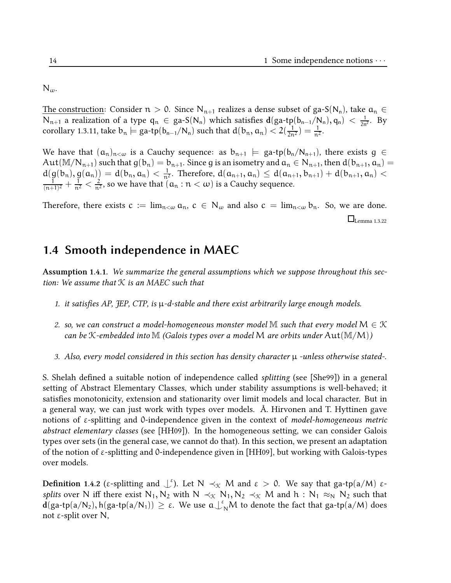$N_{\omega}$ .

The construction: Consider  $n > 0$ . Since N<sub>n+1</sub> realizes a dense subset of ga-S(N<sub>n</sub>), take  $a_n \in$ N<sub>n+1</sub> a realization of a type  $q_n$  ∈ ga-S(N<sub>n</sub>) which satisfies  $d(ga-tp(b_{n-1}/N_n), q_n) < \frac{1}{2n^2}$ . By corollary 1.3.11, take  $b_n \models$  ga-tp $(b_{n-1}/N_n)$  such that  $d(b_n, a_n) < 2(\frac{1}{2n^2}) = \frac{1}{n^2}$ .

We have that  $(a_n)_{n<\omega}$  is a Cauchy sequence: as  $b_{n+1} \models$  ga-tp $(b_n/N_{n+1})$ , there exists  $g \in$ Aut( $\mathbb{M}/N_{n+1}$ ) such that  $g(b_n) = b_{n+1}$ . Since g is an isometry and  $a_n \in N_{n+1}$ , then  $d(b_{n+1}, a_n) =$  $d(g(b_n), g(a_n)) = d(b_n, a_n) < \frac{1}{n^2}$ . Therefore,  $d(a_{n+1}, a_n) \leq d(a_{n+1}, b_{n+1}) + d(b_{n+1}, a_n) <$ 1  $\frac{1}{(n+1)^2} + \frac{1}{n^2} < \frac{2}{n^2}$  $\frac{2}{n^2}$ , so we have that  $(a_n : n < \omega)$  is a Cauchy sequence.

Therefore, there exists  $c := \lim_{n \leq \omega} a_n$ ,  $c \in N_\omega$  and also  $c = \lim_{n \leq \omega} b_n$ . So, we are done.  $\square$ Lemma 1.3.22

#### 1.4 Smooth independence in MAEC

Assumption 1.4.1. We summarize the general assumptions which we suppose throughout this section: We assume that  $K$  is an MAEC such that

- 1. it satisfies AP, JEP, CTP, is  $\mu$ -d-stable and there exist arbitrarily large enough models.
- 2. so, we can construct a model-homogeneous monster model M such that every model  $M \in \mathcal{K}$ can be K-embedded into M (Galois types over a model M are orbits under  $Aut(M/M)$ )
- 3. Also, every model considered in this section has density character  $\mu$  -unless otherwise stated-.

S. Shelah defined a suitable notion of independence called *splitting* (see [She99]) in a general setting of Abstract Elementary Classes, which under stability assumptions is well-behaved; it satisfies monotonicity, extension and stationarity over limit models and local character. But in a general way, we can just work with types over models. Å. Hirvonen and T. Hyttinen gave notions of  $\varepsilon$ -splitting and 0-independence given in the context of *model-homogeneous metric* abstract elementary classes (see [HH09]). In the homogeneous setting, we can consider Galois types over sets (in the general case, we cannot do that). In this section, we present an adaptation of the notion of ε-splitting and 0-independence given in [HH09], but working with Galois-types over models.

**Definition 1.4.2** (ε-splitting and  $\bigcup^{\epsilon}$ ). Let  $N \prec_{\mathcal{K}} M$  and  $\epsilon > 0$ . We say that ga-tp(a/M) ε*splits* over N iff there exist N<sub>1</sub>, N<sub>2</sub> with N  $\prec_{\mathcal{K}}$  N<sub>1</sub>, N<sub>2</sub>  $\prec_{\mathcal{K}}$  M and h : N<sub>1</sub>  $\approx_{N}$  N<sub>2</sub> such that  $\tilde{\mathbf{d}}(\text{ga-tp}(a/N_2), h(\text{ga-tp}(a/N_1)) \ge \varepsilon$ . We use  $a\bigcup_N^{\varepsilon}M$  to denote the fact that ga-tp $(a/M)$  does not ε-split over N,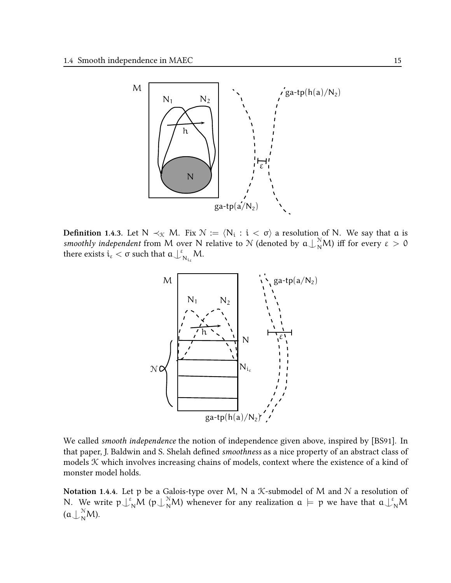

**Definition 1.4.3.** Let  $N \prec_{\mathcal{K}} M$ . Fix  $\mathcal{N} := \langle N_i : i < \sigma \rangle$  a resolution of N. We say that  $\alpha$  is smoothly independent from M over N relative to N (denoted by  $a\perp_N^N M$ ) iff for every  $\varepsilon > 0$ there exists  $i_{\varepsilon} < \sigma$  such that  $a \bigcup_{i=1}^{\varepsilon}$  $\overline{\mathsf{N}_{\mathfrak{i}_\varepsilon}}\mathsf{M}.$ 



We called smooth independence the notion of independence given above, inspired by [BS91]. In that paper, J. Baldwin and S. Shelah defined smoothness as a nice property of an abstract class of models  $K$  which involves increasing chains of models, context where the existence of a kind of monster model holds.

Notation 1.4.4. Let p be a Galois-type over M, N a K-submodel of M and N a resolution of N. We write  $p\perp_N^s M$  ( $p\perp_N^s M$ ) whenever for any realization  $a \models p$  we have that  $a\perp_N^s M$  $(a\bigcup_{N}^{N}M).$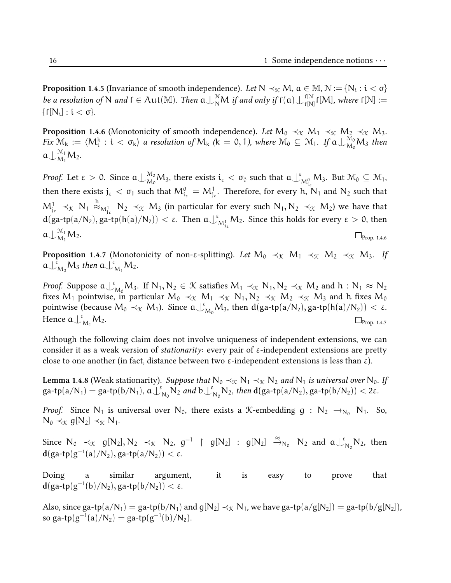**Proposition 1.4.5** (Invariance of smooth independence). Let Ν ≺χ Μ, α ∈ Μ, Ν := {N<sub>i</sub> :  $i < \sigma$ } be a resolution of N and  $f \in Aut(M)$ . Then  $a\bigcup_{N}^N M$  if and only if  $f(a)\bigcup_{f[N]}^{f[N]}$  $f_{\lceil N \rceil}^{\text{\tiny{\textsf{TD}}}} f[M],$  where  $f[\mathcal{N}] :=$  $\{f[N_i]:i<\sigma\}.$ 

**Proposition 1.4.6** (Monotonicity of smooth independence). Let  $M_0 \prec_{\mathcal{K}} M_1 \prec_{\mathcal{K}} M_2 \prec_{\mathcal{K}} M_3$ . Fix  $\mathcal{M}_k := \langle M_i^k : i < \sigma_k \rangle$  a resolution of  $M_k$  ( $\hat{k} = 0, 1$ ), where  $\mathcal{M}_0 \subseteq \mathcal{M}_1$ . If  $\mathfrak{a} \bigcup_{M_0}^{\mathcal{M}_0} M_3$  then  $\mathfrak{a}\bigcup_{M_1}^{M_1}M_2.$ 

*Proof.* Let  $\varepsilon > 0$ . Since  $\mathfrak{a}\bigcup_{\mathcal{M}_0}^{\mathcal{M}_0}\mathcal{M}_3$ , there exists  $\mathfrak{i}_\varepsilon < \sigma_0$  such that  $\mathfrak{a}\bigcup_{\beta=1}^\varepsilon \mathfrak{a}_\beta$  $\mathcal{M}^{\circ}_{\mathcal{M}^0_{i_{\varepsilon}}} M_3$ . But  $\mathcal{M}_0 \subseteq \mathcal{M}_1$ , then there exists  $j_\epsilon < \sigma_1$  such that  $M^0_{i_\epsilon} = M^1_{j_\epsilon}.$  Therefore, for every h, N<sub>1</sub> and N<sub>2</sub> such that  $M^1_{j_{\varepsilon}} \prec_{\mathfrak{K}} N_1 \stackrel{h}{\approx}_{M^1_{j_{\varepsilon}}} N_2 \prec_{\mathfrak{K}} M_3$  (in particular for every such  $N_1, N_2 \prec_{\mathfrak{K}} M_2$ ) we have that  $d(ga-tp(a/N_2), ga-tp(h(a)/N_2)) < \varepsilon$ . Then  $a\downarrow^{\varepsilon}$  $\mathbb{M}^1_{\mathcal{M}^1_{\mathcal{E}}}$   $\mathcal{M}_2$ . Since this holds for every  $\varepsilon>0,$  then  $a\bigcup_{M_1}^{M_1}$  $\Box_{\text{Prop. 1.4.6}}^{\text{W1}} M_2.$ 

**Proposition 1.4.7** (Monotonicity of non-ε-splitting). Let  $M_0 \prec_{\mathfrak{X}} M_1 \prec_{\mathfrak{X}} M_2 \prec_{\mathfrak{X}} M_3$ . If  ${\mathfrak a}\bigcup_{M_0}^{\bar\varepsilon} M_3$  then  ${\mathfrak a}\bigcup_{M_1}^{\varepsilon} M_2.$ 

*Proof.* Suppose  $a \perp_{M_0}^{\varepsilon} M_3$ . If  $N_1, N_2 \in \mathcal{K}$  satisfies  $M_1 \prec_{\mathcal{K}} N_1, N_2 \prec_{\mathcal{K}} M_2$  and  $h : N_1 \approx N_2$ fixes M<sub>1</sub> pointwise, in particular  $M_0 \prec_{\mathcal{K}} M_1 \prec_{\mathcal{K}} N_1, N_2 \prec_{\mathcal{K}} M_2 \prec_{\mathcal{K}} M_3$  and h fixes  $M_0$ pointwise (because  $M_0 \prec_{\mathcal{K}} M_1$ ). Since  $a \perp_{M_0}^{\varepsilon} M_3$ , then  $d(ga\text{-}tp(a/N_2), ga\text{-}tp(h(a)/N_2)) < \varepsilon$ . Hence  $\mathfrak{a}\bigcup^{\varepsilon}$  $\Box_{\text{Prop. 1.4.7}} M_2.$ 

Although the following claim does not involve uniqueness of independent extensions, we can consider it as a weak version of *stationarity*: every pair of  $\varepsilon$ -independent extensions are pretty close to one another (in fact, distance between two  $\varepsilon$ -independent extensions is less than  $\varepsilon$ ).

**Lemma 1.4.8** (Weak stationarity). Suppose that  $N_0 \prec_{\mathcal{K}} N_1 \prec_{\mathcal{K}} N_2$  and  $N_1$  is universal over  $N_0$ . If  $\mathsf{ga\text{-}tp}(a/N_1) = \mathsf{ga\text{-}tp}(b/N_1), a \downarrow^{\varepsilon}$  $N_0 N_2$  and  $b \bigcup_{i=1}^{\varepsilon}$  $\mathbb{E}_{N_0}$ N<sub>2</sub>, then  $d(ga\text{-}tp(a/N_2), ga\text{-}tp(b/N_2)) < 2\varepsilon$ .

*Proof.* Since N<sub>1</sub> is universal over N<sub>0</sub>, there exists a K-embedding  $g : N_2 \to_{N_0} N_1$ . So,  $N_0 \prec_{\mathfrak{K}} g[N_2] \prec_{\mathfrak{K}} N_1$ .

Since  $N_0 \prec_{\mathcal{K}} g[N_2], N_2 \prec_{\mathcal{K}} N_2, g^{-1} \upharpoonright g[N_2] : g[N_2] \stackrel{\approx}{\rightarrow}_{N_0} N_2$  and  $a \downarrow_{\mathcal{K}}^{\varepsilon}$  $N_0 N_2$ , then  $\mathbf{d}(\text{ga-tp}(g^{-1}(a)/\mathsf{N}_2), \text{ga-tp}(a/\mathsf{N}_2)) < \varepsilon.$ 

Doing a similar argument, it is easy to prove that  $\mathbf{d}(\mathsf{ga\text{-}tp}(\mathsf{g}^{-1}(\mathsf{b})/\mathsf{N}_2), \mathsf{ga\text{-}tp}(\mathsf{b}/\mathsf{N}_2)) < \varepsilon.$ 

Also, since ga-tp(a/N<sub>1</sub>) = ga-tp(b/N<sub>1</sub>) and  $g[N_2] \prec_{\mathcal{K}} N_1$ , we have ga-tp(a/g[N<sub>2</sub>]) = ga-tp(b/g[N<sub>2</sub>]), so ga-tp $(g^{-1}(a)/N_2) =$  ga-tp $(g^{-1}(b)/N_2)$ .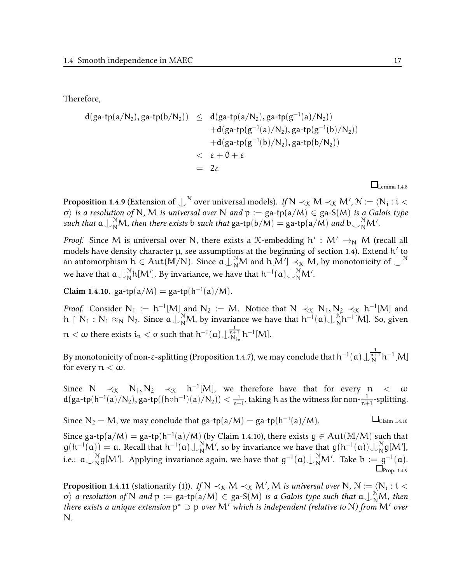Therefore,

$$
d(ga\text{-}tp(a/N_2), ga\text{-}tp(b/N_2)) \leq d(ga\text{-}tp(a/N_2), ga\text{-}tp(g^{-1}(a)/N_2))
$$
  
+
$$
d(ga\text{-}tp(g^{-1}(a)/N_2), ga\text{-}tp(g^{-1}(b)/N_2))
$$
+
$$
d(ga\text{-}tp(g^{-1}(b)/N_2), ga\text{-}tp(b/N_2))
$$
  

$$
< \varepsilon + 0 + \varepsilon
$$
  
= 2\varepsilon

 $\square$ Lemma 1.4.8

**Proposition 1.4.9** (Extension of  $\int_0^\infty$  over universal models). If N  $\prec_\mathfrak{K} M\prec_\mathfrak{K} M',\mathfrak{N}:=\langle \mathsf{N_i}:\mathfrak{i}<\mathsf{N}\rangle$  $\sigma$ ) is a resolution of N, M is universal over N and p := ga-tp(a/M)  $\in$  ga-S(M) is a Galois type such that  $a\bigcup_{N}^{N}M$ , then there exists b such that ga-tp $(b/M) =$  ga-tp $(a/M)$  and  $b\bigcup_{N}^{N}M'$ .

*Proof.* Since M is universal over N, there exists a  $K$ -embedding  $h' : M' \rightarrow_N M$  (recall all models have density character  $\mu$ , see assumptions at the beginning of section 1.4). Extend h $^\prime$  to an automorphism  $h \in Aut(M/N)$ . Since  $a \bigcup_{N}^{N} M$  and  $h[M'] \prec_{\mathfrak{X}} M$ , by monotonicity of  $\bigcup^{N}$ we have that  $\mathfrak{a}\bigcup_{\rm N}^{\rm N}$  $\frac{\gamma}{N}$ h[M']. By invariance, we have that h $^{-1}$ ( $\mathfrak{a})$   $\underset{\sim}{\downarrow}$   $\frac{\gamma}{N}$ M'.

Claim 1.4.10.  $\text{ga-tp}(a/M) = \text{ga-tp}(h^{-1}(a)/M)$ .

*Proof.* Consider  $N_1 := h^{-1}[M]$  and  $N_2 := M$ . Notice that  $N \prec_{\mathcal{K}} N_1, N_2 \prec_{\mathcal{K}} h^{-1}[M]$  and  $h \restriction N_1 : N_1 \approx_N N_2$ . Since  $a \bigcup_{N}^{N} M$ , by invariance we have that  $h^{-1}(a) \bigcup_{N}^{N} M$  $N^{\rm N} h^{-1}[M]$ . So, given  $n < \omega$  there exists  $i_n < \sigma$  such that  $h^{-1}(\mathfrak{a}) \bigcup_{N_{i_n}}^{\frac{1}{n+1}} h^{-1}[M]$ .

By monotonicity of non-ε-splitting (Proposition 1.4.7), we may conclude that  $h^{-1}(\mathfrak{a})\bigcup_{N}^{\frac{1}{n+1}}h^{-1}[M]$ for every  $n < \omega$ .

Since  $N \prec_{\mathfrak{K}} N_1, N_2 \prec_{\mathfrak{K}} \mathfrak{h}^{-1}[M]$ , we therefore have that for every  $\mathfrak{n} < \omega$  $d(ga\text{-}tp(h^{-1}(a)/N_2), ga\text{-}tp((h\circ h^{-1})(a)/N_2)) < \frac{1}{n^2}$  $\frac{1}{n+1}$ , taking h as the witness for non- $\frac{1}{n+1}$ -splitting.

Since  $N_2 = M$ , we may conclude that ga-tp(a/M) = ga-tp(h<sup>-1</sup>  $\Box$ Claim 1.4.10

Since ga-tp(a/M) = ga-tp(h<sup>-1</sup>(a)/M) (by Claim 1.4.10), there exists  $g \in Aut(M/M)$  such that  $g(h^{-1}(a)) = a$ . Recall that  $h^{-1}(a) \bigcup_{N}^{N} M'$ , so by invariance we have that  $g(h^{-1}(a)) \bigcup_{N}^{N} M'$  $\int_{N}^{N} g[M'],$ i.e.:  $\mathfrak{a}\bigcup_{\mathrm{N}}^{\mathrm{N}}$  $\frac{N}{N}$ g[M']. Applying invariance again, we have that g<sup>-1</sup>(a)⊥ $\frac{N}{N}$ M'. Take b := g<sup>-1</sup>(a).  $\Box$ Prop. 1.4.9

**Proposition 1.4.11** (stationarity (1)). If  $N \prec_{\mathfrak{K}} M \prec_{\mathfrak{K}} M'$ , M is universal over N,  $\mathcal{N}:=\langle N_{\mathfrak{i}}:\mathfrak{i}<\mathfrak{K}\rangle$  $\sigma$  a resolution of N and  $p := \text{ga-tp}(a/M) \in \text{ga-S}(M)$  is a Galois type such that  $a \bigcup_{N}^{N} M$ , then there exists a unique extension  $p^* \supset p$  over M' which is independent (relative to N) from M' over N.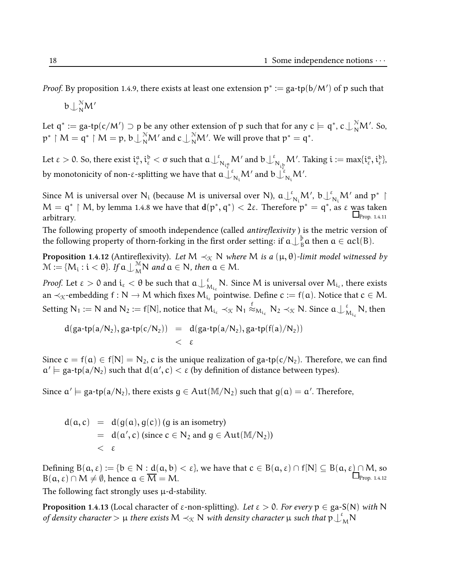*Proof.* By proposition 1.4.9, there exists at least one extension  $p^*:=\text{ga-tp}(b/M')$  of  $p$  such that

 $\mathfrak{b}\!\downarrow_{\mathsf{N}}^{\mathbb{N}}\!\mathsf{M}'$ 

Let  $q^* := ga\text{-tp}(c/M') \supset p$  be any other extension of p such that for any  $c \models q^*, c \bigcup_N^N M'.$  So,  $\mathsf{p}^*\restriction \mathsf{M}=\mathsf{q}^*\restriction \mathsf{M}=\mathsf{p},\, \mathsf{b}\bigcup_{\mathsf{N}}^\mathsf{N}\mathsf{M}'$  and  $\mathsf{c}\bigcup_{\mathsf{N}}^\mathsf{N}\mathsf{M}'.$  We will prove that  $\mathsf{p}^*=\mathsf{q}^*.$ 

Let ε > 0. So, there exist  $i_{\varepsilon}^{\mathfrak{a}}, i_{\varepsilon}^{\mathfrak{b}} < \sigma$  such that  $\mathfrak{a} \perp^{\varepsilon}$  $\mathbb{E}_{\mathrm{N}_{\mathrm{t}^a_\varepsilon}} \mathsf{M}'$  and  $\mathfrak{b}\bigcup_\mathfrak{N}^\varepsilon$  $N_{i_{\mathcal{E}}^{b}}$ M'. Taking  $\mathfrak{i} := \max\{\mathfrak{i}_{\varepsilon}^{\mathfrak{a}}, \mathfrak{i}_{\varepsilon}^{\mathfrak{b}}\}$ , by monotonicity of non-ε-splitting we have that  $\mathfrak{a}\bigcup_{N_\mathbf{i}}^\varepsilon \mathsf{M}'$  and  $\mathfrak{b}\bigcup_{N_\mathbf{i}}^\varepsilon \mathsf{M}'$ .

Since M is universal over  $N_i$  (because M is universal over N),  $a\bigcup_{N_i}^{\varepsilon}M',$   $b\bigcup_{N_i}^{\varepsilon}M'$  and  $p^*$   $\upharpoonright$  $M = \mathfrak{q}^* \restriction M$ , by lemma 1.4.8 we have that  $\mathsf{d}(\mathsf{p}^*, \mathsf{q}^*) < 2\varepsilon$ . Therefore  $\mathsf{p}^* = \mathsf{q}^*$ , as ε was taken  $\Delta P_{\text{prop. 1.4.11}}$ 

The following property of smooth independence (called antireflexivity) is the metric version of the following property of thorn-forking in the first order setting: if  $\mathfrak{a}\bigcup\frac{\mathfrak{b}}{\mathfrak{b}}$  $B_B^p$ a then  $a \in \text{acl}(B)$ .

**Proposition 1.4.12** (Antireflexivity). Let M  $\prec_{\mathcal{K}} N$  where M is a  $(\mu, \theta)$ -limit model witnessed by  $\mathcal{M} := \{M_i : i < \theta\}$ . If  $\mathfrak{a} \cup_{\mathcal{M}}^{\mathcal{M}} \mathsf{N}$  and  $\mathfrak{a} \in \mathsf{N}$ , then  $\mathfrak{a} \in \mathsf{M}$ .

*Proof.* Let  $\varepsilon > 0$  and  $i_{\varepsilon} < \theta$  be such that  $a \bigcup_{\Lambda}^{\varepsilon}$  $\sum_{\lambda}^{\varepsilon} \mathsf{N}.$  Since  $\mathsf{M}$  is universal over  $\mathsf{M}_{\mathfrak{i}_\varepsilon},$  there exists an  $\prec_{\mathcal{K}}$ -embedding f : N  $\rightarrow$  M which fixes  $M_{i_{\kappa}}$  pointwise. Define  $c := f(a)$ . Notice that  $c \in M$ . Setting  $\mathsf{N}_1:=\mathsf{N}$  and  $\mathsf{N}_2:=\mathsf{f}[\mathsf{N}]$ , notice that  $\mathsf{M}_{\mathfrak{i}_\epsilon}\prec_{\mathfrak{K}}\mathsf{N}_1\stackrel{\epsilon}{\approx}_{\mathsf{M}_{\mathfrak{i}_\epsilon}}\mathsf{N}_2\prec_{\mathfrak{K}}\mathsf{N}.$  Since  $\mathfrak{a}\bigcup{}_{\mathsf{N}}^{\epsilon}$  $\frac{\varepsilon}{M_{i_{\varepsilon}}}$ N, then

$$
\begin{array}{lcl} d(ga\text{-}tp(a/N_2), ga\text{-}tp(c/N_2)) & = & d(ga\text{-}tp(a/N_2), ga\text{-}tp(f(a)/N_2)) \\ & & < \epsilon \end{array}
$$

Since  $c = f(a) \in f[N] = N_2$ , c is the unique realization of ga-tp(c/N<sub>2</sub>). Therefore, we can find  $\alpha' \models$  ga-tp(a/N<sub>2</sub>) such that  $d(\alpha', c) < \varepsilon$  (by definition of distance between types).

Since  $a' \models$  ga-tp $(a/N_2)$ , there exists  $g \in Aut(M/N_2)$  such that  $g(a) = a'.$  Therefore,

$$
d(a, c) = d(g(a), g(c)) (g \text{ is an isometry})
$$
  
=  $d(a', c)$  (since  $c \in N_2$  and  $g \in Aut(M/N_2)$ )  
<  $\varepsilon$ 

Defining  $B(a, \varepsilon) := \{b \in N : d(a, b) < \varepsilon\}$ , we have that  $c \in B(a, \varepsilon) \cap f[N] \subseteq B(a, \varepsilon) \cap M$ , so  $B(\alpha, \varepsilon) \cap M \neq \emptyset$ , hence  $\alpha \in \overline{M} = M$ .  $\Box$ Prop. 1.4.12

The following fact strongly uses µ-d-stability.

**Proposition 1.4.13** (Local character of  $\varepsilon$ -non-splitting). Let  $\varepsilon > 0$ . For every  $p \in ga-S(N)$  with N of density character  $> \mu$  there exists M  $\prec_{\mathfrak{K}} N$  with density character  $\mu$  such that  $\mathfrak{p} \bigcup_{\mathfrak{M}}^{\varepsilon} N$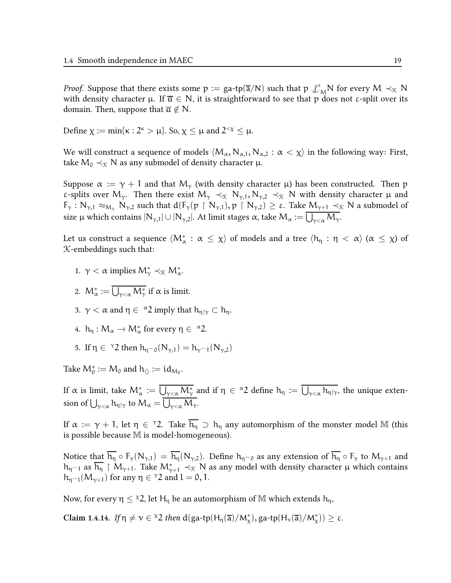*Proof.* Suppose that there exists some  $p := ga\text{-}tp(\overline{a}/N)$  such that  $p \not\perp_M^{\varepsilon} N$  for every  $M \prec_{\mathcal{K}} N$ with density character  $\mu$ . If  $\overline{a} \in N$ , it is straightforward to see that p does not  $\varepsilon$ -split over its domain. Then, suppose that  $\overline{\mathfrak{a}} \notin \mathbb{N}$ .

Define  $\chi := \min\{\kappa : 2^{\kappa} > \mu\}$ . So,  $\chi \leq \mu$  and  $2^{<\chi} \leq \mu$ .

We will construct a sequence of models  $\langle M_\alpha, N_{\alpha,1}, N_{\alpha,2} : \alpha < \chi \rangle$  in the following way: First, take  $M_0 \prec_{\mathcal{K}} N$  as any submodel of density character  $\mu$ .

Suppose  $\alpha := \gamma + 1$  and that M<sub>γ</sub> (with density character  $\mu$ ) has been constructed. Then p ε-splits over M<sub>γ</sub>. Then there exist M<sub>γ</sub>  $\prec_{\mathcal{K}} N_{\gamma,1}, N_{\gamma,2} \prec_{\mathcal{K}} N$  with density character  $\mu$  and  $F_{\gamma}: N_{\gamma,1} \approx_{M_{\gamma}} N_{\gamma,2}$  such that  $d(F_{\gamma}(p \upharpoonright N_{\gamma,1}), p \upharpoonright N_{\gamma,2}) \geq \varepsilon$ . Take  $M_{\gamma+1} \prec_{\mathcal{K}} N$  a submodel of size μ which contains  $|N_{\gamma,1}| \cup |N_{\gamma,2}|$ . At limit stages α, take  $\mathcal{M}_{\alpha} := \bigcup_{\gamma<\alpha} \mathcal{M}_{\gamma}.$ 

Let us construct a sequence  $\langle M^*_\alpha:\,\alpha\le\chi\rangle$  of models and a tree  $\langle \mathsf{h}_\eta:\eta<\,\alpha\rangle$   $(\alpha\,\le\,\chi)$  of K-embeddings such that:

- 1.  $\gamma < \alpha$  implies  $M^*_{\gamma} \prec_{\mathcal{K}} M^*_{\alpha}$ .
- 2.  $\mathcal{M}^*_\alpha:=\bigcup_{\gamma<\alpha} \mathcal{M}^*_\gamma$  if  $\alpha$  is limit.
- 3.  $\gamma < \alpha$  and  $\eta \in {}^{\alpha}2$  imply that  $h_{\eta | \gamma} \subset h_{\eta}$ .
- 4.  $h_{\eta}: M_{\alpha} \to M_{\alpha}^{*}$  for every  $\eta \in {}^{\alpha}2$ .
- 5. If  $\eta \in$   $\gamma$ 2 then  $h_{\eta \cap 0}(N_{\gamma,1}) = h_{\gamma \cap 1}(N_{\gamma,2})$

Take  $\mathcal{M}_0^*:=\mathcal{M}_0$  and  $\mathsf{h}_\langle\rangle:=\mathsf{id}_{\mathcal{M}_0}.$ 

If α is limit, take  $M^*_{\alpha}:=\overline{\bigcup_{\gamma<\alpha}M^*_{\gamma}}$  and if  $\eta\,\in\,^{\alpha}2$  define  $h_{\eta}:=\overline{\bigcup_{\gamma<\alpha}h_{\eta\restriction\gamma}}$ , the unique extension of  $\bigcup_{\gamma<\alpha}$   $h_{\eta\restriction\gamma}$  to  $\mathcal{M}_{\alpha} = \bigcup_{\gamma<\alpha} \mathcal{M}_{\gamma}$ .

If  $\alpha:=\gamma+1$ , let  $\eta\in$   $^{\gamma}2$ . Take  $\overline{h_{\eta}}\supset h_{\eta}$  any automorphism of the monster model M (this is possible because M is model-homogeneous).

Notice that  $\overline{h_{\eta}} \circ F_{\gamma}(N_{\gamma,1}) = \overline{h_{\eta}}(N_{\gamma,2})$ . Define  $h_{\eta \cap 0}$  as any extension of  $\overline{h_{\eta}} \circ F_{\gamma}$  to  $M_{\gamma+1}$  and  $h_{\eta\cap 1}$  as  $h_\eta\restriction M_{\gamma+1}.$  Take  $M_{\gamma+1}^*\prec_{\mathfrak X} N$  as any model with density character  $\mu$  which contains  $h_{\eta \cap l}(M_{\gamma+1})$  for any  $\eta \in {}^{\gamma}2$  and  $l = 0, 1$ .

Now, for every  $\eta \leq x^2$ , let H<sub>n</sub> be an automorphism of M which extends h<sub>n</sub>,

Claim 1.4.14. If  $\eta \neq \nu \in {}^{\chi}2$  then  $d(ga\text{-}tp(H_{\eta}(\overline{a})/M_{\chi}^{\ast}), ga\text{-}tp(H_{\nu}(\overline{a})/M_{\chi}^{\ast})) \geq \varepsilon$ .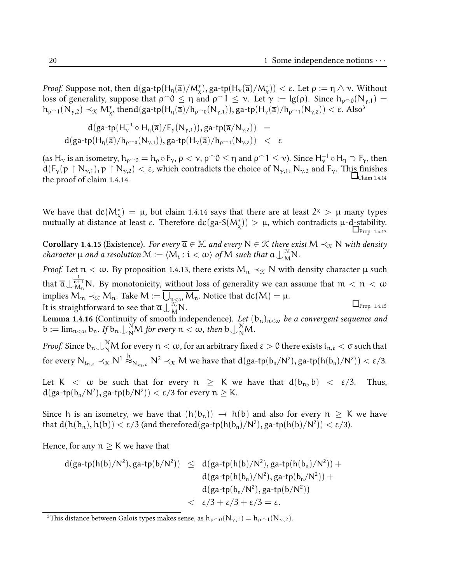Proof. Suppose not, then  $d(ga\hbox{-}tp(H_\eta(\overline{a})/M_\chi^*), g a\hbox{-}tp(H_\nu(\overline{a})/M_\chi^*))<\varepsilon.$  Let  $\rho:=\eta\wedge\nu.$  Without loss of generality, suppose that  $\rho \circ 0 \leq \eta$  and  $\rho \circ 1 \leq \nu$ . Let  $\gamma := \lg(\rho)$ . Since  $h_{\rho \circ 0}(N_{\gamma,1}) =$  $h_{\rho^{-1}}(N_{\gamma,2}) \prec_{\mathfrak{K}} M_{\chi}^*$ , thend(ga-tp(H<sub>η</sub>( $\overline{a}$ )/ $h_{\rho^{-0}}(N_{\gamma,1})$ ), ga-tp(H<sub>ν</sub>( $\overline{a}$ )/ $h_{\rho^{-1}}(N_{\gamma,2})$ )  $< \varepsilon$ . Also<sup>3</sup>

$$
d(ga\text{-}tp(H_{\nu}^{-1}\circ H_{\eta}(\overline{a})/F_{\gamma}(N_{\gamma,1})), ga\text{-}tp(\overline{a}/N_{\gamma,2})) = \\ d(ga\text{-}tp(H_{\eta}(\overline{a})/h_{\rho^{\frown}0}(N_{\gamma,1})), ga\text{-}tp(H_{\nu}(\overline{a})/h_{\rho^{\frown}1}(N_{\gamma,2})) < \epsilon
$$

(as  $H_v$  is an isometry,  $h_{\rho\supset 0} = h_\rho \circ F_\gamma$ ,  $\rho < v$ ,  $\rho\widehat{\ }\ 0 \leq \eta$  and  $\rho\widehat{\ }\ 1 \leq v$ ). Since  $H_v^{-1}\circ H_\eta \supset F_\gamma$ , then  $d(F_{\gamma}(p \upharpoonright N_{\gamma,1}), p \upharpoonright N_{\gamma,2}) < \varepsilon$ , which contradicts the choice of  $N_{\gamma,1}$ ,  $N_{\gamma,2}$  and  $F_{\gamma}$ . This finishes the proof of claim 1.4.14

We have that  $dc(M^*_{\chi}) = \mu$ , but claim 1.4.14 says that there are at least  $2^{\chi} > \mu$  many types mutually at distance at least ε. Therefore  $dc(ga-S(M^*_{\chi})) > \mu$ , which contradicts  $\mu$ -d-stability.  $\Box$ Prop. 1.4.13

Corollary 1.4.15 (Existence). For every  $\overline{\mathfrak{a}} \in \mathbb{M}$  and every  $N \in \mathcal{K}$  there exist  $M \prec_{\mathcal{K}} N$  with density character  $\mu$  and a resolution  $\mathcal{M} := \langle M_i : i < \omega \rangle$  of  $M$  such that  $\mathfrak{a} \bigcup_{M}^{\mathcal{M}} N$ .

*Proof.* Let  $n < \omega$ . By proposition 1.4.13, there exists  $M_n \prec_{\mathcal{K}} N$  with density character  $\mu$  such that  $\overline{\mathfrak{a}}\cup_{M_{\mathfrak{n}}}^{\frac{1}{\mathfrak{n}+1}}$ N. By monotonicity, without loss of generality we can assume that  $\mathfrak{m}<\mathfrak{n}<\omega$ implies  $\mathsf{M}_\mathfrak{m}\prec_{\mathfrak{X}}\mathsf{M}_\mathfrak{n}.$  Take  $\mathsf{M}\coloneqq\bigcup_{\mathfrak{n}\leq\omega}\mathsf{M}_\mathfrak{n}.$  Notice that  $\text{dc}(\mathsf{M})=\mu.$ It is straightforward to see that  $\overline{\mathfrak{a}}\bigcup_{\mathsf{M}}^{\mathsf{M}}\mathsf{N}.$  $\Box$ Prop. 1.4.15

**Lemma 1.4.16** (Continuity of smooth independence). *Let*  $(b_n)_{n<\omega}$  *be a convergent sequence and*  $\mathbb{b} := \lim_{n < \omega} \mathbb{b}_n$ . If  $\mathbb{b}_n \bigcup_{N}^N M$  for every  $n < \omega$ , then  $\mathbb{b} \bigcup_{N}^N M$ .

*Proof.* Since  $b_n\bigcup_N^\mathbb{N}M$  for every  $n<\omega$ , for an arbitrary fixed  $\varepsilon>0$  there exists  $i_{n,\varepsilon}<\sigma$  such that for every  $\mathrm{N}_{\mathrm{i}_{\mathrm{n},\varepsilon}}\prec_{\mathfrak{X}}\mathrm{N}^1\stackrel{\mathrm{h}}{\approx}_{\mathrm{N}_{\mathrm{i}_\mathrm{n},\varepsilon}}\mathrm{N}^2\prec_{\mathfrak{X}}\mathrm{M}$  we have that  $\mathrm{d}(\mathrm{ga\text{-}tp(\mathrm{b}_\mathrm{n}/\mathrm{N}^2),\mathrm{ga\text{-}tp(\mathrm{h}(\mathrm{b}_\mathrm{n})/\mathrm{N}^2)})<\varepsilon/3.$ 

Let K  $\langle \omega \rangle$  be such that for every  $n \geq K$  we have that  $d(b_n, b) \langle \varepsilon/3$ . Thus,  $d(ga-tp(b_n/N^2), ga-tp(b/N^2)) < \varepsilon/3$  for every  $n \geq K$ .

Since h is an isometry, we have that  $(h(b_n)) \to h(b)$  and also for every  $n \geq K$  we have that  $d(h(b_n), h(b)) < \varepsilon/3$  (and therefore $d(ga\text{-}tp(h(b_n)/\mathsf{N}^2), ga\text{-}tp(h(b)/\mathsf{N}^2)) < \varepsilon/3$ ).

Hence, for any  $n \geq K$  we have that

$$
\begin{array}{lcl} d(ga\hbox{-}tp(h(b)/N^2),ga\hbox{-}tp(b/N^2)) & \leq & d(ga\hbox{-}tp(h(b)/N^2),ga\hbox{-}tp(h(b_n)/N^2)) + \\ & & d(ga\hbox{-}tp(h(b_n)/N^2),ga\hbox{-}tp(b_n/N^2)) + \\ & & d(ga\hbox{-}tp(b_n/N^2),ga\hbox{-}tp(b/N^2)) \\ & & < \epsilon/3 + \epsilon/3 + \epsilon/3 = \epsilon. \end{array}
$$

<sup>&</sup>lt;sup>3</sup>This distance between Galois types makes sense, as  $h_{\rho \cap 0}(N_{\gamma,1}) = h_{\rho \cap 1}(N_{\gamma,2})$ .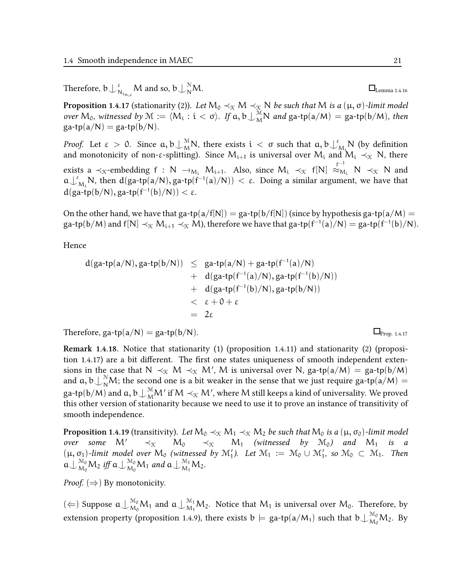Therefore,  $\mathfrak{b}\bigcup_{\mathfrak{d}}^{\mathfrak{g}}$  $_{\aleph_{\mathfrak{m},\varepsilon}}^{\varepsilon}$ M and so, b $\mathop{\cup}_{\mathsf{N}}^{\mathfrak{N}}$ 

**Proposition 1.4.17** (stationarity (2)). Let  $\mathsf{M}_0\prec_\mathfrak{K}\mathsf{M}\prec_\mathfrak{K}\mathsf{N}$  be such that  $\mathsf{M}$  is a  $(\mu,\sigma)$ -limit model over  $M_0$ , witnessed by  $M := \langle M_i : i < \sigma \rangle$ . If  $a, b \perp_M^M N$  and  $ga\text{-tp}(a/M) = ga\text{-tp}(b/M)$ , then  $ga-tp(a/N) = ga-tp(b/N).$ 

*Proof.* Let  $\varepsilon > 0$ . Since  $a, b \perp_M^M N$ , there exists  $i < \sigma$  such that  $a, b \perp_I^{\varepsilon}$  $N_i$ <sup>N</sup> (by definition and monotonicity of non-ε-splitting). Since  $M_{i+1}$  is universal over  $M_i$  and  $M_i \prec_{\mathcal{K}} N$ , there exists a  $\prec_{\mathcal{K}}$ -embedding  $f : N \to_{M_i} M_{i+1}$ . Also, since  $M_i \prec_{\mathcal{K}} f[N] \approx_{M_i} N \prec_{\mathcal{K}} N$  and  $\mathfrak{a}\downarrow^{\varepsilon}$  $\mathcal{M}_i$ N, then d(ga-tp(a/N), ga-tp(f<sup>-1</sup>(a)/N)) < ε. Doing a similar argument, we have that  $d(ga-tp(b/N), ga-tp(f^{-1}(b)/N)) < \varepsilon$ .

On the other hand, we have that ga-tp(a/f[N]) = ga-tp(b/f[N]) (since by hypothesis ga-tp(a/M) = ga-tp(b/M) and f[N]  $\prec_{\mathfrak{K}} M_{i+1} \prec_{\mathfrak{K}} M$ ), therefore we have that ga-tp(f<sup>-1</sup>(a)/N) = ga-tp(f<sup>-1</sup>(b)/N).

Hence

$$
d(ga\text{-}tp(a/N), ga\text{-}tp(b/N)) \leq ga\text{-}tp(a/N) + ga\text{-}tp(f^{-1}(a)/N) + d(ga\text{-}tp(f^{-1}(a)/N), ga\text{-}tp(f^{-1}(b)/N)) + d(ga\text{-}tp(f^{-1}(b)/N), ga\text{-}tp(b/N)) < \epsilon + 0 + \epsilon = 2\epsilon
$$

Therefore,  $\text{ga-tp}(a/N) = \text{ga-tp}(b/N)$ .

Remark 1.4.18. Notice that stationarity (1) (proposition 1.4.11) and stationarity (2) (proposition 1.4.17) are a bit different. The first one states uniqueness of smooth independent extensions in the case that  $N \prec_{\mathcal{K}} M \prec_{\mathcal{K}} M'$ , M is universal over N, ga-tp(a/M) = ga-tp(b/M) and  $a, b \perp_{N}^{N} M$ ; the second one is a bit weaker in the sense that we just require ga-tp(a/M) = ga-tp $(b/M)$  and  $a, b\bigcup^{\mathcal{M}}_{\mathcal{M}}\!\!M'$  if  $\mathcal{M}\prec_{\mathcal{K}}\!\mathcal{M}',$  where  $M$  still keeps a kind of universality. We proved this other version of stationarity because we need to use it to prove an instance of transitivity of smooth independence.

**Proposition 1.4.19** (transitivity). Let  $M_0 \prec_{\mathfrak{K}} M_1 \prec_{\mathfrak{K}} M_2$  be such that  $M_0$  is a  $(\mu, \sigma_0)$ -limit model over some  $M' \prec_{\mathfrak{K}} M_0 \prec_{\mathfrak{K}} M_1$  (witnessed by  $\mathfrak{M}_0$ ) and  $M_1$  is a  $(\mu, \sigma_1)$ -limit model over  $M_0$  (witnessed by  $\mathcal{M}'_1$ ). Let  $\mathcal{M}_1 := \mathcal{M}_0 \cup \mathcal{M}'_1$ , so  $\mathcal{M}_0 \subset \mathcal{M}_1$ . Then  $\mathfrak{a}\bigcup{}_{M_0}^{M_0}M_2$  iff  $\mathfrak{a}\bigcup{}_{M_0}^{M_0}M_1$  and  $\mathfrak{a}\bigcup{}_{M_1}^{M_1}M_2$ .

*Proof.* ( $\Rightarrow$ ) By monotonicity.

( $\Leftarrow$ ) Suppose  $a\bigcup_{M_0}^{M_0}M_1$  and  $a\bigcup_{M_1}^{M_1}M_2$ . Notice that  $M_1$  is universal over  $M_0$ . Therefore, by extension property (proposition 1.4.9), there exists  $b\models$  ga-tp(a/M<sub>1</sub>) such that  $b\bigcup_{M_0}^{M_0}M_2$ . By

 $\Box$ Lemma 1.4.16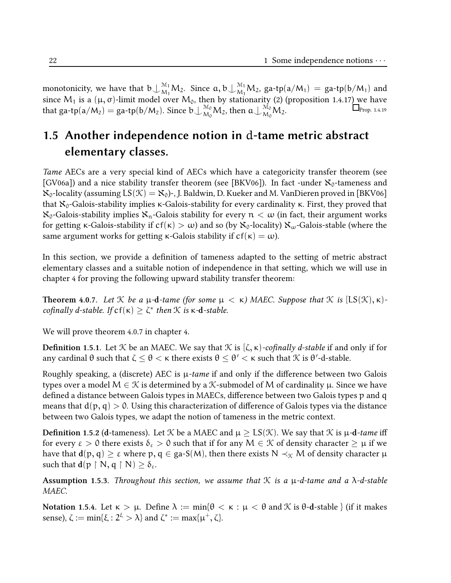monotonicity, we have that  $b\bigcup_{M_1}^{\mathcal{M}_1}M_2$ . Since  $a, b\bigcup_{M_1}^{\mathcal{M}_1}M_2$ , ga-tp $(a/M_1)$  = ga-tp $(b/M_1)$  and since M<sub>1</sub> is a (μ, σ)-limit model over M<sub>0</sub>, then by stationarity (2) (proposition 1.4.17<u>) w</u>e have that ga-tp(a/M<sub>2</sub>) = ga-tp(b/M<sub>2</sub>). Since  $b\perp_{M_0}^{M_0}M_2$ , then  $a\perp_{M_0}^{M_0}M_2$ .  $\Box$  Prop. 1.4.19

# 1.5 Another independence notion in d-tame metric abstract elementary classes.

Tame AECs are a very special kind of AECs which have a categoricity transfer theorem (see [GV06a]) and a nice stability transfer theorem (see [BKV06]). In fact -under  $\aleph_0$ -tameness and  $\aleph_0$ -locality (assuming  $LS(\mathcal{K}) = \aleph_0$ )-, J. Baldwin, D. Kueker and M. VanDieren proved in [BKV06] that  $X_0$ -Galois-stability implies κ-Galois-stability for every cardinality κ. First, they proved that  $\aleph_0$ -Galois-stability implies  $\aleph_n$ -Galois stability for every  $n < \omega$  (in fact, their argument works for getting κ-Galois-stability if  $cf(\kappa) > \omega$ ) and so (by  $\aleph_0$ -locality)  $\aleph_\omega$ -Galois-stable (where the same argument works for getting  $\kappa$ -Galois stability if  $cf(\kappa) = \omega$ ).

In this section, we provide a definition of tameness adapted to the setting of metric abstract elementary classes and a suitable notion of independence in that setting, which we will use in chapter 4 for proving the following upward stability transfer theorem:

**Theorem 4.0.7.** Let K be a  $\mu$ -d-tame (for some  $\mu < \kappa$ ) MAEC. Suppose that K is [LS(K),  $\kappa$ )cofinally d-stable. If  $cf(\kappa) \geq \zeta^*$  then  $\mathcal K$  is  $\kappa$ -d-stable.

We will prove theorem 4.0.7 in chapter 4.

**Definition 1.5.1.** Let *K* be an MAEC. We say that *K* is  $(\zeta, \kappa)$ -cofinally *d*-stable if and only if for any cardinal θ such that ζ  $\leq$  θ  $<$  κ there exists θ  $\leq$  θ′  $<$  κ such that  $\mathcal K$  is θ′-d-stable.

Roughly speaking, a (discrete) AEC is  $\mu$ -tame if and only if the difference between two Galois types over a model  $M \in \mathcal{K}$  is determined by a  $\mathcal{K}$ -submodel of M of cardinality  $\mu$ . Since we have defined a distance between Galois types in MAECs, difference between two Galois types p and q means that  $d(p, q) > 0$ . Using this characterization of difference of Galois types via the distance between two Galois types, we adapt the notion of tameness in the metric context.

**Definition 1.5.2 (d-tameness).** Let *K* be a MAEC and  $\mu \geq LS(\mathcal{K})$ . We say that *K* is  $\mu$ -d-tame iff for every  $\varepsilon > 0$  there exists  $\delta_{\varepsilon} > 0$  such that if for any  $M \in \mathcal{K}$  of density character  $\geq \mu$  if we have that  $d(p, q) \geq \varepsilon$  where  $p, q \in ga-S(M)$ , then there exists  $N \prec_{\mathcal{K}} M$  of density character  $\mu$ such that  $d(p \restriction N, q \restriction N) \geq \delta_{\varepsilon}$ .

Assumption 1.5.3. Throughout this section, we assume that  $K$  is a  $\mu$ -d-tame and a  $\lambda$ -d-stable MAEC.

Notation 1.5.4. Let  $κ > μ$ . Define  $λ := min{θ < κ : μ < θ}$  and  $K$  is  $θ$ -d-stable } (if it makes sense),  $\zeta := \min\{\xi : 2^{\xi} > \lambda\}$  and  $\zeta^* := \max\{\mu^+, \zeta\}.$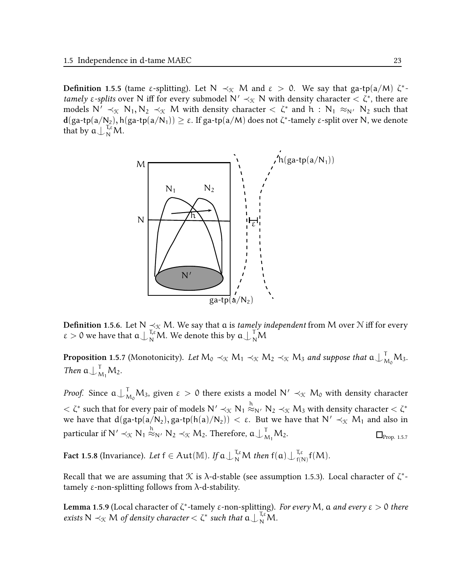**Definition 1.5.5** (tame ε-splitting). Let  $N \prec_{\mathcal{K}} M$  and  $\varepsilon > 0$ . We say that ga-tp(a/M)  $\zeta^*$ tamely  $\varepsilon$ -splits over N iff for every submodel N'  $\prec_{\mathcal{K}} N$  with density character  $\langle \zeta^*, \rangle$  there are models  $N' \prec_{\mathfrak{K}} N_1, N_2 \prec_{\mathfrak{K}} M$  with density character  $\lt \zeta^*$  and  $h : N_1 \approx_{N'} N_2$  such that  $d(ga\text{-}tp(a/N_2), h(ga\text{-}tp(a/N_1)) \geq \varepsilon.$  If  $ga\text{-}tp(a/M)$  does not ζ\*-tamely  $\varepsilon$ -split over N, we denote that by  $a \bigcup_{N}^{T_{\xi}} M$ .



**Definition 1.5.6.** Let N  $\leq$ <sub>X</sub> M. We say that a is *tamely independent* from M over N iff for every  $\varepsilon > 0$  we have that  $a \bigcup_{N}^{T_{\varepsilon}} M$ . We denote this by  $a \bigcup_{N}^{T} M$ 

**Proposition 1.5.7** (Monotonicity). Let  $M_0 \prec_{\mathcal{K}} M_1 \prec_{\mathcal{K}} M_2 \prec_{\mathcal{K}} M_3$  and suppose that  $\mathfrak{a}\bigcup_{M_0}^{\sf T} M_3$ . Then  $a\bigcup_{M_1}^T M_2$ .

*Proof.* Since  $a\bigcup_{M_0}^T M_3$ , given  $\varepsilon > 0$  there exists a model  $N' \prec_{\mathcal{K}} M_0$  with density character  $<\zeta^*$  such that for every pair of models  $\mathsf{N}'\prec_\mathfrak{K}\mathsf{N}_1\stackrel{\mathrm{h}}{\approx_\mathsf{N'}}\mathsf{N}_2\prec_\mathfrak{K}\mathsf{M}_3$  with density character  $<\zeta^*$ we have that  $d(ga-tp(a/N_2), ga-tp(h(a)/N_2)) < \varepsilon$ . But we have that  $N' \prec_{\mathcal{K}} M_1$  and also in particular if  $\mathsf{N}' \prec_{\mathfrak{K}} \mathsf{N}_1 \stackrel{\text{h}}{\approx}_{\mathsf{N}'} \mathsf{N}_2 \prec_{\mathfrak{K}} \mathsf{M}_2$ . Therefore,  $\mathfrak{a}\bigcup_{\mathsf{M}_1}^\mathsf{T} \mathsf{M}_2$ .  $\Box_{\text{Prob. 1.5.7}}$ 

Fact 1.5.8 (Invariance). Let  $f \in Aut(\mathbb{M})$ . If  $\mathfrak{a}\bigcup_{N}^{\mathfrak{I},\varepsilon}M$  then  $f(\mathfrak{a})\bigcup_{f(\mathfrak{f})}^{\mathfrak{I},\varepsilon}$  $f(N)$   $f(M)$ .

Recall that we are assuming that  $\mathcal K$  is  $\lambda$ -d-stable (see assumption 1.5.3). Local character of  $\zeta^*$ tamely ε-non-splitting follows from λ-d-stability.

**Lemma 1.5.9** (Local character of ζ\*-tamely ε-non-splitting). For every M, a and every  $ε > 0$  there exists  $N \prec_{\mathfrak{K}} M$  of density character  $\lt \zeta^*$  such that  $\mathfrak{a} \bigcup_{N}^{\tau,\varepsilon} M$ .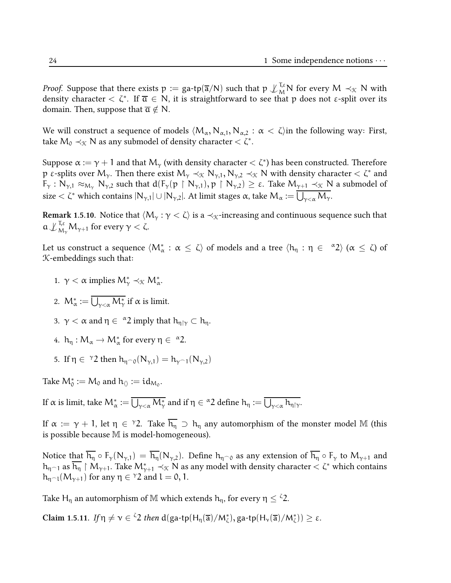*Proof.* Suppose that there exists  $p := \text{ga-tp}(\overline{a}/N)$  such that  $p \not\perp_M^{\tau, \varepsilon} N$  for every  $M \prec_{\mathcal{K}} N$  with density character  $<\zeta^*$ . If  $\overline{\mathfrak{a}}\in\mathsf{N},$  it is straightforward to see that  $\mathfrak p$  does not  $\mathfrak e$ -split over its domain. Then, suppose that  $\overline{\mathfrak{a}} \notin \mathbb{N}$ .

We will construct a sequence of models  $\langle M_\alpha, N_{\alpha,1}, N_{\alpha,2} : \alpha < \zeta \rangle$  in the following way: First, take  $\mathcal{M}_0 \prec_{\mathcal{K}} \mathsf{N}$  as any submodel of density character  $<\zeta^* .$ 

Suppose  $\alpha:=\gamma+1$  and that  ${\sf M}_\gamma$  (with density character  $<\zeta^*$ ) has been constructed. Therefore p ε-splits over M<sub>γ</sub>. Then there exist M<sub>γ</sub> ≺<sub>κ</sub> N<sub>γ,1</sub>, N<sub>γ,2</sub> ≺<sub>κ</sub> N with density character < ζ\* and  $F_{\gamma}: N_{\gamma,1} \approx_{M_{\gamma}} N_{\gamma,2}$  such that  $d(F_{\gamma}(p \upharpoonright N_{\gamma,1}), p \upharpoonright N_{\gamma,2}) \geq \varepsilon$ . Take  $M_{\gamma+1} \prec_{\mathcal{K}} N$  a submodel of size  $<\zeta^*$  which contains  $|N_{\gamma,1}|\cup |N_{\gamma,2}|.$  At limit stages  $\alpha$ , take  $M_\alpha:=\bigcup_{\gamma<\alpha}M_\gamma.$ 

Remark 1.5.10. Notice that  $\langle M_{\gamma} : \gamma < \zeta \rangle$  is a  $\prec_{\mathcal{K}}$ -increasing and continuous sequence such that  $\mathfrak{a}\!\downarrow_{M_\gamma}^{\,\mathtt{I},\varepsilon}\!\mathsf{M}_{\gamma+1}$  for every  $\gamma<\zeta$ .

Let us construct a sequence  $\langle M^*_\alpha:\alpha\leq\zeta\rangle$  of models and a tree  $\langle h_\eta:\eta\in\ \text{``}2\rangle$   $(\alpha\leq\zeta)$  of K-embeddings such that:

- 1.  $\gamma < \alpha$  implies  $M_{\gamma}^* \prec_{\mathcal{K}} M_{\alpha}^*$ .
- 2.  $\mathcal{M}^*_\alpha:=\bigcup_{\gamma<\alpha} \mathcal{M}^*_\gamma$  if  $\alpha$  is limit.
- 3.  $\gamma < \alpha$  and  $\eta \in {}^{\alpha}2$  imply that  $h_{\eta | \gamma} \subset h_{\eta}$ .
- 4.  $h_{\eta}: M_{\alpha} \to M_{\alpha}^{*}$  for every  $\eta \in {}^{\alpha}2$ .
- 5. If  $\eta \in$  <sup>γ</sup>2 then  $h_{\eta \cap 0}(N_{\gamma,1}) = h_{\gamma \cap 1}(N_{\gamma,2})$

Take  $\mathcal{M}_0^* := \mathcal{M}_0$  and  $\mathsf{h}_{\langle\rangle} := \mathsf{id}_{\mathcal{M}_0}.$ 

If α is limit, take  $\mathcal{M}^*_\alpha:=\overline{\bigcup_{\gamma<\alpha}M^*_\gamma}$  and if  $\eta\in {}^\alpha 2$  define  $h_\eta:=\overline{\bigcup_{\gamma<\alpha}h_{\eta\restriction\gamma}}.$ 

If  $\alpha:=\gamma+1$ , let  $\eta\,\in\,{}^{\gamma}2.$  Take  $\overline{h_{\eta}}\,$   $\supset\,h_{\eta}$  any automorphism of the monster model M (this is possible because M is model-homogeneous).

Notice that  $\overline{h_{\eta}} \circ F_{\gamma}(N_{\gamma,1}) = \overline{h_{\eta}}(N_{\gamma,2})$ . Define  $h_{\eta \cap 0}$  as any extension of  $\overline{h_{\eta}} \circ F_{\gamma}$  to  $M_{\gamma+1}$  and  $h_{\eta^{\frown}1}$  as  $h_{\eta}$  ↑  $M_{\gamma+1}.$  Take  $M_{\gamma+1}^*$   $\prec_\mathcal{K} N$  as any model with density character  $<\zeta^*$  which contains  $h_{\eta \cap l}(M_{\gamma+1})$  for any  $\eta \in {}^{\gamma}2$  and  $l = 0, 1$ .

Take H<sub>η</sub> an automorphism of M which extends  $h_n$ , for every  $\eta \leq \zeta^2$ .

Claim 1.5.11. If  $\eta \neq \nu \in {}^{\zeta}2$  then  $d(ga\text{-}tp(H_{\eta}(\overline{a})/M_{\zeta}^{\ast}), g a\text{-}tp(H_{\nu}(\overline{a})/M_{\zeta}^{\ast})) \geq \varepsilon$ .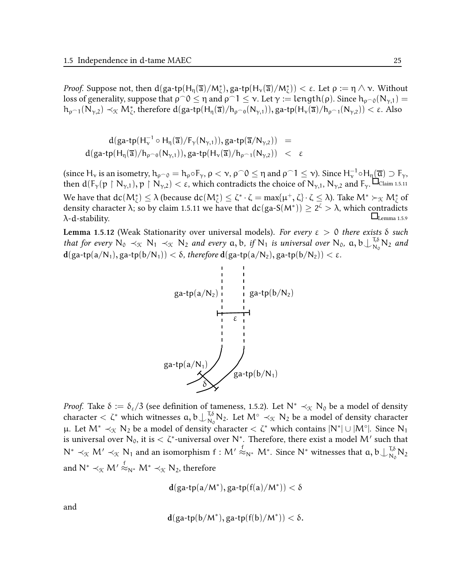*Proof.* Suppose not, then  $d(ga-tp(H_\eta(\overline{a})/M_\zeta^*), ga-tp(H_\nu(\overline{a})/M_\zeta^*)) < \varepsilon$ . Let  $\rho := \eta \wedge \nu$ . Without loss of generality, suppose that  $\rho \circ 0 \le \eta$  and  $\rho \circ 1 \le \nu$ . Let  $\gamma :=$  length( $\rho$ ). Since  $h_{\rho \circ 0}(N_{\gamma,1}) =$  $h_{\rho^{-1}}(N_{\gamma,2})\prec_{\mathfrak{K}} M_{\zeta}^*$ , therefore  $d(ga\text{-tp}(H_{\eta}(\overline{a})/h_{\rho^{-0}}(N_{\gamma,1})), g a\text{-tp}(H_{\nu}(\overline{a})/h_{\rho^{-1}}(N_{\gamma,2}))<\epsilon$ . Also

$$
d(ga\text{-}tp(H_{\nu}^{-1}\circ H_{\eta}(\overline{a})/F_{\gamma}(N_{\gamma,1})), ga\text{-}tp(\overline{a}/N_{\gamma,2})) = \\ d(ga\text{-}tp(H_{\eta}(\overline{a})/h_{\rho^{\frown}0}(N_{\gamma,1})), ga\text{-}tp(H_{\nu}(\overline{a})/h_{\rho^{\frown}1}(N_{\gamma,2})) < \epsilon
$$

(since  $H_v$  is an isometry,  $h_{\rho \cap 0} = h_{\rho} \circ F_v$ ,  $\rho < v$ ,  $\rho \cap 0 \le \eta$  and  $\rho \cap 1 \le v$ ). Since  $H_v^{-1} \circ H_{\eta}(\overline{\mathfrak{a}}) \supset F_v$ , then  $d(F_\gamma(p \upharpoonright N_{\gamma,1}), p \upharpoonright N_{\gamma,2}) < \varepsilon$ , which contradicts the choice of  $N_{\gamma,1}, N_{\gamma,2}$  and  $F_\gamma$ .  $\Box$ Claim 1.5.11 We have that  $dc(M_{\zeta}^*) \leq \lambda$  (because  $dc(M_{\zeta}^*) \leq \zeta^* \cdot \zeta = \max\{\mu^+, \zeta\} \cdot \zeta \leq \lambda$ ). Take  $M^* \succ_{\mathcal{K}} M_{\zeta}^*$  of density character  $\lambda$ ; so by claim 1.5.11 we have that  $dc(ga\text{-}S(M^*)) \geq 2^{\zeta} > \lambda$ , which contradicts  $\lambda$ -d-stability.  $\Box$ 

Lemma 1.5.12 (Weak Stationarity over universal models). For every  $ε > 0$  there exists  $δ$  such that for every  $N_0 \prec_{\mathfrak{K}} N_1 \prec_{\mathfrak{K}} N_2$  and every  $a, b, if N_1$  is universal over  $N_0$ ,  $a, b \downarrow_{N_0}^{T, \delta}$  $\frac{1,0}{N_0} N_2$  and  $d(ga-tp(a/N_1), ga-tp(b/N_1)) < \delta$ , therefore  $d(ga-tp(a/N_2), ga-tp(b/N_2)) < \varepsilon$ .



Proof. Take  $\delta := \delta_{\epsilon}/3$  (see definition of tameness, 1.5.2). Let  $N^* \prec_{\mathcal{K}} N_0$  be a model of density character  $<\zeta^*$  which witnesses  $a, b\bigcup_{N_0}^{T,\delta}$  $N_0^{1,0} N_2$ . Let  $M^{\circ} \prec_{\mathcal{K}} N_2$  be a model of density character μ. Let M<sup>∗</sup>  $\prec_{\mathcal{K}}$  N<sub>2</sub> be a model of density character  $\lt \zeta^*$  which contains  $|N^*| \cup |M^{\circ}|$ . Since N<sub>1</sub> is universal over  $\mathsf{N}_0$ , it is  $<\zeta^*$ -universal over  $\mathsf{N}^*$ . Therefore, there exist a model  $\mathsf{M}'$  such that N<sup>∗</sup> ≺<sub>K</sub> M′ ≺<sub>K</sub> N<sub>1</sub> and an isomorphism f : M′  $\stackrel{f}{\approx}_{N^*}$  M<sup>∗</sup>. Since N<sup>∗</sup> witnesses that  $a, b$  ⊥  $\stackrel{T, \delta}{\sim}_{N_\alpha}$  $\frac{1,0}{N_0} N_2$ and  $\mathsf{N}^{*} \prec_{\mathcal{K}} \mathsf{M}' \stackrel{\mathsf{f}}{\approx}_{\mathsf{N}^{*}} \mathsf{M}^{*} \prec_{\mathcal{K}} \mathsf{N}_{2}$ , therefore

$$
\mathbf{d}(\mathsf{ga\text{-}tp(a/M^*)}, \mathsf{ga\text{-}tp(f(a)/M^*)}) < \delta
$$

and

$$
\mathbf{d}(\mathsf{ga\text{-}tp(b/M^*)}, \mathsf{ga\text{-}tp(f(b)/M^*)}) < \delta.
$$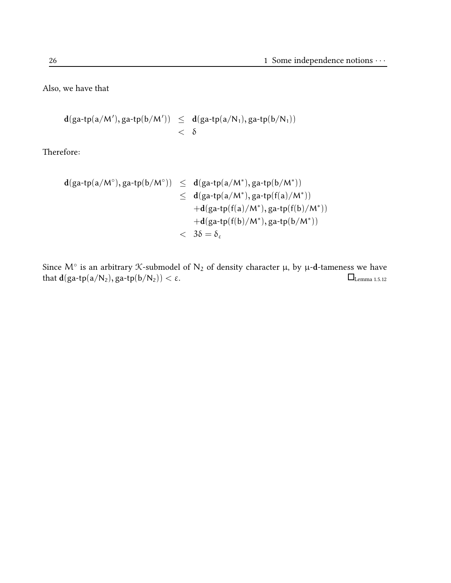Also, we have that

$$
\begin{array}{lcl} d(ga\text{-}tp(a/M'), ga\text{-}tp(b/M')) & \leq & d(ga\text{-}tp(a/N_1), ga\text{-}tp(b/N_1)) \\ & & < \delta \end{array}
$$

Therefore:

$$
\begin{array}{lcl} d(ga\hbox{-}tp(a/M^\circ),ga\hbox{-}tp(b/M^\circ))&\leq& d(ga\hbox{-}tp(a/M^*),ga\hbox{-}tp(b/M^*))\\&\leq& d(ga\hbox{-}tp(a/M^*),ga\hbox{-}tp(f(a)/M^*))\\& &\hbox{-}d(ga\hbox{-}tp(f(a)/M^*),ga\hbox{-}tp(f(b)/M^*))\\& &\hbox{-}d(ga\hbox{-}tp(f(b)/M^*),ga\hbox{-}tp(b/M^*))\\& &<& 3\delta=\delta_\epsilon \end{array}
$$

Since M $^{\circ}$  is an arbitrary X-submodel of N $_2$  of density character  $\mu$ , by  $\mu$ -d-tameness we have that  $d(ga\text{-}tp(a/N_2), ga\text{-}tp(b/N_2)) < \varepsilon$ .  $\Box$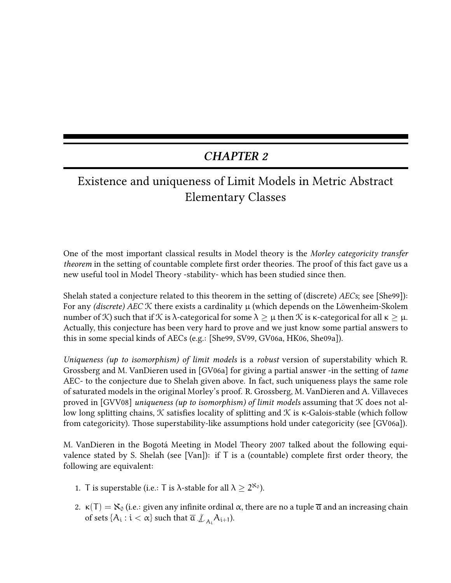# CHAPTER 2

# Existence and uniqueness of Limit Models in Metric Abstract Elementary Classes

One of the most important classical results in Model theory is the Morley categoricity transfer theorem in the setting of countable complete first order theories. The proof of this fact gave us a new useful tool in Model Theory -stability- which has been studied since then.

Shelah stated a conjecture related to this theorem in the setting of (discrete) AECs; see [She99]): For any (discrete) AEC  $K$  there exists a cardinality  $\mu$  (which depends on the Löwenheim-Skolem number of K) such that if K is λ-categorical for some  $\lambda \geq \mu$  then K is κ-categorical for all  $\kappa \geq \mu$ . Actually, this conjecture has been very hard to prove and we just know some partial answers to this in some special kinds of AECs (e.g.: [She99, SV99, GV06a, HK06, She09a]).

Uniqueness (up to isomorphism) of limit models is a robust version of superstability which R. Grossberg and M. VanDieren used in [GV06a] for giving a partial answer -in the setting of tame AEC- to the conjecture due to Shelah given above. In fact, such uniqueness plays the same role of saturated models in the original Morley's proof. R. Grossberg, M. VanDieren and A. Villaveces proved in [GVV08] uniqueness (up to isomorphism) of limit models assuming that  $\mathcal K$  does not allow long splitting chains,  $K$  satisfies locality of splitting and  $K$  is  $\kappa$ -Galois-stable (which follow from categoricity). Those superstability-like assumptions hold under categoricity (see [GV06a]).

M. VanDieren in the Bogotá Meeting in Model Theory 2007 talked about the following equivalence stated by S. Shelah (see [Van]): if  $T$  is a (countable) complete first order theory, the following are equivalent:

- 1. T is superstable (i.e.: T is  $\lambda$ -stable for all  $\lambda \geq 2^{\aleph_0}$ ).
- 2.  $\kappa(T) = N_0$  (i.e.: given any infinite ordinal  $\alpha$ , there are no a tuple  $\overline{\alpha}$  and an increasing chain of sets  $\{A_i:i<\alpha\}$  such that  $\overline{\mathfrak{a}}\nsubseteq_{A_i}A_{i+1}$ ).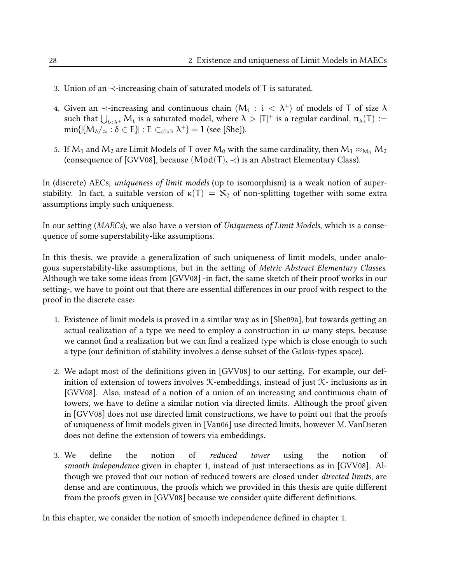- 3. Union of an  $\prec$ -increasing chain of saturated models of T is saturated.
- 4. Given an  $\prec$ -increasing and continuous chain  $\langle \mathsf{M}_\mathfrak{i}: \mathfrak{i} \; < \; \lambda^+ \rangle$  of models of T of size  $\lambda$ such that  $\bigcup_{i<\lambda^+}M_i$  is a saturated model, where  $\lambda>|T|^+$  is a regular cardinal,  $\mathfrak{n}_\lambda(T):=$  $\min\{|\langle M_{\delta}/_{\approx}:\delta\in E\rangle|:E\subset_{\mathrm{club}}\lambda^{+}\}=1$  (see [She]).
- 5. If  $M_1$  and  $M_2$  are Limit Models of T over  $M_0$  with the same cardinality, then  $M_1 \approx_{M_0} M_2$ (consequence of [GVV08], because  $(Mod(T), \prec)$  is an Abstract Elementary Class).

In (discrete) AECs, uniqueness of limit models (up to isomorphism) is a weak notion of superstability. In fact, a suitable version of  $\kappa(T) = \aleph_0$  of non-splitting together with some extra assumptions imply such uniqueness.

In our setting (*MAECs*), we also have a version of *Uniqueness of Limit Models*, which is a consequence of some superstability-like assumptions.

In this thesis, we provide a generalization of such uniqueness of limit models, under analogous superstability-like assumptions, but in the setting of Metric Abstract Elementary Classes. Although we take some ideas from [GVV08] -in fact, the same sketch of their proof works in our setting-, we have to point out that there are essential differences in our proof with respect to the proof in the discrete case:

- 1. Existence of limit models is proved in a similar way as in [She09a], but towards getting an actual realization of a type we need to employ a construction in  $\omega$  many steps, because we cannot find a realization but we can find a realized type which is close enough to such a type (our definition of stability involves a dense subset of the Galois-types space).
- 2. We adapt most of the definitions given in [GVV08] to our setting. For example, our definition of extension of towers involves  $K$ -embeddings, instead of just  $K$ - inclusions as in [GVV08]. Also, instead of a notion of a union of an increasing and continuous chain of towers, we have to define a similar notion via directed limits. Although the proof given in [GVV08] does not use directed limit constructions, we have to point out that the proofs of uniqueness of limit models given in [Van06] use directed limits, however M. VanDieren does not define the extension of towers via embeddings.
- 3. We define the notion of reduced tower using the notion of smooth independence given in chapter 1, instead of just intersections as in [GVV08]. Although we proved that our notion of reduced towers are closed under *directed limits*, are dense and are continuous, the proofs which we provided in this thesis are quite different from the proofs given in [GVV08] because we consider quite different definitions.

In this chapter, we consider the notion of smooth independence defined in chapter 1.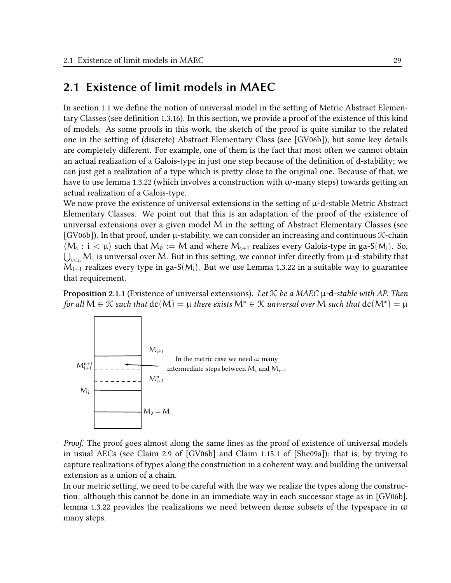# 2.1 Existence of limit models in MAEC

In section 1.1 we define the notion of universal model in the setting of Metric Abstract Elementary Classes (see definition 1.3.16). In this section, we provide a proof of the existence of this kind of models. As some proofs in this work, the sketch of the proof is quite similar to the related one in the setting of (discrete) Abstract Elementary Class (see [GV06b]), but some key details are completely different. For example, one of them is the fact that most often we cannot obtain an actual realization of a Galois-type in just one step because of the definition of d-stability; we can just get a realization of a type which is pretty close to the original one. Because of that, we have to use lemma 1.3.22 (which involves a construction with  $\omega$ -many steps) towards getting an actual realization of a Galois-type.

We now prove the existence of universal extensions in the setting of  $\mu$ -d-stable Metric Abstract Elementary Classes. We point out that this is an adaptation of the proof of the existence of universal extensions over a given model M in the setting of Abstract Elementary Classes (see [GV06b]). In that proof, under  $\mu$ -stability, we can consider an increasing and continuous  $\mathcal{K}$ -chain  $\langle M_i : i < \mu \rangle$  such that  $M_0 := M$  and where  $M_{i+1}$  realizes every Galois-type in ga-S( $M_i$ ). So,  $\bigcup_{\mathfrak{i} < \mu} \mathcal{M}_\mathfrak{i}$  is universal over  $\mathcal{M}.$  But in this setting, we cannot infer directly from  $\mu$ -d-stability that  $M_{i+1}$  realizes every type in ga-S( $M_i$ ). But we use Lemma 1.3.22 in a suitable way to guarantee that requirement.

**Proposition 2.1.1** (Existence of universal extensions). Let  $K$  be a MAEC  $\mu$ -d-stable with AP. Then for all  $\mathsf{M}\in\mathfrak{K}$  such that  $\texttt{dc}(\mathsf{M})=\mu$  there exists  $\mathsf{M}^*\in\mathfrak{K}$  universal over  $\mathsf{M}$  such that  $\texttt{dc}(\mathsf{M}^*)=\mu$ 



Proof. The proof goes almost along the same lines as the proof of existence of universal models in usual AECs (see Claim 2.9 of [GV06b] and Claim 1.15.1 of [She09a]); that is, by trying to capture realizations of types along the construction in a coherent way, and building the universal extension as a union of a chain.

In our metric setting, we need to be careful with the way we realize the types along the construction: although this cannot be done in an immediate way in each successor stage as in [GV06b], lemma 1.3.22 provides the realizations we need between dense subsets of the typespace in  $\omega$ many steps.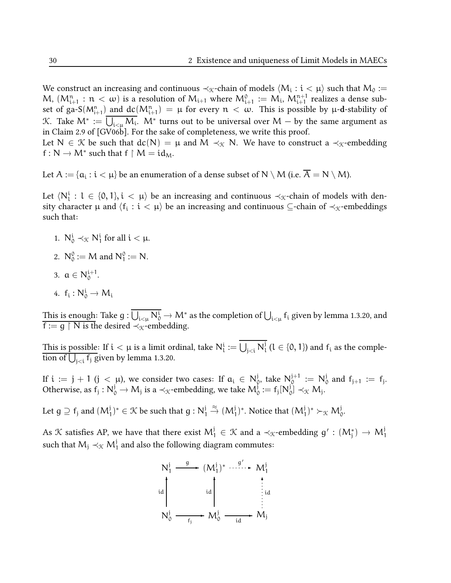We construct an increasing and continuous ≺ $_\mathcal{K}$ -chain of models  $\langle \mathsf{M}_\mathfrak{i}: \mathfrak{i} < \mathfrak{\mu} \rangle$  such that  $\mathsf{M}_\mathfrak{0}:=$ M,  $(M_{i+1}^n : n < \omega)$  is a resolution of  $M_{i+1}$  where  $M_{i+1}^0 := M_i$ ,  $M_{i+1}^{n+1}$  realizes a dense subset of ga-S( $M_{i+1}^n$ ) and  $dc(M_{i+1}^n) = \mu$  for every  $n < \omega$ . This is possible by  $\mu$ -d-stability of K. Take  $\mathcal{M}^*:=\bigcup_{\mathfrak{i} < \mu} \mathcal{M}_\mathfrak{i}.$   $\mathcal{M}^*$  turns out to be universal over  $\mathcal{M}-$  by the same argument as in Claim 2.9 of [GV06b]. For the sake of completeness, we write this proof. Let N  $\in \mathcal{K}$  be such that  $dc(N) = \mu$  and M  $\prec_{\mathcal{K}} N$ . We have to construct a  $\prec_{\mathcal{K}}$ -embedding

 $f: N \to M^*$  such that  $f \upharpoonright M = id_M$ .

Let  $\mathsf{A}:=\{\mathfrak{a}_\mathfrak{i}: \mathfrak{i}<\mathfrak{\mu}\}$  be an enumeration of a dense subset of  $\mathsf{N}\setminus\mathsf{M}$  (i.e.  $\mathsf{A}=\mathsf{N}\setminus\mathsf{M}$ ).

Let  $\langle N_l^i: l \in \{0,1\}, i \langle \mu \rangle$  be an increasing and continuous  $\prec_{\mathcal{K}}$ -chain of models with density character  $\mu$  and  $\langle {\sf f_i} : {\frak i} < \mu \rangle$  be an increasing and continuous ⊆-chain of  $\prec_{\mathfrak X}$ -embeddings such that:

- 1.  $N_0^i \prec_{\mathcal{K}} N_1^i$  for all  $i < \mu$ .
- 2.  $N_0^0 := M$  and  $N_1^0 := N$ .
- 3.  $a \in N_0^{i+1}$ .
- 4.  $f_i: N_0^i \rightarrow M_i$

This is enough: Take  $g: \bigcup_{i<\mu} N_0^i \to M^*$  as the completion of  $\bigcup_{i<\mu} f_i$  given by lemma 1.3.20, and  $f := g \restriction N$  is the desired  $\prec_{\mathcal{K}}$ -embedding.

This is possible: If  $\mathfrak{i}<\mu$  is a limit ordinal, take  $\mathsf{N}^{\mathfrak{i}}_{\mathfrak{l}}:=\bigcup_{\mathfrak{j}<\mathfrak{i}}\mathsf{N}^{\mathfrak{j}}_{\mathfrak{l}}$  $\{0, 1\}$  and  $f_i$  as the completion of  $\bigcup_{j < i} f_j$  given by lemma 1.3.20.

If  $i := j + 1$   $(j < \mu)$ , we consider two cases: If  $a_i \in N^j_C$  $_{0}^{j}$ , take  $N_{0}^{j+1}$  $_0^{j+1} := N_0^j$  $_0^1$  and  $f_{j+1} := f_j$ . Otherwise, as  $f_j: N_0^j \to M_j$  is a ≺<sub>K</sub>-embedding, we take  $M_0^j := f_j[N_0^j]$  $_{0}^{1}]$   $\prec_{\mathcal{K}} M_{j}$ .

Let  $g\supseteq f_j$  and  $(M_1^j)^*\in \mathcal{K}$  be such that  $g: N_1^j$  $\mathcal{F}_1 \stackrel{\approx}{\rightarrow} (M_1^j)^*$ . Notice that  $(M_1^j)^* \succ_{\mathcal{K}} M_0^j$ .

As  $\mathcal K$  satisfies AP, we have that there exist  $\mathsf{M}_1^{\mathsf{j}}\in\mathcal K$  and a  $\prec_{\mathcal K}$ -embedding  $g':\mathsf{(M}_{\mathsf{j}}^*)\to\mathsf{M}_1^{\mathsf{j}}$ such that  $\mathsf{M}_\mathsf{j}\prec_\mathcal{K} \mathsf{M}^\mathsf{j}_\mathsf{1}$  and also the following diagram commutes:

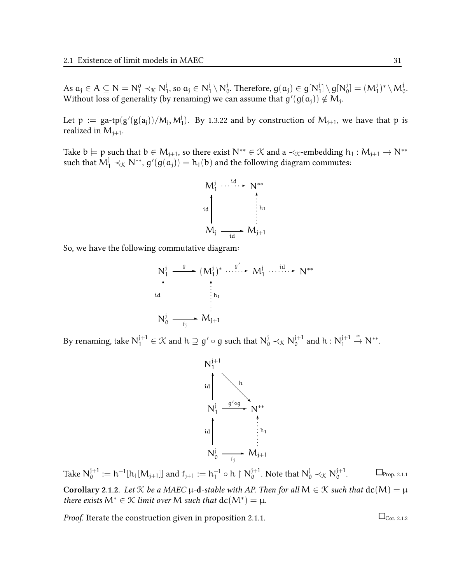As  $a_j \in A \subseteq N = N_1^0 \prec_{\mathcal{K}} N_1^j$  $j_1$ , so  $a_j \in N_1^j$  $j \setminus N^j_0$  $_{0}^{\mathfrak{j}}$ . Therefore,  $\boldsymbol{\mathfrak{g}}(\boldsymbol{\mathfrak{a}}_{\mathfrak{j}})\in \boldsymbol{\mathfrak{g}}[\boldsymbol{\mathsf{N}}]_{0}^{\mathfrak{j}}$  $\mathfrak{g}[\mathsf{N}^{\mathfrak{j}}_{\mathfrak{c}}]$  $\mathcal{G}_0^j] = (M_1^j)^* \setminus M_0^j.$ Without loss of generality (by renaming) we can assume that  $g'(g(\mathfrak{a_j})) \notin M_j$ .

Let  $p := \text{ga-tp}(\text{g}'(\text{g}(\text{a}_j))/\text{M}_j, \text{M}^j)$  $1$ , By 1.3.22 and by construction of  $M_{j+1}$ , we have that p is realized in  $M_{i+1}$ .

Take  $b \models p$  such that  $b \in M_{j+1}$ , so there exist  $N^{**} \in \mathcal{K}$  and a  $\prec_{\mathcal{K}}$ -embedding  $h_1 : M_{j+1} \to N^{**}$ such that  $M_1^j \prec_{\mathfrak{K}} N^{**}$ ,  $g'(g(a_j)) = h_1(b)$  and the following diagram commutes:



So, we have the following commutative diagram:

$$
N_1^j \xrightarrow{g} (M_1^j)^* \cdots \xrightarrow{g'} M_1^j \cdots \xrightarrow{id} N^{**}
$$
\n
$$
N_0^j \xrightarrow{f_j} M_{j+1}
$$

By renaming, take  $\mathsf{N}_1^{\mathsf{j+1}}\in\mathcal{K}$  and  $\mathsf{h}\supseteq\mathsf{g}'\circ\mathsf{g}$  such that  $\mathsf{N}_0^{\mathsf{j}}\prec_\mathcal{K}\mathsf{N}_0^{\mathsf{j+1}}$  $_0^{j+1}$  and  $h: N_1^{j+1}$ 1  $\stackrel{\cong}{\rightarrow} N^{**}.$ 



Take  $N_0^{j+1}$  $\mathfrak{h}_0^{j+1}:=\mathsf{h}^{-1}[\mathsf{h}_1[\mathsf{M}_{j+1}]]$  and  $\mathsf{f}_{j+1}:=\mathsf{h}_1^{-1}$  $_1^{-1} \circ h \upharpoonright N_0^{j+1}$  $_0^{j+1}$ . Note that  $N_0^j \prec_{\mathcal{K}} N_0^{j+1}$  $\mathcal{O}$  $\Box$ Prop. 2.1.1

Corollary 2.1.2. Let K be a MAEC  $\mu$ -d-stable with AP. Then for all  $M \in \mathcal{K}$  such that  $dc(M) = \mu$ there exists  $M^* \in \mathcal{K}$  limit over M such that  $dc(M^*) = \mu$ .

*Proof.* Iterate the construction given in proposition 2.1.1.  $\square$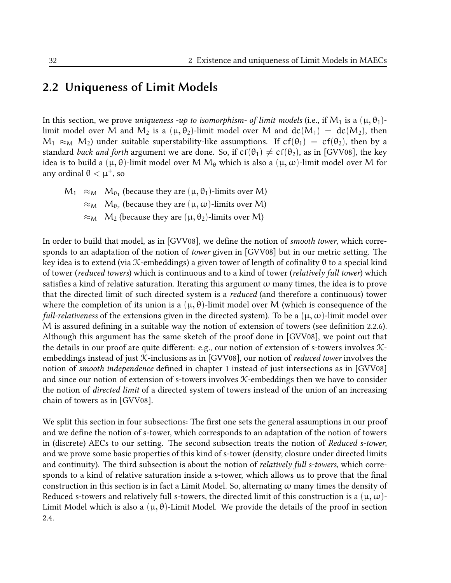### 2.2 Uniqueness of Limit Models

In this section, we prove *uniqueness -up to isomorphism- of limit models* (i.e., if  $M_1$  is a  $(\mu, \theta_1)$ limit model over M and  $M_2$  is a  $(\mu, \theta_2)$ -limit model over M and  $dc(M_1) = dc(M_2)$ , then  $M_1 \approx_M M_2$ ) under suitable superstability-like assumptions. If  $cf(\theta_1) = cf(\theta_2)$ , then by a standard *back and forth* argument we are done. So, if  $cf(\theta_1) \neq cf(\theta_2)$ , as in [GVV08], the key idea is to build a  $(\mu, \theta)$ -limit model over M  $M_{\theta}$  which is also a  $(\mu, \omega)$ -limit model over M for any ordinal  $θ < μ<sup>+</sup>$ , so

$$
M_1 \approx_M M_{\theta_1}
$$
 (because they are  $(\mu, \theta_1)$ -limits over M)  
\n $\approx_M M_{\theta_2}$  (because they are  $(\mu, \omega)$ -limits over M)  
\n $\approx_M M_2$  (because they are  $(\mu, \theta_2)$ -limits over M)

In order to build that model, as in [GVV08], we define the notion of *smooth tower*, which corresponds to an adaptation of the notion of tower given in [GVV08] but in our metric setting. The key idea is to extend (via K-embeddings) a given tower of length of cofinality  $\theta$  to a special kind of tower (reduced towers) which is continuous and to a kind of tower (relatively full tower) which satisfies a kind of relative saturation. Iterating this argument  $\omega$  many times, the idea is to prove that the directed limit of such directed system is a reduced (and therefore a continuous) tower where the completion of its union is a  $(\mu, \theta)$ -limit model over M (which is consequence of the full-relativeness of the extensions given in the directed system). To be a  $(\mu, \omega)$ -limit model over  $M$  is assured defining in a suitable way the notion of extension of towers (see definition 2.2.6). Although this argument has the same sketch of the proof done in [GVV08], we point out that the details in our proof are quite different: e.g., our notion of extension of s-towers involves  $\mathcal{K}$ embeddings instead of just  $K$ -inclusions as in [GVV08], our notion of *reduced tower* involves the notion of smooth independence defined in chapter 1 instead of just intersections as in [GVV08] and since our notion of extension of s-towers involves K-embeddings then we have to consider the notion of directed limit of a directed system of towers instead of the union of an increasing chain of towers as in [GVV08].

We split this section in four subsections: The first one sets the general assumptions in our proof and we define the notion of s-tower, which corresponds to an adaptation of the notion of towers in (discrete) AECs to our setting. The second subsection treats the notion of Reduced s-tower, and we prove some basic properties of this kind of s-tower (density, closure under directed limits and continuity). The third subsection is about the notion of *relatively full s-towers*, which corresponds to a kind of relative saturation inside a s-tower, which allows us to prove that the final construction in this section is in fact a Limit Model. So, alternating  $\omega$  many times the density of Reduced s-towers and relatively full s-towers, the directed limit of this construction is a  $(\mu, \omega)$ -Limit Model which is also a  $(\mu, \theta)$ -Limit Model. We provide the details of the proof in section 2.4.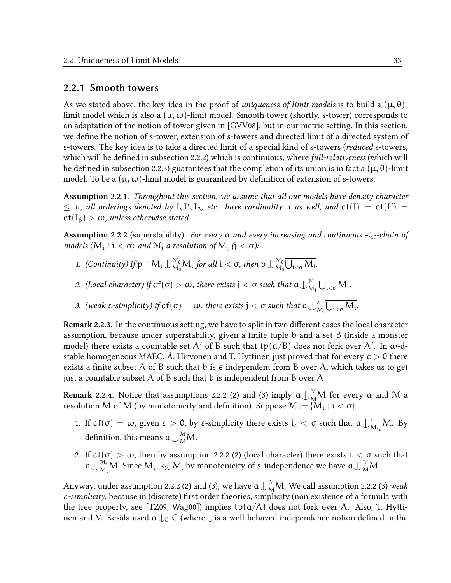#### 2.2.1 Smooth towers

As we stated above, the key idea in the proof of *uniqueness of limit models* is to build a  $(\mu, \theta)$ limit model which is also a  $(\mu, \omega)$ -limit model. Smooth tower (shortly, s-tower) corresponds to an adaptation of the notion of tower given in [GVV08], but in our metric setting. In this section, we define the notion of s-tower, extension of s-towers and directed limit of a directed system of s-towers. The key idea is to take a directed limit of a special kind of s-towers (*reduced* s-towers, which will be defined in subsection 2.2.2) which is continuous, where full-relativeness (which will be defined in subsection 2.2.3) guarantees that the completion of its union is in fact a  $(\mu, \theta)$ -limit model. To be a  $(\mu, \omega)$ -limit model is guaranteed by definition of extension of s-towers.

Assumption 2.2.1. Throughout this section, we assume that all our models have density character  $\leq \mu$ , all orderings denoted by I, I', I<sub> $\beta$ </sub>, etc. have cardinality  $\mu$  as well, and  $cf(I) = cf(I') =$  $cf(I_\beta) > \omega$ , unless otherwise stated.

**Assumption 2.2.2** (superstability). For every a and every increasing and continuous  $\prec_{\mathcal{K}}$ -chain of models  $\langle M_i : i < \sigma \rangle$  and  $M_j$  a resolution of  $M_j$   $(j < \sigma)$ :

- 1. (Continuity) If  $p \restriction M_i \perp_{M_0}^{M_0} M_i$  for all  $i < \sigma$ , then  $p \perp_{M_0}^{M_0}$  $\bigcup_{\alpha\in\mathcal{N}_0}^{\mathbb{M}_0}\bigcup_{\mathfrak{i}<\sigma}\mathcal{M}_\mathfrak{i}.$
- 2. (Local character) if  $cf(\sigma) > \omega$ , there exists  $j < \sigma$  such that  $a \bigcup_{M}^{M_j}$  $\bigcup_{\mathrm{M}_{\mathrm{j}}}^{\mathrm{M}_{\mathrm{j}}} \bigcup_{\mathrm{i<\sigma}} \mathrm{M}_{\mathrm{i}}.$
- 3. (weak ε-simplicity) if  $cf(σ) = ω$ , there exists  $j < σ$  such that  $a \bigcup_{\Lambda}^{\varepsilon}$  $_{\rm M_j}^{\rm g}\bigcup_{\rm i<\sigma}M_{\rm i}.$

Remark 2.2.3. In the continuous setting, we have to split in two different cases the local character assumption, because under superstability, given a finite tuple b and a set B (inside a monster model) there exists a countable set A' of B such that  $\text{tp}(\mathfrak{a}/\mathfrak{B})$  does not fork over A'. In  $\omega$ -dstable homogeneous MAEC, Å. Hirvonen and T. Hyttinen just proved that for every  $\epsilon > 0$  there exists a finite subset A of B such that b is  $\epsilon$  independent from B over A, which takes us to get just a countable subset A of B such that b is independent from B over A

Remark 2.2.4. Notice that assumptions 2.2.2 (2) and (3) imply  $\mathfrak{a}\!\bigcup_{\mathrm{M}}^\mathfrak{M}\!\mathsf{M}$  for every  $\mathfrak a$  and  $\mathfrak M$  a resolution M of M (by monotonicity and definition). Suppose  $\mathcal{M} := \{M_i : i < \sigma\}.$ 

- 1. If  $cf(\sigma) = \omega$ , given  $\varepsilon > 0$ , by  $\varepsilon$ -simplicity there exists  $i_{\varepsilon} < \sigma$  such that  $\alpha \bigcup_{\Lambda}^{\varepsilon}$  $_{M_{i_{\varepsilon}}}^{\varepsilon}$ M. By definition, this means  $\mathfrak{a}\bigcup_{\mathrm{M}}^{\mathrm{M}}\hspace{-0.08cm}\mathsf{M}.$
- 2. If  $cf(\sigma) > \omega$ , then by assumption 2.2.2 (2) (local character) there exists  $i < \sigma$  such that  $a\bigcup_{M_i}^{M_i}M$ . Since  $M_i \prec_{\mathcal{K}} M$ , by monotonicity of s-independence we have  $a\bigcup_{M_i}^{M_i}M$ .

Anyway, under assumption 2.2.2 (2) and (3), we have  $\mathfrak{a}\bigcup^{\mathfrak{M}}\hspace{-0.04cm}M.$  We call assumption 2.2.2 (3) weak ε-simplicity, because in (discrete) first order theories, simplicity (non existence of a formula with the tree property, see [TZ09, Wag00]) implies  $tp(a/A)$  does not fork over A. Also, T. Hyttinen and M. Kesäla used  $a \downarrow_c C$  (where  $\downarrow$  is a well-behaved independence notion defined in the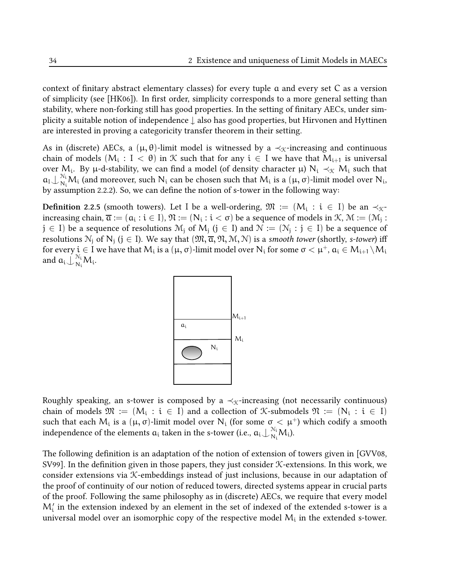context of finitary abstract elementary classes) for every tuple  $\alpha$  and every set  $C$  as a version of simplicity (see [HK06]). In first order, simplicity corresponds to a more general setting than stability, where non-forking still has good properties. In the setting of finitary AECs, under simplicity a suitable notion of independence <sup>↓</sup> also has good properties, but Hirvonen and Hyttinen are interested in proving a categoricity transfer theorem in their setting.

As in (discrete) AECs, a  $(\mu, \theta)$ -limit model is witnessed by a  $\prec_{\mathcal{K}}$ -increasing and continuous chain of models  $(M_i: I < \theta)$  in  $K$  such that for any  $i \in I$  we have that  $M_{i+1}$  is universal over M<sub>i</sub>. By  $\mu$ -d-stability, we can find a model (of density character  $\mu$ ) N<sub>i</sub>  $\prec_{\mathcal{K}} M_i$  such that  $a_1 \nightharpoonup_{N_i}^{N_i} M_i$  (and moreover, such  $N_i$  can be chosen such that  $M_i$  is a  $(\mu, \sigma)$ -limit model over  $N_i$ , by assumption 2.2.2). So, we can define the notion of s-tower in the following way:

**Definition** 2.2.5 (smooth towers). Let I be a well-ordering,  $\mathfrak{M} := (M_i : i \in I)$  be an  $\prec_{\mathfrak{K}}$ increasing chain,  $\overline{\alpha}:=(\alpha_i:i\in I),$   $\mathfrak{N}:=(\mathrm{N}_i:i<\sigma)$  be a sequence of models in  $\mathfrak{K},$   $\mathfrak{M}:=(\mathfrak{M}_j:i<\sigma)$  $j \in I$ ) be a sequence of resolutions  $M_j$  of  $M_j$   $(j \in I)$  and  $\mathcal{N} := (\mathcal{N}_j : j \in I)$  be a sequence of resolutions  $N_j$  of  $N_j$   $(j \in I)$ . We say that  $(\mathfrak{M}, \overline{\alpha}, \mathfrak{N}, \mathfrak{M}, \mathfrak{N})$  is a smooth tower (shortly, s-tower) iff for every  $\mathfrak{i}\in\mathrm{I}$  we have that  $\mathsf{M}_{\mathfrak{i}}$  is a  $(\mu,\sigma)$ -limit model over  $\mathsf{N}_{\mathfrak{i}}$  for some  $\sigma<\mu^+$ ,  $\mathfrak{a}_\mathfrak{i}\in\mathsf{M}_{\mathfrak{i}+1}\setminus\mathsf{M}_{\mathfrak{i}}$ and  $a_i \dot{\bigcup}_{N_i}^{N_i} M_i$ .



Roughly speaking, an s-tower is composed by a  $\prec_{\mathcal{K}}$ -increasing (not necessarily continuous) chain of models  $\mathfrak{M} := (M_i : i \in I)$  and a collection of K-submodels  $\mathfrak{N} := (N_i : i \in I)$ such that each  $M_i$  is a  $(\mu, \sigma)$ -limit model over  $N_i$  (for some  $\sigma < \mu^+$ ) which codify a smooth independence of the elements  $a_i$  taken in the s-tower (i.e.,  $a_i\!\downarrow_{N_i}^{N_i}\!\!M_i$ ).

The following definition is an adaptation of the notion of extension of towers given in  $\left[\text{GVV08},\right]$ SV99]. In the definition given in those papers, they just consider  $K$ -extensions. In this work, we consider extensions via K-embeddings instead of just inclusions, because in our adaptation of the proof of continuity of our notion of reduced towers, directed systems appear in crucial parts of the proof. Following the same philosophy as in (discrete) AECs, we require that every model  $\mathsf{M}_\mathsf{i}'$  in the extension indexed by an element in the set of indexed of the extended s-tower is a universal model over an isomorphic copy of the respective model  $\mathsf{M}_{\mathfrak{i}}$  in the extended s-tower.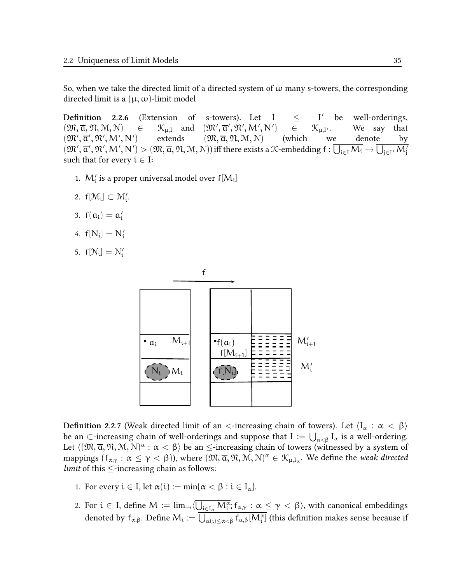So, when we take the directed limit of a directed system of  $\omega$  many s-towers, the corresponding directed limit is a  $(\mu, \omega)$ -limit model

**Definition** 2.2.6 (Extension of s-towers). Let  $I \leq$ I' be well-orderings,  $(\mathfrak{M}, \overline{\alpha}, \mathfrak{N}, \mathcal{M}, \mathcal{N}) \in \mathcal{K}_{\mu, I}$  and  $(\mathfrak{M}', \overline{\alpha}', \mathfrak{N}', \mathcal{M}', \mathcal{N}'$  $\in$   $\mathcal{K}_{\mu,\mathbf{I'}}$ . We say that  $(\mathfrak{M}', \overline{\mathfrak{a}}', \mathfrak{N}', \mathsf{M}', \mathsf{N}'$ ) extends  $(\mathfrak{M}, \overline{\mathfrak{a}}, \mathfrak{N}, \mathfrak{M}, \mathfrak{N})$  (which we denote by  $(\mathfrak{M}', \overline{\mathfrak{a}}', \mathfrak{N}', \mathsf{M}', \mathsf{N}') > (\mathfrak{M}, \overline{\mathfrak{a}}, \mathfrak{N}, \mathfrak{N}, \mathfrak{N}))$  iff there exists a  $\mathcal{K}$ -embedding  $f : \overline{\bigcup_{i \in I} M_i} \to \overline{\bigcup_{j \in I'} M_j'}$ such that for every  $i \in I$ :

- 1.  $M'_i$  is a proper universal model over  $f[M_i]$
- 2.  $f[\mathcal{M}_i] \subset \mathcal{M}'_i$ .
- 3.  $f(a_i) = a'_i$
- 4.  $f[N_i] = N'_i$
- 5.  $f[N_i] = N'_i$



**Definition 2.2.7** (Weak directed limit of an  $\lt$ -increasing chain of towers). Let  $\langle I_{\alpha} : \alpha \lt \beta \rangle$ be an ⊂-increasing chain of well-orderings and suppose that  $\mathrm{I}:=\bigcup_{\alpha<\beta}\mathrm{I}_\alpha$  is a well-ordering. Let  $\langle (\mathfrak{M},\overline{a},\mathfrak{N},\mathfrak{M},\mathfrak{N})^{\alpha}:\alpha<\beta\rangle$  be an  $\leq$ -increasing chain of towers (witnessed by a system of mappings  $(f_{\alpha,\gamma}:\alpha\leq\gamma<\beta)$ ), where  $(\mathfrak{M},\overline{\alpha},\mathfrak{N},\mathfrak{M},\mathfrak{N})^{\alpha}\in\mathfrak{K}_{\mu,\mathrm{I}_{\alpha}}.$  We define the *weak directed limit* of this  $\leq$ -increasing chain as follows:

- 1. For every  $i \in I$ , let  $\alpha(i) := \min\{\alpha < \beta : i \in I_\alpha\}.$
- 2. For  $i ∈ I$ , define  $M := \lim_{\to \langle \bigcup_{i ∈ I_{\alpha}} M_i^{\overline{\alpha}}; f_{\alpha, \gamma} : \alpha ≤ \gamma < \beta \rangle$ , with canonical embeddings denoted by  $f_{\alpha,\beta}.$  Define  $M_i:=\overline{\bigcup_{\alpha(i)\leq \alpha<\beta}f_{\alpha,\beta}[M_i^\alpha]}$  (this definition makes sense because if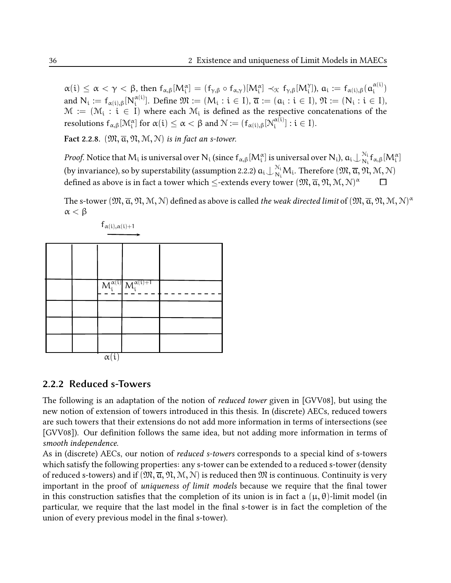$\alpha(i) \leq \alpha < \gamma < \beta$ , then  $f_{\alpha,\beta}[M_i^{\alpha}] = (f_{\gamma,\beta} \circ f_{\alpha,\gamma})[M_i^{\alpha}] \prec_{\mathcal{K}} f_{\gamma,\beta}[M_i^{\gamma}],$   $a_i := f_{\alpha(i),\beta}(\alpha_i^{\alpha(i)})$  $\binom{\alpha(1)}{i}$ and  $N_i := f_{\alpha(i),\beta}[N_i^{\alpha(i)}]$  $\mathbb{R}^{(\alpha(i))}_{i}$ . Define  $\mathfrak{M} := (M_i : i \in I), \overline{\mathfrak{a}} := (\mathfrak{a}_i : i \in I), \mathfrak{N} := (N_i : i \in I),$  $\mathcal{M} := (\mathcal{M}_i : \widetilde{\mathcal{X}} \in I)$  where each  $\mathcal{M}_i$  is defined as the respective concatenations of the resolutions  $f_{\alpha,\beta}[{\mathcal M}_\mathfrak i^\alpha]$  for  $\alpha(\mathfrak i)\le\alpha<\beta$  and  ${\mathcal N}:=(f_{\alpha(\mathfrak i),\beta}[{\mathcal N}_\mathfrak i^{\alpha(\mathfrak i)}]$  $\left[\begin{smallmatrix} \alpha(1) \\ i \end{smallmatrix}\right]$ :  $i \in I$ ).

Fact 2.2.8.  $(\mathfrak{M}, \overline{\alpha}, \mathfrak{N}, \mathfrak{M}, \mathfrak{N})$  is in fact an s-tower.

*Proof.* Notice that  $M_i$  is universal over  $N_i$  (since  $f_{\alpha,\beta}[M_i^\alpha]$  is universal over  $N_i$ ),  $\mathfrak{a}_i\!\downarrow_{N_i}^{N_i}$  $N_i \over N_i f_{\alpha,\beta} [M_i^{\alpha}]$ (by invariance), so by superstability (assumption 2.2.2)  $a_i\!\cup_{N_i}^{N_i}\!M_i.$  Therefore  $(\mathfrak{M},\overline{\mathfrak{a}},\mathfrak{N},\mathfrak{M},\mathfrak{N})$ defined as above is in fact a tower which  $\leq$ -extends every tower  $(\mathfrak{M},\overline{\alpha},\mathfrak{N},\mathfrak{M},\mathbb{N})^{\alpha}$ 

The s-tower  $(\mathfrak{M},\overline{\alpha},\mathfrak{N},\mathfrak{M},\mathbb{N})$  defined as above is called *the weak directed limit* of  $(\mathfrak{M},\overline{\alpha},\mathfrak{N},\mathfrak{M},\mathbb{N})^{\alpha}$ α < β



```
f_{\alpha(i),\alpha(i)+1}
```
#### 2.2.2 Reduced s-Towers

The following is an adaptation of the notion of *reduced tower* given in [GVV08], but using the new notion of extension of towers introduced in this thesis. In (discrete) AECs, reduced towers are such towers that their extensions do not add more information in terms of intersections (see [GVV08]). Our definition follows the same idea, but not adding more information in terms of smooth independence.

As in (discrete) AECs, our notion of reduced s-towers corresponds to a special kind of s-towers which satisfy the following properties: any s-tower can be extended to a reduced s-tower (density of reduced s-towers) and if  $(\mathfrak{M}, \overline{\alpha}, \mathfrak{N}, \mathcal{M}, \mathcal{N})$  is reduced then  $\mathfrak{M}$  is continuous. Continuity is very important in the proof of *uniqueness of limit models* because we require that the final tower in this construction satisfies that the completion of its union is in fact a  $(\mu, \theta)$ -limit model (in particular, we require that the last model in the final s-tower is in fact the completion of the union of every previous model in the final s-tower).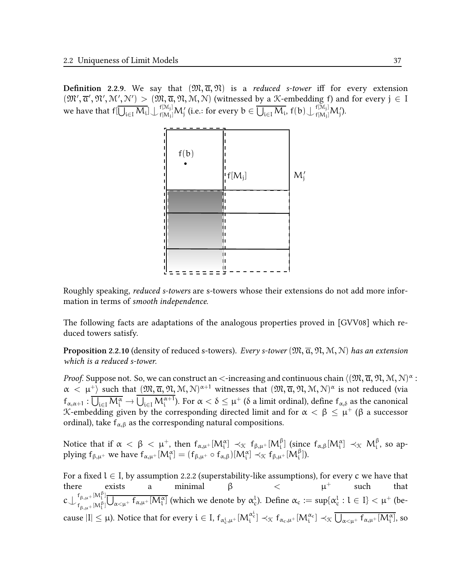**Definition** 2.2.9. We say that  $(\mathfrak{M}, \overline{a}, \mathfrak{N})$  is a *reduced s-tower* iff for every extension  $(\mathfrak{M}', \overline{\mathfrak{a}}', \mathfrak{N}', \mathfrak{N}'') > (\mathfrak{M}, \overline{\mathfrak{a}}, \mathfrak{N}, \mathfrak{N}, \mathfrak{N})$  (witnessed by a X-embedding f) and for every  $j \in I$ we have that  $\mathsf{f}[\overline{\bigcup_{\mathfrak{i}\in \mathcal{I}}\mathcal{M}_{\mathfrak{i}}}] \bigcup \mathsf{f}^{[\mathcal{M}_\mathfrak{j}]}_{\mathsf{f}[\mathcal{M}_\mathfrak{j}]}$  $f^{[{\cal M}_\mathrm{j}]}_{\mathsf{f}[{\cal M}_\mathrm{j}']}\mathsf{M}_\mathrm{j}'$  (i.e.: for every  $\mathrm{b}\in\overline{\bigcup_{\mathrm{i}\in \mathrm{I}}{\cal M}_\mathrm{i}},$   $\mathrm{f}(\mathrm{b})\!\bigcup\!\frac{f^{[{\cal M}_\mathrm{j}]}_{\mathsf{j}[{\cal M}_\mathrm{j}]}$  $f[M_j]M_j^{\prime}$ ).



Roughly speaking, reduced s-towers are s-towers whose their extensions do not add more information in terms of smooth independence.

The following facts are adaptations of the analogous properties proved in [GVV08] which reduced towers satisfy.

**Proposition 2.2.10** (density of reduced s-towers). Every s-tower  $(\mathfrak{M}, \overline{\alpha}, \mathfrak{N}, \mathfrak{N}, \mathfrak{N})$  has an extension which is a reduced s-tower.

*Proof.* Suppose not. So, we can construct an  $<$ -increasing and continuous chain  $\langle ( \mathfrak{M}, \overline{\alpha}, \mathfrak{N}, \mathfrak{M}, \mathfrak{N})^{\alpha}$  :  $\alpha < \mu^+$ ) such that  $(\mathfrak{M}, \overline{\alpha}, \mathfrak{N}, \mathcal{M}, \mathcal{N})^{\alpha+1}$  witnesses that  $(\mathfrak{M}, \overline{\alpha}, \mathfrak{N}, \mathcal{M}, \mathcal{N})^{\alpha}$  is not reduced (via  $f_{\alpha,\alpha+1}: \overline{U_{i\in I} M_i^{\alpha}} \to \overline{U_{i\in I} M_i^{\alpha+1}}$ ). For  $\alpha < \delta \leq \mu^+$  ( $\delta$  a limit ordinal), define  $f_{\alpha,\delta}$  as the canonical K-embedding given by the corresponding directed limit and for  $\alpha < \beta \leq \mu^+$  ( $\beta$  a successor ordinal), take  $f_{\alpha,\beta}$  as the corresponding natural compositions.

Notice that if  $\alpha < \beta < \mu^+$ , then  $f_{\alpha,\mu^+}[M_i^\alpha] \prec_{\mathfrak{K}} f_{\beta,\mu^+}[M_i^\beta]$  (since  $f_{\alpha,\beta}[M_i^\alpha] \prec_{\mathfrak{K}} M_i^\beta$ , so applying  $f_{\beta,\mu^+}$  we have  $f_{\alpha,\mu^+}[M_i^{\alpha}] = (f_{\beta,\mu^+} \circ f_{\alpha,\beta})[M_i^{\alpha}] \prec_{\mathcal{K}} f_{\beta,\mu^+}[M_i^{\beta}]).$ 

For a fixed  $l \in I$ , by assumption 2.2.2 (superstability-like assumptions), for every  $c$  we have that there exists a minimal β  $\lt \t \mu^+$  such that  $c\bigcup_{f}^{f_{\beta,\mu}+[M_1^{\beta}]}$  $f_{\beta,\mu^+}{}^{|\mathcal{M}^{\mathcal{V}}_1|}\overline{\bigcup_{\alpha<\mu^+}f_{\alpha,\mu^+}[M^{\alpha}_1]}$  (which we denote by  $\alpha^l_c$ ). Define  $\alpha_c:=\sup\{\alpha^l_c: l\in I\}<\mu^+$  (because  $|I| \leq \mu$ ). Notice that for every  $i \in I$ ,  $f_{\alpha_c^i, \mu^+}[M_i^{\alpha_c^i}] \prec_{\mathfrak{X}} f_{\alpha_c, \mu^+}[M_i^{\alpha_c}] \prec_{\mathfrak{X}} \overline{\bigcup_{\alpha < \mu^+} f_{\alpha, \mu^+}[M_i^{\alpha}]},$  so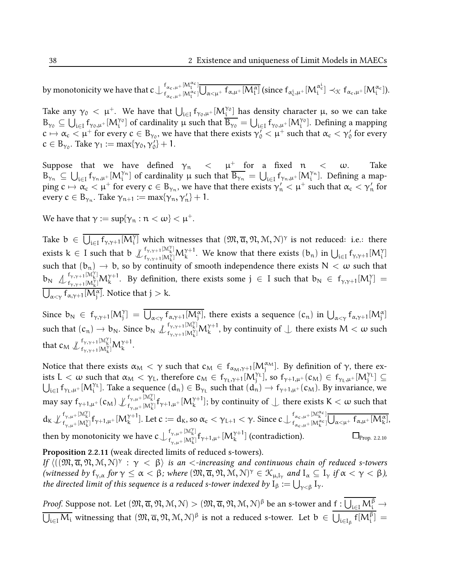by monotonicity we have that  $\mathsf{c}\!\bigcup_{\mathsf{f}}^{\mathsf{f}_{\alpha_{\mathsf{c}},\mathsf{u}}+[\mathsf{M}^{\alpha_{\mathsf{c}}}_\mathsf{t}]}$  $f_{\alpha_c,\mu^+[M_1^{\alpha_c}]}^{\{f_{\alpha_c,\mu^+[M_1^{\alpha_c}}]}\overline{\bigcup_{\alpha<\mu^+}f_{\alpha,\mu^+}[M_1^{\alpha}]}\text{ (since }f_{\alpha_c^i,\mu^+}[M_i^{\alpha_c^i}]\prec_{\mathfrak{K}}f_{\alpha_c,\mu^+}[M_i^{\alpha_c}]).$ 

Take any  $\gamma_0 < \mu^+$ . We have that  $\bigcup_{i \in I} f_{\gamma_0,\mu^+}[M_{\underline{i}}^{\gamma_0}]$  has density character  $\mu$ , so we can take  $B_{\gamma_0} \subseteq \bigcup_{i \in I} f_{\gamma_0,\mu^+}[M_i^{\gamma_0}]$  of cardinality  $\mu$  such that  $\overline{B_{\gamma_0}} = \bigcup_{i \in I} f_{\gamma_0,\mu^+}[M_i^{\gamma_0}]$ . Defining a mapping  $c \mapsto \alpha_c < \mu^+$  for every  $c \in B_{\gamma_0}$ , we have that there exists  $\gamma_0^{\gamma} < \mu^+$  such that  $\alpha_c < \gamma_0^{\gamma}$  for every  $c \in B_{\gamma_0}$ . Take  $\gamma_1 := \max{\gamma_0, \gamma_0'} + 1$ .

Suppose that we have defined  $\gamma_n \leq \mu^+$  for a fixed  $n \leq \omega$ . Take  $B_{\gamma_n} \subseteq \bigcup_{i \in I} f_{\gamma_n,\mu^+}[M_i^{\gamma_n}]$  of cardinality  $\mu$  such that  $\overline{B_{\gamma_n}} = \bigcup_{i \in I} f_{\gamma_n,\mu^+}[M_i^{\gamma_n}]$ . Defining a mapping  $c \mapsto \alpha_c < \mu^+$  for every  $c \in B_{\gamma_n}$ , we have that there exists  $\gamma'_n < \mu^+$  such that  $\alpha_c < \gamma'_n$  for every  $c \in B_{\gamma_n}$ . Take  $\gamma_{n+1} := \max\{\gamma_n, \gamma'_n\} + 1$ .

We have that  $\gamma:=\sup\{\gamma_n:n<\omega\}<\mu^+.$ 

Take  $b \in \overline{\bigcup_{i \in I} f_{\gamma, \gamma+1}[M_i^{\gamma}]}$  which witnesses that  $(\mathfrak{M}, \overline{\alpha}, \mathfrak{N}, \mathcal{M}, \mathcal{N})^{\gamma}$  is not reduced: i.e.: there exists  $k \in I$  such that  $b \nightharpoonup_{f_{k(\alpha)+1}[M]}^{f_{\gamma,\gamma+1}[M_{k}^{\gamma}]}$  $f_{\gamma,\gamma+1}[M^{\gamma}_{k}]M^{\gamma+1}_{k}$ . We know that there exists  $(b_n)$  in  $\bigcup_{i\in I} f_{\gamma,\gamma+1}[M^{\gamma}_{i}]$ such that  $(b_n) \to b$ , so by continuity of smooth independence there exists  $N < \omega$  such that  $b_N \nightharpoonup_{f_{\gamma,\gamma+1}[M^{\gamma}_k]}^{f_{\gamma,\gamma+1}[M^{\gamma}_k]}$  $f_{\gamma,\gamma+1}[M^{\gamma}_{k}]M^{\gamma+1}_{k}$ . By definition, there exists some  $j\in I$  such that  $b_{N}\in f_{\gamma,\gamma+1}[M^{\gamma}_{j}]=0$  $\bigcup_{\alpha < \gamma} f_{\alpha, \gamma + 1} [M_j^{\alpha}]$ . Notice that  $j > k$ .

Since  $b_N \in f_{\gamma,\gamma+1}[M_j^{\gamma}] = \overline{\bigcup_{\alpha < \gamma} f_{\alpha,\gamma+1}[M_j^{\alpha}]}$ , there exists a sequence  $(c_n)$  in  $\bigcup_{\alpha < \gamma} f_{\alpha,\gamma+1}[M_j^{\alpha}]$ such that  $(c_n) \to b_N$ . Since  $b_N \n\downarrow_{f_{\gamma,\gamma+1}[M_k^{\gamma}]}^{f_{\gamma,\gamma+1}[M_k^{\gamma}]}$  $f_{\gamma,\gamma+1}[{\cal M}_k^\gamma] {\cal M}_k^{\gamma+1},$  by continuity of  $\bigcup$  there exists  ${\cal M}<\omega$  such that  $c_M \nsubseteq_{f_{\text{total}}}[M^{\gamma}_{\text{N}}]$  $f_{\gamma,\gamma+1}^{[{\cal M}'_k]}M_k^{\gamma+1}.$ <br> $f_{\gamma,\gamma+1}^{[{\cal M}'_k]}M_k^{\gamma+1}.$ 

Notice that there exists  $\alpha_M < \gamma$  such that  $c_M \in f_{\alpha_M,\gamma+1}[M_j^{\alpha_M}]$ . By definition of  $\gamma$ , there exists  $L < \omega$  such that  $\alpha_M < \gamma_L$ , therefore  $c_M \in f_{\gamma_L, \gamma+1}[M_j^{\gamma_L}]$ , so  $f_{\gamma+1, \mu^+}(c_M) \in f_{\gamma_L, \mu^+}[M_j^{\gamma_L}] \subseteq$  $\bigcup_{i\in I} f_{\gamma_L,\mu^+}[M_i^{\gamma_L}]$ . Take a sequence  $(d_n) \in B_{\gamma_L}$  such that  $(d_n) \to f_{\gamma+1,\mu^+}(c_M)$ . By invariance, we may say  $f_{\gamma+1,\mu^+}(c_M) \not\downarrow_{f_{\gamma+\mu^+}[\mathcal{M}^{\gamma}_k]}^{f_{\gamma,\mu^+}[\mathcal{M}^{\gamma}_k]}$  $f_{\gamma,\mu^+[\mathsf{M}_\mathsf{K}^\gamma]}^{t_{\gamma,\mu^+[\mathsf{M}_\mathsf{K}^\gamma]}f_{\gamma+1,\mu^+}[\mathsf{M}_\mathsf{K}^{\gamma+1}];$  by continuity of  $\bot$  there exists  $\mathsf{K}<\omega$  such that  $d_K \nsubseteq_{f}^{f_{\gamma,\mu}+[M^\gamma_k]}$  $f_{\gamma,\mu^+}[\mathcal{M}^{\gamma}_{\mathbf{k}}]$ <br>  $f_{\gamma,\mu^+}[\mathcal{M}^{\gamma}_{\mathbf{k}}]$ <br>  $f_{\gamma,\mu^+}[\mathcal{M}^{\gamma+1}_{\mathbf{k}}]$ . Let  $c := d_{\mathbf{k}}$ , so  $\alpha_c < \gamma_{L+1} < \gamma$ . Since  $c \bigcup_{f_{\alpha_c,\mu^+}[\mathcal{M}^{\alpha_c}_{\mathbf{k}}]}\nvert_{\mathcal{M}^{\alpha_c}_{\mathbf{k}}}$  $f_{\alpha_c,\mu^+ [M_k^{\alpha_c}]}^{\alpha_c,\mu^+ [J N_k^{\alpha_c}]} \overline{U_{\alpha<\mu^+}} f_{\alpha,\mu^+}^{\alpha} [M_k^{\alpha}],$ then by monotonicity we have  $c \bigcup_{f}^{f_{\gamma,\mu}+[M^{\gamma}_{k}]}$  $f_{\gamma,\mu^+}^{(\gamma,\mu^+[\mathcal{M}_\mathcal{K}^{\vee}]}\,f_{\gamma+1,\mu^+}[M_\mathcal{K}^{\gamma+1}]$  (contradiction).  $\qquad \qquad \Box_{\text{Prop. 2.2.10}}$ 

Proposition 2.2.11 (weak directed limits of reduced s-towers).

If  $\langle ((\mathfrak{M}, \overline{\alpha}, \mathfrak{N}, \mathfrak{M}, \mathfrak{N})^{\gamma}:\gamma<\beta\rangle$  is an  $<$ -increasing and continuous chain of reduced s-towers (witnessed by  $f_{\gamma,\alpha}$  for  $\gamma\leq\alpha<\beta$ ; where  $(\mathfrak{M},\overline{\alpha},\mathfrak{N},\mathfrak{N},\mathfrak{N})^{\gamma}\in\mathfrak{K}_{\mu,\mathrm{I}_{\gamma}}$  and  $\mathrm{I}_{\alpha}\subseteq\mathrm{I}_{\gamma}$  if  $\alpha<\gamma<\beta$ ), the directed limit of this sequence is a reduced s-tower indexed by  $\rm I_\beta:=\bigcup_{\gamma<\beta}I_\gamma.$ 

*Proof.* Suppose not. Let  $(\mathfrak{M},\overline{a},\mathfrak{N},\mathcal{M},\mathcal{N}) > (\mathfrak{M},\overline{a},\mathfrak{N},\mathcal{M},\mathcal{N})^{\beta}$  be an s-tower and  $\underline{f: \bigcup_{i\in I} M_i^{\beta}} \to$  $\overline{\bigcup_{i\in I}{\cal M}_i}$  witnessing that  $({\frak M},\overline{\alpha},{\frak N},{\frak M},{\frak N})^{\beta}$  is not a reduced s-tower. Let  ${\frak b}\,\in\,\bigcup_{i\in I_{\beta}}\,{\sf f}[{\cal M}^{\beta}_i]\,=\,$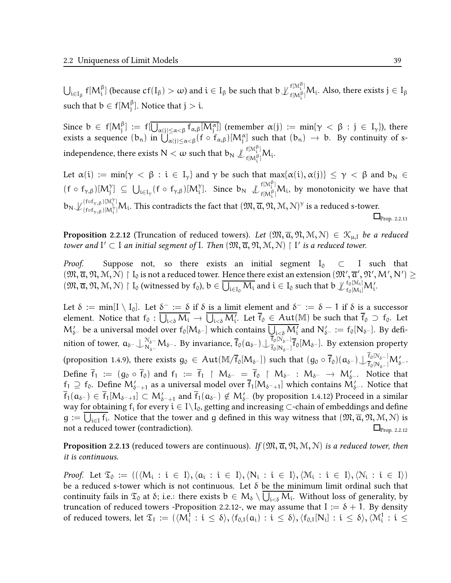$\bigcup_{\mathfrak{i}\in I_{\beta}}\mathsf{f}[M_{\mathfrak{i}}^{\beta}]$  (because  $\mathsf{cf}(I_{\beta})>\omega)$  and  $\mathfrak{i}\in I_{\beta}$  be such that  $\mathfrak{b}\bigcup_{\mathfrak{f}[M_{\mathfrak{i}}^{\beta}]}^{\mathfrak{f}[M_{\mathfrak{i}}^{\beta}]}$  $\int_{f[M_i^{\beta}]}^{f[M_i]} M_i$ . Also, there exists  $j \in I_{\beta}$ such that  $b \in f[M_j^{\beta}].$  Notice that  $j > i.$ 

Since  $b \in f[M_j^{\beta}] := f[\overline{U_{\alpha(j) \leq \alpha < \beta} f_{\alpha,\beta}[M_j^{\alpha}]]}$  (remember  $\alpha(j) := \min\{\gamma < \beta : j \in I_{\gamma}\}\)$ , there exists a sequence  $(b_n)$  in  $\bigcup_{\alpha(j)\leq\alpha<\beta}^{\infty}(f\circ f_{\alpha,\beta})[M_j^{\alpha}]$  such that  $(b_n)\to b$ . By continuity of sindependence, there exists  $\mathsf{N}<\omega$  such that  $\mathsf{b}_\mathsf{N}\not\downarrow\widehat{f}_{\mathsf{f}(\mathsf{M})^{\beta_1}}^{f[\mathsf{M}]^{\beta_1}}$  $\int_{f[M_i^{\beta}]}^{f[M_i^{\beta}]} M_i.$ 

Let  $\alpha(i) := \min\{\gamma \leq \beta : i \in I_{\gamma}\}\$  and  $\gamma$  be such that  $\max\{\alpha(i), \alpha(j)\} \leq \gamma \leq \beta$  and  $b_N \in$  $(f \circ f_{\gamma,\beta})[M_j^{\gamma}] \subseteq \bigcup_{i \in I_{\gamma}} (f \circ f_{\gamma,\beta})[M_i^{\gamma}]$ . Since  $b_N \nsubseteq_{f[M_i^{\beta}]}^{f[M_i^{\beta}]}$  $f[N_{\mathfrak{t}}^{[N_{\mathfrak{t}}]}M_{\mathfrak{t}}]$ , by monotonicity we have that  $b_N \mathcal{L}_{\text{(fof}_N, \beta)}^{(\text{fof}_{\gamma, \beta})[\mathcal{M}_i^{\gamma}]}$  $(\bigcap_{(f \circ f_{\gamma,\beta}) \in [M_i^{\gamma}]} M_i$ . This contradicts the fact that  $(\mathfrak{M}, \overline{\alpha}, \mathfrak{N}, \mathfrak{M}, \mathfrak{N})^{\gamma}$  is a reduced s-tower.  $\Box$ Prop. 2.2.11

**Proposition 2.2.12** (Truncation of reduced towers). Let  $(\mathfrak{M}, \overline{\alpha}, \mathfrak{N}, \mathfrak{M}, \mathfrak{N}) \in \mathcal{K}_{\mu, \mathfrak{l}}$  be a reduced tower and  $I' \subset I$  an initial segment of I. Then  $(\mathfrak{M}, \overline{\alpha}, \mathfrak{N}, \mathfrak{M}, \mathfrak{N}) \restriction I'$  is a reduced tower.

*Proof.* Suppose not, so there exists an initial segment  $I_0 \subset I$  such that  $( \mathfrak{M}, \overline{\alpha}, \mathfrak{N}, \mathfrak{M}, \mathfrak{N} )\restriction I_0$  is not a reduced tower. Hence there exist an extension  $(\mathfrak{M}', \overline{\alpha}', \mathfrak{N}', \mathsf{M}', \mathsf{N}')\geq 0$  $(\mathfrak{M}, \overline{\alpha}, \mathfrak{N}, \mathfrak{M}, \mathfrak{N}) \restriction I_0$  (witnessed by  $f_0$ ),  $b \in \overline{\bigcup_{i \in I_0} M_i}$  and  $i \in I_0$  such that  $b \downarrow_{f_0[M_i]}^{f_0[M_i]}$  $_{\rm f_0[M_i]}^{\rm r_0[M_i]}{\rm M}_i'.$ 

Let  $\delta := \min[I \setminus I_0]$ . Let  $\underline{\delta^-} := \delta$  if  $\delta$  is a limit element and  $\delta^- := \delta - 1$  if  $\delta$  is a successor element. Notice that  $f_0$  :  $\bigcup_{i < \delta} M_i \to \bigcup_{i < \delta} M_i'$ . Let  $\overline{f}_0 \in Aut(\mathbb{M})$  be such that  $\overline{f}_0 \supset f_0$ . Let  $M'_{\delta^-}$  be a universal model over  $f_0[M_{\delta^-}]$  which contains  $\overline{\bigcup_{i<\delta}M'_i}$  and  $N'_{\delta^-}:=f_0[N_{\delta^-}].$  By definition of tower,  $\mathfrak{a}_{\delta^-}\!\cup\!\mathop{N_{\delta^-}\atop N_{\delta^-}}\limits^{\mathcal{N}_{\delta^-}\!} \mathcal{M}_{\delta^-}.$  By invariance,  $\overline{f}_0(\mathfrak{a}_{\delta^-})\!\cup\!\mathop{f_0\lbrack N_{\delta^-}\rbrack}^{\mathsf{f}_0\lbrack N_{\delta^-}\rbrack}$  $\frac{f_0[\mathcal{N}_\delta-]}{f_0[\mathcal{N}_{\delta-}]} f_0[M_{\delta^-}].$  By extension property (proposition 1.4.9), there exists  $g_0 \in Aut(M/\overline{f}_0[M_{\delta^-}])$  such that  $(g_0 \circ \overline{f}_0)(a_{\delta^-}) \cup \frac{\overline{f}_0[N_{\delta^-}]}{\overline{f}_0[N_{\delta^-}]}M'_{\delta^-}.$ Define  $\overline{f}_1 := (g_0 \circ \overline{f}_0)$  and  $f_1 := \overline{f}_1 \upharpoonright M_{\delta^-} = \overline{f}_0 \upharpoonright M_{\delta^-} : M_{\delta^-} \to M'_{\delta^-}$ . Notice that  $f_1 \supseteq f_0$ . Define  $M'_{\delta^-+1}$  as a universal model over  $\overline{f}_1[M_{\delta^-+1}]$  which contains  $M'_{\delta^-}$ . Notice that  $\overline{f}_1(\mathfrak{a}_{\delta^-}) \in \overline{f}_1[\mathsf{M}_{\delta^-+1}] \subset \mathsf{M}'_{\delta^-+1}$  and  $\overline{f}_1(\mathfrak{a}_{\delta^-}) \notin \mathsf{M}'_{\delta^-}$  (by proposition 1.4.12) Proceed in a similar way for obtaining  $f_i$  for every  $i \in I\setminus I_0$ , getting and increasing  $\subset$ -chain of embeddings and define  $g := \overline{\bigcup_{i \in I} f_i}$ . Notice that the tower and g defined in this way witness that  $(\mathfrak{M}, \overline{\alpha}, \mathfrak{N}, \mathfrak{M}, \mathcal{N})$  is not a reduced tower (contradiction).  $\Box_{\text{Prop. 2.2.12}}$ 

**Proposition 2.2.13** (reduced towers are continuous). If  $(\mathfrak{M}, \overline{a}, \mathfrak{N}, \mathfrak{M}, \mathfrak{N})$  is a reduced tower, then it is continuous.

*Proof.* Let  $\mathfrak{T}_0 := ((\langle M_i : i \in I \rangle, \langle a_i : i \in I \rangle, \langle N_i : i \in I \rangle, \langle M_i : i \in I \rangle, \langle N_i : i \in I \rangle))$ be a reduced s-tower which is not continuous. Let  $\delta$  be the minimum limit ordinal such that continuity fails in  $\mathfrak{T}_0$  at  $\delta$ ; i.e.: there exists  $\mathfrak{b}\in M_\delta\setminus\bigcup_{\mathfrak{i}<\delta}M_\mathfrak{i}.$  Without loss of generality, by truncation of reduced towers -Proposition 2.2.12-, we may assume that  $I := \delta + 1$ . By density of reduced towers, let  $\mathfrak{T}_1 := (\langle M^1_i : i \leq \delta \rangle, \langle f_{0,1}(\mathfrak{a_i}) : i \leq \delta \rangle, \langle f_{0,1}[N_i] : i \leq \delta \rangle, \langle \mathcal{M}^1_i : i \leq$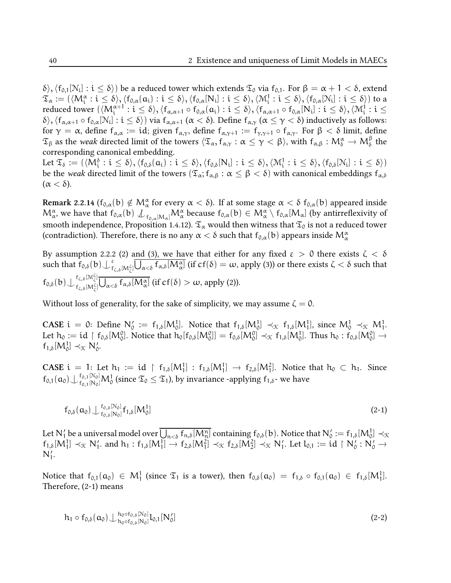δ $\rangle,\langle f_{0,1}[N_i]:i\leq\delta\rangle)$  be a reduced tower which extends  $\mathfrak{T}_0$  via  $f_{0,1}.$  For  $\beta=\alpha+1<\delta,$  extend  $\mathfrak{T}_{\alpha} := (\langle M^{\alpha}_{\mathfrak{i}} : \mathfrak{i} \leq \delta \rangle, \langle f_{0, \alpha}(\mathfrak{a}_{\mathfrak{i}}) : \mathfrak{i} \leq \delta \rangle, \langle f_{0, \alpha}[N_{\mathfrak{i}}] : \mathfrak{i} \leq \delta \rangle, \langle M^1_{\mathfrak{i}} : \mathfrak{i} \leq \delta \rangle, \langle f_{0, \alpha}[N_{\mathfrak{i}}] : \mathfrak{i} \leq \delta \rangle)$  to a  $\text{reduced tower }(\langle\mathsf{M}_{\mathfrak{i}}^{\alpha+1}:\mathfrak{i}\leq \delta\rangle,\langle\mathfrak{f}_{\alpha,\alpha+1}\circ\mathfrak{f}_{0,\alpha}(\mathfrak{a}_{\mathfrak{i}}):\mathfrak{i}\leq \delta\rangle,\langle\mathfrak{f}_{\alpha,\alpha+1}\circ\mathfrak{f}_{0,\alpha}[\mathsf{N}_{\mathfrak{i}}]:\mathfrak{i}\leq \delta\rangle,\langle\mathfrak{M}_{\mathfrak{i}}^1:\mathfrak{i}\leq$  $\{\delta\},\langle f_{\alpha,\alpha+1}\circ f_{0,\alpha}[N_i]:i\leq \delta\rangle)$  via  $f_{\alpha,\alpha+1}$  (α  $<\delta$ ). Define  $f_{\alpha,\gamma}$  (α  $\leq \gamma < \delta$ ) inductively as follows: for  $\gamma = \alpha$ , define  $f_{\alpha,\alpha} := id$ ; given  $f_{\alpha,\gamma}$ , define  $f_{\alpha,\gamma+1} := f_{\gamma,\gamma+1} \circ f_{\alpha,\gamma}$ . For  $\beta < \delta$  limit, define  $\mathfrak{T}_{\beta}$  as the weak directed limit of the towers  $\langle \mathfrak{T}_{\alpha}, f_{\alpha,\gamma} : \alpha \leq \gamma < \beta \rangle$ , with  $f_{\alpha,\beta} : \mathcal{M}_{\delta}^{\alpha} \to \mathcal{M}_{\delta}^{\beta}$  the corresponding canonical embedding.

 $\mathrm{Let} \ \mathfrak{T}_\delta := (\langle M_i^\delta : i \leq \delta \rangle, \langle \mathsf{f}_{0,\delta}(\mathfrak{a_i}) : i \leq \delta \rangle, \langle \mathsf{f}_{0,\delta}[\mathrm{N_i}] : i \leq \delta \rangle, \langle \mathfrak{M}_i^1 : i \leq \delta \rangle, \langle \mathsf{f}_{0,\delta}[\mathrm{N_i}] : i \leq \delta \rangle)$ be the weak directed limit of the towers  $(\mathfrak{T}_{\alpha}; f_{\alpha,\beta} : \alpha \leq \beta < \delta)$  with canonical embeddings  $f_{\alpha,\delta}$  $(\alpha < \delta)$ .

Remark 2.2.14 (f<sub>0,α</sub>(b)  $\notin M_{\alpha}^{\alpha}$  for every  $\alpha < \delta$ ). If at some stage  $\alpha < \delta$  f<sub>0,α</sub>(b) appeared inside  $M^{\alpha}_{\alpha}$ , we have that  $f_{0,\alpha}(b) \nsubseteq_{f_{0,\alpha}[M_{\alpha}]} M^{\alpha}_{\alpha}$  because  $f_{0,\alpha}(b) \in M^{\alpha}_{\alpha} \setminus f_{0,\alpha}[M_{\alpha}]$  (by antirreflexivity of smooth independence, Proposition 1.4.12).  $\mathfrak{T}_{\alpha}$  would then witness that  $\mathfrak{T}_0$  is not a reduced tower (contradiction). Therefore, there is no any  $\alpha < \delta$  such that  $f_{0,\alpha}(\textbf{b})$  appears inside  $\mathsf{M}^\alpha_\alpha$ 

By assumption 2.2.2 (2) and (3), we have that either for any fixed  $ε > 0$  there exists  $ζ < δ$ such that  $f_{0,\delta}(b) \bigcup_{f}^{\varepsilon}$  $^{\varepsilon}_{f_{\zeta,\delta}[{\rm M}_{\zeta}^{\zeta}]} \bigcup_{\alpha<\delta} f_{\alpha,\delta}[{\rm M}_{\alpha}^{\alpha}]$  (if cf(δ)  $=\omega,$  apply (3)) or there exists ζ  $<\delta$  such that  $f_{0,\delta}(b)\bigcup_{f_{z,\delta}[M_{\zeta}^{\zeta}]}^{f_{\zeta,\delta}[M_{\zeta}^{\zeta}]}$  $f_{\zeta,\delta}^{(\zeta,\delta,[N\zeta])}\bigcup_{\alpha<\delta}f_{\alpha,\delta}[M_{\alpha}^{\alpha}]$  (if  $cf(\delta)>\omega$ , apply (2)).

Without loss of generality, for the sake of simplicity, we may assume  $\zeta = 0$ .

CASE i = 0: Define  $N'_0 := f_{1,\delta}[M_0^1]$ . Notice that  $f_{1,\delta}[M_0^1] \prec_{\mathfrak{K}} f_{1,\delta}[M_1^1]$ , since  $M_0^1 \prec_{\mathfrak{K}} M_1^1$ . Let  $h_0 := id \upharpoonright f_{0,\delta}[M_0^0]$ . Notice that  $h_0[f_{0,\delta}[M_0^0]] = f_{0,\delta}[M_0^0] \prec_{\mathcal{K}} f_{1,\delta}[M_0^1]$ . Thus  $h_0 : f_{0,\delta}[M_0^0] \rightarrow$  $f_{1,\delta}[M_0^1] \prec_{\mathfrak{K}} N_0'.$ 

**CASE** i = 1: Let  $h_1 := id \upharpoonright f_{1,\delta}[M_1^1] : f_{1,\delta}[M_1^1] \rightarrow f_{2,\delta}[M_1^2]$ . Notice that  $h_0 \subset h_1$ . Since  $\mathsf{f}_{0,1}(\mathfrak{a}_0)\bigcup\substack{\mathfrak{f}_{0,1}[\mathbb{N}_0]}\mathsf{M}_{0}^1$  (since  $\mathfrak{T}_0\leq \mathfrak{T}_1$ ), by invariance -applying  $\mathfrak{f}_{1,\delta}$ - we have

$$
f_{0,\delta}(\mathfrak{a}_0) \bigcup f_{0,\delta}^{0,\delta}[\mathbb{N}_0] f_{1,\delta}[M_0^1]
$$
 (2-1)

Let  $\mathsf{N}_1'$  be a universal model over  $\overline{\bigcup_{\mathfrak{n}<\delta}\mathfrak{f}_{\mathfrak{n},\delta}[\mathsf{M}_{\mathfrak{n}}^{\mathfrak{n}}]}$  containing  $\mathfrak{f}_{0,\delta}(\mathfrak{b}).$  Notice that  $\mathsf{N}_0' := \mathfrak{f}_{1,\delta}[\mathsf{M}_{0}^1] \prec_{\mathfrak{K}}$  $f_{1,\delta}[M_1^1] \prec_{\mathcal{K}} N_1'$ . and  $h_1 : f_{1,\delta}[M_1^1] \rightarrow f_{2,\delta}[M_1^2] \prec_{\mathcal{K}} f_{2,\delta}[M_2^2] \prec_{\mathcal{K}} N_1'$ . Let  $l_{0,1} := id \upharpoonright N_0' : N_0' \rightarrow$  $N'_1$ .

Notice that  $f_{0,1}(a_0) \in M_1^1$  (since  $\mathfrak{T}_1$  is a tower), then  $f_{0,\delta}(a_0) = f_{1,\delta} \circ f_{0,1}(a_0) \in f_{1,\delta}[M_1^1]$ . Therefore, (2-1) means

$$
h_1 \circ f_{0,\delta}(\mathfrak{a}_0) \bigcup_{h_0 \circ f_{0,\delta}[N_0]}^{h_0 \circ f_{0,\delta}[N_0]} l_{0,1}[N'_0] \tag{2-2}
$$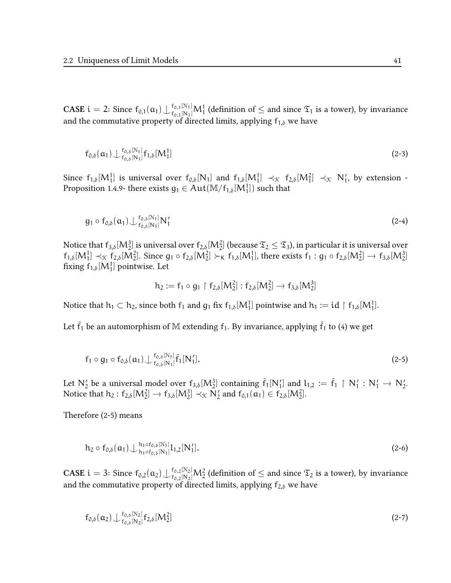CASE  $i = 2$ : Since  $f_{0,1}(a_1) \bigcup f_{0,1}^{0,1} N_1^1$  (definition of  $\leq$  and since  $\mathfrak{T}_1$  is a tower), by invariance and the commutative property of directed limits, applying  $f_{1,\delta}$  we have

$$
f_{0,\delta}(\mathfrak{a}_1) \bigcup f_{0,\delta}^{[0,\delta]}[N_1] f_{1,\delta}[M_1^1] \tag{2-3}
$$

Since  $f_{1,\delta}[M_1^1]$  is universal over  $f_{0,\delta}[N_1]$  and  $f_{1,\delta}[M_1^1] \prec_{\mathfrak{K}} f_{2,\delta}[M_1^2] \prec_{\mathfrak{K}} N'_1$ , by extension -Proposition 1.4.9- there exists  $g_1 \in Aut(\mathbb M/f_{1,\delta}[M_1^1])$  such that

$$
g_1 \circ f_{0,\delta}(\mathfrak{a}_1) \bigcup f_{0,\delta}^{(0)}[N_1] N'_1
$$
\n(2-4)

Notice that  $\mathsf{f}_{3,\delta}[{\mathsf M}_2^3]$  is universal over  $\mathsf{f}_{2,\delta}[{\mathsf M}_2^2]$  (because  $\mathfrak{T}_2\leq\mathfrak{T}_3$ ), in particular it is universal over  $f_{1,\delta}[M_1^1] \prec_{\mathcal{K}} f_{2,\delta}[M_2^2]$ . Since  $g_1 \circ f_{2,\delta}[M_2^2] \succ_K f_{1,\delta}[M_1^1]$ , there exists  $f_1 : g_1 \circ f_{2,\delta}[M_2^2] \rightarrow f_{3,\delta}[M_2^3]$ fixing  $f_{1,\delta}[M_1^1]$  pointwise. Let

$$
h_2 := f_1 \circ g_1 \upharpoonright f_{2,\delta}[M_2^2] : f_{2,\delta}[M_2^2] \to f_{3,\delta}[M_2^3]
$$

Notice that  $h_1 \subset h_2$ , since both  $f_1$  and  $g_1$  fix  $f_{1,\delta}[M_1^1]$  pointwise and  $h_1 := id \restriction f_{1,\delta}[M_1^1]$ .

Let  $\bar{f}_1$  be an automorphism of M extending  $f_1$ . By invariance, applying  $\bar{f}_1$  to (4) we get

$$
f_1 \circ g_1 \circ f_{0,\delta}(\mathfrak{a}_1) \bigcup f_{0,\delta}^{(N_1)}[\bar{f}_1[N'_1].
$$
 (2-5)

Let  $N'_2$  be a universal model over  $f_{3,\delta}[M_2^3]$  containing  $\bar{f}_1[N'_1]$  and  $l_{1,2} := \bar{f}_1 \upharpoonright N'_1 : N'_1 \to N'_2$ . Notice that  $h_2: f_{2,\delta}[M_2^2] \to f_{3,\delta}[M_2^3] \prec_{\mathfrak{K}} N_2'$  and  $f_{0,1}(\mathfrak{a}_1) \in f_{2,\delta}[M_2^2]$ .

Therefore (2-5) means

$$
h_2 \circ f_{0,\delta}(\mathfrak{a}_1) \bigcup \substack{h_1 \circ f_{0,\delta}[N_1] \\ h_1 \circ f_{0,\delta}[N_1]} l_{1,2}[N'_1].
$$
\n(2-6)

CASE  $i=3$ : Since  $f_{0,2}(\alpha_2)\bigcup f_{0,2}^{0,2[N_2]}M_2^2$  (definition of  $\leq$  and since  $\mathfrak{T}_2$  is a tower), by invariance and the commutative property of directed limits, applying  $f_{2,\delta}$  we have

$$
f_{0,\delta}(\alpha_2) \bigcup f_{0,\delta}^{[0,\delta]}[N_2] f_{2,\delta}[M_2^2] \tag{2-7}
$$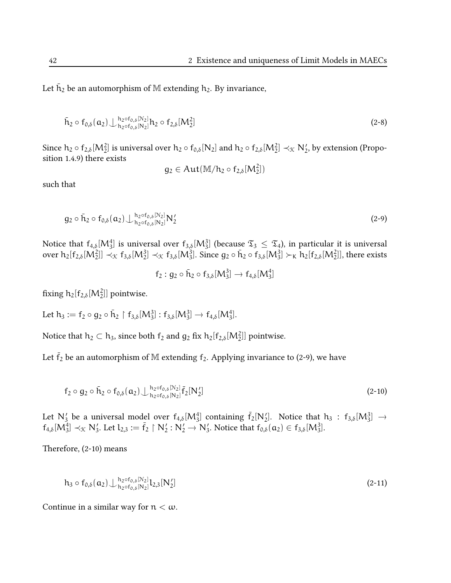Let  $\tilde{\bm{\mathsf{h}}}_2$  be an automorphism of  $\mathbb M$  extending  $\bm{\mathsf{h}}_2$ . By invariance,

$$
\bar{h}_2 \circ f_{0,\delta}(\mathbf{a}_2) \bigcup \substack{h_2 \circ f_{0,\delta}[N_2] \\ h_2 \circ f_{0,\delta}[N_2]} h_2 \circ f_{2,\delta}[M_2^2]
$$
\n(2-8)

Since  $h_2 \circ f_{2,\delta}[M_2^2]$  is universal over  $h_2 \circ f_{0,\delta}[N_2]$  and  $h_2 \circ f_{2,\delta}[M_2^2] \prec_{\mathfrak{K}} N_2'$ , by extension (Proposition 1.4.9) there exists

$$
g_2\in Aut(\mathbb{M}/h_2\circ f_{2,\delta}[M_2^2])
$$

such that

$$
g_2 \circ \bar{h}_2 \circ f_{0,\delta}(a_2) \bigcup \frac{h_2 \circ f_{0,\delta}[N_2]}{h_2 \circ f_{0,\delta}[N_2]} N'_2
$$
\n(2-9)

Notice that  $f_{4,\delta}[M_3^4]$  is universal over  $f_{3,\delta}[M_3^3]$  (because  $\mathfrak{T}_3\leq \mathfrak{T}_4$ ), in particular it is universal over  $h_2[f_{2,\delta}[M_2^2]] \prec_{\mathfrak{K}} f_{3,\delta}[M_2^3] \prec_{\mathfrak{K}} f_{3,\delta}[M_3^3]$ . Since  $g_2 \circ \bar{h}_2 \circ f_{3,\delta}[M_3^3] \succ_K \bar{h}_2[f_{2,\delta}[M_2^2]]$ , there exists

$$
f_2: g_2 \circ \bar{h}_2 \circ f_{3,\delta}[M_3^3] \to f_{4,\delta}[M_3^4]
$$

fixing  $h_2[f_{2,\delta}[M_2^2]]$  pointwise.

Let  $h_3 := f_2 \circ g_2 \circ \bar{h}_2 \upharpoonright f_{3,\delta}[M_3^3] : f_{3,\delta}[M_3^3] \to f_{4,\delta}[M_3^4]$ .

Notice that  $h_2 \subset h_3$ , since both  $f_2$  and  $g_2$  fix  $h_2[f_{2,\delta}[M_2^2]]$  pointwise.

Let  $\bar{f}_2$  be an automorphism of M extending  $f_2$ . Applying invariance to (2-9), we have

$$
f_2 \circ g_2 \circ \bar{h}_2 \circ f_{0,\delta}(\alpha_2) \bigcup \frac{h_2 \circ f_{0,\delta}[N_2]}{h_2 \circ f_{0,\delta}[N_2]} \bar{f}_2[N'_2]
$$
\n(2-10)

Let  $N'_3$  be a universal model over  $f_{4, \delta}[M_3^4]$  containing  $\bar{f}_2[N'_2]$ . Notice that  $h_3 : f_{3, \delta}[M_3^3] \rightarrow$  $f_{4,\delta}[M_3^4] \prec_{\mathcal{K}} N_3'$ . Let  $l_{2,3} := \overline{f}_2 \upharpoonright N_2' : N_2' \to N_3'$ . Notice that  $f_{0,\delta}(\alpha_2) \in f_{3,\delta}[M_3^3]$ .

Therefore, (2-10) means

$$
h_3 \circ f_{0,\delta}(\mathbf{a}_2) \bigcup_{h_2 \circ f_{0,\delta}[N_2]}^{h_2 \circ f_{0,\delta}[N_2]} l_{2,3}[N_2'] \tag{2-11}
$$

Continue in a similar way for  $n < \omega$ .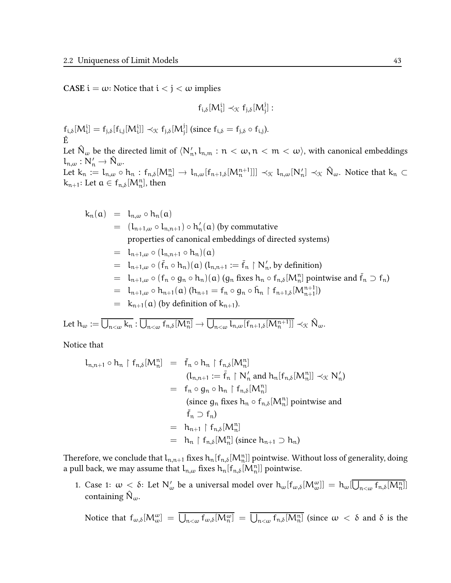**CASE**  $i = \omega$ : Notice that  $i < j < \omega$  implies

$$
f_{i,\delta}[M_i^i]\prec_{\mathfrak{K}} f_{j,\delta}[M_j^j]:
$$

 $f_{i,\delta}[M_i^i] = f_{j,\delta}[f_{i,j}[M_i^i]] \prec_{\mathcal{K}} f_{j,\delta}[M_j^j]$  (since  $f_{i,\delta} = f_{j,\delta} \circ f_{i,j}$ ). Ê

Let  $\hat{\mathsf{N}}_\omega$  be the directed limit of  $\langle\mathsf{N}'_\mathsf{n},\mathsf{l}_{\mathsf{n},\mathsf{m}}:\mathfrak{n}<\omega,\mathfrak{n}<\mathfrak{m}<\omega\rangle,$  with canonical embeddings  $l_{n,\omega}: \mathsf{N}'_n \to \hat{\mathsf{N}}_\omega.$ 

Let  $k_n := l_{n,\omega} \circ h_n : f_{n,\delta}[M_n^n] \to l_{n,\omega}[f_{n+1,\delta}[M_n^{n+1}]]] \prec_{\mathcal{K}} l_{n,\omega}[N'_n] \prec_{\mathcal{K}} \hat{N}_{\omega}$ . Notice that  $k_n \subset$  $k_{n+1}$ : Let  $a \in f_{n,\delta}[M_n^n]$ , then

$$
k_n(a) = l_{n,\omega} \circ h_n(a)
$$
  
\n
$$
= (l_{n+1,\omega} \circ l_{n,n+1}) \circ h'_n(a) \text{ (by commutative\nproperties of canonical embeddings of directed systems)}
$$
  
\n
$$
= l_{n+1,\omega} \circ (l_{n,n+1} \circ h_n)(a)
$$
  
\n
$$
= l_{n+1,\omega} \circ (\bar{f}_n \circ h_n)(a) (l_{n,n+1} := \bar{f}_n \upharpoonright N'_n \text{ by definition)}
$$
  
\n
$$
= l_{n+1,\omega} \circ (f_n \circ g_n \circ h_n)(a) (g_n \text{ fixes } h_n \circ f_{n,\delta}[M_n^n] \text{ pointwise and } \bar{f}_n \supset f_n)
$$
  
\n
$$
= l_{n+1,\omega} \circ h_{n+1}(a) (h_{n+1} = f_n \circ g_n \circ \bar{h}_n \upharpoonright f_{n+1,\delta}[M_{n+1}^{n+1}])
$$
  
\n
$$
= k_{n+1}(a) (by definition of k_{n+1}).
$$

Let  $h_\omega := \overline{\bigcup_{n<\omega} k_n} : \overline{\bigcup_{n<\omega} f_{n,\delta}[M_n^n]} \to \overline{\bigcup_{n<\omega} l_{n,\omega}[f_{n+1,\delta}[M_n^{n+1}]]} \prec_{\mathcal{K}} \hat{N}_\omega.$ 

Notice that

$$
l_{n,n+1} \circ h_n \upharpoonright f_{n,\delta}[M_n^n] = \bar{f}_n \circ h_n \upharpoonright f_{n,\delta}[M_n^n]
$$
  
\n
$$
(l_{n,n+1} := \bar{f}_n \upharpoonright N'_n \text{ and } h_n[f_{n,\delta}[M_n^n]] \prec_{\mathcal{K}} N'_n)
$$
  
\n
$$
= f_n \circ g_n \circ h_n \upharpoonright f_{n,\delta}[M_n^n]
$$
  
\n(since  $g_n$  fixes  $h_n \circ f_{n,\delta}[M_n^n]$  pointwise and  
\n
$$
\bar{f}_n \supset f_n)
$$
  
\n
$$
= h_{n+1} \upharpoonright f_{n,\delta}[M_n^n]
$$
  
\n
$$
= h_n \upharpoonright f_{n,\delta}[M_n^n] \text{ (since } h_{n+1} \supset h_n)
$$

Therefore, we conclude that  $l_{n,n+1}$  fixes  $h_n[f_{n,\delta}[M_n^n]]$  pointwise. Without loss of generality, doing a pull back, we may assume that  $l_{n,\omega}$  fixes  $h_n[f_{n,\delta}[M_n^n]]$  pointwise.

1. Case 1:  $\omega < \delta$ : Let  $N'_\omega$  be a universal model over  $h_\omega[f_{\omega,\delta}[M^{\omega}_{\omega}]] = h_\omega[\overline{\bigcup_{n<\omega}f_{n,\delta}[M^n_n]}]]$ containing  $\mathsf{N}_{\omega}$ .

Notice that  $f_{\omega,\delta}[M^{\omega}_{\omega}] = \overline{\bigcup_{n<\omega} f_{\omega,\delta}[M^{\omega}_{n}]} = \overline{\bigcup_{n<\omega} f_{n,\delta}[M^{\eta}_{n}]}$  (since  $\omega < \delta$  and  $\delta$  is the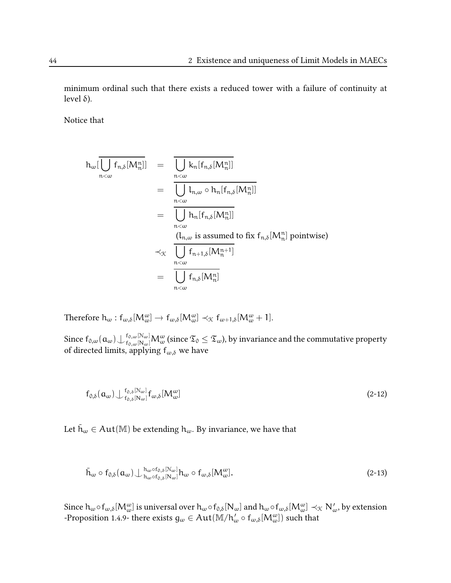minimum ordinal such that there exists a reduced tower with a failure of continuity at level δ).

Notice that

$$
h_{\omega}[\overline{\bigcup_{n<\omega}f_{n,\delta}[M_{n}^{n}]]} = \overline{\bigcup_{n<\omega}k_{n}[f_{n,\delta}[M_{n}^{n}]]}
$$
  
\n
$$
= \overline{\bigcup_{n<\omega}l_{n,\omega}\circ h_{n}[f_{n,\delta}[M_{n}^{n}]]}
$$
  
\n
$$
= \overline{\bigcup_{n<\omega}l_{n,[f_{n,\delta}[M_{n}^{n}]]}
$$
  
\n
$$
\frac{(l_{n,\omega} \text{ is assumed to fix }f_{n,\delta}[M_{n}^{n}]\text{ pointwise})}{\bigcup_{n<\omega}f_{n+1,\delta}[M_{n}^{n+1}]}
$$
  
\n
$$
= \overline{\bigcup_{n<\omega}f_{n,\delta}[M_{n}^{n}]}
$$

Therefore  $h_{\omega}: f_{\omega,\delta}[M_{\omega}^{\omega}] \to f_{\omega,\delta}[M_{\omega}^{\omega}] \prec_{\mathfrak{K}} f_{\omega+1,\delta}[M_{\omega}^{\omega}+1].$ 

Since  $\mathsf{f}_{0,\omega}(\mathfrak{a}_\omega)\bigcup{}_{\mathsf{f}_{0,\omega}[\mathsf{N}_\omega] }^{\mathsf{f}_{0,\omega}[\mathsf{N}_\omega]} \mathsf{M}_\omega^\omega$  (since  $\mathfrak{T}_0\leq \mathfrak{T}_\omega$ ), by invariance and the commutative property of directed limits, applying  $f_{\omega,\delta}$  we have

$$
f_{0,\delta}(\mathbf{a}_{\omega}) \bigcup f_{0,\delta}^{0,\delta} [\mathbb{N}_{\omega}] f_{\omega,\delta} [M^{\omega}_{\omega}]
$$
\n(2-12)

Let  $\bar{h}_{\omega} \in Aut(\mathbb{M})$  be extending  $h_{\omega}$ . By invariance, we have that

$$
\bar{\mathbf{h}}_{\omega} \circ \mathbf{f}_{0,\delta}(\mathbf{a}_{\omega}) \perp \substack{\mathbf{h}_{\omega} \circ \mathbf{f}_{0,\delta}[\mathcal{N}_{\omega}]}{\mathbf{h}_{\omega} \circ \mathbf{f}_{0,\delta}[\mathcal{N}_{\omega}]} \mathbf{h}_{\omega} \circ \mathbf{f}_{\omega,\delta}[\mathcal{M}_{\omega}^{\omega}].
$$
\n(2-13)

Since  $\textsf{h}_\omega\circ\textsf{f}_{\omega,\delta}[\textsf{M}_\omega^\omega]$  is universal over  $\textsf{h}_\omega\circ\textsf{f}_{\textsf{0},\delta}[\textsf{N}_\omega]$  and  $\textsf{h}_\omega\circ\textsf{f}_{\omega,\delta}[\textsf{M}_\omega^\omega]\prec_\mathfrak{X}\textsf{N}'_\omega$ , by extension -Proposition 1.4.9- there exists  $g_\omega \in Aut(M/h'_\omega \circ f_{\omega,\delta}[M^\omega_\omega])$  such that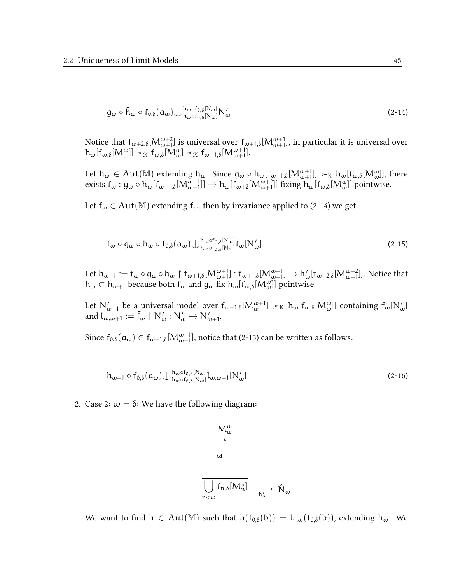$$
g_{\omega} \circ \bar{h}_{\omega} \circ f_{0,\delta}(\alpha_{\omega}) \bigcup \substack{h_{\omega} \circ f_{0,\delta}[N_{\omega}]}{h_{\omega} \circ f_{0,\delta}[N_{\omega}]} N_{\omega}'
$$
\n(2-14)

Notice that  $f_{\omega+2,\delta}[M^{\omega+2}_{\omega+1}]$  is universal over  $f_{\omega+1,\delta}[M^{\omega+1}_{\omega+1}]$ , in particular it is universal over  $h_\omega[f_{\omega,\delta}[M^{\omega}_{\omega}]] \prec_{\mathfrak{K}} f_{\omega,\delta}[M^{\omega}_{\omega}] \prec_{\mathfrak{K}} f_{\omega+1,\delta}[M^{\omega+1}_{\omega+1}].$ 

Let  $\bar h_\omega\in \mathrm{Aut}(\mathbb M)$  extending  $h_\omega$ . Since  $g_\omega\circ\bar h_\omega[f_{\omega+1,\delta}[\mathcal M^{\omega+1}_{\omega+1}]]\succ\kappa \ h_\omega[f_{\omega,\delta}[\mathcal M^{\omega}_{\omega}]]$ , there exists  $f_{\omega}: g_{\omega} \circ \bar{h}_{\omega}[f_{\omega+1,\delta}[M_{\omega+1}^{\omega+1}]] \to \bar{h}_{\omega}[f_{\omega+2}[M_{\omega+1}^{\omega+2}]] \text{ fixing } h_{\omega}[f_{\omega,\delta}[M_{\omega}^{\omega}]] \text{ pointwise.}$ 

Let  $f_{\omega} \in Aut(M)$  extending  $f_{\omega}$ , then by invariance applied to (2-14) we get

$$
f_{\omega} \circ g_{\omega} \circ \bar{h}_{\omega} \circ f_{0,\delta}(\mathfrak{a}_{\omega}) \bigcup \substack{h_{\omega} \circ f_{0,\delta}[N_{\omega}]}{h_{\omega} \circ f_{0,\delta}[N_{\omega}]} \bar{f}_{\omega}[N_{\omega}'] \qquad (2-15)
$$

Let  $h_{\omega+1} := f_{\omega} \circ g_{\omega} \circ \bar{h}_{\omega} \upharpoonright f_{\omega+1,\delta}[M_{\omega+1}^{\omega+1}] : f_{\omega+1,\delta}[M_{\omega+1}^{\omega+1}] \to h_{\omega}'[f_{\omega+2,\delta}[M_{\omega+1}^{\omega+2}]].$  Notice that  $h_\omega \subset h_{\omega+1}$  because both  $f_\omega$  and  $g_\omega$  fix  $h_\omega[f_{\omega,\delta}[M_\omega^\omega]]$  pointwise.

Let  $N'_{\omega+1}$  be a universal model over  $f_{\omega+1,\delta}[M_{\omega}^{\omega+1}] \succ_K h_{\omega}[f_{\omega,\delta}[M_{\omega}^{\omega}]]$  containing  $\bar{f}_{\omega}[N'_{\omega}]$ and  $l_{\omega,\omega+1} := \bar{f}_{\omega} \restriction N'_{\omega} : N'_{\omega} \to N'_{\omega+1}.$ 

Since  $f_{0,\delta}(\mathfrak{a}_\omega) \in f_{\omega+1,\delta}[M^{\omega+1}_{\omega+1}]$ , notice that (2-15) can be written as follows:

$$
h_{\omega+1} \circ f_{0,\delta}(\mathbf{a}_{\omega}) \bigcup \substack{h_{\omega} \circ f_{0,\delta}[N_{\omega}]}{h_{\omega} \circ f_{0,\delta}[N_{\omega}]} l_{\omega,\omega+1}[N'_{\omega}]
$$
\n(2-16)

2. Case 2:  $\omega = \delta$ : We have the following diagram:

$$
M_{\omega}^{\omega}
$$
\n
$$
\frac{d}{d}
$$
\n
$$
T_{n,\delta}[M_{n}^{n}] \longrightarrow \hat{N}_{\omega}
$$

We want to find  $\bar{h} \in Aut(M)$  such that  $\bar{h}(f_{0,\delta}(b)) = l_{1,\omega}(f_{0,\delta}(b))$ , extending  $h_{\omega}$ . We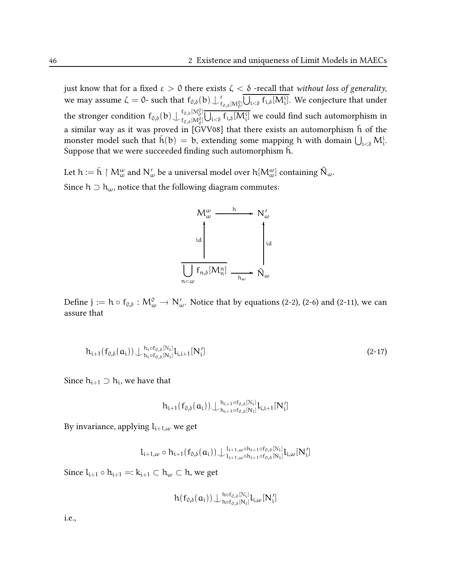just know that for a fixed  $ε > 0$  there exists  $ζ < δ$  -recall that without loss of generality, we may assume  $\zeta = 0$ - such that  $f_{0,\delta}(b) \bigcup_{f} g$  $^{\varepsilon}_{\mathsf{f}_{0,\delta}[\mathsf{M}^0_0]} \bigcup_{\mathfrak{i<\delta}}\mathsf{f}_{\mathfrak{i},\delta}[\mathsf{M}^{\mathfrak{i}}_{\mathfrak{i}}].$  We conjecture that under the stronger condition  $f_{0,\delta} (b) \bigcup_{f_{\delta,\delta} [M^0_0]}^{f_{0,\delta} [M^0_0]}$  $f_{0,\delta}^{[0,\delta][\mathsf{M}^0_0]} \overline{\bigcup_{\mathbf{i} < \delta} f_{\mathbf{i},\delta} [\mathsf{M}^{\mathbf{i}}_{\mathbf{i}}]}$  we could find such automorphism in a similar way as it was proved in [GVV08] that there exists an automorphism  $\bar{h}$  of the monster model such that  $\bar{h}(b) = b$ , extending some mapping h with domain  $\bigcup_{i < \delta} M_i^i$ . Suppose that we were succeeded finding such automorphism h.

Let  $h:=\bar{h}\restriction M^{\omega}_{\omega}$  and  $N'_{\omega}$  be a universal model over  $h[M^{\omega}_{\omega}]$  containing  $\hat{\mathsf{N}}_{\omega}.$ Since  $h \supset h_{\omega}$ , notice that the following diagram commutes:



Define  $j := h \circ f_{0,\delta} : M^0_{\omega} \to N'_{\omega}$ . Notice that by equations (2-2), (2-6) and (2-11), we can assure that

$$
h_{i+1}(f_{0,\delta}(\mathbf{a}_{i})) \bigcup \substack{h_{i}\circ f_{0,\delta}[\mathcal{N}_{i}]}{h_{i}\circ f_{0,\delta}[\mathcal{N}_{i}]} l_{i,i+1}[\mathbf{N}'_{i}]
$$
\n(2-17)

Since  $h_{i+1} \supset h_i$ , we have that

$$
h_{i+1}(f_{0,\delta}(\mathfrak{a}_i))\bigcup{h_{i+1}\circ f_{0,\delta}[N_i] \atop h_{i+1}\circ f_{0,\delta}[N_i]} l_{i,i+1}[N'_i]
$$

By invariance, applying  $l_{i+1,\omega}$  we get

 $l_{i+1,\omega} \circ h_{i+1}(f_{0,\delta}(\mathfrak{a}_i)) \bigcup_{l_{i+1,\omega} \circ h_{i+1} \circ f_{0,\delta}[\mathbb{N}_i]}^{l_{i+1,\omega} \circ h_{i+1} \circ f_{0,\delta}[\mathbb{N}_i]}$  $\mathcal{L}_{i+1,\omega}$ ° $\mathcal{L}_{i+1,\omega}$ o $\mathcal{L}_{i+1}$ of $\mathcal{L}_{i,\delta}$ [N $_i$ ] $\mathcal{L}_{i,\omega}$ [N $_i'$ ]

Since  $l_{i+1} \circ h_{i+1} =: k_{i+1} \subset h_\omega \subset h$ , we get

$$
h(f_{0,\delta}(a_i)) \bigcup\nolimits_{h \circ f_{0,\delta}[N_i]}^{h \circ f_{0,\delta}[N_i]} l_{i,\omega}[N_i']
$$

i.e.,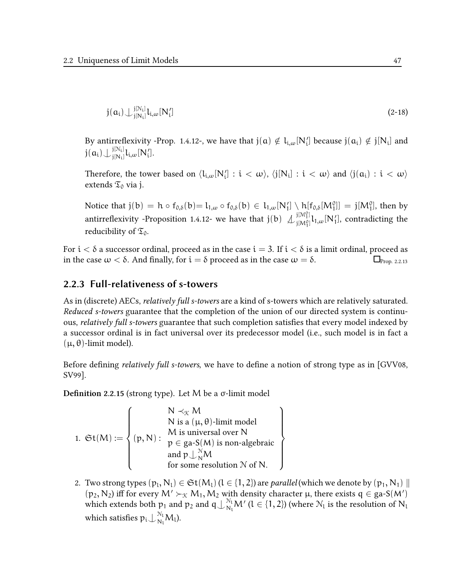$$
j(a_i) \bigcup_{j[N_i]}^{j[N_i]} l_{i,\omega}[N'_i] \tag{2-18}
$$

By antirreflexivity -Prop. 1.4.12-, we have that  $j(a) \notin l_{i,\omega}[N'_i]$  because  $j(a_i) \notin j[N_i]$  and  $\mathfrak{j}(\mathfrak{a}_\mathfrak{i})$   $\mathcal{\downarrow}_{\mathfrak{j}\mathfrak{l}\mathfrak{N}_\mathfrak{i}\mathfrak{l}}^{\mathfrak{j}\mathfrak{l}\mathfrak{N}_\mathfrak{i}\mathfrak{l}}$  $j_{[{\sf{N}}_{{\bf i}}]}^{\textrm{\tiny{[N]}}1}$  $\downarrow_{i,\omega}$   $[{\sf{N}}_{{\bf i}}']$ .

Therefore, the tower based on  $\langle \mathsf{l}_{\mathfrak{i},\omega}[N'_{\mathfrak{i}}]: \mathfrak{i} < \omega \rangle$ ,  $\langle \mathfrak{j}[N_{\mathfrak{i}}]: \mathfrak{i} < \omega \rangle$  and  $\langle \mathfrak{j}(\mathfrak{a}_{\mathfrak{i}}): \mathfrak{i} < \omega \rangle$ extends  $\mathfrak{T}_0$  via j.

Notice that  $j(b) = h \circ f_{0,\delta}(b) = l_{1,\omega} \circ f_{0,\delta}(b) \in l_{1,\omega}[N'_1] \setminus h[f_{0,\delta}[M_1^0]] = j[M_1^0]$ , then by antirreflexivity -Proposition 1.4.12- we have that  $j(b) \n\bigcup_{i \in M^{[i]} }^{j \in M^{[i]} }$  $\lim_{j[M_1^0]} l_{1,\omega}[N_1'],$  contradicting the reducibility of  $\mathfrak{T}_0$ .

For  $i < \delta$  a successor ordinal, proceed as in the case  $i = 3$ . If  $i < \delta$  is a limit ordinal, proceed as in the case  $\omega < \delta$ . And finally, for  $i = \delta$  proceed as in the case  $\omega = \delta$ .

### 2.2.3 Full-relativeness of s-towers

As in (discrete) AECs, relatively full s-towers are a kind of s-towers which are relatively saturated. Reduced s-towers guarantee that the completion of the union of our directed system is continuous, *relatively full s-towers* guarantee that such completion satisfies that every model indexed by a successor ordinal is in fact universal over its predecessor model (i.e., such model is in fact a  $(\mu, \theta)$ -limit model).

Before defining *relatively full s-towers*, we have to define a notion of strong type as in [GVV08, SV99].

Definition 2.2.15 (strong type). Let M be a  $\sigma$ -limit model

1. 
$$
\mathfrak{St}(M) := \left\{ \begin{aligned} & N \prec_{\mathfrak{K}} M \\ & N \text{ is a } (\mu, \theta) \text{-limit model} \\ & M \text{ is universal over } N \\ & \mathfrak{p} \in \text{ga-S}(M) \text{ is non-algebraic} \\ & \text{and } \mathfrak{p} \cup_{N}^{\mathcal{N}} M \\ & \text{for some resolution } \mathcal{N} \text{ of } N. \end{aligned} \right\}
$$

2. Two strong types  $(p_l, N_l) \in \mathfrak{St}(M_l)$   $(l \in \{1, 2\})$  are *parallel* (which we denote by  $(p_1, N_1) \parallel$  $(p_2, N_2)$  iff for every  $M' \succ_{\mathcal{K}} M_1, M_2$  with density character  $\mu$ , there exists  $q \in ga-S(M')$ which extends both  $p_1$  and  $p_2$  and  $q\bigcup_{N_1}^{N_1}M'$  ( $l\in\{1,2\}$ ) (where  $\mathcal{N}_l$  is the resolution of  $N_1$ which satisfies  $p_i\bigcup_{N_l}^{N_l}M_l$ ).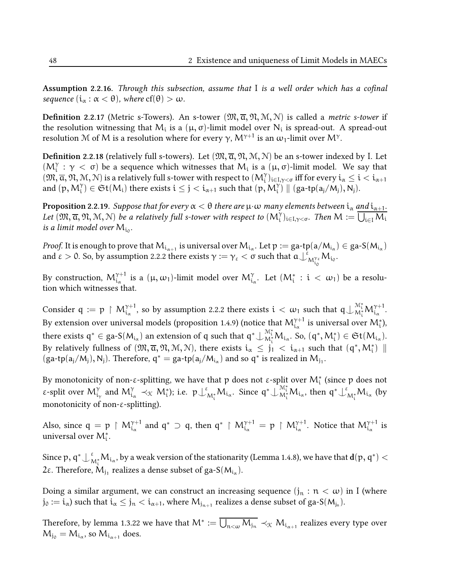Assumption 2.2.16. Through this subsection, assume that  $I$  is a well order which has a cofinal sequence  $(i_{\alpha} : \alpha < \theta)$ , where  $cf(\theta) > \omega$ .

**Definition 2.2.17** (Metric s-Towers). An s-tower  $(\mathfrak{M}, \overline{\alpha}, \mathfrak{N}, \mathfrak{M}, \mathfrak{N})$  is called a *metric s-tower* if the resolution witnessing that  $\mathsf{M}_{\mathfrak{i}}$  is a  $(\mu,\sigma)$ -limit model over  $\mathsf{N}_{\mathfrak{i}}$  is spread-out. A spread-out resolution M of M is a resolution where for every γ,  $\mathcal{M}^{\gamma+1}$  is an  $\omega_1$ -limit over  $\mathcal{M}^\gamma.$ 

**Definition 2.2.18** (relatively full s-towers). Let  $(\mathfrak{M}, \overline{\alpha}, \mathfrak{N}, \mathfrak{M}, \mathfrak{N})$  be an s-tower indexed by I. Let ( $M_i^{\gamma}$  :  $\gamma$  < σ) be a sequence which witnesses that  $M_i$  is a ( $\mu$ , σ)-limit model. We say that  $(\mathfrak{M},\overline{\alpha},\mathfrak{N},\mathfrak{M},\mathfrak{N})$  is a relatively full s-tower with respect to  $(\mathcal{M}_i^\gamma)_{i\in I,\gamma<\sigma}$  iff for every  $\mathfrak{i}_\alpha\leq\mathfrak{i}<\mathfrak{i}_{\alpha+1}$ and  $(p,M_i^\gamma)\in \mathfrak{St}(M_i)$  there exists  $i\leq j< i_{\alpha+1}$  such that  $(p,M_i^\gamma)\parallel (ga\text{-}tp(a_j/M_j),N_j).$ 

**Proposition** 2.2.19. *Suppose that for every*  $\alpha < \theta$  *there are*  $\mu\cdot\omega$  *many elements between*  $i_\alpha$  *and*  $i_{\alpha+1}.$ Let  $(\mathfrak{M}, \overline{\alpha}, \mathfrak{N}, \mathfrak{M}, \mathbb{N})$  be a relatively full s-tower with respect to  $(\mathsf{M}_i^\gamma)_{i \in I, \gamma < \sigma}$ . Then  $\mathsf{M} := \overline{\bigcup_{i \in I} \mathsf{M}_i}$ is a limit model over  $\mathsf{M}_{\mathfrak{t}_0}.$ 

*Proof.* It is enough to prove that  $M_{i_{\alpha+1}}$  is universal over  $M_{i_\alpha}$ . Let  $p:=$  ga-tp(a/M $_{i_\alpha})\in$  ga-S(M $_{i_\alpha})$ and  $\varepsilon > 0$ . So, by assumption 2.2.2 there exists  $\gamma := \gamma_{\varepsilon} < \sigma$  such that  $a \perp_{M_{i_0}^{\gamma_{\varepsilon}}}^{\varepsilon} M_{i_0}$ .

By construction,  $\mathcal{M}_{i_\alpha}^{\gamma+1}$  is a  $(\mu,\omega_1)$ -limit model over  $\mathcal{M}_{i_\alpha}^\gamma.$  Let  $(\mathcal{M}_i^* \, : \, i \, < \, \omega_1)$  be a resolution which witnesses that.

Consider  $q := p \restriction M_{i_\alpha}^{\gamma+1}$ , so by assumption 2.2.2 there exists  $i < \omega_1$  such that  $q \bigcup_{M_i^*}^{M_i^*} M_{i_\alpha}^{\gamma+1}$ . By extension over universal models (proposition 1.4.9) (notice that  ${\cal M}_{\mathfrak{i}_\alpha}^{\gamma+1}$  is universal over  ${\cal M}_{\mathfrak{i}}^*),$ there exists  $q^* \in \text{ga-S}(M_{i_\alpha})$  an extension of q such that  $q^* \perp_{M_i^*}^{M_i^*} M_{i_\alpha}$ . So,  $(q^*, M_i^*) \in \mathfrak{St}(M_{i_\alpha})$ . By relatively fullness of  $(\mathfrak{M}, \overline{\alpha}, \mathfrak{N}, \mathfrak{M}, \mathfrak{N})$ , there exists  $i_{\alpha} \leq j_1 < i_{\alpha+1}$  such that  $(\mathfrak{q}^*, \mathcal{M}^*_i)$   $\parallel$  $(ga-tp(a_j/M_j), N_j)$ . Therefore,  $q^* = ga-tp(a_j/M_{i_{\alpha}})$  and so  $q^*$  is realized in  $M_{j_1}$ .

By monotonicity of non-ε-splitting, we have that  $p$  does not ε-split over  $M_i^*$  (since  $p$  does not ε-split over  $M_{i_\gamma}^\gamma$  and  $M_{i_\alpha}^\gamma \prec_\mathcal{K} M_i^*$ ); i.e.  $p \perp_{M_i^*}^\epsilon M_{i_\alpha}$ . Since  $\mathsf{q}^* \perp_{M_i^*}^{\mathcal{M}_i^*} M_{i_\alpha}$ , then  $\mathsf{q}^* \perp_{M_i^*}^\epsilon M_{i_\alpha}$  (by monotonicity of non- $\varepsilon$ -splitting).

Also, since  $\mathfrak{q} = \mathfrak{p} \restriction \mathsf{M}_{\mathfrak{i}_{\alpha}}^{\gamma+1}$  and  $\mathfrak{q}^* \supset \mathfrak{q}$ , then  $\mathfrak{q}^* \restriction \mathsf{M}_{\mathfrak{i}_{\alpha}}^{\gamma+1} = \mathfrak{p} \restriction \mathsf{M}_{\mathfrak{i}_{\alpha}}^{\gamma+1}$ . Notice that  $\mathsf{M}_{\mathfrak{i}_{\alpha}}^{\gamma+1}$  is universal over  $\mathsf{M}^*_\mathfrak{i}.$ 

Since  $p$ ,  $\mathsf{q}^*\bigcup_{\mathsf{M}_\mathfrak{i}^*}^{\varepsilon}\mathsf{M}_{\mathfrak{i}_\alpha}$ , by a weak version of the stationarity (Lemma 1.4.8), we have that  $\mathbf{d}(\mathsf{p},\mathsf{q}^*)<$ 2ε. Therefore,  $M_{j_1}$  realizes a dense subset of ga-S( $M_{i_\alpha}$ ).

Doing a similar argument, we can construct an increasing sequence  $(j_n : n < \omega)$  in I (where  ${\rm j}_0:= {\rm i}_\alpha$ ) such that  ${\rm i}_\alpha\leq {\rm j}_{\rm n}<{\rm i}_{\alpha+1},$  where  ${\rm M}_{{\rm j}_{\rm n+1}}$  realizes a dense subset of ga-S( ${\rm M}_{{\rm j}_{\rm n}}$ ).

Therefore, by lemma 1.3.22 we have that  $\mathsf{M}^*:=\bigcup_{\mathfrak{n<}\omega}\mathsf{M}_{\mathfrak{j}_\mathfrak{n}}\prec_{\mathfrak{K}}\mathsf{M}_{\mathfrak{i}_{\alpha+1}}$  realizes every type over  $M_{j_0} = M_{i_\alpha}$ , so  $M_{i_{\alpha+1}}$  does.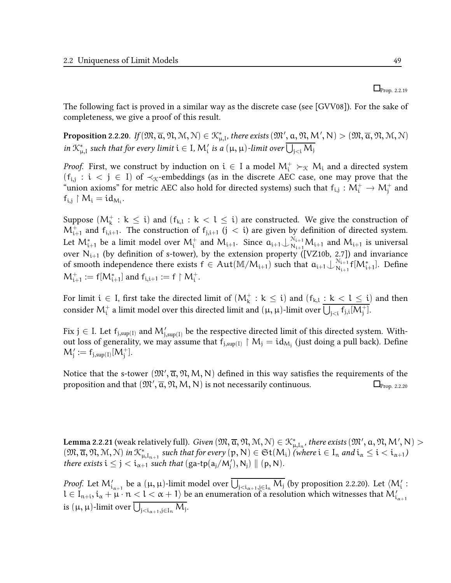#### $\Box$ Prop. 2.2.19

The following fact is proved in a similar way as the discrete case (see [GVV08]). For the sake of completeness, we give a proof of this result.

 $\bf Proposition~2.2.20.$   $\emph{If}(\mathfrak{M},\overline{a},\mathfrak{N},\mathcal{M},\mathcal{N})\in\mathfrak{K}_{\mu,\mathrm{I}}^{*},$  there exists  $(\mathfrak{M}',\mathfrak{a},\mathfrak{N},\mathcal{M}',\mathcal{N})>(\mathfrak{M},\overline{a},\mathfrak{N},\mathcal{M},\mathcal{N})$ in  $\mathcal{K}_{\mu,I}^*$  such that for every limit  $i \in I$ ,  $M_i'$  is a  $(\mu,\mu)$ -limit over  $\bigcup_{j < i} M_j$ 

*Proof.* First, we construct by induction on  $i \in I$  a model  $M_i^+ \succ_{\mathcal{K}} M_i$  and a directed system  $(f_{i,j} : i < j \in I)$  of  $\prec_{\mathcal{K}}$ -embeddings (as in the discrete AEC case, one may prove that the "union axioms" for metric AEC also hold for directed systems) such that  $f_{i,j}: M_i^+ \to M_j^+$  and  $f_{i,j} \restriction M_i = id_{M_i}.$ 

Suppose  $(M_k^+ : k \leq i)$  and  $(f_{k,l} : k < l \leq i)$  are constructed. We give the construction of  $M_{i+1}^+$  and  $f_{i,i+1}$ . The construction of  $f_{j,i+1}$   $(j < i)$  are given by definition of directed system. Let  $M^*_{i+1}$  be a limit model over  $M^+_i$  and  $M_{i+1}$ . Since  $a_{i+1} \bigcup_{N_{i+1}}^{N_{i+1}} M_{i+1}$  and  $M_{i+1}$  is universal over  $N_{i+1}$  (by definition of s-tower), by the extension property ([VZ10b, 2.7]) and invariance of smooth independence there exists  $f \in Aut(M/M_{i+1})$  such that  $a_{i+1} \bigcup_{N_{i+1}}^{N_{i+1}}$  $_{\mathrm{N_{i+1}}}^{\mathrm{N_{i+1}}}$ f $[\mathrm{M_{i+1}^*}]$ . Define  $M^+_{i+1} := f[M^*_{i+1}]$  and  $f_{i,i+1} := f \upharpoonright M^+_i$ .

For limit  $i \in I$ , first take the directed limit of  $(M_k^+ : k \leq i)$  and  $(f_{k,l} : k < l \leq i)$  and then consider  $\mathsf{M}^+_i$  a limit model over this directed limit and  $(\mu, \mu)$ -limit over  $\overline{\bigcup_{j < i} \mathsf{f}_{j,i}[\mathsf{M}^+_j]}.$ 

Fix  $\rm j\in I.$  Let  $\rm f_{j,sup(I)}$  and  $\rm M'_{j,sup(I)}$  be the respective directed limit of this directed system. Without loss of generality, we may assume that  $f_{j, sup(1)} \upharpoonright M_j = id_{M_j}$  (just doing a pull back). Define  $M'_{j} := f_{j, \text{sup}(I)}[M^{+}_{j}].$ 

Notice that the s-tower  $(\mathfrak{M}',\overline{\alpha},\mathfrak{N},\mathsf{M},\mathsf{N})$  defined in this way satisfies the requirements of the proposition and that  $(\mathfrak{M}',\overline{\mathfrak{a}},\mathfrak{N},\mathsf{M},\mathsf{N})$  is not necessarily continuous.  $\qquad \qquad \Box_{\text{Prop. 2.2.20}}$ 

 ${\tt Lemma~2.2.21}$  (weak relatively full).  $Given\, (\mathfrak{M}, \overline{\alpha}, \mathfrak{N}, \mathfrak{N}, \mathfrak{N})\in\mathfrak{K}^*_{\mu, I_n},$  there exists  $(\mathfrak{M}',\mathfrak{a}, \mathfrak{N}, M',\mathfrak{N})>$  $(\mathfrak{M}, \overline{\alpha}, \mathfrak{N}, \mathfrak{M}, \mathfrak{N})$  in  $\mathfrak{K}_{\mu, I_{n+1}}^*$  such that for every  $(p, N) \in \mathfrak{St}(M_i)$  (where  $i \in I_n$  and  $i_\alpha \leq i < i_{\alpha+1}$ ) there exists  $i \leq j < i_{\alpha+1}$  such that  $(ga-tp(a_j/M'_j), N_j) \parallel (p, N)$ .

*Proof.* Let  $M'_{i_{\alpha+1}}$  be a  $(\mu, \mu)$ -limit model over  $\bigcup_{j < i_{\alpha+1}, j \in I_n} M_j$  (by proposition 2.2.20). Let  $\langle M'_i :$  $l\in I_{n+i}, i_\alpha+\mu\cdot n < l < \alpha+1\rangle$  be an enumeration of a resolution which witnesses that  ${\sf M}'_{i_{\alpha+1}}$ is  $(\mu, \mu)$ -limit over  $\bigcup_{j < i_{\alpha+1}, j \in I_n} M_j$ .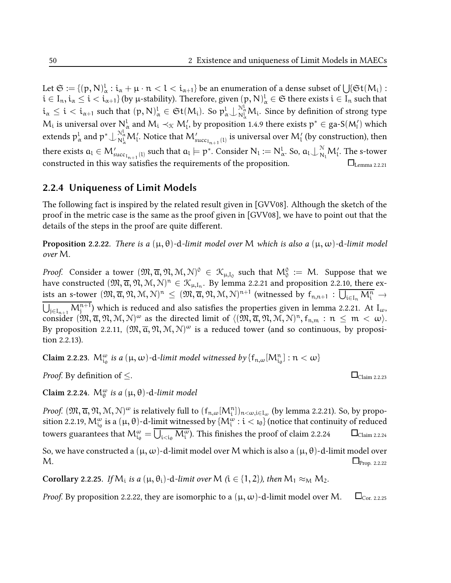Let  $\mathfrak{S} := \{(\mathfrak{p},\mathsf{N})^l_\alpha : i_\alpha + \mu \cdot \mathfrak{n} < l < i_{\alpha+1}\}$  be an enumeration of a dense subset of  $\bigcup \{\mathfrak{St}(M_i) :$  $\mathfrak{i}\in\mathrm{I}_{\mathfrak{n}},\mathfrak{i}_\alpha\leq\mathfrak{i}<\mathfrak{i}_{\alpha+1}\}$  (by  $\mu$ -stability). Therefore, given  $(\mathfrak{p},\mathsf{N})_{\alpha}^{\mathfrak{l}}\in\mathfrak{S}$  there exists  $\mathfrak{i}\in\mathrm{I}_{\mathfrak{n}}$  such that  $\mathfrak{i}_\alpha\leq\mathfrak{i}<\mathfrak{i}_{\alpha+1}$  such that  $(\mathfrak{p},\mathsf{N})_{\alpha}^{\mathfrak{l}}\in\mathfrak{St}(M_{\mathfrak{i}}).$  So  $\mathfrak{p}^{\mathfrak{l}}_\alpha\bigcup_{\mathsf{N}^{\mathfrak{l}}_\alpha^{\mathfrak{l}}}\mathsf{M}_{\mathfrak{i}}.$  Since by definition of strong type  $M_i$  is universal over  $N^l_{\alpha}$  and  $M_i\prec_\mathfrak{K} M'_l$ , by proposition 1.4.9 there exists  $\mathfrak{p}^*\in$  ga-S( $M'_l)$  which extends  $p^l_\alpha$  and  $p^*\!\cup_{N^l_\alpha}^{\mathbb{N}^l_\alpha}\mathsf{M}'_l.$  Notice that  $\mathsf{M}'_{\text{succ}_{I_{n+1}}(l)}$  is universal over  $\mathsf{M}'_l$  (by construction), then there exists  $a_l \in M_{\text{succ}_{l_{n+1}}(l)}'$  such that  $a_l \models p^*.$  Consider  $\mathsf{N}_l := \mathsf{N}_{\alpha}^l.$  So,  $a_l \bigcup_{\mathsf{N}_l}^\mathcal{N} M_l'.$  The s-tower constructed in this way satisfies the requirements of the proposition.  $\Box$  Lemma 2.2.21

### 2.2.4 Uniqueness of Limit Models

The following fact is inspired by the related result given in [GVV08]. Although the sketch of the proof in the metric case is the same as the proof given in [GVV08], we have to point out that the details of the steps in the proof are quite different.

**Proposition** 2.2.22. There is a  $(\mu, \theta)$ -d-limit model over M which is also a  $(\mu, \omega)$ -d-limit model over M.

*Proof.* Consider a tower  $(\mathfrak{M}, \overline{\mathfrak{a}}, \mathfrak{N}, \mathfrak{M}, \mathfrak{N})^0 \in \mathfrak{K}_{\mu, I_0}$  such that  $\mathsf{M}^0_0 := \mathsf{M}$ . Suppose that we have constructed  $(\mathfrak{M},\overline{\alpha},\mathfrak{N},\mathfrak{M},\mathfrak{N})^n\in\mathfrak{K}_{\mu,\mathrm{I}_n}.$  By lemma 2.2.21 and proposition 2.2.10, there ex- $\overline{\lim_{m\to\infty}}$  an s-tower  $(\mathfrak{M},\overline{\alpha},\mathfrak{N},\mathcal{M},\mathcal{N})^n\,\leq\,(\mathfrak{M},\overline{\alpha},\mathfrak{N},\mathcal{M},\mathcal{N})^{n+1}$  (witnessed by  $f_{n,n+1}\,:\,\overline{\bigcup_{i\in I_n}M_i^n}\,\to\,$  $\bigcup_{j\in I_{n+1}} M^{n+1}_{j}$  which is reduced and also satisfies the properties given in lemma 2.2.21. At  $I_{\omega}$ , consider  $(\mathfrak{M}, \overline{\alpha}, \mathfrak{N}, \mathfrak{M}, \mathbb{N})^w$  as the directed limit of  $\langle (\mathfrak{M}, \overline{\alpha}, \mathfrak{N}, \mathfrak{M}, \mathbb{N})^n, f_{n,m} : n \leq m < \omega \rangle$ . By proposition 2.2.11,  $(\mathfrak{M}, \overline{\alpha}, \mathfrak{N}, \mathfrak{M}, \mathfrak{N})^{\omega}$  is a reduced tower (and so continuous, by proposition 2.2.13).

Claim 2.2.23.  $\mathcal{M}_{\mathfrak{i}_\theta}^{\omega}$  is a  $(\mu,\omega)$ -d-limit model witnessed by  $\{\mathsf{f}_{\mathfrak{n},\omega}[\mathcal{M}_{\mathfrak{i}_\theta}^{\mathfrak{n}}]: \mathfrak{n}<\omega\}$ 

*Proof.* By definition of  $\leq$ .  $\Box$ 

Claim 2.2.24.  $M_{\theta}^{\omega}$  is a  $(\mu, \theta)$ -d-limit model

*Proof.*  $(\mathfrak{M}, \overline{\alpha}, \mathfrak{N}, \mathfrak{M}, \mathfrak{N})^{\omega}$  is relatively full to  $(\mathsf{f}_{\mathfrak{n}, \omega}[M_\mathfrak{i}^{\mathfrak{n}}])_{\mathfrak{n}<\omega, \mathfrak{i}\in \mathfrak{l}_\omega}$  (by lemma 2.2.21). So, by proposition 2.2.19,  $\mathcal{M}_{\mathfrak{i}_\theta}^\omega$  is a  $(\mu,\theta)$ -d-limit witnessed by  $\{ \mathcal{M}_{\mathfrak{i}}^\omega : \mathfrak{i} < \mathfrak{1}_\theta \}$  (notice that continuity of reduced towers guarantees that  $M^\omega_{\frak{t}_\theta}=\overline{\bigcup_{i<\frak{t}_\theta}M^\omega_i}$ ). This finishes the proof of claim 2.2.24  $\hskip10mm\Box$ Claim 2.2.24

So, we have constructed a  $(μ, ω)$ -d-limit model over M which is also a  $(μ, θ)$ -d-limit model over  $\mathsf{M}.$   $\Box_{\text{Prop. 2.2.22}}$ 

Corollary 2.2.25. If  $M_i$  is a  $(\mu, \theta_i)$ -d-limit over  $M$  ( $i \in \{1, 2\}$ ), then  $M_1 \approx_M M_2$ .

*Proof.* By proposition 2.2.22, they are isomorphic to a  $(\mu, \omega)$ -d-limit model over M.  $\square_{\text{Cor. 2.2.25}}$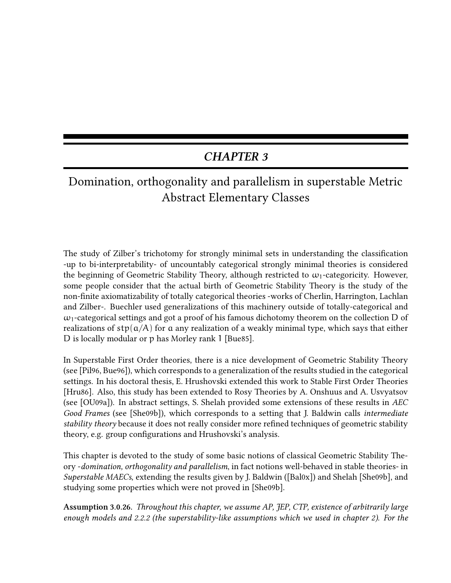# CHAPTER 3

# Domination, orthogonality and parallelism in superstable Metric Abstract Elementary Classes

The study of Zilber's trichotomy for strongly minimal sets in understanding the classification -up to bi-interpretability- of uncountably categorical strongly minimal theories is considered the beginning of Geometric Stability Theory, although restricted to  $\omega_1$ -categoricity. However, some people consider that the actual birth of Geometric Stability Theory is the study of the non-finite axiomatizability of totally categorical theories -works of Cherlin, Harrington, Lachlan and Zilber-. Buechler used generalizations of this machinery outside of totally-categorical and  $\omega_1$ -categorical settings and got a proof of his famous dichotomy theorem on the collection D of realizations of  $stp(a/A)$  for a any realization of a weakly minimal type, which says that either D is locally modular or p has Morley rank 1 [Bue85].

In Superstable First Order theories, there is a nice development of Geometric Stability Theory (see [Pil96, Bue96]), which corresponds to a generalization of the results studied in the categorical settings. In his doctoral thesis, E. Hrushovski extended this work to Stable First Order Theories [Hru86]. Also, this study has been extended to Rosy Theories by A. Onshuus and A. Usvyatsov (see [OU09a]). In abstract settings, S. Shelah provided some extensions of these results in AEC Good Frames (see [She09b]), which corresponds to a setting that J. Baldwin calls intermediate stability theory because it does not really consider more refined techniques of geometric stability theory, e.g. group configurations and Hrushovski's analysis.

This chapter is devoted to the study of some basic notions of classical Geometric Stability Theory -domination, orthogonality and parallelism, in fact notions well-behaved in stable theories- in Superstable MAECs, extending the results given by J. Baldwin ([Bal0x]) and Shelah [She09b], and studying some properties which were not proved in [She09b].

Assumption 3.0.26. Throughout this chapter, we assume AP, JEP, CTP, existence of arbitrarily large enough models and 2.2.2 (the superstability-like assumptions which we used in chapter 2). For the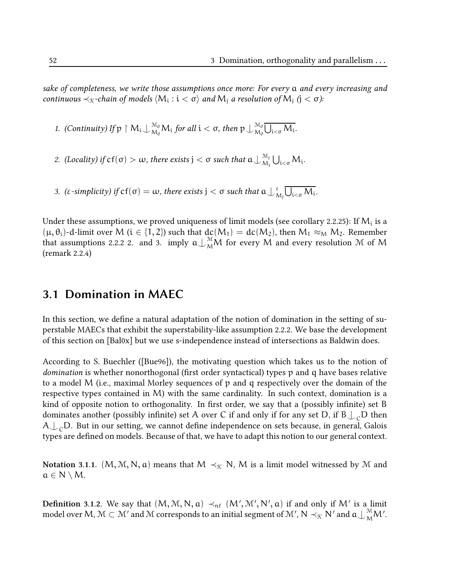sake of completeness, we write those assumptions once more: For every a and every increasing and continuous  $\prec_{\mathfrak{K}}$ -chain of models  $\langle \mathsf{M}_\mathfrak{i}: \mathfrak{i} < \mathfrak{\sigma} \rangle$  and  $\mathsf{M}_\mathfrak{j}$  a resolution of  $\mathsf{M}_\mathfrak{j}$   $(\mathfrak{j} < \mathfrak{\sigma})$ :

1. (Continuity) If  $p \restriction M_i \perp_{M_0}^{M_0} M_i$  for all  $i < \sigma$ , then  $p \perp_{M_0}^{M_0}$  $\bigcup_{M_0}^{M_0}\bigcup_{i<\sigma}M_i.$ 

2. (Locality) if  $cf(\sigma) > \omega$ , there exists  $j < \sigma$  such that  $a \bigcup_{M_1}^{M_j}$  $\bigcup_{\mathrm{M}_{\mathrm{j}}}^{\mathrm{M}_{\mathrm{j}}} \bigcup_{\mathrm{i<\sigma}} \mathrm{M}_{\mathrm{i}}.$ 

3. (ε-simplicity) if  $cf(\sigma) = \omega$ , there exists  $j < \sigma$  such that  $\alpha \bigcup_{\Lambda}^{\varepsilon}$  $_{\rm M_j}^{\rm g}\bigcup_{\rm i<\sigma}M_{\rm i}.$ 

Under these assumptions, we proved uniqueness of limit models (see corollary 2.2.25): If  $\mathsf{M}_{\mathfrak{t}}$  is a  $(\mu, \theta_i)$ -d-limit over M ( $i \in \{1, 2\}$ ) such that  $dc(M_1) = dc(M_2)$ , then  $M_1 \approx_M M_2$ . Remember that assumptions 2.2.2 2. and 3. imply  $a\bigcup_{M}^{M}M$  for every  $M$  and every resolution  $M$  of  $M$ (remark 2.2.4)

## 3.1 Domination in MAEC

In this section, we define a natural adaptation of the notion of domination in the setting of superstable MAECs that exhibit the superstability-like assumption 2.2.2. We base the development of this section on [Bal0x] but we use s-independence instead of intersections as Baldwin does.

According to S. Buechler ([Bue96]), the motivating question which takes us to the notion of domination is whether nonorthogonal (first order syntactical) types p and q have bases relative to a model M (i.e., maximal Morley sequences of p and q respectively over the domain of the respective types contained in M) with the same cardinality. In such context, domination is a kind of opposite notion to orthogonality. In first order, we say that a (possibly infinite) set B dominates another (possibly infinite) set A over C if and only if for any set D, if  $\mathtt{B}\bigcup_{\mathsf C} \mathtt{D}$  then  $A\bigcup_{\text{C}}$ D. But in our setting, we cannot define independence on sets because, in general, Galois types are defined on models. Because of that, we have to adapt this notion to our general context.

Notation 3.1.1.  $(M, M, N, a)$  means that  $M \prec_{\mathcal{K}} N$ , M is a limit model witnessed by M and  $a \in N \setminus M$ .

**Definition** 3.1.2. We say that  $(M, M, N, a) \prec_{\sf nf} (M', M', N', a)$  if and only if M' is a limit model over  $\mathsf{M},\mathfrak{M}\subset\mathfrak{M}'$  and  $\mathfrak{M}$  corresponds to an initial segment of  $\mathfrak{M}',\mathsf{N}\prec_\mathfrak{X}\mathsf{N}'$  and  $\mathfrak{a}\!\downarrow_{\mathfrak{M}}^{\mathfrak{M}}\!\mathfrak{M}'.$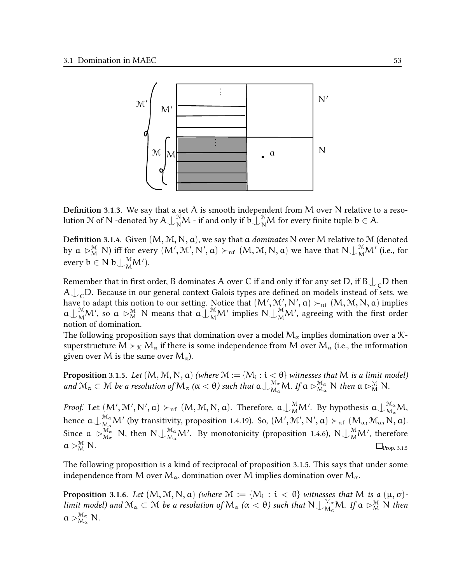

**Definition 3.1.3.** We say that a set A is smooth independent from M over N relative to a resolution  $\mathcal N$  of  $\mathsf N$  -denoted by  $\mathsf A\bigcup_{\mathsf N}^{\mathsf N}\mathsf M$  - if and only if  $\mathsf b\bigcup_{\mathsf N}^{\mathsf N}\mathsf M$  for every finite tuple  $\mathsf b\in\mathsf A.$ 

**Definition 3.1.4.** Given  $(M, M, N, a)$ , we say that a *dominates* N over M relative to M (denoted by  $a \rhd_M^{\mathcal{M}} N$ ) iff for every  $(M', \mathcal{M}', N', a) \succ_{\text{nf}} (M, \mathcal{M}, N, a)$  we have that  $N \perp_M^{\mathcal{M}} M'$  (i.e., for every  $b \in N b \bigcup_{M}^{M} M'$ ).

Remember that in first order, B dominates  $\mathsf A$  over  $\mathsf C$  if and only if for any set  $\mathsf D,$  if  $\mathsf B\big\downarrow_{\mathsf C}\mathsf D$  then  $\mathsf{A}\bigcup_{\mathsf{C}}\mathsf{D}.$  Because in our general context Galois types are defined on models instead of sets, we have to adapt this notion to our setting. Notice that  $(\mathsf{M}',\mathfrak{M}',\mathsf{N}',\mathfrak{a})\succ_{\sf nf} (\mathsf{M},\mathfrak{M},\mathsf{N},\mathfrak{a})$  implies  $a\bigcup_{M}^{M}M'$ , so  $a \rhd_M^{M}N$  means that  $a\bigcup_{M}^{M}M'$  implies  $N\bigcup_{M}^{M}M'$ , agreeing with the first order notion of domination.

The following proposition says that domination over a model  $M_{\alpha}$  implies domination over a  $\mathcal{K}$ superstructure  $M \succ_{\mathcal{K}} M_{\alpha}$  if there is some independence from M over  $M_{\alpha}$  (i.e., the information given over M is the same over  $M_{\alpha}$ ).

**Proposition** 3.1.5. Let  $(M, M, N, a)$  (where  $M := \{M_i : i < \theta\}$  witnesses that  $M$  is a limit model) and  $\mathcal{M}_{\alpha} \subset \mathcal{M}$  be a resolution of  $M_{\alpha}$   $(\alpha < \theta)$  such that  $a \bigcup_{M_{\alpha}}^{M_{\alpha}} M$ . If  $a \rhd_{M_{\alpha}}^{M_{\alpha}} N$  then  $a \rhd_M^{\mathcal{M}} N$ .

*Proof.* Let  $(M', \mathcal{M}', N', a) \succ_{\sf nf} (M, \mathcal{M}, N, a)$ . Therefore,  $\mathfrak{a}\!\cup_{\mathcal{M}}^\mathcal{M} M'$ . By hypothesis  $\mathfrak{a}\!\cup_{\mathcal{M}_\alpha}^\mathcal{M_\alpha} M$ , hence  $a\bigcup_{\mathcal{M}_{\alpha}}^{\mathcal{M}_{\alpha}}\mathcal{M}'$  (by transitivity, proposition 1.4.19). So,  $(\mathcal{M}', \mathcal{M}', \mathcal{N}', a) \succ_{\text{nf}} (\mathcal{M}_{\alpha}, \mathcal{M}_{\alpha}, \mathcal{N}, a)$ . Since  $a\ \rhd_{\mathcal{M}_\alpha}^{\mathcal{M}_\alpha}$  N, then  $N\bigcup_{\mathcal{M}_\alpha}^{\mathcal{M}_\alpha}\mathcal{M}'$ . By monotonicity (proposition 1.4.6),  $N\bigcup_{\mathcal{M}}^{\mathcal{M}}\mathcal{M}'$ , therefore  $a \rhd_M^M N$ .  $\Box_{\text{Prop. 3.1.5}}^{\mathcal{M}}$  N.

The following proposition is a kind of reciprocal of proposition 3.1.5. This says that under some independence from M over  $M_{\alpha}$ , domination over M implies domination over  $M_{\alpha}$ .

**Proposition** 3.1.6. Let  $(M, M, N, a)$  (where  $M := \{M_i : i < \theta\}$  witnesses that M is a  $(\mu, \sigma)$ limit model) and  $\mathcal{M}_\alpha\subset\mathcal{M}$  be a resolution of  $M_\alpha$  ( $\alpha<\theta$ ) such that  $N\bigcup_{M_\alpha}^{\mathcal{M}_\alpha}M$ . If  $\alpha\vartriangleright^{\mathcal{M}}_M N$  then  $a \rhd_{M_\alpha}^{\mathcal{M}_\alpha} N$ .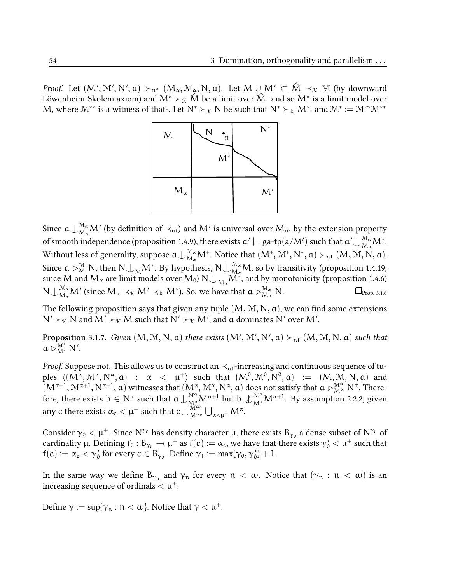*Proof.* Let  $(M', M', N', a) \succ_{\mathrm{nf}} (M_\alpha, \mathcal{M}_\alpha, N, a)$ . Let  $M \cup M' \subset \hat{M} \prec_{\mathcal{K}} \mathbb{M}$  (by downward Löwenheim-Skolem axiom) and  $\mathsf{M}^* \succ_\mathfrak{K} \hat{\mathsf{M}}$  be a limit over  $\hat{\mathsf{M}}$  -and so  $\mathsf{M}^*$  is a limit model over M, where  $\mathcal{M}^{**}$  is a witness of that-. Let  $\mathsf{N}^* \succ_{\mathcal{K}} \mathsf{N}$  be such that  $\mathsf{N}^* \succ_{\mathcal{K}} \mathsf{M}^*$ . and  $\mathcal{M}^* := \mathcal{M}^\frown \mathcal{M}^{**}$ 



Since  $\mathfrak{a}\!\cup_{\mathcal{M}_\alpha}^{\mathcal{M}_\alpha}\mathcal{M}'$  (by definition of  $\prec_{\mathfrak{nf}}$ ) and  $\mathcal{M}'$  is universal over  $\mathcal{M}_\alpha$ , by the extension property of smooth independence (proposition 1.4.9), there exists  $\mathfrak{a}'\models$  ga-tp(a/M′) such that  $\mathfrak{a}'\bigcup_{\mathsf{M}_\alpha}\mathsf{M}^*$ . Without less of generality, suppose  $\mathfrak{a}\bigcup_{\mathcal{M}_\alpha}^{\mathcal{M}_\alpha}\mathcal{M}^*.$  Notice that  $(\mathcal{M}^*,\mathcal{M}^*,\mathsf{N}^*,\mathsf{a})\succ_{\mathrm{nf}} (\mathcal{M},\mathcal{M},\mathsf{N},\mathsf{a}).$ Since  $a \rhd_M^{\mathcal{M}} N$ , then  $N \rhd_M^{\mathcal{M}^*}$ . By hypothesis,  $N \rhd_M^{\mathcal{M}^*} M$ , so by transitivity (proposition 1.4.19, since M and  $M_\alpha$  are limit models over  $M_0$ ) N $\bigcup_{M_\alpha}$ M $^*$ , and by monotonicity (proposition 1.4.6)  $\mathsf{N}\bigcup_{\mathcal{M}_\alpha}^{\mathcal{M}_\alpha}\mathcal{M}'$  (since  $\mathcal{M}_\alpha\prec_{\mathfrak{X}}\mathcal{M}'\prec_{\mathfrak{X}}\mathcal{M}^*$ ). So, we have that  $\mathfrak{a}\rhd_{\mathcal{M}_\alpha}^{\mathcal{M}_\alpha}$  $\Box$ Prop. 3.1.6

The following proposition says that given any tuple  $(M, M, N, a)$ , we can find some extensions  $\mathsf{N}'\succ_\mathfrak{K} \mathsf{N}$  and  $\mathsf{M}'\succ_\mathfrak{K} \mathsf{M}$  such that  $\mathsf{N}'\succ_\mathfrak{K} \mathsf{M}'$ , and  $\mathfrak a$  dominates  $\mathsf{N}'$  over  $\mathsf{M}'$ .

**Proposition** 3.1.7. Given  $(M, M, N, a)$  there exists  $(M', M', N', a) \succ_{\sf nf} (M, M, N, a)$  such that  $a \rhd^{\mathcal{M}'}_{M'} N'$ .

*Proof.* Suppose not. This allows us to construct an  $\prec$ <sub>nf</sub>-increasing and continuous sequence of tuples  $\langle (M^\alpha, \mathcal{M}^\alpha, \mathcal{N}^\alpha, \mathfrak{a}) \; : \; \; \alpha \;\; < \; \; \mu^+ \rangle$  such that  $(M^0, \mathcal{M}^0, \mathcal{N}^0, \mathfrak{a}) \; := \; \; (M, \mathcal{M}, \mathcal{N}, \mathfrak{a})$  and  $(M^{\alpha+1},\mathcal{M}^{\alpha+1},N^{\alpha+1},a)$  witnesses that  $(M^{\alpha},\mathcal{M}^{\alpha},N^{\alpha},a)$  does not satisfy that  $a\rhd_{M^{\alpha}}^{\mathcal{M}^{\alpha}}N^{\alpha}.$  Therefore, there exists  $b \in N^{\alpha}$  such that  $a\bigcup_{M_{\alpha}}^{M^{\alpha}} M^{\alpha+1}$  but  $b \not\bigcup_{M^{\alpha}}^{M^{\alpha}} M^{\alpha+1}$ . By assumption 2.2.2, given any  $c$  there exists  $\alpha_{\rm c}<\mu^+$  such that  $c\int_{\rm M}^{\rm M\alpha_{\rm c}}$  $\int_{M^{\alpha_c}}^{M^{\alpha_c}} \bigcup_{\alpha<\mu^+} M^{\alpha}.$ 

Consider  $\gamma_0<\mu^+$ . Since  $N^{\gamma_0}$  has density character  $\mu$ , there exists  $B_{\gamma_0}$  a dense subset of  $N^{\gamma_0}$  of cardinality  $\mu$ . Defining  $f_0 : B_{\gamma_0} \to \mu^+$  as  $f(c) := \alpha_c$ , we have that there exists  $\gamma'_0 < \mu^+$  such that  $f(c) := \alpha_c < \gamma'_0$  for every  $c \in B_{\gamma_0}$ . Define  $\gamma_1 := \max{\gamma_0, \gamma'_0} + 1$ .

In the same way we define  $B_{\gamma_n}$  and  $\gamma_n$  for every  $n < \omega$ . Notice that  $(\gamma_n : n < \omega)$  is an increasing sequence of ordinals  $\lt \mu^+$ .

Define  $\gamma := \sup\{\gamma_n : n < \omega\}$ . Notice that  $\gamma < \mu^+$ .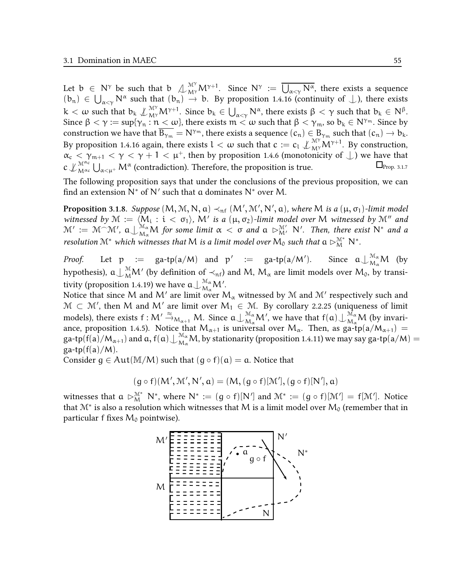Let  $b \in N^{\gamma}$  be such that  $b \n\bigcup_{M^{\gamma}}^{M^{\gamma}} M^{\gamma+1}$ . Since  $N^{\gamma} := \overline{\bigcup_{\alpha < \gamma} N^{\alpha}}$ , there exists a sequence  $(b_n) \in \bigcup_{\alpha < \gamma} N^{\alpha}$  such that  $(b_n) \to b$ . By proposition 1.4.16 (continuity of  $\bigcup$ ), there exists  $k < \omega$  such that  $b_k \nleq \mathcal{N}_{M^{\gamma}}^{M^{\gamma}} M^{\gamma+1}$ . Since  $b_k \in \bigcup_{\alpha < \gamma} N^{\alpha}$ , there exists  $\beta < \gamma$  such that  $b_k \in N^{\beta}$ . Since  $\beta < \gamma := \sup \{ \gamma_n : n < \omega \}$ , there exists  $m < \omega$  such that  $\beta < \gamma_m$ , so  $b_k \in N^{\gamma_m}$ . Since by construction we have that  $\overline{B_{\gamma_m}} = N^{\gamma_m}$ , there exists a sequence  $(c_n) \in B_{\gamma_m}$  such that  $(c_n) \to b_k$ . By proposition 1.4.16 again, there exists  $l < \omega$  such that  $c := c_l \nleq_{M\gamma} M^{\gamma+1}$ . By construction,  $\alpha_c < \gamma_{m+1} < \gamma < \gamma + 1 < \mu^+$ , then by proposition 1.4.6 (monotonicity of  $\perp$ ) we have that  $c \n\perp_{M^{\alpha_c}}^{M^{\alpha_c}}$  $\bigcup_{N^{\alpha_c}} \bigcup_{\alpha<\mu^+} \mathsf{M}^{\alpha}$  (contradiction). Therefore, the proposition is true.  $\Box_{\text{Prop. 3.1.7}}$ 

The following proposition says that under the conclusions of the previous proposition, we can find an extension  $\bar{N}^*$  of  $N'$  such that  $\alpha$  dominates  $N^*$  over M.

**Proposition** 3.1.8. Suppose  $(\mathsf{M},\mathbb{M},\mathsf{N},\mathfrak{a})\prec_{\mathfrak{n} \mathfrak{f}} (\mathsf{M}',\mathbb{M}',\mathsf{N}',\mathfrak{a})$ , where  $\mathsf{M}$  is a  $(\mu,\sigma_1)$ -limit model witnessed by  $\mathcal{M} := \langle M_i : i < \sigma_1 \rangle$ ,  $M'$  is a  $(\mu, \sigma_2)$ -limit model over M witnessed by  $\mathcal{M}''$  and  $\mathcal{M}' := \mathcal{M} \cap \mathcal{M}'$ ,  $a \perp_{\mathcal{M}_{\alpha}}^{\mathcal{M}_{\alpha}} M$  for some limit  $\alpha < \sigma$  and  $a \rhd_{\mathcal{M}'}^{\mathcal{M}'} N'$ . Then, there exist  $N^*$  and a resolution M<sup>\*</sup> which witnesses that M is a limit model over  $\mathcal{M}_0$  such that  $a \rhd_M^{\mathcal{M}^*} \mathbb{N}^*$ .

*Proof.* Let  $p := ga-tp(a/M)$  and  $p' := ga-tp(a/M)$ ). Since  $a\bigcup_{M_\alpha}^{M_\alpha} M$  (by hypothesis),  $\mathfrak{a}\!\cup_{\mathrm{M}}^\mathfrak{M}\!\mathsf{M}'$  (by definition of  $\prec_{\mathrm{nf}}$ ) and M,  $\mathsf{M}_\alpha$  are limit models over  $\mathsf{M}_0$ , by transitivity (proposition 1.4.19) we have  $a\bigcup_{M_\alpha}^{\mathcal{M}_\alpha} \mathcal{M}'$ .

Notice that since M and M $^\prime$  are limit over  $\rm M_{\alpha}$  witnessed by M and M $^\prime$  respectively such and  $\mathcal{M}\, \subset\, \mathcal{M}',$  then  $M$  and  $M'$  are limit over  $M_1\, \in\, \mathcal{M}.$  By corollary 2.2.25 (uniqueness of limit models), there exists  $f : M' \stackrel{\approx}{\rightarrow}_{M_{\alpha+1}} M$ . Since  $a \bigcup_{M_\alpha}^{M_\alpha} M'$ , we have that  $f(a) \bigcup_{M_\alpha}^{M_\alpha} M'$  (by invariance, proposition 1.4.5). Notice that  $M_{\alpha+1}$  is universal over  $M_{\alpha}$ . Then, as ga-tp(a/ $M_{\alpha+1}$ ) = ga-tp $(\widehat{f(a)}/M_{\alpha+1})$  and  $a, f(a)\bigcup_{\mathcal{M}_\alpha}^{\mathcal{M}_\alpha}M$ , by stationarity (proposition 1.4.11) we may say ga-tp $(a/M)=(a)$  $ga-tp(f(a)/M)$ .

Consider  $q \in Aut(M/M)$  such that  $(q \circ f)(a) = a$ . Notice that

$$
(g \circ f)(M', \mathcal{M}', N', a) = (M, (g \circ f)[\mathcal{M}'], (g \circ f)[N'], a)
$$

witnesses that  $a \rhd_M^{\mathcal{M}^*} N^*$ , where  $N^* := (g \circ f)[N']$  and  $\mathcal{M}^* := (g \circ f)[\mathcal{M}'] = f[\mathcal{M}']$ . Notice that  $\mathcal{M}^*$  is also a resolution which witnesses that  $\mathcal M$  is a limit model over  $\mathcal M_0$  (remember that in particular f fixes  $M_0$  pointwise).

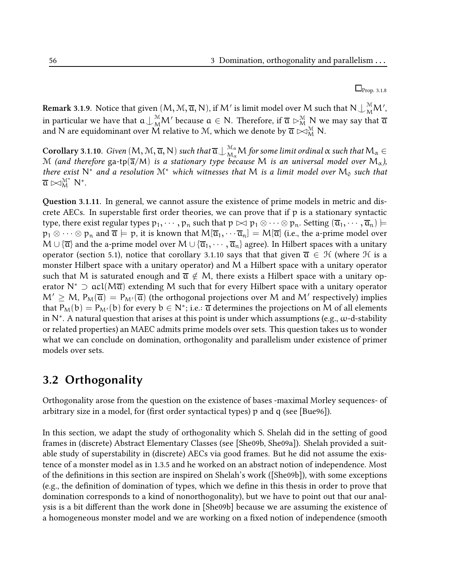$\Box$ Prop. 3.1.8

 ${\rm Remark~3.1.9.}$  Notice that given  $(M, \mathcal{M}, \overline{\alpha}, \mathsf{N}),$  if  $\mathsf{M}'$  is limit model over  $\mathsf{M}$  such that  $\mathsf{N}\bigcup^{\mathcal{M}}_{\mathsf{M}}\mathsf{M}',$ in particular we have that  $a\bigcup_M^{\mathcal{M}}\!M'$  because  $a\in\mathsf{N}.$  Therefore, if  $\overline{a}\vartriangleright^\mathcal{M}_M\mathsf{N}$  we may say that  $\overline{a}$ and N are equidominant over  $\widetilde{M}$  relative to  $\mathcal{M},$  which we denote by  $\overline{\mathfrak{a}}\rhd^{\mathcal{M}}_{\mathcal{M}}$  N.

 $\bf Corollary~3.1.10. \; Given\ (M,M,\overline{a},N) \; such \; that \; \overline{a} \bigcup_{M_\alpha}^{\mathcal{M}_\alpha} M$  for some limit ordinal  $\alpha$  such that  $M_\alpha \in$ M (and therefore ga-tp( $\overline{a}/M$ ) is a stationary type because M is an universal model over  $M_{\alpha}$ ), there exist N<sup>\*</sup> and a resolution M<sup>\*</sup> which witnesses that M is a limit model over M<sub>0</sub> such that  $\overline{\mathfrak{a}} \bowtie_M^{\mathcal{M}^*} \mathsf{N}^*.$ 

Question 3.1.11. In general, we cannot assure the existence of prime models in metric and discrete AECs. In superstable first order theories, we can prove that if  $p$  is a stationary syntactic type, there exist regular types  $p_1, \dots, p_n$  such that  $p \bowtie p_1 \otimes \dots \otimes p_n$ . Setting  $(\overline{a}_1, \dots, \overline{a}_n) \models$  $p_1 \otimes \cdots \otimes p_n$  and  $\overline{\mathfrak{a}} \models p$ , it is known that  $M[\overline{\mathfrak{a}}_1, \cdots \overline{\mathfrak{a}}_n] = M[\overline{\mathfrak{a}}]$  (i.e., the a-prime model over  $M \cup {\overline{\alpha}}$  and the a-prime model over  $M \cup {\overline{\alpha}}_1, \dots, {\overline{\alpha}}_n$  agree). In Hilbert spaces with a unitary operator (section 5.1), notice that corollary 3.1.10 says that that given  $\overline{\alpha} \in \mathcal{H}$  (where  $\mathcal{H}$  is a monster Hilbert space with a unitary operator) and M a Hilbert space with a unitary operator such that M is saturated enough and  $\overline{a} \notin M$ , there exists a Hilbert space with a unitary operator N<sup>\*</sup> ⊃ acl( $M\overline{a}$ ) extending M such that for every Hilbert space with a unitary operator  $\mathsf{M}'\geq \mathsf{M}$ ,  $\mathsf{P}_\mathsf{M}(\overline{\mathsf{a}})=\mathsf{P}_{\mathsf{M}'}(\overline{\mathsf{a}})$  (the orthogonal projections over  $\mathsf{M}$  and  $\mathsf{M}'$  respectively) implies that  $\mathsf{P}_\mathsf{M}(\mathsf{b})=\mathsf{P}_{\mathsf{M}'}(\mathsf{b})$  for every  $\mathsf{b}\in\mathsf{N}^*;$  i.e.:  $\overline{\mathfrak{a}}$  determines the projections on  $\mathsf{M}$  of all elements in  $\mathsf{N}^*$ . A natural question that arises at this point is under which assumptions (e.g.,  $\omega$ -d-stability or related properties) an MAEC admits prime models over sets. This question takes us to wonder what we can conclude on domination, orthogonality and parallelism under existence of primer models over sets.

# 3.2 Orthogonality

Orthogonality arose from the question on the existence of bases -maximal Morley sequences- of arbitrary size in a model, for (first order syntactical types)  $p$  and  $q$  (see [Bue96]).

In this section, we adapt the study of orthogonality which S. Shelah did in the setting of good frames in (discrete) Abstract Elementary Classes (see [She09b, She09a]). Shelah provided a suitable study of superstability in (discrete) AECs via good frames. But he did not assume the existence of a monster model as in 1.3.5 and he worked on an abstract notion of independence. Most of the definitions in this section are inspired on Shelah's work ([She09b]), with some exceptions  $(e.g., the definition of domination of types, which we define in this thesis in order to prove that$ domination corresponds to a kind of nonorthogonality), but we have to point out that our analysis is a bit different than the work done in [She09b] because we are assuming the existence of a homogeneous monster model and we are working on a fixed notion of independence (smooth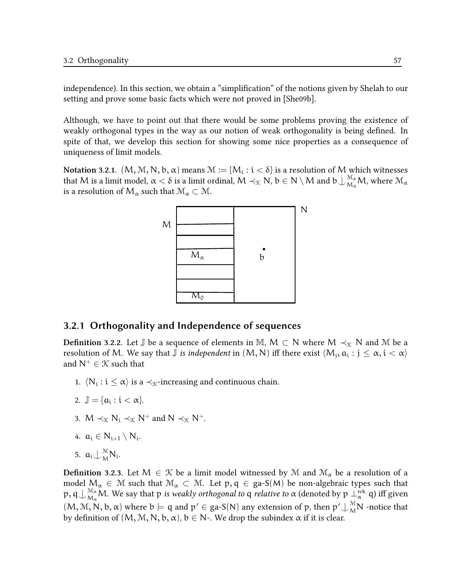independence). In this section, we obtain a "simplification" of the notions given by Shelah to our setting and prove some basic facts which were not proved in [She09b].

Although, we have to point out that there would be some problems proving the existence of weakly orthogonal types in the way as our notion of weak orthogonality is being defined. In spite of that, we develop this section for showing some nice properties as a consequence of uniqueness of limit models.

Notation 3.2.1.  $(M, M, N, b, \alpha)$  means  $\mathcal{M}:=\{M_\mathfrak{t}: \mathfrak{t}<\delta\}$  is a resolution of  $M$  which witnesses that M is a limit model,  $\alpha < \delta$  is a limit ordinal,  $M \prec_{\mathfrak{K}} N$ ,  $b \in N \setminus M$  and  $b \bigcup_{\mathcal{M}_{\alpha}}^{\mathcal{M}_{\alpha}} M$ , where  $\mathcal{M}_{\alpha}$ is a resolution of  $M_{\alpha}$  such that  $\mathcal{M}_{\alpha} \subset \mathcal{M}$ .



#### 3.2.1 Orthogonality and Independence of sequences

**Definition 3.2.2.** Let  $\mathbb{J}$  be a sequence of elements in M, M  $\subset$  N where M  $\prec_{\mathcal{K}} N$  and M be a resolution of M. We say that  $\bar{\mathbb{J}}$  *is independent* in  $(\mathsf{M},\mathsf{N})$  iff there exist  $\langle\mathsf{M}_{\mathsf{j}},\mathsf{a}_{\mathsf{i}}:\mathsf{j}\leq\alpha,\mathsf{i}<\alpha\rangle$ and  $N^+ \in \mathcal{K}$  such that

- 1.  $\langle N_i : i \leq \alpha \rangle$  is a  $\prec_{\mathcal{K}}$ -increasing and continuous chain.
- 2.  $\mathbb{J} = {\alpha_i : i < \alpha}.$
- 3.  $M \prec_{\mathcal{K}} N_i \prec_{\mathcal{K}} N^+$  and  $N \prec_{\mathcal{K}} N^+$ .
- 4.  $a_i \in N_{i+1} \setminus N_i$ .
- 5.  $a_i \bigcup_{M}^{M} N_i$ .

**Definition 3.2.3.** Let  $M \in \mathcal{K}$  be a limit model witnessed by M and  $\mathcal{M}_{\alpha}$  be a resolution of a model  $M_{\alpha} \in \mathcal{M}$  such that  $\mathcal{M}_{\alpha} \subset \mathcal{M}$ . Let  $p, q \in ga-S(M)$  be non-algebraic types such that  ${\sf p},\mathsf{q}\bigcup_{\mathsf{M}_\alpha}^{\mathsf{M}_\alpha}\mathsf{M}.$  We say that  ${\sf p}$  is weakly orthogonal to  $\mathsf{q}$  relative to  $\alpha$  (denoted by  $\mathsf{p}\perp_\alpha^{\mathsf{wk}}\mathsf{q}$ ) iff given  $(M, M, N, b, \alpha)$  where  $b \models q$  and  $p' \in ga-S(N)$  any extension of p, then  $p' \bigcup_{M}^{M} N$  -notice that by definition of  $(M, M, N, b, \alpha)$ ,  $b \in N$ -. We drop the subindex  $\alpha$  if it is clear.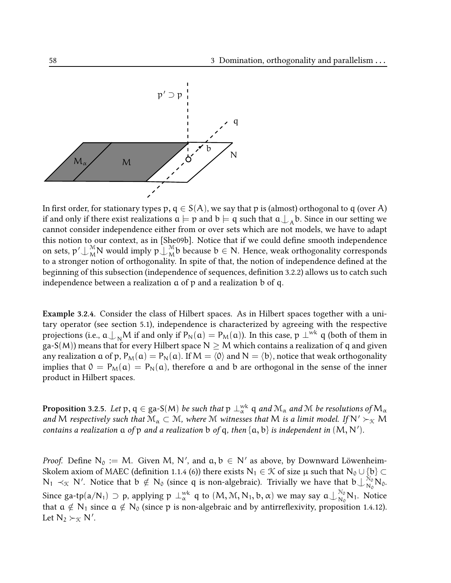

In first order, for stationary types p,  $q \in S(A)$ , we say that p is (almost) orthogonal to q (over A) if and only if there exist realizations  $\mathfrak{a}\models\mathfrak{p}$  and  $\mathfrak{b}\models\mathfrak{q}$  such that  $\mathfrak{a}\bigcup_\mathcal{A}\mathfrak{b}.$  Since in our setting we cannot consider independence either from or over sets which are not models, we have to adapt this notion to our context, as in [She09b]. Notice that if we could define smooth independence on sets,  $\mathsf{p'}\bigcup_{\mathsf{M}}^{\mathsf{M}}\mathsf{N}$  would imply  $\mathsf{p}\bigcup_{\mathsf{M}}^{\mathsf{M}}$  $\mathcal{L}_{\mathcal{M}}^{\mathcal{M}}$ b because b  $\in$  N. Hence, weak orthogonality corresponds to a stronger notion of orthogonality. In spite of that, the notion of independence defined at the beginning of this subsection (independence of sequences, definition 3.2.2) allows us to catch such independence between a realization a of p and a realization b of q.

Example 3.2.4. Consider the class of Hilbert spaces. As in Hilbert spaces together with a unitary operator (see section 5.1), independence is characterized by agreeing with the respective projections (i.e.,  $a \perp_{N} M$  if and only if  $P_{N}(a) = P_{M}(a)$ ). In this case,  $p \perp^{wk} q$  (both of them in ga-S(M)) means that for every Hilbert space  $N \geq M$  which contains a realization of q and given any realization  $\alpha$  of p,  $P_M(\alpha) = P_N(\alpha)$ . If  $M = \langle 0 \rangle$  and  $N = \langle b \rangle$ , notice that weak orthogonality implies that  $0 = P_M(a) = P_N(a)$ , therefore a and b are orthogonal in the sense of the inner product in Hilbert spaces.

**Proposition** 3.2.5. Let  $\mathsf{p},\mathsf{q}\in\mathsf{ga\text{-}S(M)}$  be such that  $\mathsf{p}\perp_\alpha^\mathrm{wk}\mathsf{q}$  and  $\mathfrak{M}_\alpha$  and  $\mathfrak{M}$  be resolutions of  $\mathsf{M}_\alpha$ and M respectively such that  $\mathcal{M}_{\alpha} \subset \mathcal{M}$ , where M witnesses that M is a limit model. If  $N' \succ_{\mathcal{K}} M$ contains a realization  $a$  of  $p$  and a realization  $b$  of  $q$ , then  $\{a, b\}$  is independent in  $(M, N')$ .

*Proof.* Define  $N_0 := M$ . Given M, N', and  $a, b \in N'$  as above, by Downward Löwenheim-Skolem axiom of MAEC (definition 1.1.4 (6)) there exists  $N_1 \in \mathcal{K}$  of size  $\mu$  such that  $N_0 \cup \{b\} \subset$  $N_1 \prec_{\mathcal{K}} N'$ . Notice that  $b \notin N_0$  (since q is non-algebraic). Trivially we have that  $b \bigcup_{N_0}^{N_0}$  $\frac{N_0}{N_0} N_0.$ Since ga-tp(a/N<sub>1</sub>)  $\supset$  p, applying  $\mathfrak{p}\perp_\alpha^{\text{wk}}$  q to  $(\mathsf{M},\mathfrak{M},\mathsf{N}_1,\mathsf{b},\alpha)$  we may say  $\mathfrak{a}\perp_{\mathsf{N}_0}^{\mathsf{N}_0}$  $\frac{N_0}{N_0} N_1$ . Notice that  $a \notin N_1$  since  $a \notin N_0$  (since p is non-algebraic and by antirreflexivity, proposition 1.4.12). Let  $N_2 \succ_{\mathcal{K}} N'$ .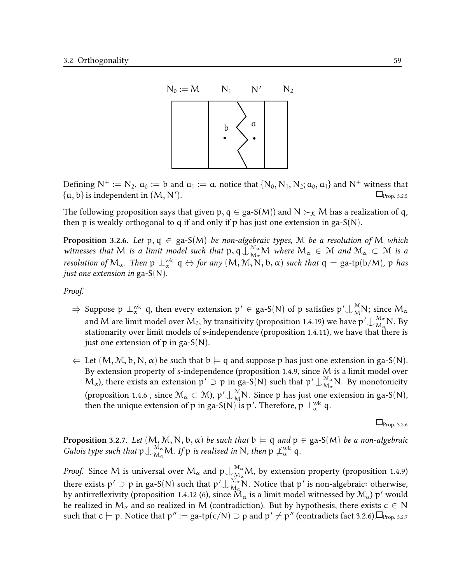

Defining  $N^+ := N_2$ ,  $a_0 := b$  and  $a_1 := a$ , notice that  $\{N_0, N_1, N_2; a_0, a_1\}$  and  $N^+$  witness that  $\{\alpha, b\}$  is independent in  $(M, N')$ .  $\Box$ Prop. 3.2.5

The following proposition says that given p,  $q \in ga-S(M)$  and  $N \succ_{\mathcal{K}} M$  has a realization of q, then p is weakly orthogonal to q if and only if p has just one extension in ga- $S(N)$ .

**Proposition 3.2.6.** Let  $p, q \in \text{ga-S}(M)$  be non-algebraic types, M be a resolution of M which witnesses that M is a limit model such that  $p, q \in M_\alpha$  where  $M_\alpha \in M$  and  $M_\alpha \subset M$  is a resolution of  $M_\alpha$ . Then  $p\perp^{\text{wk}}_{\alpha} q \Leftrightarrow$  for any  $(M, \mathcal{M}, N, b, \alpha)$  such that  $q = \text{ga-tp}(b/M)$ , p has just one extension in ga- $S(N)$ .

Proof.

- $\Rightarrow$  Suppose  $\mathfrak{p}\perp^{\text{wk}}_{\alpha}$  q, then every extension  $\mathfrak{p}'\in$  ga-S(N) of  $\mathfrak{p}$  satisfies  $\mathfrak{p}'\!\cup_{M}^{\mathfrak{M}}\!\mathsf{N};$  since  $\mathsf{M}_{\alpha}$ and M are limit model over  $\mathcal{M}_0$ , by transitivity (proposition 1.4.19) we have p′  $\bigcup_{\mathcal{M}_\alpha}^{\mathcal{M}_\alpha}$  $\frac{M_{\alpha}}{M_{\alpha}}$ N. By stationarity over limit models of s-independence (proposition 1.4.11), we have that there is just one extension of  $p$  in ga-S(N).
- $\Leftarrow$  Let  $(M, M, b, N, \alpha)$  be such that  $b \models q$  and suppose p has just one extension in ga-S(N). By extension property of s-independence (proposition 1.4.9, since M is a limit model over  $M_{\alpha}$ ), there exists an extension  $p' \supset p$  in ga-S(N) such that  $p' \bigcup_{M_{\alpha}}^{M_{\alpha}}$  $\frac{M_{\alpha}}{M_{\alpha}}$ N. By monotonicity (proposition 1.4.6 , since  $\mathcal{M}_{\alpha} \subset \mathcal{M}$ ),  $p' \cup_{\mathcal{M}}^{\mathcal{M}} N$ . Since p has just one extension in ga-S(N), then the unique extension of  $p$  in ga-S(N) is  $p'$ . Therefore,  $p \perp_{\alpha}^{\text{wk}} q$ .

 $\Box$ Prop. 3.2.6

**Proposition** 3.2.7. Let  $(M, M, N, b, \alpha)$  be such that  $b \models q$  and  $p \in ga-S(M)$  be a non-algebraic Galois type such that  $p\bigcup_{M_\alpha}^{\mathcal{M}_\alpha} M$ . If p is realized in N, then  $p\bigcup_{\alpha}^{\mathcal{W}^k} q$ .

*Proof.* Since M is universal over  $M_\alpha$  and  $p\bigcup_{M_\alpha}^{\mathcal{M}_\alpha} M$ , by extension property (proposition 1.4.9) there exists  $p' \supset p$  in ga-S(N) such that  $p' \bigcup_{M_\infty}^{\mathcal{M}_\alpha}$  $\frac{M_{\alpha}}{M_{\alpha}}$ N. Notice that p' is non-algebraic: otherwise, by antirreflexivity (proposition 1.4.12 (6), since  $\rm \ddot{M}_{\alpha}$  is a limit model witnessed by  $\rm \ddot{M}_{\alpha}$ )  $\rm p'$  would be realized in  $M_{\alpha}$  and so realized in M (contradiction). But by hypothesis, there exists  $c \in N$ such that  $c \models p$ . Notice that  $p'' := \text{ga-tp}(c/N) \supset p$  and  $p' \neq p''$  (contradicts fact 3.2.6).  $\Box_{\text{Prop. 3.2.7}}$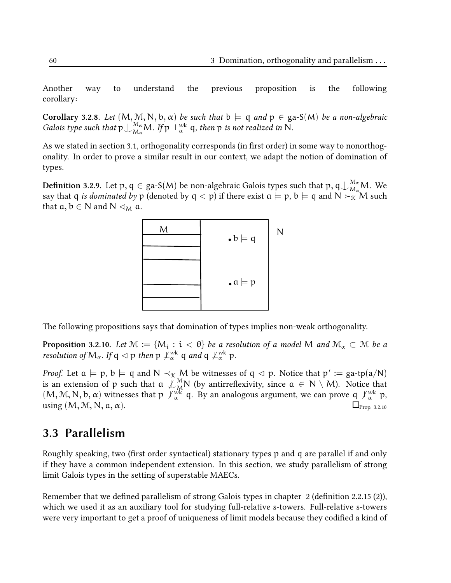Another way to understand the previous proposition is the following corollary:

Corollary 3.2.8. Let  $(M, M, N, b, \alpha)$  be such that  $b \models q$  and  $p \in ga-S(M)$  be a non-algebraic Galois type such that  $p\bigcup_{M_\alpha}^{M_\alpha} M$ . If  $p\perp_\alpha^{wk}$  q, then p is not realized in N.

As we stated in section 3.1, orthogonality corresponds (in first order) in some way to nonorthogonality. In order to prove a similar result in our context, we adapt the notion of domination of types.

**Definition** 3.2.9. Let  $p, q \in {\rm ga\text{-}S}(M)$  be non-algebraic Galois types such that  $p, q \cup_{\mathcal{M}_\alpha}^{\mathcal{M}_\alpha} M$ . We say that q is dominated by p (denoted by q  $\lhd$  p) if there exist  $a \models p$ ,  $b \models q$  and  $N \succ_{\mathcal{K}} M$  such that  $a, b \in N$  and  $N \triangleleft_M a$ .



The following propositions says that domination of types implies non-weak orthogonality.

**Proposition 3.2.10.** Let  $\mathcal{M} := \{M_i : i < \theta\}$  be a resolution of a model  $M$  and  $\mathcal{M}_\alpha \subset \mathcal{M}$  be a resolution of M<sub>α</sub>. If  $q \lhd p$  then  $p \not\perp^{\text{wk}}_{\alpha} q$  and  $q \not\perp^{\text{wk}}_{\alpha} p$ .

*Proof.* Let  $a \models p$ ,  $b \models q$  and  $N \prec_{\mathcal{K}} M$  be witnesses of  $q \lhd p$ . Notice that  $p' := ga\text{-}tp(a/N)$ is an extension of p such that  $\alpha \notin M_N^{\mathbb{N}}$  (by antirreflexivity, since  $\alpha \in N \setminus M$ ). Notice that  $(M, M, N, b, \alpha)$  witnesses that  $p \not\perp^{\text{wk}}_{\alpha} q$ . By an analogous argument, we can prove  $q \not\perp^{\text{wk}}_{\alpha} p$ , using  $(M, M, N, a, \alpha)$ .  $\Box_{\text{Prop. 3.2.10}}$ 

### 3.3 Parallelism

Roughly speaking, two (first order syntactical) stationary types  $p$  and q are parallel if and only if they have a common independent extension. In this section, we study parallelism of strong limit Galois types in the setting of superstable MAECs.

Remember that we defined parallelism of strong Galois types in chapter 2 (definition 2.2.15  $(2)$ ), which we used it as an auxiliary tool for studying full-relative s-towers. Full-relative s-towers were very important to get a proof of uniqueness of limit models because they codified a kind of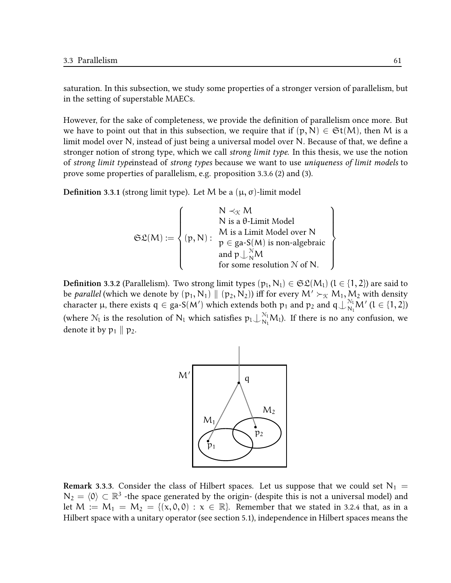saturation. In this subsection, we study some properties of a stronger version of parallelism, but in the setting of superstable MAECs.

However, for the sake of completeness, we provide the definition of parallelism once more. But we have to point out that in this subsection, we require that if  $(p, N) \in \mathfrak{St}(M)$ , then M is a limit model over N, instead of just being a universal model over N. Because of that, we define a stronger notion of strong type, which we call strong limit type. In this thesis, we use the notion of strong limit typeinstead of strong types because we want to use uniqueness of limit models to prove some properties of parallelism, e.g. proposition 3.3.6 (2) and (3).

Definition 3.3.1 (strong limit type). Let M be a  $(\mu, \sigma)$ -limit model

$$
\mathfrak{SL}(M) := \left\{ \begin{matrix} N \prec_{\mathfrak{X}} M \\ N \text{ is a } \theta\text{-Limit Model} \\ M \text{ is a Limit Model over N} \\ p \in \text{ga-S}(M) \text{ is non-algebraic} \\ \text{and } p \downarrow_{N}^{\mathcal{N}} M \\ \text{for some resolution } \mathcal{N} \text{ of N.} \end{matrix} \right\}
$$

**Definition 3.3.2** (Parallelism). Two strong limit types  $(p_l, N_l) \in \mathfrak{SL}(M_l)$   $(l \in \{1,2\})$  are said to be *parallel* (which we denote by  $(p_1, N_1) \parallel (p_2, N_2)$ ) iff for every  $M' \succ_{\mathcal{K}} M_1, M_2$  with density character  $\mu$ , there exists  $q \in ga-S(M')$  which extends both  $p_1$  and  $p_2$  and  $q \perp_{N_1}^{N_1} M'$  ( $l \in \{1,2\}$ ) (where  $N_l$  is the resolution of  $N_l$  which satisfies  $p_l \bigcup_{N_l}^{N_l} M_l$ ). If there is no any confusion, we denote it by  $p_1 \parallel p_2$ .



**Remark 3.3.3.** Consider the class of Hilbert spaces. Let us suppose that we could set  $N_1$  =  $N_2 = \langle 0 \rangle \subset \mathbb{R}^3$  -the space generated by the origin- (despite this is not a universal model) and let  $M := M_1 = M_2 = \{(x, 0, 0) : x \in \mathbb{R}\}$ . Remember that we stated in 3.2.4 that, as in a Hilbert space with a unitary operator (see section 5.1), independence in Hilbert spaces means the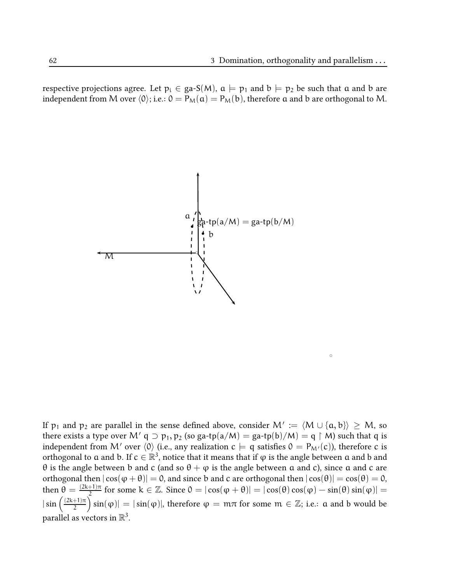$\ddot{\circ}$ 

respective projections agree. Let  $p_i \in ga-S(M)$ ,  $a \models p_1$  and  $b \models p_2$  be such that a and b are independent from M over  $\langle 0 \rangle$ ; i.e.:  $0 = P_M(a) = P_M(b)$ , therefore a and b are orthogonal to M.



If  $p_1$  and  $p_2$  are parallel in the sense defined above, consider  $M' := \langle M \cup \{a, b\} \rangle \geq M$ , so there exists a type over M'  $q \supset p_1, p_2$  (so ga-tp(a/M) = ga-tp(b)/M) = q  $\upharpoonright$  M) such that q is independent from M' over  $\langle 0 \rangle$  (i.e., any realization  $c \models q$  satisfies  $0 = P_{M'}(c)$ ), therefore c is orthogonal to  $\frak a$  and  $\frak b.$  If  $\frak c\in\mathbb R^3,$  notice that it means that if  $\frak\phi$  is the angle between  $\frak a$  and  $\frak b$  and θ is the angle between b and c (and so  $θ + φ$  is the angle between a and c), since a and c are orthogonal then  $|\cos(\varphi + \theta)| = 0$ , and since b and c are orthogonal then  $|\cos(\theta)| = \cos(\theta) = 0$ , then  $\theta = \frac{(2k+1)\pi}{2}$  $\frac{1}{2}$  for some k ∈ Z. Since 0 =  $|\cos(\varphi + \theta)|$  =  $|\cos(\theta)\cos(\varphi) - \sin(\theta)\sin(\varphi)|$  =  $|\sin\left(\frac{(2k+1)\pi}{2}\right)|$  $\left(\frac{1}{2}+1\right)\pi\pi$  sin( $\phi$ )| = |sin( $\phi$ )|, therefore  $\phi = m\pi$  for some  $m \in \mathbb{Z}$ ; i.e.:  $a$  and  $b$  would be parallel as vectors in  $\mathbb{R}^3$ .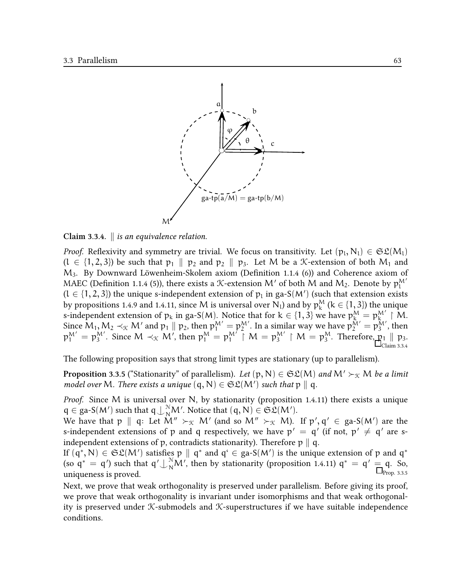

Claim 3.3.4.  $\parallel$  is an equivalence relation.

*Proof.* Reflexivity and symmetry are trivial. We focus on transitivity. Let  $(p_l, N_l) \in \mathfrak{SL}(M_l)$  $(l \in \{1, 2, 3\})$  be such that  $p_1 \parallel p_2$  and  $p_2 \parallel p_3$ . Let M be a *K*-extension of both M<sub>1</sub> and  $M_3$ . By Downward Löwenheim-Skolem axiom (Definition 1.1.4 (6)) and Coherence axiom of MAEC (Definition 1.1.4 (5)), there exists a X-extension M' of both M and M<sub>2</sub>. Denote by  $p_1^M$  $(l \in \{1, 2, 3\})$  the unique s-independent extension of  $p_l$  in ga-S(M') (such that extension exists by propositions 1.4.9 and 1.4.11, since M is universal over  $\mathsf{N}_\mathfrak{t}$  and by  $\mathsf{p}_\mathsf{k}^\mathsf{M}$  (k  $\in$  {1, 3}) the unique by propositions 1.4.9 and 1.4.11, since *M* is different over  $N_l$  and by  $p_k$  ( $\kappa \in \{1, 3\}$ ) the difique s-independent extension of  $p_k$  in ga-S(*M*). Notice that for  $k \in \{1, 3\}$  we have  $p_k^M = p_k^{M'} \restriction M$ . Since  $M_1, M_2 \prec_{\mathcal{K}} M'$  and  $p_1 \parallel p_2$ , then  $p_1^{M'} = p_2^{M'}$ . In a similar way we have  $p_2^{M'} = p_3^{M'}$ , then  $p_1^{M'} = p_3^{M'}$ . Since  $M \prec_{\mathcal{K}} M'$ , then  $p_1^{M'} = p_1^{M'} \upharpoonright M = p_3^{M'} \upharpoonright M = p_3^M$ . Therefore,  $p_1 \parallel p_3$ .  $\Box$ Claim 3.3.4

The following proposition says that strong limit types are stationary (up to parallelism).

**Proposition 3.3.5** ("Stationarity" of parallelism). Let  $(p, N) \in \mathfrak{SL}(M)$  and  $M' \succ_{\mathfrak{K}} M$  be a limit model over M. There exists a unique  $(q, N) \in \mathfrak{SL}(M')$  such that  $p \parallel q$ .

Proof. Since M is universal over N, by stationarity (proposition 1.4.11) there exists a unique  $q \in \text{ga-S}(M')$  such that  $q \perp_N^N M'$ . Notice that  $(q, N) \in \mathfrak{SL}(M')$ .

We have that  $\mathfrak{p} \parallel \mathfrak{q}$ : Let  $\mathsf{M}'' \succ_{\mathfrak{K}} \mathsf{M}'$  (and so  $\mathsf{M}'' \succ_{\mathfrak{K}} \mathsf{M}$ ). If  $\mathfrak{p}', \mathfrak{q}' \in \text{ga-S(M')}$  are the s-independent extensions of p and q respectively, we have  $p' = q'$  (if not,  $p' \neq q'$  are sindependent extensions of p, contradicts stationarity). Therefore  $p \parallel q$ .

If  $(q^*, N) \in \mathfrak{SL}(M')$  satisfies p  $\parallel q^*$  and  $q^* \in$  ga-S(M') is the unique extension of p and  $q^*$ (so  $q^* = q'$ ) such that  $q' \perp_N^N M'$ , then by stationarity (proposition 1.4.11)  $q^* = q' = q$ . So,  $\Box_{\text{Prop. 3.3.5}}$ 

Next, we prove that weak orthogonality is preserved under parallelism. Before giving its proof, we prove that weak orthogonality is invariant under isomorphisms and that weak orthogonality is preserved under  $K$ -submodels and  $K$ -superstructures if we have suitable independence conditions.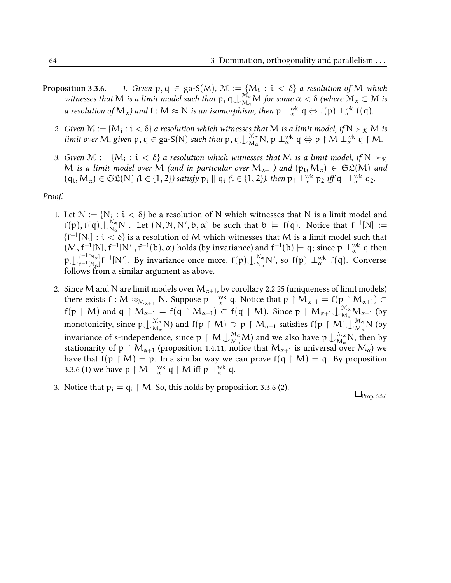- **Proposition 3.3.6.** 1. Given  $p, q \in$  ga-S(M),  $\mathcal{M} :=$   $\{M_i : i < \delta\}$  a resolution of  $M$  which witnesses that M is a limit model such that  $p, q\bigcup_{M_\alpha}^{M_\alpha} M$  for some  $\alpha < \delta$  (where  $\mathcal{M}_\alpha \subset \mathcal{M}$  is a resolution of  $M_\alpha$ ) and  $f:M\approx N$  is an isomorphism, then  $p\perp_\alpha^{wk}q\Leftrightarrow f(p)\perp_\alpha^{wk}f(q).$ 
	- 2. Given  $\mathcal{M} := \{M_i : i < \delta\}$  a resolution which witnesses that M is a limit model, if  $N \succ_{\mathcal{K}} M$  is limit over M, given  $p, q \in$  ga-S(N) such that  $p, q \bigcup_{M_\alpha}^{\mathcal{M}_\alpha}$  ${}_{M_{\alpha}}^{M_{\alpha}}$ N, p  $\perp_{\alpha}^{wk}$  q  $\Leftrightarrow$  p  $\restriction M$   $\perp_{\alpha}^{wk}$  q  $\restriction M$ .
	- 3. Given  $\mathcal{M} := \{M_i : i < \delta\}$  a resolution which witnesses that M is a limit model, if  $N \succ_{\mathcal{K}}$ M is a limit model over M (and in particular over  $M_{\alpha+1}$ ) and  $(p_1, M_\alpha) \in \mathfrak{SL}(M)$  and  $(q_1, M_\alpha) \in \mathfrak{SL}(N)$   $(l \in \{1, 2\})$  satisfy  $p_i \parallel q_i$   $(i \in \{1, 2\})$ , then  $p_1 \perp^{\text{wk}}_{\alpha}$   $p_2$  iff  $q_1 \perp^{\text{wk}}_{\alpha}$   $q_2$ .

#### Proof.

- 1. Let  $\mathcal{N} := \{N_i : i < \delta\}$  be a resolution of N which witnesses that N is a limit model and  $f(p), f(q) \bigcup_{N_\alpha}^{N_\alpha}$ Nα N . Let (N, N, N′ , b, α) be such that b |= f(q). Notice that f −1 [N] :=  $\{f^{-1}[N_i]:i<\delta\}$  is a resolution of  $M$  which witnesses that  $M$  is a limit model such that  $(M, f^{-1}[N], f^{-1}[N'], f^{-1}(b), \alpha)$  holds (by invariance) and  $f^{-1}(b) \models q$ ; since  $p \perp_{\alpha}^{wk} q$  then  $\mathfrak{p}\bigcup_{\mathfrak{f}^{-1}\left[\mathsf{N}_\alpha\right]}^{\mathfrak{f}^{-1}\left[\mathsf{N}_\alpha\right]}$  $f^{-1}[\mathbb{N}_{\alpha}]}f^{-1}[\mathbb{N}']$ . By invariance once more,  $f(p)\bigcup_{\mathbb{N}_{\alpha}}^{\mathbb{N}_{\alpha}}$  $\frac{\mathcal{N}_{\alpha}}{\mathcal{N}_{\alpha}}$  N', so  $f(p) \perp^{\text{wk}}_{\alpha} f(q)$ . Converse follows from a similar argument as above.
- 2. Since M and N are limit models over  $M_{\alpha+1}$ , by corollary 2.2.25 (uniqueness of limit models) there exists  $f: M \approx_{M_{\alpha+1}} N$ . Suppose  $p \perp_{\alpha}^{wk} q$ . Notice that  $p \restriction M_{\alpha+1} = f(p \restriction M_{\alpha+1}) \subset$  $f(p \upharpoonright M)$  and  $q \upharpoonright M_{\alpha+1} = f(q \upharpoonright M_{\alpha+1}) \subset f(q \upharpoonright M)$ . Since  $p \upharpoonright M_{\alpha+1} \bigcup_{M_\alpha}^{M_\alpha} M_{\alpha+1}$  (by monotonicity, since  $\mathfrak{p}\bigcup_{\mathsf{M}_{\alpha}}^{\mathsf{M}_{\alpha}}$  ${}^{\mathcal{M}_\alpha}_{\mathcal{M}_\alpha}$ N) and f $(\mathfrak{p}\restriction \mathcal{M})\supseteq \mathfrak{p}\restriction \mathcal{M}_{\alpha+1}$  satisfies f $(\mathfrak{p}\restriction \mathcal{M})\bigcup_{\mathcal{M}_\alpha}\limits^{\mathcal{M}_\alpha}$  $\frac{M_{\alpha}}{M_{\alpha}}$ N (by invariance of s-independence, since  $p\restriction M\cup_{\mathcal{M}_\alpha}^{\mathcal{M}_\alpha}\mathcal{M})$  and we also have  $p\cup_{\mathcal{M}_\alpha}^{\mathcal{M}_\alpha}$  $\max_{M_{\alpha}} N$ , then by stationarity of p  $\restriction M_{\alpha+1}$  (proposition 1.4.11, notice that  $M_{\alpha+1}$  is universal over  $M_\alpha$ ) we have that  $f(p \restriction M) = p$ . In a similar way we can prove  $f(q \restriction M) = q$ . By proposition 3.3.6 (1) we have  $p \restriction M \perp_{\alpha}^{\text{wk}} \mathfrak{q} \restriction M$  iff  $p \perp_{\alpha}^{\text{wk}} \mathfrak{q}$ .
- 3. Notice that  $p_i = q_i \restriction M$ . So, this holds by proposition 3.3.6 (2).

 $\Box$ Prop. 3.3.6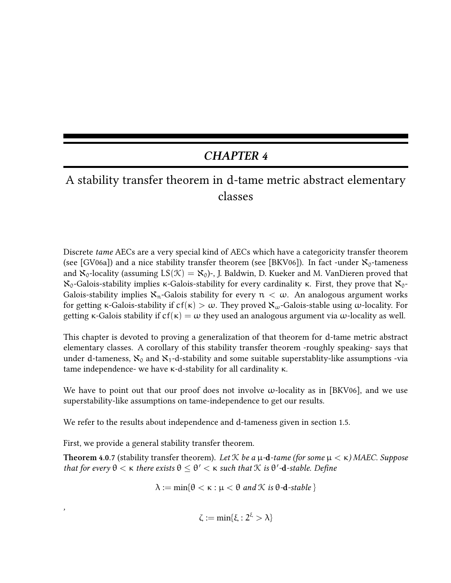## CHAPTER 4

# A stability transfer theorem in d-tame metric abstract elementary classes

Discrete tame AECs are a very special kind of AECs which have a categoricity transfer theorem (see [GV06a]) and a nice stability transfer theorem (see [BKV06]). In fact -under  $\aleph_0$ -tameness and  $\aleph_0$ -locality (assuming  $LS(\mathcal{K}) = \aleph_0$ )-, J. Baldwin, D. Kueker and M. VanDieren proved that  $\aleph_0$ -Galois-stability implies κ-Galois-stability for every cardinality κ. First, they prove that  $\aleph_0$ -Galois-stability implies  $\aleph_n$ -Galois stability for every  $n < \omega$ . An analogous argument works for getting κ-Galois-stability if  $cf(\kappa) > ω$ . They proved  $\aleph_{\omega}$ -Galois-stable using  $\omega$ -locality. For getting κ-Galois stability if  $cf(\kappa) = \omega$  they used an analogous argument via  $\omega$ -locality as well.

This chapter is devoted to proving a generalization of that theorem for d-tame metric abstract elementary classes. A corollary of this stability transfer theorem -roughly speaking- says that under d-tameness,  $\aleph_0$  and  $\aleph_1$ -d-stability and some suitable superstablity-like assumptions -via tame independence- we have κ-d-stability for all cardinality κ.

We have to point out that our proof does not involve  $\omega$ -locality as in [BKV06], and we use superstability-like assumptions on tame-independence to get our results.

We refer to the results about independence and d-tameness given in section 1.5.

First, we provide a general stability transfer theorem.

,

Theorem 4.0.7 (stability transfer theorem). Let  $K$  be a  $\mu$ -d-tame (for some  $\mu < \kappa$ ) MAEC. Suppose that for every  $\theta < \kappa$  there exists  $\theta \leq \theta' < \kappa$  such that  $\mathcal K$  is  $\theta'$ -d-stable. Define

 $\lambda := \min\{\theta < \kappa : \mu < \theta \text{ and } \mathcal{K} \text{ is } \theta$ -d-stable }

 $\zeta := \min\{\xi : 2^{\xi} > \lambda\}$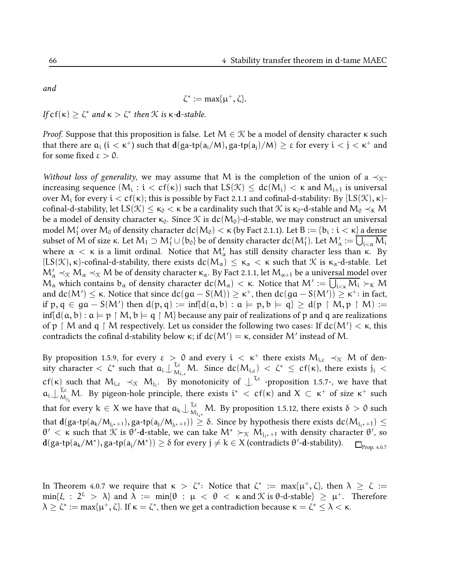and

$$
\zeta^*:=\max\{\mu^+,\zeta\}.
$$

If  $\text{cf}(\kappa) \geq \zeta^*$  and  $\kappa > \zeta^*$  then  $\mathcal K$  is  $\kappa$ -d-stable.

*Proof.* Suppose that this proposition is false. Let  $M \in \mathcal{K}$  be a model of density character  $\kappa$  such that there are  $a_i$   $(i < \kappa^+)$  such that  $d(ga\text{-}tp(a_i/M), ga\text{-}tp(a_j)/M) \geq \varepsilon$  for every  $i < j < \kappa^+$  and for some fixed  $\varepsilon > 0$ .

Without loss of generality, we may assume that M is the completion of the union of a  $\prec_{\mathcal{K}}$ increasing sequence  $(M_\mathfrak{i}: \mathfrak{i}<\mathfrak{cf}(\kappa))$  such that  $\mathsf{LS}(\mathfrak{K})\leq\mathfrak{dc}(M_\mathfrak{i})<\kappa$  and  $M_{\mathfrak{i}+1}$  is universal over M<sub>i</sub> for every  $i < cf(κ)$ ; this is possible by Fact 2.1.1 and cofinal-d-stability: By [LS( $\mathcal{K}$ ),  $κ$ )cofinal-d-stability, let  $LS(\mathcal{K}) \leq \kappa_0 < \kappa$  be a cardinality such that  $\mathcal{K}$  is  $\kappa_0$ -d-stable and  $M_0 \prec_{\kappa} M$ be a model of density character  $\kappa_0$ . Since X is  $dc(M_0)$ -d-stable, we may construct an universal model  $\mathcal{M}'_1$  over  $\mathcal{M}_0$  of density character  $dc(\mathcal{M}_0)<\kappa$  (by Fact 2.1.1). Let  $B:=\{b_i:i<\kappa\}$  a dense subset of M of size κ. Let M<sub>1</sub> ⊃ M′<sub>1</sub>∪{b<sub>0</sub>} be of density character dc(M′<sub>1</sub>). Let M′<sub>α</sub> := ∪<sub>i<α</sub> M<sub>i</sub> where  $\alpha < \kappa$  is a limit ordinal. Notice that  $M'_\alpha$  has still density character less than κ. By  $[LS(\mathcal{K}), \kappa)$ -cofinal-d-stability, there exists  $dc(M_\alpha) \leq \kappa_\alpha < \kappa$  such that  $\mathcal K$  is  $\kappa_\alpha$ -d-stable. Let  $\rm M'_{\alpha}$   $\prec_{\rm X}$   $\rm M_{\alpha}$   $\prec_{\rm X}$   $\rm M$  be of density character  $\kappa_{\alpha}$ . By Fact 2.1.1, let  $\rm M_{\alpha+1}$  be a univ<u>ersal mod</u>el over  $\mathcal{M}_\alpha$  which contains  $b_\alpha$  of density character  $dc(M_\alpha)<\kappa.$  Notice that  $M':=\bigcup_{i<\kappa}M_i\succ_\kappa M_i$ and  $dc(M') \leq \kappa$ . Notice that since  $dc(ga - S(M)) \geq \kappa^+$ , then  $dc(ga - S(M')) \geq \kappa^+$ : in fact, if p, q  $\in$  ga – S(M') then  $d(p,q) := \inf\{d(a,b) : a \models p, b \models q\} \ge d(p \upharpoonright M, p \upharpoonright M) :=$  $inf{d(a, b) : a \models p \upharpoonright M, b \models q \upharpoonright M}$  because any pair of realizations of p and q are realizations of  $\mathfrak{p}\restriction \mathsf{M}$  and  $\mathfrak{q}\restriction \mathsf{M}$  respectively. Let us consider the following two cases: If  $\text{dc}(\mathsf{M}')<\kappa,$  this contradicts the cofinal d-stability below  $\kappa$ ; if  $dc(M') = \kappa$ , consider M' instead of M.

By proposition 1.5.9, for every  $\varepsilon > 0$  and every  $i < \kappa^+$  there exists  $M_{i,\varepsilon} \prec_{\mathcal{K}} M$  of density character  $\langle \zeta^* \rangle$  such that  $a_i \downarrow_{\mathcal{M}}^{\mathcal{T}, \varepsilon}$  $\mathcal{M}_{\lambda_{i,\varepsilon}} M$ . Since  $\text{dc}(\mathcal{M}_{i,\varepsilon}) < \zeta^* \leq \text{cf}(\kappa)$ , there exists  $j_i < \varepsilon$  $cf(\kappa)$  such that  $M_{i,\epsilon} \prec_{\mathcal{K}} M_{j_i}$ . By monotonicity of  $\perp^{T,\epsilon}$  -proposition 1.5.7-, we have that  $\mathfrak{a}_\mathfrak{i}\smash\downarrow^{\mathfrak{T},\varepsilon}_M$ <sup>1,ε</sup> M. By pigeon-hole principle, there exists  $i^* < cf(κ)$  and  $X \subset κ^+$  of size  $κ^+$  such that for every  $k \in X$  we have that  $a_k \bigcup_{M}^{T,\varepsilon}$  $\frac{1}{16}$ <sup>1,ε</sup> M. By proposition 1.5.12, there exists  $\delta > 0$  such that  $d(\text{ga-tp}(a_k/M_{j_{i^*}+1}),\text{ga-tp}(a_j/M_{j_{i^*}+1}))\geq \delta.$  Since by hypothesis there exists  $dc(M_{j_{i^*}+1})\leq$ θ' < κ such that  $\mathcal K$  is θ'-d-stable, we can take  $\mathsf{M}^* \succ_\mathcal K \mathsf{M}_{\mathsf{j}_\mathsf{i} *}$ +1 with density character θ', so  $\mathbf{d}(\mathsf{ga\text{-}tp(a_k/M^*),\mathsf{ga\text{-}tp(a_j/M^*)}) \geq \delta \text{ for every } j\neq k\in X \text{ (contradicts } \theta'\text{-}\mathbf{d}\text{-stability).}\quad \square_{\text{Prop. 4.0.7}}$ 

In Theorem 4.0.7 we require that  $\kappa > \zeta^*$ : Notice that  $\zeta^* := \max{\{\mu^+, \zeta\}}$ , then  $\lambda \geq \zeta :=$  $\min\{\xi\ :\ 2^\xi\ >\ \lambda\}$  and  $\lambda\ :=\ \min\{\theta\ :\ \mu\ <\ \theta\ <\ \kappa\ \text{and}\ \mathcal K \text{ is $\theta$-d-stable}\}\ \geq\ \mu^+. \ \ \text{Therefore}$  $\lambda \geq \zeta^*:=\max\{\mu^+,\zeta\}$ . If  $\kappa=\zeta^*$ , then we get a contradiction because  $\kappa=\zeta^*\leq\lambda<\kappa$ .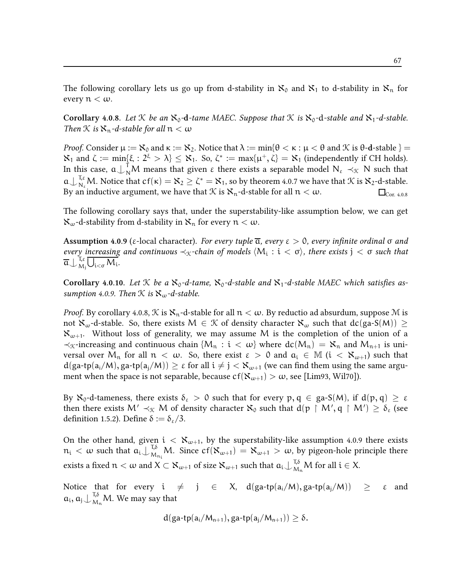The following corollary lets us go up from d-stability in  $\aleph_0$  and  $\aleph_1$  to d-stability in  $\aleph_n$  for every  $n < \omega$ .

Corollary 4.0.8. Let  $K$  be an  $\aleph_0$ -d-tame MAEC. Suppose that  $K$  is  $\aleph_0$ -d-stable and  $\aleph_1$ -d-stable. Then  $K$  is  $\aleph_n$ -d-stable for all  $n < \omega$ 

*Proof.* Consider  $\mu := \aleph_0$  and  $\kappa := \aleph_2$ . Notice that  $\lambda := \min\{\theta < \kappa : \mu < \theta \text{ and } \aleph \text{ is } \theta$ -d-stable  $\}$  $\mathcal{X}_1$  and  $\zeta := \min\{\xi : 2^{\xi} > \lambda\} \leq \mathcal{X}_1$ . So,  $\zeta^* := \max\{\mu^+, \zeta\} = \mathcal{X}_1$  (independently if CH holds). In this case,  $a \perp_N^T M$  means that given  $\varepsilon$  there exists a separable model  $N_{\varepsilon} \prec_X N$  such that  $a\bigcup_{N_{\varepsilon}}^{T_{\varepsilon}} M$ . Notice that  $cf(\kappa) = X_2 \ge \zeta^* = X_1$ , so by theorem 4.0.7 we have that  $\mathcal K$  is  $X_2$ -d-stable. By an inductive argument, we have that  $\mathcal K$  is  $\mathcal K_n$ -d-stable for all  $n < \omega$ .

The following corollary says that, under the superstability-like assumption below, we can get  $\aleph_{\omega}$ -d-stability from d-stability in  $\aleph_n$  for every  $n < \omega$ .

Assumption 4.0.9 (ε-local character). For every tuple  $\overline{\alpha}$ , every  $\varepsilon > 0$ , every infinite ordinal σ and every increasing and continuous  $\prec_{\mathfrak{K}}$ -chain of models  $\langle M_i : i < \sigma \rangle$ , there exists  $j < \sigma$  such that  $\overline{\mathfrak{a}}\bigcup_{\mathsf{M}}^{\mathsf{T},\varepsilon}$  $\bigcup_{i,j}^{l,\epsilon} \bigcup_{i < \sigma} M_i.$ 

Corollary 4.0.10. Let  $K$  be a  $\aleph_0$ -d-tame,  $\aleph_0$ -d-stable and  $\aleph_1$ -d-stable MAEC which satisfies assumption 4.0.9. Then  $\mathcal K$  is  $\aleph_{\omega}$ -d-stable.

*Proof.* By corollary 4.0.8,  $\mathcal{K}$  is  $\aleph_n$ -d-stable for all  $n < \omega$ . By reductio ad absurdum, suppose M is not  $\aleph_{\omega}$ -d-stable. So, there exists  $M \in \mathcal{K}$  of density character  $\aleph_{\omega}$  such that  $dc(ga-S(M)) \geq$  $\aleph_{\omega+1}$ . Without loss of generality, we may assume M is the completion of the union of a  $\prec_{\mathcal{K}}$ -increasing and continuous chain  $\{M_n : i < \omega\}$  where  $dc(M_n) = \aleph_n$  and  $M_{n+1}$  is universal over  $M_n$  for all  $n < \omega$ . So, there exist  $\varepsilon > 0$  and  $a_i \in M$  ( $i < X_{\omega+1}$ ) such that  $d(ga-tp(a_i/M), ga-tp(a_i/M)) \geq \varepsilon$  for all  $i \neq j < X_{\omega+1}$  (we can find them using the same argument when the space is not separable, because  $cf(\aleph_{\omega+1}) > \omega$ , see [Lim93, Wil70]).

By  $\aleph_0$ -d-tameness, there exists  $\delta_{\epsilon} > 0$  such that for every  $p, q \in \text{ga-S}(M)$ , if  $d(p, q) \geq \epsilon$ then there exists  $\mathsf{M}'\prec_\mathfrak{X}\mathsf{M}$  of density character  $\aleph_0$  such that  $\mathsf{d}(\mathsf{p}\restriction\mathsf{M}',\mathsf{q}\restriction\mathsf{M}')\geq\delta_\varepsilon$  (see definition 1.5.2). Define  $\delta := \delta_{\varepsilon}/3$ .

On the other hand, given  $i < X_{\omega+1}$ , by the superstability-like assumption 4.0.9 there exists  $n_i < \omega$  such that  $a_i \bigcup_{M_i}^{T,\delta}$  $\mathcal{M}_{\mathcal{M}_{n_i}}^{\mathcal{M}_{0,n_i}}$ M. Since  $cf(\mathbf{X}_{\omega+1}) = \mathbf{X}_{\omega+1} > \omega$ , by pigeon-hole principle there exists a fixed  $n < \omega$  and  $X \subset X_{\omega+1}$  of size  $\aleph_{\omega+1}$  such that  $\mathfrak{a}_i \bigcup_{M_n}^{\tau, \delta} M$  for all  $i \in X$ .

Notice that for every  $i \neq j \in X$ ,  $d(ga-tp(a_i/M), ga-tp(a_i/M)) > \varepsilon$  and  $a_i, a_j \bigcup_{M_n}^{T,\delta} M$ . We may say that

$$
d(ga\text{-}tp(a_i/M_{n+1}), ga\text{-}tp(a_j/M_{n+1}))\geq \delta.
$$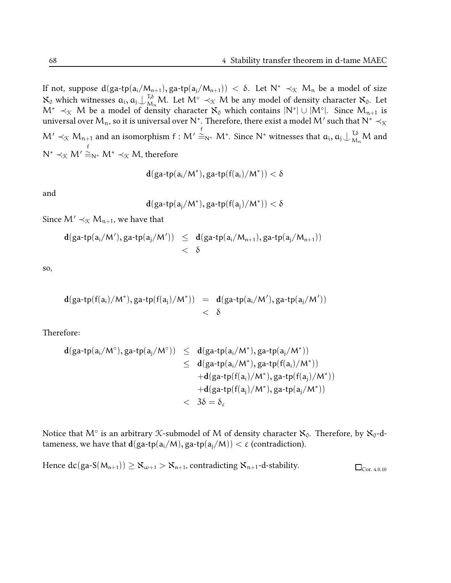If not, suppose  $d(ga-tp(a_i/M_{n+1}), ga-tp(a_j/M_{n+1})) < \delta$ . Let  $N^* \prec_{\mathcal{K}} M_n$  be a model of size  $\aleph_0$  which witnesses  $a_i, a_j \n\cup_{M_n}^{T,\delta} M$ . Let  $M^\circ \prec_{\mathcal{K}} M$  be any model of density character  $\aleph_0$ . Let  $\mathsf{M}^* \prec_{\mathfrak{X}} \mathsf{M}$  be a model of density character  $\aleph_0$  which contains  $|\mathsf{N}^*|\cup |\mathsf{M}^\circ|$ . Since  $\mathsf{M}_{\mathfrak{n}+1}$  is universal over  ${\sf M}_\mathfrak{n}$ , so it is universal over  $\mathsf{N}^*$  . Therefore, there exist a model  $\mathsf{M}'$  such that  $\mathsf{N}^* \prec_{\mathfrak{K}}$  $\mathsf{M}' \prec_\mathfrak{K} \mathsf{M}_{\mathfrak{n}+1}$  and an isomorphism  $\mathsf{f} : \mathsf{M}' \cong_{\mathsf{N}^*} \mathsf{M}^*$ . Since  $\mathsf{N}^*$  witnesses that  $\mathfrak{a}_\mathfrak{i}, \mathfrak{a}_\mathfrak{j} \cup_{\mathsf{M}_{\mathfrak{n}}}^{\mathsf{T},\delta} \mathsf{M}$  and  $\mathsf{N}^* \prec_\mathfrak{X} \mathsf{M}'$  $\stackrel{\scriptscriptstyle\mathsf{f}}{=}_{\mathsf{N}^*}\mathsf{M}^*\prec_{\mathcal{K}}\mathsf{M},$  therefore

$$
\mathbf{d}(\mathsf{ga\text{-}tp(a_i/M^*)},\mathsf{ga\text{-}tp(f(a_i)/M^*)}) < \delta
$$

and

$$
\mathbf{d}(\mathsf{ga\text{-}tp(a_j/M^*)}, \mathsf{ga\text{-}tp(f(a_j)/M^*)}) < \delta
$$

Since  $M' \prec_{\mathcal{K}} M_{n+1}$ , we have that

$$
\begin{array}{lcl} d(ga\text{-}tp(a_i/M'),ga\text{-}tp(a_j/M')) & \leq & d(ga\text{-}tp(a_i/M_{n+1}),ga\text{-}tp(a_j/M_{n+1})) \\ & & < \delta \end{array}
$$

so,

$$
\begin{array}{lcl} \mathbf{d}(ga\text{-}tp(f(a_i)/M^*),ga\text{-}tp(f(a_j)/M^*)) & = & \mathbf{d}(ga\text{-}tp(a_i/M'),ga\text{-}tp(a_j/M')) \\ & & < \delta \end{array}
$$

Therefore:

$$
\begin{array}{lcl} d(ga\text{-}tp(a_i/M^\circ),ga\text{-}tp(a_j/M^\circ))&\leq& d(ga\text{-}tp(a_i/M^*),ga\text{-}tp(a_j/M^*))\\&\leq& d(ga\text{-}tp(a_i/M^*),ga\text{-}tp(f(a_i)/M^*))\\&+d(ga\text{-}tp(f(a_i)/M^*),ga\text{-}tp(f(a_j)/M^*))\\&+d(ga\text{-}tp(f(a_j)/M^*),ga\text{-}tp(a_j/M^*))\\&<&3\delta=\delta_\epsilon \end{array}
$$

Notice that  $\mathsf{M}^\circ$  is an arbitrary  $\mathfrak K$ -submodel of  $\mathsf M$  of density character  $\aleph_0$ . Therefore, by  $\aleph_0$ -dtameness, we have that  $d(ga-tp(a_i/M), ga-tp(a_i/M)) < \varepsilon$  (contradiction).

Hence  $dc(ga-S(M_{n+1})) \geq X_{\omega+1} > X_{n+1}$ , contradicting  $X_{n+1}$ -d-stability.  $\square_{Cor. 4.0.10}$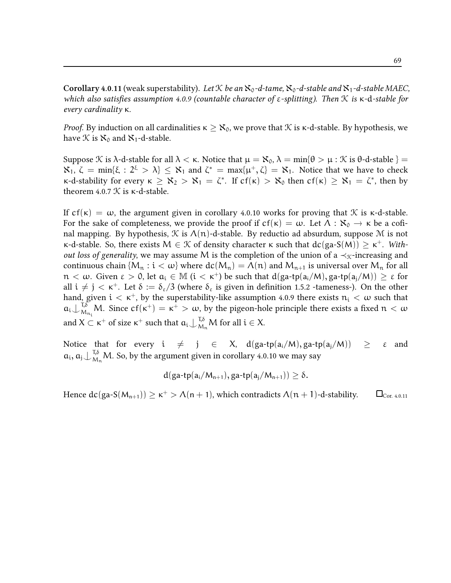**Corollary 4.0.11** (weak superstability). Let K be an  $\aleph_0$ -d-tame,  $\aleph_0$ -d-stable and  $\aleph_1$ -d-stable MAEC, which also satisfies assumption 4.0.9 (countable character of  $\varepsilon$ -splitting). Then K is  $\kappa$ -d-stable for every cardinality κ.

*Proof.* By induction on all cardinalities  $\kappa \geq \aleph_0$ , we prove that  $\mathcal K$  is  $\kappa$ -d-stable. By hypothesis, we have  $\mathcal K$  is  $\aleph_0$  and  $\aleph_1$ -d-stable.

Suppose K is  $\lambda$ -d-stable for all  $\lambda < \kappa$ . Notice that  $\mu = \aleph_0$ ,  $\lambda = \min\{\theta > \mu : \aleph$  is  $\theta$ -d-stable  $\}$  $\mathcal{R}_1, \ \zeta = \min\{\xi : 2^{\xi} > \lambda\} \leq \mathcal{R}_1$  and  $\zeta^* = \max\{\mu^+, \zeta\} = \mathcal{R}_1$ . Notice that we have to check  $\kappa$ -d-stability for every  $\kappa \geq \aleph_2 > \aleph_1 = \zeta^*$ . If cf(κ) >  $\aleph_0$  then cf(κ) ≥  $\aleph_1 = \zeta^*$ , then by theorem 4.0.7  $K$  is  $\kappa$ -d-stable.

If  $cf(\kappa) = \omega$ , the argument given in corollary 4.0.10 works for proving that  $\mathcal K$  is  $\kappa$ -d-stable. For the sake of completeness, we provide the proof if  $cf(\kappa) = \omega$ . Let  $\Lambda : \aleph_0 \to \kappa$  be a cofinal mapping. By hypothesis,  $\mathcal K$  is  $\Lambda(n)$ -d-stable. By reductio ad absurdum, suppose  $\mathcal M$  is not κ-d-stable. So, there exists  $M \in \mathcal{K}$  of density character κ such that  $dc(ga-S(M)) ≥ κ<sup>+</sup>$ . With*out loss of generality,* we may assume M is the completion of the union of a  $\prec_{\mathcal{K}}$ -increasing and continuous chain  $\{M_n : i < \omega\}$  where  $dc(M_n) = \Lambda(n)$  and  $M_{n+1}$  is universal over  $M_n$  for all  $n < \omega$ . Given  $\varepsilon > 0$ , let  $a_i \in M$   $(i < \kappa^+)$  be such that  $d(ga-tp(a_i/M), ga-tp(a_i/M)) \geq \varepsilon$  for all  $i \neq j < \kappa^+$ . Let  $\delta := \delta_{\epsilon}/3$  (where  $\delta_{\epsilon}$  is given in definition 1.5.2 -tameness-). On the other hand, given  $i < \kappa^+$ , by the superstability-like assumption 4.0.9 there exists  $n_i < \omega$  such that  $a_i\bigcup_{M}^{T,\delta}$  $\mathbb{R}_{M_{n_i}}^{\pi,\delta}$  M. Since cf(κ<sup>+</sup>) = κ<sup>+</sup> > ω, by the pigeon-hole principle there exists a fixed  $n < \omega$ and  $X \subset \kappa^+$  of size  $\kappa^+$  such that  $a_i \nightharpoonup_{M_n}^{\tau, \delta} M$  for all  $i \in X$ .

Notice that for every  $i \neq j \in X$ ,  $d(ga-tp(a_i/M), ga-tp(a_i/M)) \geq \varepsilon$  and  $a_i$ ,  $a_j \bigcup_{M_n}^{T,\delta} M$ . So, by the argument given in corollary 4.0.10 we may say

$$
d(ga\text{-}tp(a_i/M_{n+1}), ga\text{-}tp(a_j/M_{n+1}))\geq \delta.
$$

Hence  $dc(ga-S(M_{n+1})) \ge \kappa^+ > \Lambda(n+1)$ , which contradicts  $\Lambda(n+1)$ -d-stability.  $\qquad \Box_{\text{Cor. 4.0.11}}$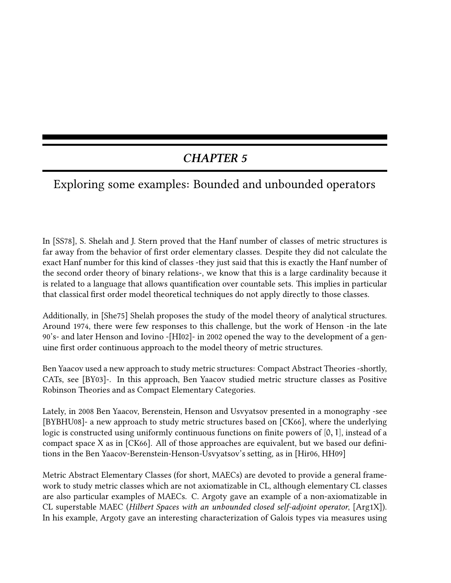# CHAPTER 5

# Exploring some examples: Bounded and unbounded operators

In [SS78], S. Shelah and J. Stern proved that the Hanf number of classes of metric structures is far away from the behavior of first order elementary classes. Despite they did not calculate the exact Hanf number for this kind of classes -they just said that this is exactly the Hanf number of the second order theory of binary relations-, we know that this is a large cardinality because it is related to a language that allows quantification over countable sets. This implies in particular that classical first order model theoretical techniques do not apply directly to those classes.

Additionally, in [She75] Shelah proposes the study of the model theory of analytical structures. Around 1974, there were few responses to this challenge, but the work of Henson -in the late 90's- and later Henson and Iovino -[HI02]- in 2002 opened the way to the development of a genuine first order continuous approach to the model theory of metric structures.

Ben Yaacov used a new approach to study metric structures: Compact Abstract Theories -shortly, CATs, see [BY03]-. In this approach, Ben Yaacov studied metric structure classes as Positive Robinson Theories and as Compact Elementary Categories.

Lately, in 2008 Ben Yaacov, Berenstein, Henson and Usvyatsov presented in a monography -see [BYBHU08]- a new approach to study metric structures based on [CK66], where the underlying logic is constructed using uniformly continuous functions on finite powers of  $[0, 1]$ , instead of a compact space X as in  $[CK66]$ . All of those approaches are equivalent, but we based our definitions in the Ben Yaacov-Berenstein-Henson-Usvyatsov's setting, as in [Hir06, HH09]

Metric Abstract Elementary Classes (for short, MAECs) are devoted to provide a general framework to study metric classes which are not axiomatizable in CL, although elementary CL classes are also particular examples of MAECs. C. Argoty gave an example of a non-axiomatizable in CL superstable MAEC (Hilbert Spaces with an unbounded closed self-adjoint operator, [Arg1X]). In his example, Argoty gave an interesting characterization of Galois types via measures using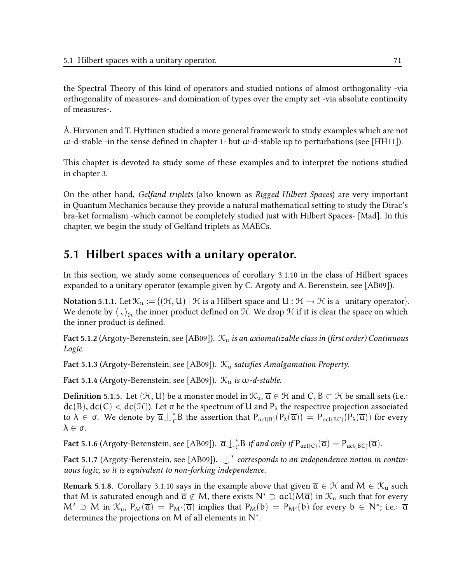the Spectral Theory of this kind of operators and studied notions of almost orthogonality -via orthogonality of measures- and domination of types over the empty set -via absolute continuity of measures-.

Å. Hirvonen and T. Hyttinen studied a more general framework to study examples which are not  $ω$ -d-stable -in the sense defined in chapter 1- but  $ω$ -d-stable up to perturbations (see [HH11]).

This chapter is devoted to study some of these examples and to interpret the notions studied in chapter 3.

On the other hand, Gelfand triplets (also known as Rigged Hilbert Spaces) are very important in Quantum Mechanics because they provide a natural mathematical setting to study the Dirac's bra-ket formalism -which cannot be completely studied just with Hilbert Spaces- [Mad]. In this chapter, we begin the study of Gelfand triplets as MAECs.

## 5.1 Hilbert spaces with a unitary operator.

In this section, we study some consequences of corollary 3.1.10 in the class of Hilbert spaces expanded to a unitary operator (example given by C. Argoty and A. Berenstein, see [AB09]).

Notation 5.1.1. Let  $\mathcal{K}_u := \{(\mathcal{H}, U) \mid \mathcal{H}$  is a Hilbert space and  $U : \mathcal{H} \to \mathcal{H}$  is a unitary operator}. We denote by  $\langle , \rangle_{\mathcal{H}}$  the inner product defined on  $\mathcal{H}$ . We drop  $\mathcal H$  if it is clear the space on which the inner product is defined.

Fact 5.1.2 (Argoty-Berenstein, see [AB09]).  $\mathcal{K}_{u}$  is an axiomatizable class in (first order) Continuous Logic.

Fact 5.1.3 (Argoty-Berenstein, see [AB09]).  $\mathcal{K}_{\mu}$  satisfies Amalgamation Property.

Fact 5.1.4 (Argoty-Berenstein, see [AB09]).  $\mathcal{K}_{u}$  is  $\omega$ -d-stable.

**Definition 5.1.5.** Let  $(\mathcal{H}, U)$  be a monster model in  $\mathcal{K}_u$ ,  $\overline{a} \in \mathcal{H}$  and  $C$ ,  $B \subset \mathcal{H}$  be small sets (i.e.:  $dc(B), dc(C) < dc(\mathcal{H})$ ). Let  $\sigma$  be the spectrum of U and  $P_{\lambda}$  the respective projection associated to  $\lambda \in \sigma$ . We denote by  $\overline{\mathfrak{a}}\bigcup_{\mathcal{C}}^* B$  the assertion that  $P_{\mathfrak{acl}(B)}(P_\lambda(\overline{\mathfrak{a}})) = P_{\mathfrak{acl}(BC)}(P_\lambda(\overline{\mathfrak{a}}))$  for every  $\lambda \in \sigma$ .

Fact 5.1.6 (Argoty-Berenstein, see [AB09]).  $\overline{\mathfrak{a}}\bigcup_{\mathcal{C}}^* B$  *if and only if*  $P_{\mathfrak{acl}(\mathcal{C})}(\overline{\mathfrak{a}}) = P_{\mathfrak{acl}(\mathcal{BC})}(\overline{\mathfrak{a}})$ .

Fact 5.1.7 (Argoty-Berenstein, see [AB09]).  $\mathop{\downarrow^*}$  corresponds to an independence notion in continuous logic, so it is equivalent to non-forking independence.

Remark 5.1.8. Corollary 3.1.10 says in the example above that given  $\overline{a} \in \mathcal{H}$  and  $M \in \mathcal{K}_{u}$  such that M is saturated enough and  $\overline{a} \notin M$ , there exists  $N^* \supset \text{acl}(M\overline{a})$  in  $\mathcal{K}_u$  such that for every  $M' \supset M$  in  $\mathcal{K}_u$ ,  $P_M(\overline{a}) = P_{M'}(\overline{a})$  implies that  $P_M(b) = P_{M'}(b)$  for every  $b \in N^*$ ; i.e.:  $\overline{a}$ determines the projections on M of all elements in  $N^*$ .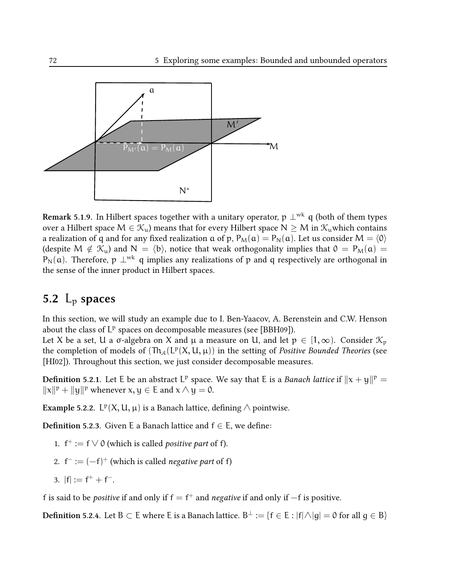

Remark 5.1.9. In Hilbert spaces together with a unitary operator, p  $\perp^{wk}$  q (both of them types over a Hilbert space  $M \in \mathcal{K}_{u}$ ) means that for every Hilbert space  $N \geq M$  in  $\mathcal{K}_{u}$  which contains a realization of q and for any fixed realization  $\alpha$  of p,  $P_M(\alpha) = P_N(\alpha)$ . Let us consider  $M = \langle 0 \rangle$ (despite  $M \notin \mathcal{K}_{u}$ ) and  $N = \langle b \rangle$ , notice that weak orthogonality implies that  $0 = P_M(a)$  = P<sub>N</sub>(a). Therefore, p  $\perp^{wk}$  q implies any realizations of p and q respectively are orthogonal in the sense of the inner product in Hilbert spaces.

## 5.2  $L_p$  spaces

In this section, we will study an example due to I. Ben-Yaacov, A. Berenstein and C.W. Henson about the class of  $L^p$  spaces on decomposable measures (see [BBH09]).

Let X be a set, U a  $\sigma$ -algebra on X and  $\mu$  a measure on U, and let  $p \in [1, \infty)$ . Consider  $\mathcal{K}_p$ the completion of models of  $(\text{Th}_{\mathcal{A}}(L^p(X, U, \mu))$  in the setting of Positive Bounded Theories (see [HI02]). Throughout this section, we just consider decomposable measures.

**Definition** 5.2.1. Let E be an abstract L<sup>p</sup> space. We say that E is a *Banach lattice* if  $\|x + y\|^p =$  $||x||^p + ||y||^p$  whenever  $x, y \in E$  and  $x \wedge y = 0$ .

Example 5.2.2.  $L^p(X, U, \mu)$  is a Banach lattice, defining  $\wedge$  pointwise.

**Definition 5.2.3.** Given E a Banach lattice and  $f \in E$ , we define:

- 1.  $f^+ := f \vee 0$  (which is called *positive part* of f).
- 2.  $f^- := (-f)^+$  (which is called *negative part* of f)
- 3.  $|f| := f^+ + f^-$ .

f is said to be *positive* if and only if  $f = f^+$  and *negative* if and only if  $-f$  is positive.

 $\bf{Definition 5.2.4.}$  Let  $\sf{B}\subset\sf{E}$  where  $\sf{E}$  is a Banach lattice.  $\sf{B}^\perp:=\{f\in\sf{E}:|f|\triangle|g|=\sf{0}$  for all  $g\in\sf{B}\}$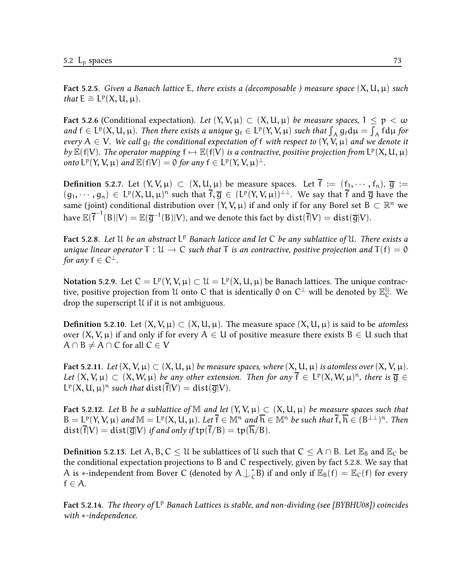Fact 5.2.5. Given a Banach lattice E, there exists a (decomposable) measure space  $(X, U, \mu)$  such that  $E \cong L^p(X, U, \mu)$ .

Fact 5.2.6 (Conditional expectation). Let  $(Y, V, \mu) \subset (X, U, \mu)$  be measure spaces,  $1 \le p < \omega$ and  $f \in L^p(X, U, \mu)$ . Then there exists a unique  $g_f \in L^p(Y, V, \mu)$  such that  $\int_A g_f d\mu = \int_A f d\mu$  for every  $A \in V$ . We call  $g_f$  the conditional expectation of f with respect to  $(Y, V, \mu)$  and we denote it by  $\mathbb{E}(f|V)$ . The operator mapping  $f \mapsto \mathbb{E}(f|V)$  is a contractive, positive projection from  $L^p(X, U, \mu)$ onto  $L^p(Y, V, \mu)$  and  $\mathbb{E}(f|V) = 0$  for any  $f \in L^p(Y, V, \mu)^{\perp}$ .

Definition 5.2.7. Let  $(Y, V, \mu) \subset (X, U, \mu)$  be measure spaces. Let  $\overline{f} := (f_1, \dots, f_n)$ ,  $\overline{g} :=$  $(g_1, \dots, g_n) \in L^p(X, U, \mu)^n$  such that  $\overline{f}, \overline{g} \in (L^p(Y, V, \mu))^{1 \perp}$ . We say that  $\overline{f}$  and  $\overline{g}$  have the same (joint) conditional distribution over  $(Y, V, \mu)$  if and only if for any Borel set  $B \subset \mathbb{R}^n$  we have  $\mathbb{E}(\overline{\mathsf{f}}^{-1}(\mathsf{B}) | \mathsf{V}) = \mathbb{E}(\overline{\mathsf{g}}^{-1}(\mathsf{B}) | \mathsf{V}),$  and we denote this fact by  $\mathrm{dist}(\overline{\mathsf{f}} | \mathsf{V}) = \mathrm{dist}(\overline{\mathsf{g}} | \mathsf{V}).$ 

Fact 5.2.8. Let U be an abstract L<sup>p</sup> Banach laticce and let C be any sublattice of U. There exists a unique linear operator  $T: U \to C$  such that T is an contractive, positive projection and  $T(f) = 0$ for any  $\mathsf{f}\in\mathsf{C}^\perp$ .

Notation 5.2.9. Let  $C = L^p(Y, V, \mu) \subset \mathcal{U} = L^p(X, U, \mu)$  be Banach lattices. The unique contractive, positive projection from  $\mathfrak U$  onto  $C$  that is identically  $\mathfrak 0$  on  $C^\perp$  will be denoted by  $\mathbb E^{\mathfrak U}_C.$  We drop the superscript U if it is not ambiguous.

**Definition 5.2.10.** Let  $(X, V, \mu) \subset (X, U, \mu)$ . The measure space  $(X, U, \mu)$  is said to be *atomless* over  $(X, V, \mu)$  if and only if for every  $A \in U$  of positive measure there exists  $B \in U$  such that  $A \cap B \neq A \cap C$  for all  $C \in V$ 

Fact 5.2.11. Let  $(X, V, \mu) \subset (X, U, \mu)$  be measure spaces, where  $(X, U, \mu)$  is atomless over  $(X, V, \mu)$ . Let  $(X, V, \mu) \subset (X, W, \mu)$  be any other extension. Then for any  $\overline{f} \in L^p(X, W, \mu)^n$ , there is  $\overline{g} \in$  $L^p(X, U, \mu)^n$  such that  $dist(\overline{f}|V) = dist(\overline{g}|V)$ .

Fact 5.2.12. Let B be a sublattice of M and let  $(Y, V, \mu) \subset (X, U, \mu)$  be measure spaces such that  $B = L^p(Y, V, \mu)$  and  $M = L^p(X, U, \mu)$ . Let  $\overline{f} \in M^n$  and  $\overline{h} \in M^n$  be such that  $\overline{f}, \overline{h} \in (B^{\perp \perp})^n$ . Then  $dist(\overline{f}|V) = dist(\overline{g}|V)$  if and only if  $tp(\overline{f}/B) = tp(\overline{h}/B)$ .

**Definition 5.2.13.** Let A, B, C  $\leq U$  be sublattices of U such that  $C \leq A \cap B$ . Let  $\mathbb{E}_B$  and  $\mathbb{E}_C$  be the conditional expectation projections to B and C respectively, given by fact 5.2.8. We say that A is ∗-independent from Bover C (denoted by  $A\bigcup_{c}^{*}B$ ) if and only if  $\mathbb{E}_{B}(f) = \mathbb{E}_{C}(f)$  for every  $f \in A$ .

Fact 5.2.14. The theory of L<sup>p</sup> Banach Lattices is stable, and non-dividing (see [BYBHU08]) coincides with ∗-independence.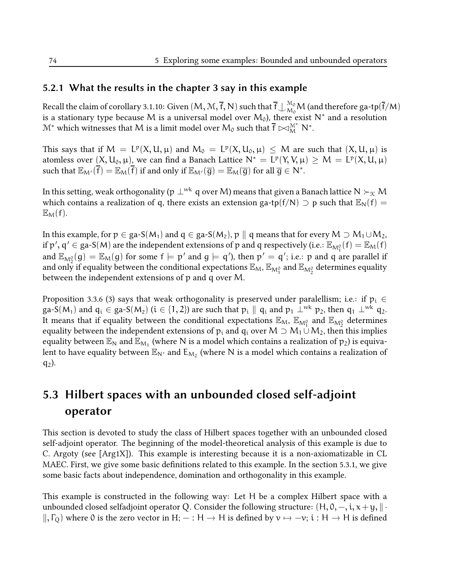## 5.2.1 What the results in the chapter 3 say in this example

Recall the claim of corollary 3.1.10: Given  $(M,\mathcal{M},\overline{f},\overline{N})$  such that  $\overline{f}\bigcup_{\mathcal{M}_0}^{\mathcal{M}_0}\mathcal{M}$  (and therefore ga-tp $(\overline{f}/\mathcal{M})$ is a stationary type because M is a universal model over  $\mathsf{M}_0$ ), there exist  $\mathsf{N}^*$  and a resolution  $M^*$  which witnesses that M is a limit model over  $M_0$  such that  $\overline{f} \Join_M^{\mathcal{M}^*} N^*$ .

This says that if  $M = L^p(X, U, \mu)$  and  $M_0 = L^p(X, U_0, \mu) \leq M$  are such that  $(X, U, \mu)$  is atomless over  $(X, U_0, \mu)$ , we can find a Banach Lattice  $N^* = L^p(Y, V, \mu) \geq M = L^p(X, U, \mu)$ such that  $\mathbb{E}_{M'}(\overline{f}) = \mathbb{E}_{M}(\overline{f})$  if and only if  $\mathbb{E}_{M'}(\overline{g}) = \mathbb{E}_{M}(\overline{g})$  for all  $\overline{g} \in N^*$ .

In this setting, weak orthogonality (p  $\perp^{wk}$  q over M) means that given a Banach lattice N  $\succ_{\mathcal{K}} M$ which contains a realization of q, there exists an extension ga-tp(f/N)  $\supset$  p such that  $\mathbb{E}_N(f)$  =  $\mathbb{E}_{\mathsf{M}}(f)$ .

In this example, for  $p \in ga-S(M_1)$  and  $q \in ga-S(M_2)$ ,  $p \parallel q$  means that for every  $M \supset M_1 \cup M_2$ , if  $\mathsf{p}',\mathsf{q}'\in\mathsf{ga-S}(\mathsf{M})$  are the independent extensions of  $\mathsf{p}$  and  $\mathsf{q}$  respectively (i.e.:  $\mathbb{E}_{\mathsf{M}^0_1}(\mathsf{f})=\mathbb{E}_{\mathsf{M}}(\mathsf{f})$ and  $\mathbb{E}_{\mathsf{M}^0_\gamma}(\mathsf{g})=\mathbb{E}_{\mathsf{M}}(\mathsf{g})$  for some  $\mathsf{f}\models\mathsf{p}'$  and  $\mathsf{g}\models\mathsf{q}'$ ), then  $\mathsf{p}'=\mathsf{q}'$ ; i.e.:  $\mathsf{p}$  and  $\mathsf{q}$  are parallel if and only if equality between the conditional expectations  $\mathbb{E}_M$ ,  $\mathbb{E}_{M_1^0}$  and  $\mathbb{E}_{M_2^0}$  determines equality between the independent extensions of p and q over M.

Proposition 3.3.6 (3) says that weak orthogonality is preserved under paralellism; i.e.: if  $p_i \in$ ga-S( $M_1$ ) and  $q_i \in$  ga-S( $M_2$ ) ( $i \in \{1, 2\}$ ) are such that  $p_i \parallel q_i$  and  $p_1 \perp^{wk} p_2$ , then  $q_1 \perp^{wk} q_2$ . It means that if equality between the conditional expectations  $\mathbb{E}_M$ ,  $\mathbb{E}_{\mathsf{M}_1^0}$  and  $\mathbb{E}_{\mathsf{M}_2^0}$  determines equality between the independent extensions of  $p_i$  and  $q_i$  over  $M \supset M_1 \cup M_2$ , then this implies equality between  $\mathbb{E}_\textsf{N}$  and  $\mathbb{E}_{\textsf{M}_1}$  (where  $\textsf{N}$  is a model which contains a realization of  $\mathfrak{p}_2$ ) is equivalent to have equality between  $\mathbb{E}_{\mathsf{N}'}$  and  $\mathsf{E}_{\mathsf{M}_2}$  (where  $\mathsf{N}$  is a model which contains a realization of  $q_2$ ).

# 5.3 Hilbert spaces with an unbounded closed self-adjoint operator

This section is devoted to study the class of Hilbert spaces together with an unbounded closed self-adjoint operator. The beginning of the model-theoretical analysis of this example is due to C. Argoty (see [Arg1X]). This example is interesting because it is a non-axiomatizable in CL MAEC. First, we give some basic definitions related to this example. In the section 5.3.1, we give some basic facts about independence, domination and orthogonality in this example.

This example is constructed in the following way: Let H be a complex Hilbert space with a unbounded closed selfadjoint operator Q. Consider the following structure:  $(H, 0, -, i, x+y, || \cdot$  $\parallel$ ,  $\Gamma$ <sub>O</sub>) where 0 is the zero vector in H;  $-$  : H  $\rightarrow$  H is defined by  $v \mapsto -v$ ; i : H  $\rightarrow$  H is defined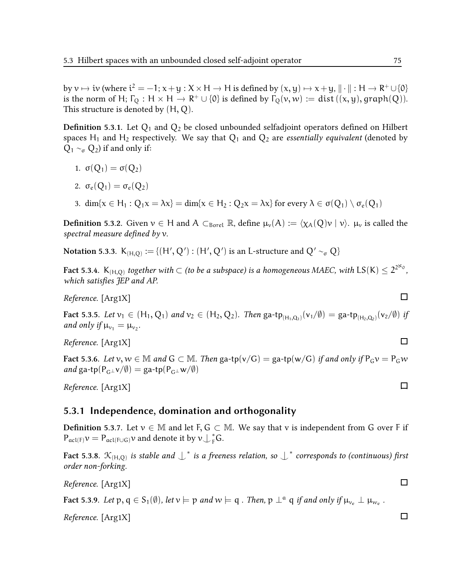by  $v \mapsto iv$  (where  $i^2 = -1$ ;  $x + y : X \times H \rightarrow H$  is defined by  $(x, y) \mapsto x + y$ ,  $\|\cdot\| : H \rightarrow R^+ \cup \{0\}$ is the norm of H;  $\Gamma_Q$ : H  $\times$  H  $\rightarrow$  R<sup>+</sup>  $\cup$  {0} is defined by  $\Gamma_Q(v,w) := \text{dist}((x,y), \text{graph}(Q)).$ This structure is denoted by  $(H, Q)$ .

**Definition 5.3.1.** Let  $Q_1$  and  $Q_2$  be closed unbounded selfadjoint operators defined on Hilbert spaces H<sub>1</sub> and H<sub>2</sub> respectively. We say that  $Q_1$  and  $Q_2$  are *essentially equivalent* (denoted by  $Q_1 \sim_{\sigma} Q_2$ ) if and only if:

$$
1. \ \sigma(Q_1)=\sigma(Q_2)
$$

$$
2. \ \sigma_e(Q_1)=\sigma_e(Q_2)
$$

3. dim{ $x \in H_1 : Q_1x = \lambda x$ } = dim{ $x \in H_2 : Q_2x = \lambda x$ } for every  $\lambda \in \sigma(Q_1) \setminus \sigma_e(Q_1)$ 

**Definition 5.3.2.** Given  $v \in H$  and  $A \subset_{Borel} \mathbb{R}$ , define  $\mu_v(A) := \langle \chi_A(Q)v | v \rangle$ .  $\mu_v$  is called the spectral measure defined by  $v$ .

Notation 5.3.3.  $\mathsf{K}_{(\mathsf{H},\mathsf{Q})}:=\{(\mathsf{H}',\mathsf{Q}'):(\mathsf{H}',\mathsf{Q}')\text{ is an L-structure and } \mathsf{Q}'\sim_\sigma\mathsf{Q}\}$ 

Fact 5.3.4.  $K_{(H,Q)}$  together with  $\subset$  (to be a subspace) is a homogeneous MAEC, with  $\mathsf{LS}(\mathsf{K})\leq 2^{2^{\aleph_0}},$ which satisfies JEP and AP.

Reference. [Arg1X]

Fact 5.3.5. Let  $v_1 \in (H_1, Q_1)$  and  $v_2 \in (H_2, Q_2)$ . Then  $\text{ga-tp}_{(H_1, Q_1)}(v_1/\emptyset) = \text{ga-tp}_{(H_2, Q_2)}(v_2/\emptyset)$  if and only if  $\mu_{v_1} = \mu_{v_2}$ .

Reference. [Arg1X]

Fact 5.3.6. Let  $v, w \in \mathbb{M}$  and  $G \subset \mathbb{M}$ . Then ga-tp(v/G) = ga-tp(w/G) if and only if  $P_G v = P_G w$ and ga-tp( $P_{G^{\perp}}v/\emptyset$ ) = ga-tp( $P_{G^{\perp}}w/\emptyset$ )

Reference. [Arg1X]

#### 5.3.1 Independence, domination and orthogonality

**Definition 5.3.7.** Let  $v \in \mathbb{M}$  and let F, G  $\subset \mathbb{M}$ . We say that v is independent from G over F if  $P_{\text{acl}(F)}\nu = P_{\text{acl}(F\cup G)}\nu$  and denote it by  $\nu \bigcup_{F}^{*} G$ .

Fact 5.3.8.  $\mathcal{K}_{(H,Q)}$  is stable and  $\int^*$  is a freeness relation, so  $\int^*$  corresponds to (continuous) first order non-forking.

Reference. [Arg1X]

Fact 5.3.9. Let  $p, q \in S_1(\emptyset)$ , let  $v \models p$  and  $w \models q$  . Then,  $p \perp^a q$  if and only if  $\mu_{v_e} \perp \mu_{w_e}$ .

Reference. [Arg1X]

 $\Box$ 

 $\Box$ 

 $\Box$ 

 $\Box$ 

 $\Box$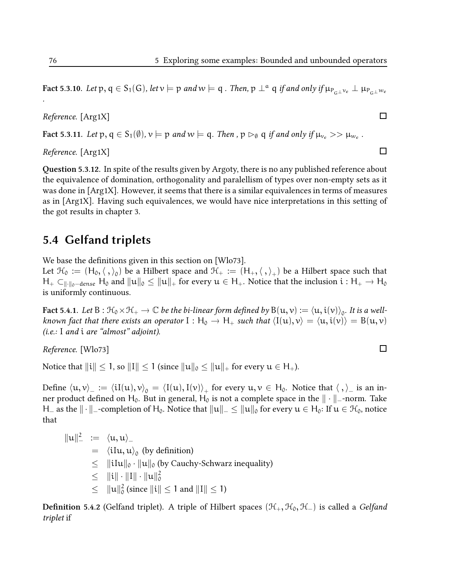Fact 5.3.10. Let p,  $q \in S_1(G)$ , let  $v \models p$  and  $w \models q$ . Then,  $p \perp^q q$  if and only if  $\mu_{P_G \perp^ve} \perp \mu_{P_G \perp^we}$ 

Reference. [Arg1X]

Fact 5.3.11. Let  $p, q \in S_1(\emptyset)$ ,  $\nu \models p$  and  $w \models q$ . Then ,  $p \rhd_{\emptyset} q$  if and only if  $\mu_{\nu_e} >> \mu_{w_e}$ .

Reference. [Arg1X]

Question 5.3.12. In spite of the results given by Argoty, there is no any published reference about the equivalence of domination, orthogonality and paralellism of types over non-empty sets as it was done in [Arg1X]. However, it seems that there is a similar equivalences in terms of measures as in [Arg1X]. Having such equivalences, we would have nice interpretations in this setting of the got results in chapter 3.

#### 5.4 Gelfand triplets

We base the definitions given in this section on  $[Wl073]$ .

Let  $\mathcal{H}_0:=(H_0,\langle\ ,\rangle_0)$  be a Hilbert space and  $\mathcal{H}_+:=(H_+,\langle\ ,\rangle_+)$  be a Hilbert space such that  $H_+ \subset_{\|\cdot\|_0-\text{dense}} H_0$  and  $\|u\|_0 \leq \|u\|_+$  for every  $u \in H_+$ . Notice that the inclusion  $i : H_+ \to H_0$ is uniformly continuous.

Fact 5.4.1. Let  $B : \mathcal{H}_0 \times \mathcal{H}_+ \to \mathbb{C}$  be the bi-linear form defined by  $B(u, v) := \langle u, i(v) \rangle_0$ . It is a wellknown fact that there exists an operator  $I : H_0 \to H_+$  such that  $\langle I(u), v \rangle = \langle u, i(v) \rangle = B(u, v)$ (i.e.: I and i are "almost" adjoint).

Reference. [Wlo73]

Notice that  $\|\mathbf{i}\| \leq 1$ , so  $\|\mathbf{I}\| \leq 1$  (since  $\|\mathbf{u}\|_0 \leq \|\mathbf{u}\|_+$  for every  $\mathbf{u} \in \mathsf{H}_+$ ).

Define  $\langle \mathfrak{u}, \mathfrak{v} \rangle_- := \langle \mathfrak{i} I(\mathfrak{u}), \mathfrak{v} \rangle_0 = \langle I(\mathfrak{u}), I(\mathfrak{v}) \rangle_+$  for every  $\mathfrak{u}, \mathfrak{v} \in \mathsf{H}_0$ . Notice that  $\langle \ , \rangle_-$  is an inner product defined on H<sub>0</sub>. But in general, H<sub>0</sub> is not a complete space in the  $\|\cdot\|$ -norm. Take H\_ as the  $\|\cdot\|_-\text{-completion of }\mathsf{H}_0$ . Notice that  $\|u\|_-\leq \|u\|_0$  for every  $u\in\mathsf{H}_0$ : If  $u\in\mathcal{H}_0$ , notice that

$$
\|u\|_{-}^{2} := \langle u, u \rangle_{-}
$$
\n
$$
= \langle iIu, u \rangle_{0} \text{ (by definition)}
$$
\n
$$
\leq \|iIu\|_{0} \cdot \|u\|_{0} \text{ (by Cauchy-Schwarz inequality)}
$$
\n
$$
\leq \|i\| \cdot \|I\| \cdot \|u\|_{0}^{2}
$$
\n
$$
\leq \|u\|_{0}^{2} \text{ (since } \|i\| \leq 1 \text{ and } \|I\| \leq 1)
$$

**Definition 5.4.2** (Gelfand triplet). A triple of Hilbert spaces ( $\mathcal{H}_+$ ,  $\mathcal{H}_0$ ,  $\mathcal{H}_-$ ) is called a Gelfand triplet if

.

 $\Box$ 

 $\Box$ 

 $\Box$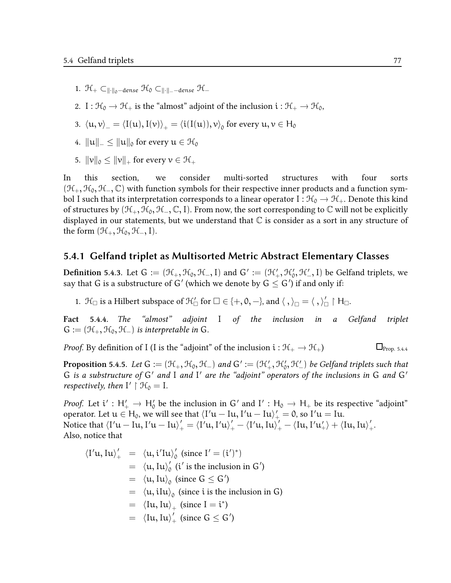- 1. H<sub>+</sub>  $\subset$ <sub>||∙||o</sub>−dense H<sub>0</sub>  $\subset$ ||⋅||−−dense H−
- 2. I :  $\mathcal{H}_0 \to \mathcal{H}_+$  is the "almost" adjoint of the inclusion  $i : \mathcal{H}_+ \to \mathcal{H}_0$ ,
- 3.  $\langle \mathfrak{u}, \mathfrak{v} \rangle_{-} = \langle \text{I}(\mathfrak{u}), \text{I}(\mathfrak{v}) \rangle_{+} = \langle \mathfrak{i}(\text{I}(\mathfrak{u})), \mathfrak{v} \rangle_{0}$  for every  $\mathfrak{u}, \mathfrak{v} \in \mathsf{H}_{0}$
- 4.  $||u||_$  <  $||u||_0$  for every  $u \in \mathcal{H}_0$
- 5.  $\|v\|_0 \leq \|v\|_+$  for every  $v \in \mathcal{H}_+$

In this section, we consider multi-sorted structures with four sorts  $(\mathcal{H}_+, \mathcal{H}_0, \mathcal{H}_-, \mathbb{C})$  with function symbols for their respective inner products and a function symbol I such that its interpretation corresponds to a linear operator I :  $\mathcal{H}_0 \to \mathcal{H}_+$ . Denote this kind of structures by  $(\mathcal{H}_+, \mathcal{H}_0, \mathcal{H}_-, \mathbb{C}, I)$ . From now, the sort corresponding to  $\mathbb C$  will not be explicitly displayed in our statements, but we understand that  $\mathbb C$  is consider as a sort in any structure of the form  $(\mathcal{H}_+,\mathcal{H}_0,\mathcal{H}_-,I)$ .

#### 5.4.1 Gelfand triplet as Multisorted Metric Abstract Elementary Classes

**Definition** 5.4.3. Let  $G := (\mathcal{H}_+, \mathcal{H}_0, \mathcal{H}_-, I)$  and  $G' := (\mathcal{H}'_+, \mathcal{H}'_0, \mathcal{H}'_-, I)$  be Gelfand triplets, we say that G is a substructure of G $^\prime$  (which we denote by G  $\leq$  G $^\prime$ ) if and only if:

1.  $\mathcal{H}_{\Box}$  is a Hilbert subspace of  $\mathcal{H}'_{\Box}$  for  $\Box \in \{+,0,-\}$ , and  $\langle , \rangle_{\Box} = \langle , \rangle'_{\Box} \restriction \mathcal{H}_{\Box}$ .

Fact 5.4.4. The "almost" adjoint I of the inclusion in a Gelfand triplet  $G := (\mathcal{H}_+, \mathcal{H}_0, \mathcal{H}_-)$  is interpretable in G.

*Proof.* By definition of I (I is the "adjoint" of the inclusion  $i : \mathcal{H}_+ \to \mathcal{H}_+$ )  $\Box_{\text{Prop. 5.4.4}}$ 

**Proposition** 5.4.5. Let  $G := (\mathcal{H}_+, \mathcal{H}_0, \mathcal{H}_-)$  and  $G' := (\mathcal{H}'_+, \mathcal{H}'_0, \mathcal{H}'_-)$  be Gelfand triplets such that G is a substructure of G' and I and I' are the "adjoint" operators of the inclusions in G and G' respectively, then  $I' \restriction \mathcal{H}_0 = I$ .

*Proof.* Let  $i' : H'_i \to H'_0$  be the inclusion in G' and I' :  $H_0 \to H_+$  be its respective "adjoint" operator. Let  $u \in H_0$ , we will see that  $\langle I'u - Iu, I'u - Iu \rangle'_+ = 0$ , so  $I'u = Iu$ . Notice that  $\braket{I'u - Iu, I'u - Iu}_+' = \braket{I'u, I'u}_+ - \braket{I'u, Iu}_+' - \braket{Iu, I'u}_+' + \braket{Iu, Iu}_+'.$ Also, notice that

$$
\langle I'u, Iu \rangle'_{+} = \langle u, i'Iu \rangle'_{0} \text{ (since } I' = (i')^{*})
$$
  
\n
$$
= \langle u, Iu \rangle'_{0} \text{ (}i' \text{ is the inclusion in } G')
$$
  
\n
$$
= \langle u, Iu \rangle_{0} \text{ (since } G \leq G')
$$
  
\n
$$
= \langle u, iIu \rangle_{0} \text{ (since } i \text{ is the inclusion in } G)
$$
  
\n
$$
= \langle Iu, Iu \rangle_{+} \text{ (since } I = i^{*})
$$
  
\n
$$
= \langle Iu, Iu \rangle'_{+} \text{ (since } G \leq G')
$$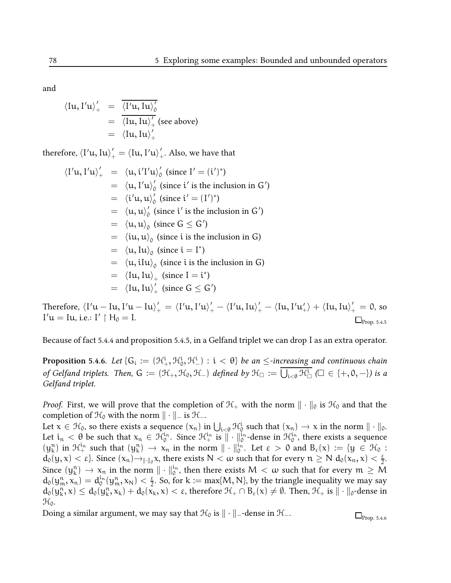and

$$
\langle \mathrm{I} \mathfrak{u}, \mathrm{I}^{\prime} \mathfrak{u} \rangle_{+}^{\prime} = \frac{\overline{\langle \mathrm{I}^{\prime} \mathfrak{u}, \mathrm{I} \mathfrak{u} \rangle_{0}^{\prime}}}{\overline{\langle \mathrm{I} \mathfrak{u}, \mathrm{I} \mathfrak{u} \rangle_{+}^{\prime}}}
$$
(see above)  

$$
= \langle \mathrm{I} \mathfrak{u}, \mathrm{I} \mathfrak{u} \rangle_{+}^{\prime}
$$

therefore,  $\braket{\mathrm{I'u}, \mathrm{Iu}}_+^\prime = \braket{\mathrm{Iu}, \mathrm{I'u}}_+^\prime$ . Also, we have that

$$
\langle I'u, I'u \rangle'_{+} = \langle u, i'I'u \rangle'_{0} \text{ (since } I' = (i')^{*} \text{)}
$$
\n
$$
= \langle u, I'u \rangle'_{0} \text{ (since } i' \text{ is the inclusion in } G' \text{)}
$$
\n
$$
= \langle i'u, u \rangle'_{0} \text{ (since } i' = (I')^{*} \text{)}
$$
\n
$$
= \langle u, u \rangle'_{0} \text{ (since } i' \text{ is the inclusion in } G' \text{)}
$$
\n
$$
= \langle u, u \rangle_{0} \text{ (since } G \leq G' \text{)}
$$
\n
$$
= \langle u, u \rangle_{0} \text{ (since } i \text{ is the inclusion in } G \text{)}
$$
\n
$$
= \langle u, Iu \rangle_{0} \text{ (since } i = I^{*} \text{)}
$$
\n
$$
= \langle u, iIu \rangle_{0} \text{ (since } i \text{ is the inclusion in } G \text{)}
$$
\n
$$
= \langle Iu, Iu \rangle_{+} \text{ (since } I = i^{*} \text{)}
$$
\n
$$
= \langle Iu, Iu \rangle'_{+} \text{ (since } G \leq G' \text{)}
$$

Therefore,  $\langle I'u-Iu, I'u-Iu\rangle_+'=\langle I'u, I'u\rangle_+'-\langle I'u, Iu\rangle_+'-\langle Iu, I'u_+'\rangle+\langle Iu, Iu\rangle_+'=0$ , so  $I'u = Iu$ , i.e.:  $I' \upharpoonright H_0 = I$ .  $\Box$ Prop. 5.4.5

Because of fact 5.4.4 and proposition 5.4.5, in a Gelfand triplet we can drop I as an extra operator.

**Proposition** 5.4.6. Let  $\{G_i:=(\mathfrak{H}^i_+,\mathfrak{H}^i_0,\mathfrak{H}^i_-):i<\theta\}$  be an  $\le$ -increasing and continuous chain of Gelfand triplets. Then,  $G := (\mathcal{H}_+, \mathcal{H}_0, \mathcal{H}_-)$  defined by  $\mathcal{H}_\Box := \bigcup_{i < \theta} \mathcal{H}_\Box^i$  ( $\Box \in \{+, \theta, -\}$ ) is a Gelfand triplet.

*Proof.* First, we will prove that the completion of  $H_+$  with the norm  $\|\cdot\|_0$  is  $H_0$  and that the completion of  $\mathcal{H}_0$  with the norm  $\|\cdot\|_-\$  is  $\mathcal{H}_-$ .

Let  $x \in \mathcal{H}_0$ , so there exists a sequence  $(x_n)$  in  $\bigcup_{i \in \theta} \mathcal{H}_0^i$  such that  $(x_n) \to x$  in the norm  $\|\cdot\|_0$ . Let  $i_n < \theta$  be such that  $x_n \in \mathcal{H}_0^{i_n}$ . Since  $\mathcal{H}_+^{i_n}$  is  $\|\cdot\|_0^{i_n}$ -dense in  $\mathcal{H}_0^{i_n}$ , there exists a sequence  $(\mathfrak{y}_{k}^{n})$  in  $\mathcal{H}_{+}^{i_{n}}$  such that  $(\mathfrak{y}_{k}^{n}) \to x_{n}$  in the norm  $\|\cdot\|_{0}^{i_{n}}$ . Let  $\varepsilon > 0$  and  $B_{\varepsilon}(x) := \{y \in \mathcal{H}_{0} :$  $d_0(y, x) < \varepsilon$ . Since  $(x_n) \rightarrow_{\|\cdot\|_0} x$ , there exists  $N < \omega$  such that for every  $n \ge N d_0(x_n, x) < \frac{\varepsilon}{2}$  $\frac{\varepsilon}{2}$ . Since  $(y_k^n) \to x_n$  in the norm  $\|\cdot\|_0^{i_n}$ , then there exists  $M < \omega$  such that for every  $m \ge M$  $\mathrm{d}_{0}(\mathrm{y}^\mathfrak{n}_\mathfrak{m}, \mathrm{x}_\mathfrak{n}) = \mathrm{d}^{\mathfrak{i}_\mathfrak{n}}_\mathrm{0}(\mathrm{y}^\mathfrak{n}_\mathfrak{m}, \mathrm{x}_\mathrm{N}) < \frac{\varepsilon}{2}$  $\frac{\varepsilon}{2}$ . So, for k := max{M, N}, by the triangle inequality we may say  $d_0(y_k^n, x) \le d_0(y_k^n, x_k) + d_0(x_k, x) < \varepsilon$ , therefore  $\mathcal{H}_+ \cap B_{\varepsilon}(x) \ne \emptyset$ . Then,  $\mathcal{H}_+$  is  $\|\cdot\|_0$ -dense in  $\mathcal{H}_0$ .

Doing a similar argument, we may say that  $\mathcal{H}_0$  is  $\|\cdot\|$ <sub>-</sub>-dense in  $\mathcal{H}_-$ .  $\Box_{\text{Pron. }5.4.6}$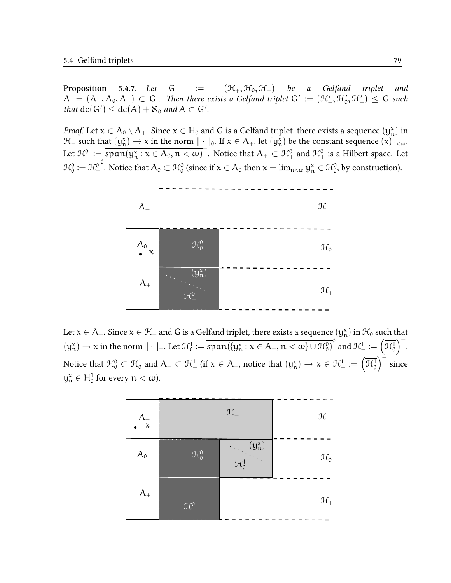**Proposition** 5.4.7. Let  $G := (\mathcal{H}_+, \mathcal{H}_0, \mathcal{H}_-)$  be a Gelfand triplet and  $A:=(A_+,A_0,A_-)\,\subset\, G$  . Then there exists a Gelfand triplet  $G':=(\mathcal{H}_+',\mathcal{H}_0',\mathcal{H}_-')\,\leq\, G$  such that  $dc(G') \leq dc(A) + \aleph_0$  and  $A \subset G'$ .

*Proof.* Let  $x \in A_0 \setminus A_+$ . Since  $x \in H_0$  and G is a Gelfand triplet, there exists a sequence  $(y_n^x)$  in  $\mathcal{H}_+$  such that  $(y_n^x) \to x$  in the norm  $\|\cdot\|_0$ . If  $x \in A_+$ , let  $(y_n^x)$  be the constant sequence  $(x)_{n < \omega}$ . Let  $\mathcal{H}^0_+ := \overline{\text{span}(y^x_+ : x \in A_0, n < \omega)}^+$ . Notice that  $A_+ \subset \mathcal{H}^0_+$  and  $\mathcal{H}^0_+$  is a Hilbert space. Let  $\mathfrak{R}_0^0 := \mathfrak{R}_+^0$  $^0$ . Notice that  $A_0\subset \mathcal{H}^0_0$  (since if  $\mathrm{\mathsf{x}}\in A_0$  then  $\mathrm{\mathsf{x}}=\lim_{n<\omega} \mathrm{y}^\mathrm{x}_n\in \mathcal{H}^0_0$ , by construction).



Let  $x\in A_-$ . Since  $x\in\mathcal H_-$  and  $G$  is a Gelfand triplet, there exists a sequence  $(y_n^x)$  in  $\mathcal H_0$  such that  $(y_n^x) \to x$  in the norm  $\|\cdot\|_{-}.$  Let  $\mathcal{H}_0^1 := \overline{\text{span}(\{y_n^x : x \in A_-, n < \omega\} \cup \mathcal{H}_0^0)}^0$  and  $\mathcal{H}_-^1 := (\overline{\mathcal{H}_0^1})^{-}.$ Notice that  $\mathcal{H}^0_0 \subset \mathcal{H}^1_0$  and  $A_- \subset \mathcal{H}^1_-$  (if  $x \in A_-$ , notice that  $(y^x_n) \to x \in \mathcal{H}^1_- := \left(\overline{\mathcal{H}^1_0}\right)^{\perp}$  since  $y_n^x \in H_0^1$  for every  $n < \omega$ ).

| $A_{-\overline{x}}$ | $\mathfrak{H}^1_-$    |                                | $\mathcal{H}_-$  |
|---------------------|-----------------------|--------------------------------|------------------|
| $A_0$               | $\mathcal{H}_{0}^{0}$ | $(y_n^x)$<br>$\mathcal{H}^1_0$ | $\mathfrak{R}_0$ |
| $A_{+}$             | $\mathcal{H}^0_+$     |                                | $\mathfrak{R}_+$ |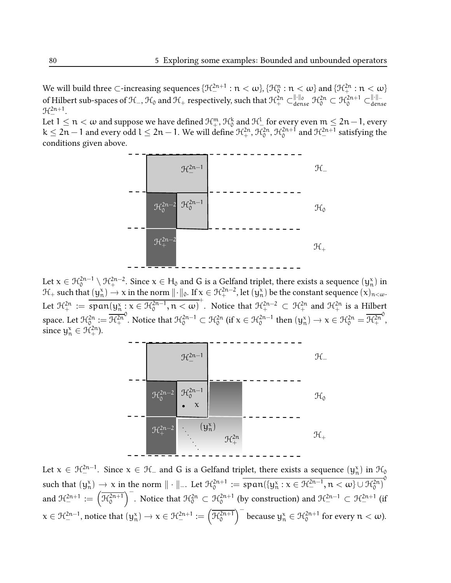We will build three ⊂-increasing sequences  $\{\mathfrak{H}^{2n+1}_-:\mathfrak{n}<\omega\}$ ,  $\{\mathfrak{H}^n_0:\mathfrak{n}<\omega\}$  and  $\{\mathfrak{H}^{2n}_+:\mathfrak{n}<\omega\}$ of Hilbert sub-spaces of  $\mathcal{H}_-,\mathcal{H}_0$  and  $\mathcal{H}_+$  respectively, such that  $\mathcal{H}^{2n}_+\subset^{\|\cdot\|_0}_{\text{dense}}\mathcal{H}^{2n}_0\subset\mathcal{H}^{2n+1}_0\subset^{\|\cdot\|_-}_{\text{dense}}$  $\mathfrak{R}^{2n+1}_{-}.$ 

Let  $1\leq n<\omega$  and suppose we have defined  $\mathcal{H}^{\mathfrak{m}}_{+},$   $\mathcal{H}^k_0$  and  $\mathcal{H}^l_{-}$  for every even  $\mathfrak{m}\leq 2\mathfrak{n}-1,$  every k ≤ 2n − 1 and every odd l ≤ 2n − 1. We will define  $\mathcal{H}^{2n}_+$ ,  $\mathcal{H}^{2n}_0$ ,  $\mathcal{H}^{2n+i}_0$  and  $\mathcal{H}^{2n+1}_-$  satisfying the conditions given above.



Let  $x\in\mathcal{H}^{2n-1}_0\setminus\mathcal{H}^{2n-2}_+$ . Since  $x\in\mathsf{H}_0$  and  $G$  is a Gelfand triplet, there exists a sequence  $(\mathsf{y}_\mathsf{n}^{\mathsf{x}})$  in  $\mathcal{H}_+$  such that  $(\mathsf{y}_\mathsf{n}^{\mathsf{x}}) \to \mathsf{x}$  in the norm  $\| \cdot \|_0$ . If  $\mathsf{x} \in \mathcal{H}_+^{2\mathsf{n}-2}$ , let  $(\mathsf{y}_\mathsf{n}^{\mathsf{x}})$  be the constant sequence  $(\mathsf{x})_{\mathsf{n}<\omega}.$ Let  $\mathcal{H}^{2n}_+ := \overline{\text{span}(y_n^x : x \in \mathcal{H}_0^{2n-1}, n < \omega)}^+$ . Notice that  $\mathcal{H}^{2n-2}_+ \subset \mathcal{H}^{2n}_+$  and  $\mathcal{H}^{2n}_+$  is a Hilbert space. Let  $\mathcal{H}^{2n}_{0}:=\mathcal{H}^{2n}_{+}$ <sup>0</sup>. Notice that  $\mathcal{H}^{2n-1}_0 \subset \mathcal{H}^{2n}_0$  (if  $x \in \mathcal{H}^{2n-1}_0$  then  $(y_n^x) \to x \in \mathcal{H}^{2n}_0 = \overline{\mathcal{H}^{2n}_+}$ 0 , since  $y_n^x \in \mathcal{H}_+^{2n}$ ).



Let  $x\in \mathcal{H}^{2n-1}_-$ . Since  $x\in \mathcal{H}_-$  and  $G$  is a Gelfand triplet, there exists a sequence  $(y^x_n)$  in  $\mathcal{H}_0$ such that  $(y_n^x) \to x$  in the norm  $\| \cdot \|_{-}.$  Let  $\mathcal{H}_0^{2n+1} := \overline{\text{span}(\{y_n^x : x \in \mathcal{H}_-^{2n-1}, n < \omega\} \cup \mathcal{H}_0^{2n})}$ and  $\mathcal{H}^{2n+1}_{-} := \left(\overline{\mathcal{H}^{2n+1}_{0}}\right)^{-}$ . Notice that  $\mathcal{H}^{2n}_{0} \subset \mathcal{H}^{2n+1}_{0}$  (by construction) and  $\mathcal{H}^{2n-1}_{-} \subset \mathcal{H}^{2n+1}_{-}$  (if  $x \in \mathcal{H}^{2n-1}_-$ , notice that  $(y_n^x) \to x \in \mathcal{H}^{2n+1}_- := \left(\overline{\mathcal{H}^{2n+1}_0}\right)^-$  because  $y_n^x \in \mathcal{H}^{2n+1}_0$  for every  $n < \omega$ ).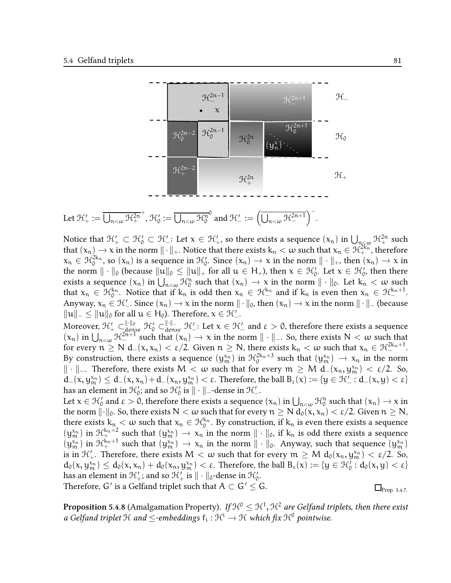

Notice that  $\mathfrak{H}'_+\subset\mathfrak{H}'_0\subset\mathfrak{H}'_+$ : Let  $\mathsf{x}\in\mathfrak{H}'_+$ , so there exists a sequence  $(\mathsf{x_n})$  in  $\bigcup_{\mathsf{n}_\infty\in\omega}\mathfrak{H}^{2\mathsf{n}}_+$  such that  $(x_n) \to x$  in the norm  $\|\cdot\|_+$ . Notice that there exists  $k_n < \omega$  such that  $x_n \in \mathcal{H}_+^{2k_n}$ , therefore  $x_n \in \mathcal{H}_0^{2k_n}$ , so  $(x_n)$  is a sequence in  $\mathcal{H}_0'$ . Since  $(x_n) \to x$  in the norm  $\|\cdot\|_+$ , then  $(x_n) \to x$  in the norm  $\|\cdot\|_0$  (because  $\|{\mathfrak{u}}\|_0\leq \|{\mathfrak{u}}\|_+$  for all  ${\mathfrak{u}}\in H_+$ ), then  ${\mathfrak{x}}\in {\mathfrak{K}}'_0$ . Let  ${\mathfrak{x}}\in {\mathfrak{K}}'_0$ , then there exists a sequence  $(x_n)$  in  $\bigcup_{n \leq w} \mathcal{H}_0^n$  such that  $(x_n) \to x$  in the norm  $\|\cdot\|_0$ . Let  $k_n \leq w$  such  $\bigcup_{n \leq w} \mathcal{H}_0^{k_n}$ that  $x_n \in \mathcal{H}_0^{k_n}$ . Notice that if  $k_n$  is odd then  $x_n \in \mathcal{H}_-^{k_n}$  and if  $k_n$  is even then  $x_n \in \mathcal{H}_-^{k_n+1}$ . Anyway,  $x_n \in \mathcal{H}'$ . Since  $(x_n) \to x$  in the norm  $\|\cdot\|_0$ , then  $(x_n) \to x$  in the norm  $\|\cdot\|_-$  (because  $\|u\|_-\leq \|u\|_0$  for all  $u\in H_0$ ). Therefore,  $x\in \mathcal{H}_-'.$ 

Moreover,  $\mathcal{H}'_+ \subset_{\text{dense}}^{\|\cdot\|_0} \mathcal{H}'_0 \subset_{\text{dense}}^{\|\cdot\|_-} \mathcal{H}'_-$ : Let  $x \in \mathcal{H}'_-$  and  $\varepsilon > 0$ , therefore there exists a sequence  $(x_n)$  in  $\bigcup_{n<\omega} \mathcal{H}^{2n+1}_{\sim}$  such that  $(x_n) \to x$  in the norm  $\|\cdot\|_{\sim}$ . So, there exists  $N < \omega$  such that for every  $n \ge N d_-(x, x_n) < \varepsilon/2$ . Given  $n \ge N$ , there exists  $k_n < \omega$  such that  $x_n \in \mathcal{H}^{2k_n+1}_-$ . By construction, there exists a sequence  $(\mathbf{y}_{m}^{x_{n}})$  in  $\mathcal{H}_{0}^{2k_{n}+3}$  such that  $(\mathbf{y}_{m}^{x_{n}}) \to x_{n}$  in the norm  $\| \cdot \|$ -. Therefore, there exists M <  $\omega$  such that for every  $m \geq M$  d $_{-}(x_n, y_m^{x_n})$  <  $\varepsilon/2$ . So,  $d_-(x,y_m^{x_n}) \leq d_-(x,x_n)+d_-(x_n,y_m^{x_n}) < \varepsilon$ . Therefore, the ball  $B_{\varepsilon}(x) := \{y \in \mathcal{H}_-': d_-(x,y) < \varepsilon\}$ has an element in  $\mathfrak{K}'_0$ ; and so  $\mathfrak{K}'_0$  is  $\|\cdot\|_-$ -dense in  $\mathfrak{K}'_-$ .

Let  $x \in \mathcal{H}_0$  and  $\varepsilon > 0$ , therefore there exists a sequence  $(x_n)$  in  $\bigcup_{n < \omega} \mathcal{H}_0^n$  such that  $(x_n) \to x$  in the norm  $\|\cdot\|_0$ . So, there exists  $N < \omega$  such that for every  $n \ge N d_0(x, x_n) < \varepsilon/2$ . Given  $n \ge N$ , there exists  $k_n < \omega$  such that  $x_n \in H_0^{k_n}$ . By construction, if  $k_n$  is even there exists a sequence  $(y_m^{\chi_n})$  in  $\mathcal{H}_+^{k_n+2}$  such that  $(y_m^{\chi_n}) \to \chi_n$  in the norm  $\|\cdot\|_0$ , if  $k_n$  is odd there exists a sequence  $(y_m^{\chi_n})$  in  $\mathcal{H}_+^{k_n+1}$  such that  $(y_m^{\chi_n}) \to \chi_n$  in the norm  $\|\cdot\|_0$ . Anyway, such that sequence  $(y_m^{\chi_n})$ is in  $\mathfrak{H}'_+$ . Therefore, there exists  $M < \omega$  such that for every  $\mathfrak{m} \geq M$   $\mathfrak{d}_0(\mathsf{x}_\mathfrak{n},\mathsf{y}_\mathfrak{m}^{\mathsf{x}_\mathfrak{n}}) < \varepsilon/2$ . So,  $d_0(x, y_m^{x_n}) \leq d_0(x, x_n) + d_0(x_n, y_m^{x_n}) < \varepsilon$ . Therefore, the ball  $B_{\varepsilon}(x) := \{y \in \mathcal{H}'_0 : d_0(x, y) < \varepsilon\}$ has an element in  $\mathfrak{R}'_{+}$ ; and so  $\mathfrak{R}'_{+}$  is  $\|\cdot\|_{\mathfrak{0}}$ -dense in  $\mathfrak{R}'_{\mathfrak{0}}.$ Therefore, G $'$  is a Gelfand triplet such that  $\mathsf{A}\subset\mathsf{G}'\leq\mathsf{G}.$  $\Box$ Prop. 5.4.7.

**Proposition 5.4.8** (Amalgamation Property). If  $\mathcal{H}^0\leq \mathcal{H}^1,$   $\mathcal{H}^2$  are Gelfand triplets, then there exist a Gelfand triplet  $\mathfrak{H}$  and  $\leq$ -embeddings  $\mathsf{f_i}:\mathfrak{H}^\mathfrak{i}\to\mathfrak{H}$  which fix  $\mathfrak{H}^\mathfrak{0}$  pointwise.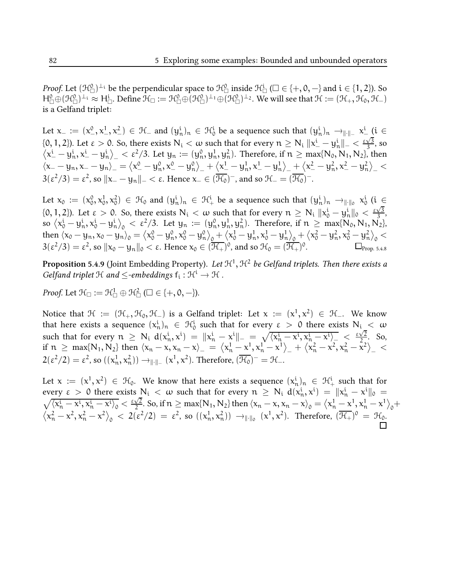*Proof.* Let  $(\mathcal{H}^0_\Box)^\bot$  be the perpendicular space to  $\mathcal{H}^0_\Box$  inside  $\mathcal{H}^i_\Box$  ( $\Box\in\{+,\mathsf{0},-\}$  and  $\mathfrak{i}\in\{1,2\}$ ). So  $H^0_\Box \oplus (\mathcal{H}^0_\Box)^{\perp_1} \approx H^i_\Box$ . Define  $\mathcal{H}_\Box := \mathcal{H}^0_\Box \oplus (\mathcal{H}^0_\Box)^{\perp_1} \oplus (\mathcal{H}^0_\Box)^{\perp_2}$ . We will see that  $\mathcal{H} := (\mathcal{H}_+, \mathcal{H}_0, \mathcal{H}_-)$ is a Gelfand triplet:

Let  $x_{-}:=(x_{-}^{0},x_{-}^{1},x_{-}^{2})\in \mathcal{H}_{-}$  and  $(y_{n}^{i})_{n}\in \mathcal{H}_{0}^{i}$  be a sequence such that  $(y_{n}^{i})_{n}\rightarrow_{\|\cdot\|_{-}}x_{-}^{i}$  (i  $\in$ {0, 1, 2}). Let  $\varepsilon > 0$ . So, there exists  $N_i < \omega$  such that for every  $n \ge N_i$   $||x^i - y^i_n||^2 < \frac{\varepsilon \sqrt{3}}{3}$  $\frac{\sqrt{3}}{3}$ , so  $\left\langle x_{-}^{i}-y_{n}^{i},x_{-}^{i}-y_{n}^{i}\right\rangle _{-}<\epsilon^{2}/3$ . Let  $y_{n}:=(y_{n}^{0},y_{n}^{1},y_{n}^{2})$ . Therefore, if  $n\geq\max\{N_{0},N_{1},N_{2}\}$ , then  $\langle x_--y_n, x_--y_n\rangle_-=\langle x_{-}^0-y_n^0, x_{-}^0-y_n^0\rangle_+ + \langle x_{-}^1-y_n^1, x_{-}^1-y_n^1\rangle_+ + \langle x_{-}^2-y_n^2, x_{-}^2-y_n^2\rangle_-<$  $3(\varepsilon^2/3)=\varepsilon^2$ , so  $\|{\mathsf x}_--{\mathsf y}_\mathsf{n}\|_-<\varepsilon.$  Hence  ${\mathsf x}_-\in(\overline{\mathcal{H}_0})^-$ , and so  ${\mathcal{H}}_-= (\overline{\mathcal{H}_0})^-.$ 

Let  $x_0 := (x_0^0, x_0^1, x_0^2) \in \mathcal{H}_0$  and  $(y_n^i)_n \in \mathcal{H}_+^i$  be a sequence such that  $(y_n^i)_n \to_{\|\cdot\|_0} x_0^i$  (i  $\in$ {0, 1, 2}). Let  $\varepsilon > 0$ . So, there exists  $N_i < \omega$  such that for every  $n \ge N_i$   $\|x_0^i - y_n^i\|_0 < \frac{\varepsilon \sqrt{3}}{3}$  $\frac{\sqrt{3}}{3}$ ,  $\text{so } \langle x_0^i-y_n^i, x_0^i-y_n^i \rangle_0 < \varepsilon^2/3$ . Let  $y_n := (y_n^0, y_n^1, y_n^2)$ . Therefore, if  $n \ge \max\{N_0, N_1, N_2\}$ ,  $\text{then } \langle x_0-y_n, x_0-y_n \rangle_0 = \big\langle x_0^0-y_n^0, x_0^0-y_n^0 \big\rangle_0 + \big\langle x_0^1-y_n^1, x_0^1-y_n^1 \big\rangle_0 + \big\langle x_0^2-y_n^2, x_0^2-y_n^2 \big\rangle_0 < \infty$  $3(\varepsilon^2/3) = \varepsilon^2$ , so  $\|x_0 - y_n\|_0 < \varepsilon$ . Hence  $x_0 \in (\overline{\mathcal{H}_+})^0$ , and so  $\mathcal{H}_0 = (\overline{\mathcal{H}_+})^0$ .

**Proposition 5.4.9** (Joint Embedding Property). Let  $\mathfrak{H}^1,\mathfrak{H}^2$  be Gelfand triplets. Then there exists a Gelfand triplet  $\mathfrak{H}$  and  $\leq$ -embeddings  $\mathsf{f_i} : \mathfrak{H}^i \to \mathfrak{H}$ .

Proof. Let  $\mathfrak{H}_{\square} := \mathfrak{H}_{\square}^1 \oplus \mathfrak{H}_{\square}^2 (\square \in \{+, \mathsf{0}, - \}).$ 

Notice that  $\mathcal{H}$  :=  $(\mathcal{H}_+,\mathcal{H}_0,\mathcal{H}_-)$  is a Gelfand triplet: Let  $\mathrm{x}$  :=  $(\mathrm{x}^1,\mathrm{x}^2)\,\in\,\mathcal{H}_-.\,$  We know that here exists a sequence  $(x_n^i)_n \in H_0^i$  such that for every  $\varepsilon > 0$  there exists  $N_i < \omega$ such that for every  $n \geq N_i$   $d(x_n^i, x^i) = ||x_n^i - x^i||_1 = \sqrt{\langle x_n^i - x^i, x_n^i - x^i \rangle} \leq \frac{\sqrt{2}}{2}$  $\frac{\sqrt{2}}{2}$ . So, if  $n \ge \max\{N_1, N_2\}$  then  $\langle x_n - x, x_n - x \rangle = \langle x_n^1 - x^1, x_n^1 - x^1 \rangle + \langle x_n^2 - x^2, x_n^2 - x^2 \rangle$  $2(\varepsilon^2/2) = \varepsilon^2$ , so  $((x_n^1, x_n^2)) \rightarrow_{\|\cdot\|_+} (x^1, x^2)$ . Therefore,  $(\overline{\mathcal{H}_0})^- = \mathcal{H}_-$ .

Let  $x := (x^1, x^2) \in H_0$ . We know that here exists a sequence  $(x_n^i)_n \in H_+^i$  such that for every  $\varepsilon > 0$  there exists  $N_i < \omega$  such that for every  $n \ge N_i$   $d(x_n^i, x^i) = ||x_n^i - x^i||_0 =$  $\sqrt{\langle x^{\rm i}_{\rm n} - x^{\rm i}, x^{\rm i}_{\rm n} - x^{\rm i} \rangle_0} < \frac{\varepsilon \sqrt{2}}{2}$  $\frac{\sqrt{2}}{2}$ . So, if  $n \ge \max\{N_1, N_2\}$  then  $\langle x_n - x, x_n - x \rangle_0 = \langle x_n^1 - x^1, x_n^1 - x^1 \rangle_0 +$  $\langle x_n^2 - x^2, x_n^2 - x^2 \rangle_0$   $\langle 2(\epsilon^2/2) = \epsilon^2$ , so  $((x_n^1, x_n^2)) \rightarrow_{\|\cdot\|_0} (x^1, x^2)$ . Therefore,  $(\overline{\mathcal{H}_+})^0 = \mathcal{H}_0$ .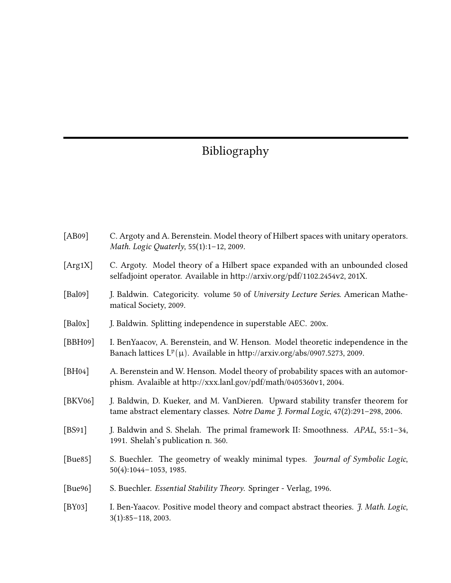# Bibliography

| [AB09]     | C. Argoty and A. Berenstein. Model theory of Hilbert spaces with unitary operators.<br>Math. Logic Quaterly, 55(1):1-12, 2009.                                       |
|------------|----------------------------------------------------------------------------------------------------------------------------------------------------------------------|
| [Arg1X]    | C. Argoty. Model theory of a Hilbert space expanded with an unbounded closed<br>selfadjoint operator. Available in http://arxiv.org/pdf/1102.2454v2, 201X.           |
| [Bal09]    | J. Baldwin. Categoricity. volume 50 of University Lecture Series. American Mathe-<br>matical Society, 2009.                                                          |
| [Bal0x]    | J. Baldwin. Splitting independence in superstable AEC. 200x.                                                                                                         |
| [BBH09]    | I. BenYaacov, A. Berenstein, and W. Henson. Model theoretic independence in the<br>Banach lattices $L^p(\mu)$ . Available in http://arxiv.org/abs/0907.5273, 2009.   |
| [ $BH04$ ] | A. Berenstein and W. Henson. Model theory of probability spaces with an automor-<br>phism. Avalaible at http://xxx.lanl.gov/pdf/math/0405360v1, 2004.                |
| [BKV06]    | J. Baldwin, D. Kueker, and M. VanDieren. Upward stability transfer theorem for<br>tame abstract elementary classes. Notre Dame J. Formal Logic, 47(2):291-298, 2006. |
| [ $BS91$ ] | J. Baldwin and S. Shelah. The primal framework II: Smoothness. APAL, 55:1-34,<br>1991. Shelah's publication n. 360.                                                  |
| [Bue85]    | S. Buechler. The geometry of weakly minimal types. Journal of Symbolic Logic,<br>50(4):1044-1053, 1985.                                                              |
| [Bue96]    | S. Buechler. Essential Stability Theory. Springer - Verlag, 1996.                                                                                                    |
| [ $BY03$ ] | I. Ben-Yaacov. Positive model theory and compact abstract theories. J. Math. Logic,<br>$3(1):85-118,2003.$                                                           |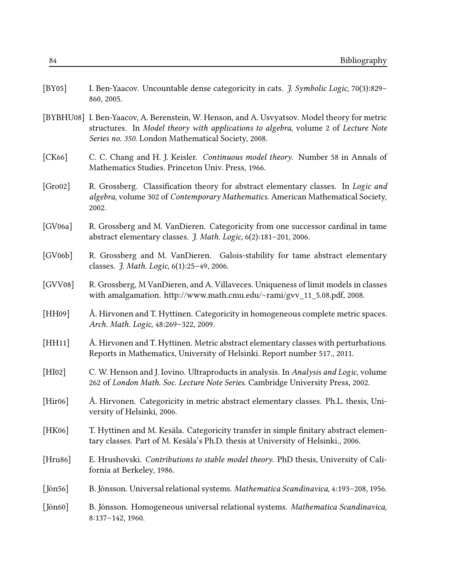| [ $BY05$ ]    | I. Ben-Yaacov. Uncountable dense categoricity in cats. <i>J. Symbolic Logic</i> , 70(3):829–<br>860, 2005.                                                                                                                               |
|---------------|------------------------------------------------------------------------------------------------------------------------------------------------------------------------------------------------------------------------------------------|
|               | [BYBHU08] I. Ben-Yaacov, A. Berenstein, W. Henson, and A. Usvyatsov. Model theory for metric<br>structures. In Model theory with applications to algebra, volume 2 of Lecture Note<br>Series no. 350. London Mathematical Society, 2008. |
| [CK66]        | C. C. Chang and H. J. Keisler. <i>Continuous model theory</i> . Number 58 in Annals of<br>Mathematics Studies. Princeton Univ. Press, 1966.                                                                                              |
| [Gro02]       | R. Grossberg. Classification theory for abstract elementary classes. In Logic and<br>algebra, volume 302 of Contemporary Mathematics. American Mathematical Society,<br>2002.                                                            |
| [GV06a]       | R. Grossberg and M. VanDieren. Categoricity from one successor cardinal in tame<br>abstract elementary classes. J. Math. Logic, 6(2):181-201, 2006.                                                                                      |
| [GV06b]       | R. Grossberg and M. VanDieren. Galois-stability for tame abstract elementary<br>classes. <i>J. Math. Logic</i> , 6(1):25-49, 2006.                                                                                                       |
| [GVV08]       | R. Grossberg, M VanDieren, and A. Villaveces. Uniqueness of limit models in classes<br>with amalgamation. http://www.math.cmu.edu/~rami/gvv_11_5.08.pdf, 2008.                                                                           |
| [HH09]        | Å. Hirvonen and T. Hyttinen. Categoricity in homogeneous complete metric spaces.<br>Arch. Math. Logic, 48:269-322, 2009.                                                                                                                 |
| [HH11]        | Å. Hirvonen and T. Hyttinen. Metric abstract elementary classes with perturbations.<br>Reports in Mathematics, University of Helsinki. Report number 517., 2011.                                                                         |
| [HI02]        | C. W. Henson and J. Iovino. Ultraproducts in analysis. In Analysis and Logic, volume<br>262 of London Math. Soc. Lecture Note Series. Cambridge University Press, 2002.                                                                  |
| [Hiro6]       | Å. Hirvonen. Categoricity in metric abstract elementary classes. Ph.L. thesis, Uni-<br>versity of Helsinki, 2006.                                                                                                                        |
| [HK06]        | T. Hyttinen and M. Kesäla. Categoricity transfer in simple finitary abstract elemen-<br>tary classes. Part of M. Kesäla's Ph.D. thesis at University of Helsinki., 2006.                                                                 |
| [Hru86]       | E. Hrushovski. Contributions to stable model theory. PhD thesis, University of Cali-<br>fornia at Berkeley, 1986.                                                                                                                        |
| $[$ Jón $56]$ | B. Jónsson. Universal relational systems. Mathematica Scandinavica, 4:193-208, 1956.                                                                                                                                                     |
| $[$ Jón60]    | B. Jónsson. Homogeneous universal relational systems. Mathematica Scandinavica,<br>8:137-142, 1960.                                                                                                                                      |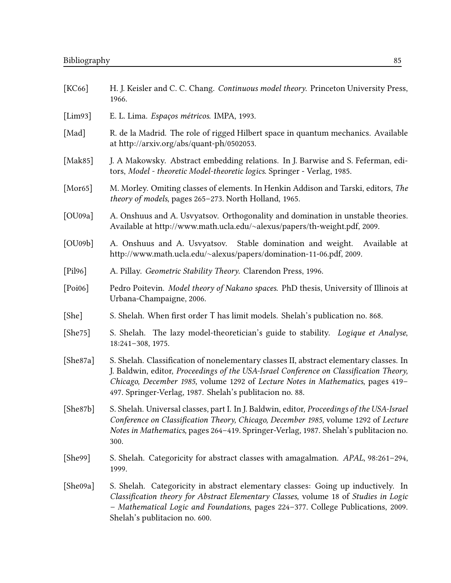| [KC66]      | H. J. Keisler and C. C. Chang. Continuous model theory. Princeton University Press,<br>1966.                                                                                                                                                                                                                                    |
|-------------|---------------------------------------------------------------------------------------------------------------------------------------------------------------------------------------------------------------------------------------------------------------------------------------------------------------------------------|
| [Lim93]     | E. L. Lima. Espaços métricos. IMPA, 1993.                                                                                                                                                                                                                                                                                       |
| [Mad]       | R. de la Madrid. The role of rigged Hilbert space in quantum mechanics. Available<br>at http://arxiv.org/abs/quant-ph/0502053.                                                                                                                                                                                                  |
| [ $Mak85$ ] | J. A Makowsky. Abstract embedding relations. In J. Barwise and S. Feferman, edi-<br>tors, Model - theoretic Model-theoretic logics. Springer - Verlag, 1985.                                                                                                                                                                    |
| [Mor65]     | M. Morley. Omiting classes of elements. In Henkin Addison and Tarski, editors, The<br>theory of models, pages 265-273. North Holland, 1965.                                                                                                                                                                                     |
| [OU09a]     | A. Onshuus and A. Usvyatsov. Orthogonality and domination in unstable theories.<br>Available at http://www.math.ucla.edu/~alexus/papers/th-weight.pdf, 2009.                                                                                                                                                                    |
| [OU09b]     | A. Onshuus and A. Usvyatsov. Stable domination and weight.<br>Available at<br>http://www.math.ucla.edu/~alexus/papers/domination-11-06.pdf, 2009.                                                                                                                                                                               |
| [Pil96]     | A. Pillay. Geometric Stability Theory. Clarendon Press, 1996.                                                                                                                                                                                                                                                                   |
| [Poi06]     | Pedro Poitevin. Model theory of Nakano spaces. PhD thesis, University of Illinois at<br>Urbana-Champaigne, 2006.                                                                                                                                                                                                                |
| [She]       | S. Shelah. When first order T has limit models. Shelah's publication no. 868.                                                                                                                                                                                                                                                   |
| [She75]     | S. Shelah. The lazy model-theoretician's guide to stability. Logique et Analyse,<br>18:241-308, 1975.                                                                                                                                                                                                                           |
| [She87a]    | S. Shelah. Classification of nonelementary classes II, abstract elementary classes. In<br>J. Baldwin, editor, Proceedings of the USA-Israel Conference on Classification Theory,<br>Chicago, December 1985, volume 1292 of Lecture Notes in Mathematics, pages 419-<br>497. Springer-Verlag, 1987. Shelah's publitacion no. 88. |
| [She87b]    | S. Shelah. Universal classes, part I. In J. Baldwin, editor, Proceedings of the USA-Israel<br>Conference on Classification Theory, Chicago, December 1985, volume 1292 of Lecture<br>Notes in Mathematics, pages 264-419. Springer-Verlag, 1987. Shelah's publitacion no.<br>300.                                               |
| [She99]     | S. Shelah. Categoricity for abstract classes with amagalmation. APAL, 98:261-294,<br>1999.                                                                                                                                                                                                                                      |
| [She09a]    | S. Shelah. Categoricity in abstract elementary classes: Going up inductively. In<br>Classification theory for Abstract Elementary Classes, volume 18 of Studies in Logic<br>- Mathematical Logic and Foundations, pages 224-377. College Publications, 2009.<br>Shelah's publitacion no. 600.                                   |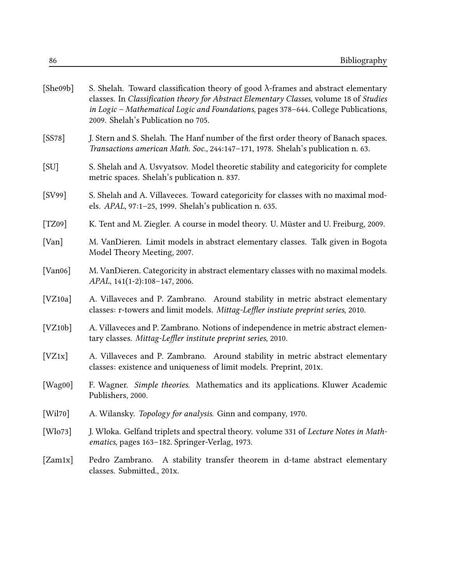| [She09b]        | S. Shelah. Toward classification theory of good $\lambda$ -frames and abstract elementary<br>classes. In Classification theory for Abstract Elementary Classes, volume 18 of Studies<br>in Logic - Mathematical Logic and Foundations, pages 378-644. College Publications,<br>2009. Shelah's Publication no 705. |
|-----------------|-------------------------------------------------------------------------------------------------------------------------------------------------------------------------------------------------------------------------------------------------------------------------------------------------------------------|
| [SS78]          | J. Stern and S. Shelah. The Hanf number of the first order theory of Banach spaces.<br>Transactions american Math. Soc., 244:147-171, 1978. Shelah's publication n. 63.                                                                                                                                           |
| [SU]            | S. Shelah and A. Usvyatsov. Model theoretic stability and categoricity for complete<br>metric spaces. Shelah's publication n. 837.                                                                                                                                                                                |
| [SV99]          | S. Shelah and A. Villaveces. Toward categoricity for classes with no maximal mod-<br>els. APAL, 97:1-25, 1999. Shelah's publication n. 635.                                                                                                                                                                       |
| [TZ09]          | K. Tent and M. Ziegler. A course in model theory. U. Müster and U. Freiburg, 2009.                                                                                                                                                                                                                                |
| [Van]           | M. VanDieren. Limit models in abstract elementary classes. Talk given in Bogota<br>Model Theory Meeting, 2007.                                                                                                                                                                                                    |
| [Van06]         | M. VanDieren. Categoricity in abstract elementary classes with no maximal models.<br>APAL, 141(1-2):108-147, 2006.                                                                                                                                                                                                |
| [VZ10a]         | A. Villaveces and P. Zambrano. Around stability in metric abstract elementary<br>classes: r-towers and limit models. Mittag-Leffler instiute preprint series, 2010.                                                                                                                                               |
| [VZ10b]         | A. Villaveces and P. Zambrano. Notions of independence in metric abstract elemen-<br>tary classes. Mittag-Leffler institute preprint series, 2010.                                                                                                                                                                |
| [VZ1x]          | A. Villaveces and P. Zambrano. Around stability in metric abstract elementary<br>classes: existence and uniqueness of limit models. Preprint, 201x.                                                                                                                                                               |
| [Wag00]         | F. Wagner. Simple theories. Mathematics and its applications. Kluwer Academic<br>Publishers, 2000.                                                                                                                                                                                                                |
| [Wil70]         | A. Wilansky. Topology for analysis. Ginn and company, 1970.                                                                                                                                                                                                                                                       |
| [ $W$ lo $73$ ] | J. Wloka. Gelfand triplets and spectral theory. volume 331 of Lecture Notes in Math-<br>ematics, pages 163-182. Springer-Verlag, 1973.                                                                                                                                                                            |
| [Zam1x]         | A stability transfer theorem in d-tame abstract elementary<br>Pedro Zambrano.<br>classes. Submitted., 201x.                                                                                                                                                                                                       |